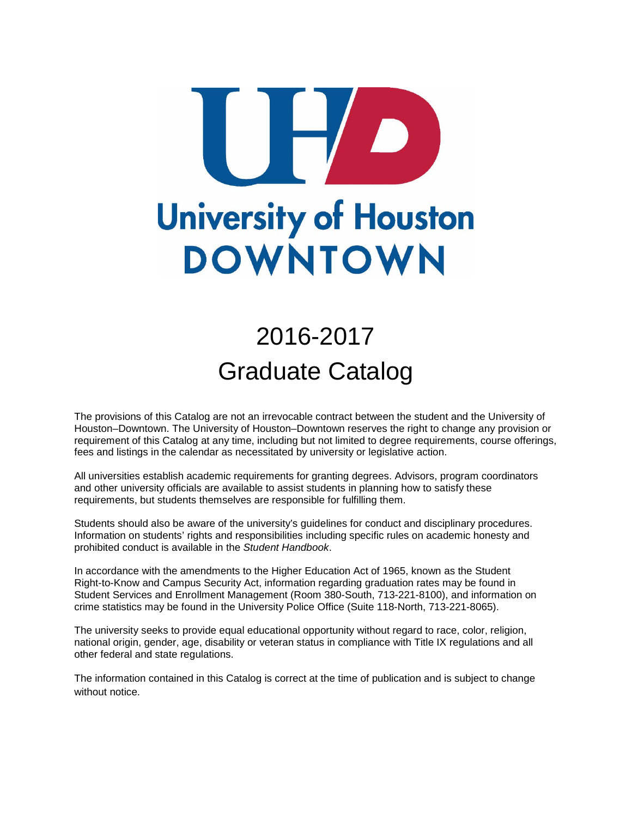# **University of Houston DOWNTOWN**

# 2016-2017 Graduate Catalog

The provisions of this Catalog are not an irrevocable contract between the student and the University of Houston–Downtown. The University of Houston–Downtown reserves the right to change any provision or requirement of this Catalog at any time, including but not limited to degree requirements, course offerings, fees and listings in the calendar as necessitated by university or legislative action.

All universities establish academic requirements for granting degrees. Advisors, program coordinators and other university officials are available to assist students in planning how to satisfy these requirements, but students themselves are responsible for fulfilling them.

Students should also be aware of the university's guidelines for conduct and disciplinary procedures. Information on students' rights and responsibilities including specific rules on academic honesty and prohibited conduct is available in the *Student Handbook*.

In accordance with the amendments to the Higher Education Act of 1965, known as the Student Right-to-Know and Campus Security Act, information regarding graduation rates may be found in Student Services and Enrollment Management (Room 380-South, 713-221-8100), and information on crime statistics may be found in the University Police Office (Suite 118-North, 713-221-8065).

The university seeks to provide equal educational opportunity without regard to race, color, religion, national origin, gender, age, disability or veteran status in compliance with Title IX regulations and all other federal and state regulations.

The information contained in this Catalog is correct at the time of publication and is subject to change without notice.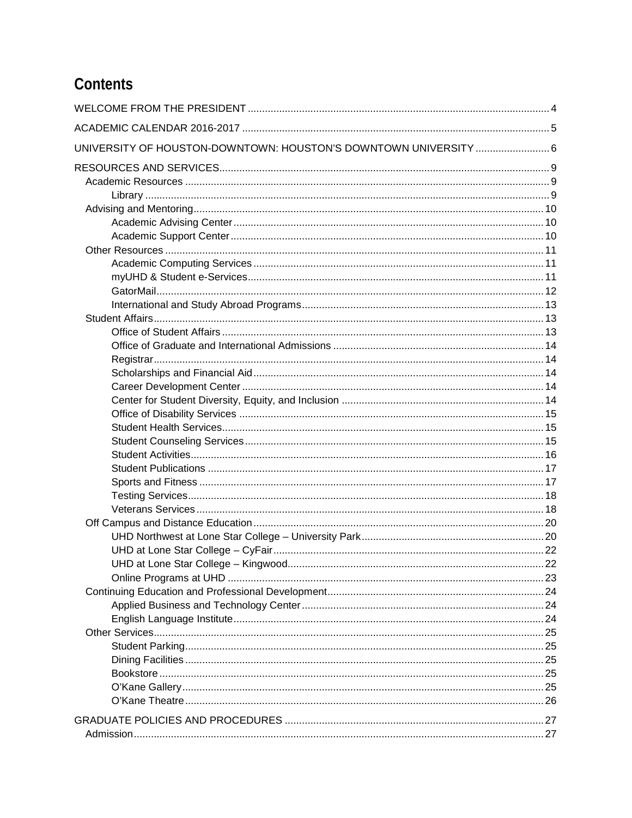# Contents

| UNIVERSITY OF HOUSTON-DOWNTOWN: HOUSTON'S DOWNTOWN UNIVERSITY  6 |  |
|------------------------------------------------------------------|--|
|                                                                  |  |
|                                                                  |  |
|                                                                  |  |
|                                                                  |  |
|                                                                  |  |
|                                                                  |  |
|                                                                  |  |
|                                                                  |  |
|                                                                  |  |
|                                                                  |  |
|                                                                  |  |
|                                                                  |  |
|                                                                  |  |
|                                                                  |  |
|                                                                  |  |
|                                                                  |  |
|                                                                  |  |
|                                                                  |  |
|                                                                  |  |
|                                                                  |  |
|                                                                  |  |
|                                                                  |  |
|                                                                  |  |
|                                                                  |  |
|                                                                  |  |
|                                                                  |  |
|                                                                  |  |
|                                                                  |  |
|                                                                  |  |
|                                                                  |  |
|                                                                  |  |
|                                                                  |  |
|                                                                  |  |
|                                                                  |  |
|                                                                  |  |
|                                                                  |  |
|                                                                  |  |
|                                                                  |  |
|                                                                  |  |
|                                                                  |  |
|                                                                  |  |
|                                                                  |  |
|                                                                  |  |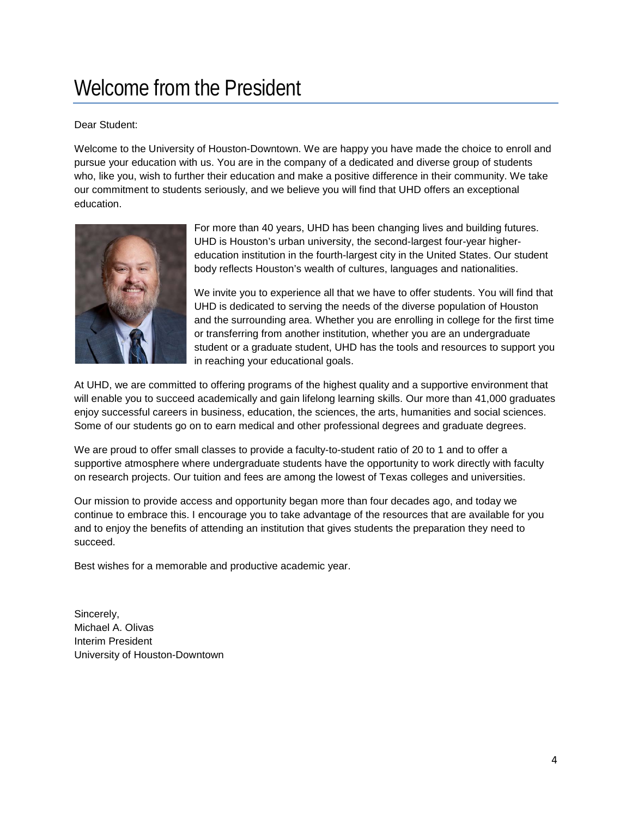# <span id="page-3-0"></span>Welcome from the President

# Dear Student:

Welcome to the University of Houston-Downtown. We are happy you have made the choice to enroll and pursue your education with us. You are in the company of a dedicated and diverse group of students who, like you, wish to further their education and make a positive difference in their community. We take our commitment to students seriously, and we believe you will find that UHD offers an exceptional education.



For more than 40 years, UHD has been changing lives and building futures. UHD is Houston's urban university, the second-largest four-year highereducation institution in the fourth-largest city in the United States. Our student body reflects Houston's wealth of cultures, languages and nationalities.

We invite you to experience all that we have to offer students. You will find that UHD is dedicated to serving the needs of the diverse population of Houston and the surrounding area. Whether you are enrolling in college for the first time or transferring from another institution, whether you are an undergraduate student or a graduate student, UHD has the tools and resources to support you in reaching your educational goals.

At UHD, we are committed to offering programs of the highest quality and a supportive environment that will enable you to succeed academically and gain lifelong learning skills. Our more than 41,000 graduates enjoy successful careers in business, education, the sciences, the arts, humanities and social sciences. Some of our students go on to earn medical and other professional degrees and graduate degrees.

We are proud to offer small classes to provide a faculty-to-student ratio of 20 to 1 and to offer a supportive atmosphere where undergraduate students have the opportunity to work directly with faculty on research projects. Our tuition and fees are among the lowest of Texas colleges and universities.

Our mission to provide access and opportunity began more than four decades ago, and today we continue to embrace this. I encourage you to take advantage of the resources that are available for you and to enjoy the benefits of attending an institution that gives students the preparation they need to succeed.

Best wishes for a memorable and productive academic year.

Sincerely, Michael A. Olivas Interim President University of Houston-Downtown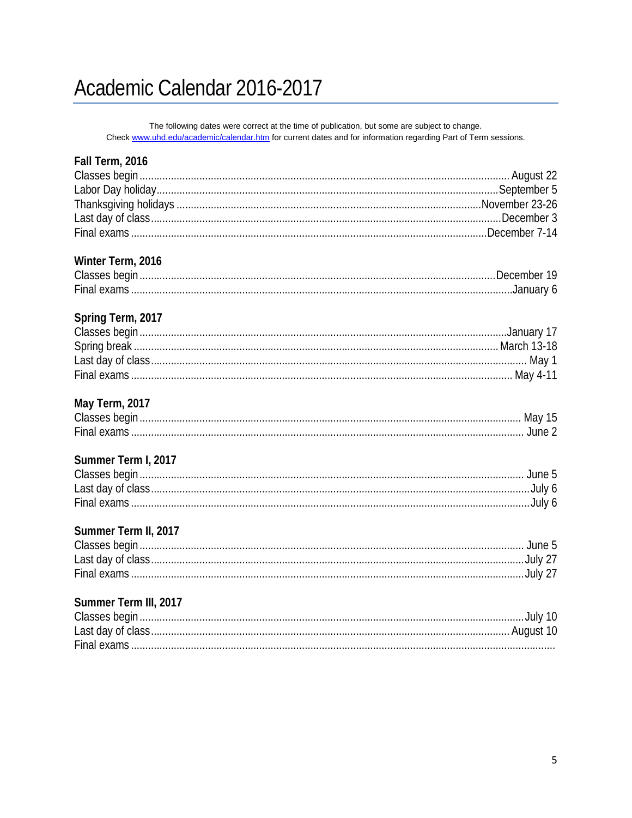# <span id="page-4-0"></span>Academic Calendar 2016-2017

The following dates were correct at the time of publication, but some are subject to change. Check www.uhd.edu/academic/calendar.htm for current dates and for information regarding Part of Term sessions.

| Fall Term, 2016       |  |
|-----------------------|--|
|                       |  |
|                       |  |
|                       |  |
|                       |  |
|                       |  |
| Winter Term, 2016     |  |
|                       |  |
|                       |  |
| Spring Term, 2017     |  |
|                       |  |
|                       |  |
|                       |  |
|                       |  |
| May Term, 2017        |  |
|                       |  |
|                       |  |
| Summer Term I, 2017   |  |
|                       |  |
|                       |  |
|                       |  |
| Summer Term II, 2017  |  |
|                       |  |
|                       |  |
|                       |  |
| Summer Term III, 2017 |  |
|                       |  |
|                       |  |
|                       |  |
|                       |  |
|                       |  |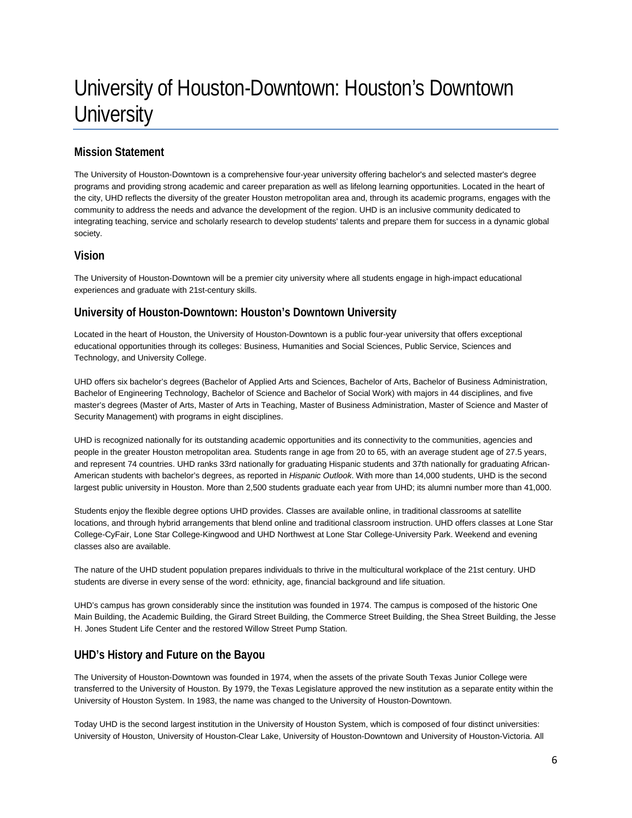# <span id="page-5-0"></span>University of Houston-Downtown: Houston's Downtown **University**

# **Mission Statement**

The University of Houston-Downtown is a comprehensive four-year university offering bachelor's and selected master's degree programs and providing strong academic and career preparation as well as lifelong learning opportunities. Located in the heart of the city, UHD reflects the diversity of the greater Houston metropolitan area and, through its academic programs, engages with the community to address the needs and advance the development of the region. UHD is an inclusive community dedicated to integrating teaching, service and scholarly research to develop students' talents and prepare them for success in a dynamic global society.

# **Vision**

The University of Houston-Downtown will be a premier city university where all students engage in high-impact educational experiences and graduate with 21st-century skills.

# **University of Houston-Downtown: Houston's Downtown University**

Located in the heart of Houston, the University of Houston-Downtown is a public four-year university that offers exceptional educational opportunities through its colleges: Business, Humanities and Social Sciences, Public Service, Sciences and Technology, and University College.

UHD offers six bachelor's degrees (Bachelor of Applied Arts and Sciences, Bachelor of Arts, Bachelor of Business Administration, Bachelor of Engineering Technology, Bachelor of Science and Bachelor of Social Work) with majors in 44 disciplines, and five master's degrees (Master of Arts, Master of Arts in Teaching, Master of Business Administration, Master of Science and Master of Security Management) with programs in eight disciplines.

UHD is recognized nationally for its outstanding academic opportunities and its connectivity to the communities, agencies and people in the greater Houston metropolitan area. Students range in age from 20 to 65, with an average student age of 27.5 years, and represent 74 countries. UHD ranks 33rd nationally for graduating Hispanic students and 37th nationally for graduating African-American students with bachelor's degrees, as reported in *Hispanic Outlook*. With more than 14,000 students, UHD is the second largest public university in Houston. More than 2,500 students graduate each year from UHD; its alumni number more than 41,000.

Students enjoy the flexible degree options UHD provides. Classes are available online, in traditional classrooms at satellite locations, and through hybrid arrangements that blend online and traditional classroom instruction. UHD offers classes at Lone Star College-CyFair, Lone Star College-Kingwood and UHD Northwest at Lone Star College-University Park. Weekend and evening classes also are available.

The nature of the UHD student population prepares individuals to thrive in the multicultural workplace of the 21st century. UHD students are diverse in every sense of the word: ethnicity, age, financial background and life situation.

UHD's campus has grown considerably since the institution was founded in 1974. The campus is composed of the historic One Main Building, the Academic Building, the Girard Street Building, the Commerce Street Building, the Shea Street Building, the Jesse H. Jones Student Life Center and the restored Willow Street Pump Station.

# **UHD's History and Future on the Bayou**

The University of Houston-Downtown was founded in 1974, when the assets of the private South Texas Junior College were transferred to the University of Houston. By 1979, the Texas Legislature approved the new institution as a separate entity within the University of Houston System. In 1983, the name was changed to the University of Houston-Downtown.

Today UHD is the second largest institution in the University of Houston System, which is composed of four distinct universities: University of Houston, University of Houston-Clear Lake, University of Houston-Downtown and University of Houston-Victoria. All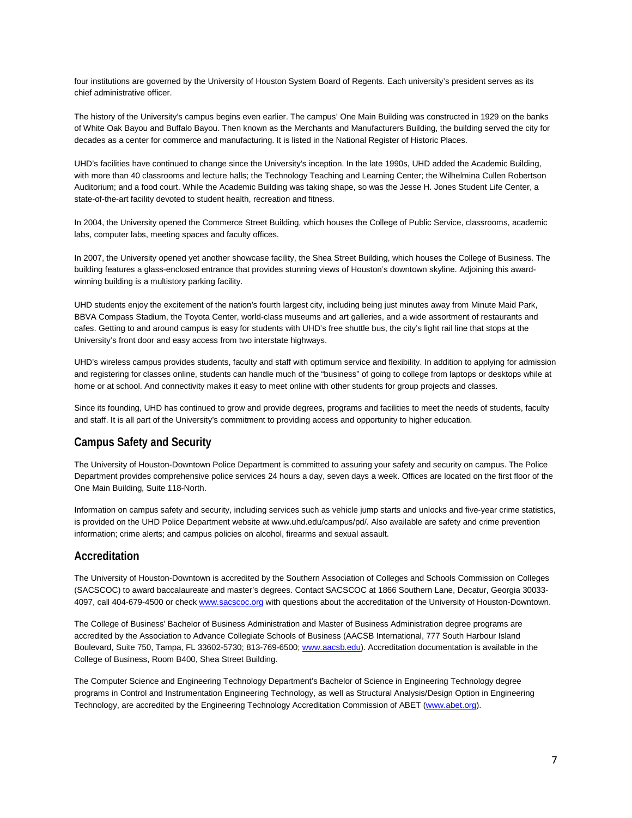four institutions are governed by the University of Houston System Board of Regents. Each university's president serves as its chief administrative officer.

The history of the University's campus begins even earlier. The campus' One Main Building was constructed in 1929 on the banks of White Oak Bayou and Buffalo Bayou. Then known as the Merchants and Manufacturers Building, the building served the city for decades as a center for commerce and manufacturing. It is listed in the National Register of Historic Places.

UHD's facilities have continued to change since the University's inception. In the late 1990s, UHD added the Academic Building, with more than 40 classrooms and lecture halls; the Technology Teaching and Learning Center; the Wilhelmina Cullen Robertson Auditorium; and a food court. While the Academic Building was taking shape, so was the Jesse H. Jones Student Life Center, a state-of-the-art facility devoted to student health, recreation and fitness.

In 2004, the University opened the Commerce Street Building, which houses the College of Public Service, classrooms, academic labs, computer labs, meeting spaces and faculty offices.

In 2007, the University opened yet another showcase facility, the Shea Street Building, which houses the College of Business. The building features a glass-enclosed entrance that provides stunning views of Houston's downtown skyline. Adjoining this awardwinning building is a multistory parking facility.

UHD students enjoy the excitement of the nation's fourth largest city, including being just minutes away from Minute Maid Park, BBVA Compass Stadium, the Toyota Center, world-class museums and art galleries, and a wide assortment of restaurants and cafes. Getting to and around campus is easy for students with UHD's free shuttle bus, the city's light rail line that stops at the University's front door and easy access from two interstate highways.

UHD's wireless campus provides students, faculty and staff with optimum service and flexibility. In addition to applying for admission and registering for classes online, students can handle much of the "business" of going to college from laptops or desktops while at home or at school. And connectivity makes it easy to meet online with other students for group projects and classes.

Since its founding, UHD has continued to grow and provide degrees, programs and facilities to meet the needs of students, faculty and staff. It is all part of the University's commitment to providing access and opportunity to higher education.

## **Campus Safety and Security**

The University of Houston-Downtown Police Department is committed to assuring your safety and security on campus. The Police Department provides comprehensive police services 24 hours a day, seven days a week. Offices are located on the first floor of the One Main Building, Suite 118-North.

Information on campus safety and security, including services such as vehicle jump starts and unlocks and five-year crime statistics, is provided on the UHD Police Department website a[t www.uhd.edu/campus/pd/.](http://www.uhd.edu/campus/pd/) Also available are safety and crime prevention information; crime alerts; and campus policies on alcohol, firearms and sexual assault.

## **Accreditation**

The University of Houston-Downtown is accredited by the Southern Association of Colleges and Schools Commission on Colleges (SACSCOC) to award baccalaureate and master's degrees. Contact SACSCOC at 1866 Southern Lane, Decatur, Georgia 30033 4097, call 404-679-4500 or check [www.sacscoc.org](http://www.sacscoc.org/) with questions about the accreditation of the University of Houston-Downtown.

The College of Business' Bachelor of Business Administration and Master of Business Administration degree programs are accredited by the Association to Advance Collegiate Schools of Business (AACSB International, 777 South Harbour Island Boulevard, Suite 750, Tampa, FL 33602-5730; 813-769-6500; [www.aacsb.edu\)](http://www.aacsb.edu/). Accreditation documentation is available in the College of Business, Room B400, Shea Street Building.

The Computer Science and Engineering Technology Department's Bachelor of Science in Engineering Technology degree programs in Control and Instrumentation Engineering Technology, as well as Structural Analysis/Design Option in Engineering Technology, are accredited by the Engineering Technology Accreditation Commission of ABET [\(www.abet.org\)](http://www.abet.org/).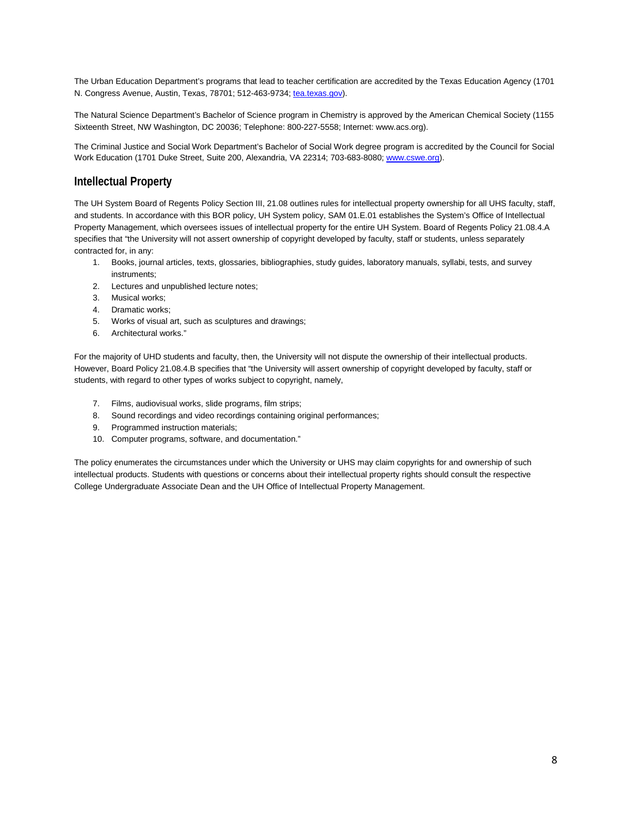The Urban Education Department's programs that lead to teacher certification are accredited by the Texas Education Agency (1701 N. Congress Avenue, Austin, Texas, 78701; 512-463-9734; [tea.texas.gov\)](http://tea.texas.gov/).

The Natural Science Department's Bachelor of Science program in Chemistry is approved by the American Chemical Society (1155 Sixteenth Street, NW Washington, DC 20036; Telephone: 800-227-5558; Internet[: www.acs.org\)](http://www.acs.org/).

The Criminal Justice and Social Work Department's Bachelor of Social Work degree program is accredited by the Council for Social Work Education (1701 Duke Street, Suite 200, Alexandria, VA 22314; 703-683-8080[; www.cswe.org\)](http://www.cswe.org/).

#### **Intellectual Property**

The UH System Board of Regents Policy Section III, 21.08 outlines rules for intellectual property ownership for all UHS faculty, staff, and students. In accordance with this BOR policy, UH System policy, SAM 01.E.01 establishes the System's Office of Intellectual Property Management, which oversees issues of intellectual property for the entire UH System. Board of Regents Policy 21.08.4.A specifies that "the University will not assert ownership of copyright developed by faculty, staff or students, unless separately contracted for, in any:

- 1. Books, journal articles, texts, glossaries, bibliographies, study guides, laboratory manuals, syllabi, tests, and survey instruments;
- 2. Lectures and unpublished lecture notes;
- 3. Musical works;
- 4. Dramatic works;
- 5. Works of visual art, such as sculptures and drawings;
- 6. Architectural works."

For the majority of UHD students and faculty, then, the University will not dispute the ownership of their intellectual products. However, Board Policy 21.08.4.B specifies that "the University will assert ownership of copyright developed by faculty, staff or students, with regard to other types of works subject to copyright, namely,

- 7. Films, audiovisual works, slide programs, film strips;
- 8. Sound recordings and video recordings containing original performances;
- 9. Programmed instruction materials;
- 10. Computer programs, software, and documentation."

The policy enumerates the circumstances under which the University or UHS may claim copyrights for and ownership of such intellectual products. Students with questions or concerns about their intellectual property rights should consult the respective College Undergraduate Associate Dean and the UH Office of Intellectual Property Management.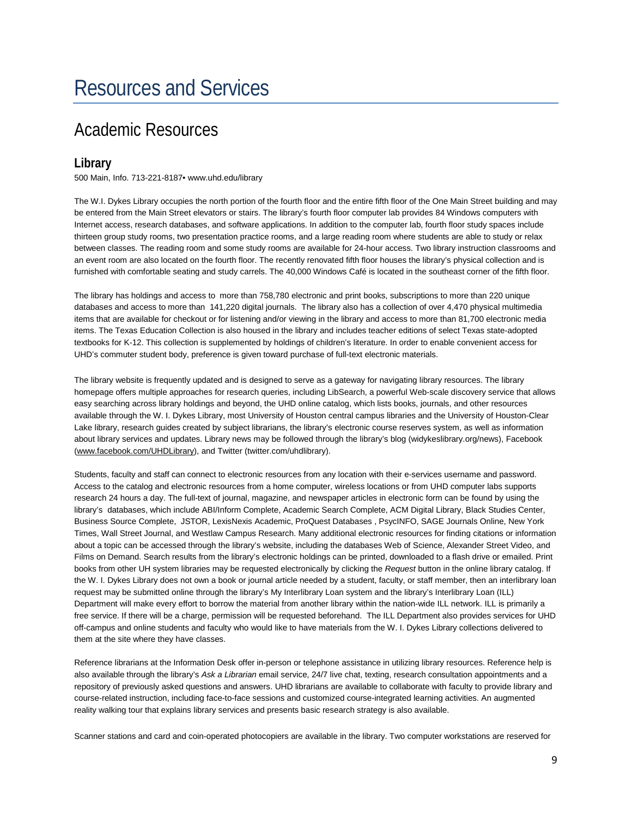# <span id="page-8-1"></span><span id="page-8-0"></span>Academic Resources

# <span id="page-8-2"></span>**Library**

500 Main, Info. 713-221-8187• www.uhd.edu/library

The W.I. Dykes Library occupies the north portion of the fourth floor and the entire fifth floor of the One Main Street building and may be entered from the Main Street elevators or stairs. The library's fourth floor computer lab provides 84 Windows computers with Internet access, research databases, and software applications. In addition to the computer lab, fourth floor study spaces include thirteen group study rooms, two presentation practice rooms, and a large reading room where students are able to study or relax between classes. The reading room and some study rooms are available for 24-hour access. Two library instruction classrooms and an event room are also located on the fourth floor. The recently renovated fifth floor houses the library's physical collection and is furnished with comfortable seating and study carrels. The 40,000 Windows Café is located in the southeast corner of the fifth floor.

The library has holdings and access to more than 758,780 electronic and print books, subscriptions to more than 220 unique databases and access to more than 141,220 digital journals. The library also has a collection of over 4,470 physical multimedia items that are available for checkout or for listening and/or viewing in the library and access to more than 81,700 electronic media items. The Texas Education Collection is also housed in the library and includes teacher editions of select Texas state-adopted textbooks for K-12. This collection is supplemented by holdings of children's literature. In order to enable convenient access for UHD's commuter student body, preference is given toward purchase of full-text electronic materials.

The library website is frequently updated and is designed to serve as a gateway for navigating library resources. The library homepage offers multiple approaches for research queries, including LibSearch, a powerful Web-scale discovery service that allows easy searching across library holdings and beyond, the UHD online catalog, which lists books, journals, and other resources available through the W. I. Dykes Library, most University of Houston central campus libraries and the University of Houston-Clear Lake library, research guides created by subject librarians, the library's electronic course reserves system, as well as information about library services and updates. Library news may be followed through the library's blog (widykeslibrary.org/news), Facebook [\(www.facebook.com/UHDLibrary\)](http://www.facebook.com/UHDLibrary), and Twitter (twitter.com/uhdlibrary).

Students, faculty and staff can connect to electronic resources from any location with their e-services username and password. Access to the catalog and electronic resources from a home computer, wireless locations or from UHD computer labs supports research 24 hours a day. The full-text of journal, magazine, and newspaper articles in electronic form can be found by using the library's databases, which include ABI/Inform Complete, Academic Search Complete, ACM Digital Library, Black Studies Center, Business Source Complete, JSTOR, LexisNexis Academic, ProQuest Databases , PsycINFO, SAGE Journals Online, New York Times, Wall Street Journal, and Westlaw Campus Research. Many additional electronic resources for finding citations or information about a topic can be accessed through the library's website, including the databases Web of Science, Alexander Street Video, and Films on Demand. Search results from the library's electronic holdings can be printed, downloaded to a flash drive or emailed. Print books from other UH system libraries may be requested electronically by clicking the *Request* button in the online library catalog. If the W. I. Dykes Library does not own a book or journal article needed by a student, faculty, or staff member, then an interlibrary loan request may be submitted online through the library's My Interlibrary Loan system and the library's Interlibrary Loan (ILL) Department will make every effort to borrow the material from another library within the nation-wide ILL network. ILL is primarily a free service. If there will be a charge, permission will be requested beforehand. The ILL Department also provides services for UHD off-campus and online students and faculty who would like to have materials from the W. I. Dykes Library collections delivered to them at the site where they have classes.

Reference librarians at the Information Desk offer in-person or telephone assistance in utilizing library resources. Reference help is also available through the library's *Ask a Librarian* email service, 24/7 live chat, texting, research consultation appointments and a repository of previously asked questions and answers. UHD librarians are available to collaborate with faculty to provide library and course-related instruction, including face-to-face sessions and customized course-integrated learning activities. An augmented reality walking tour that explains library services and presents basic research strategy is also available.

Scanner stations and card and coin-operated photocopiers are available in the library. Two computer workstations are reserved for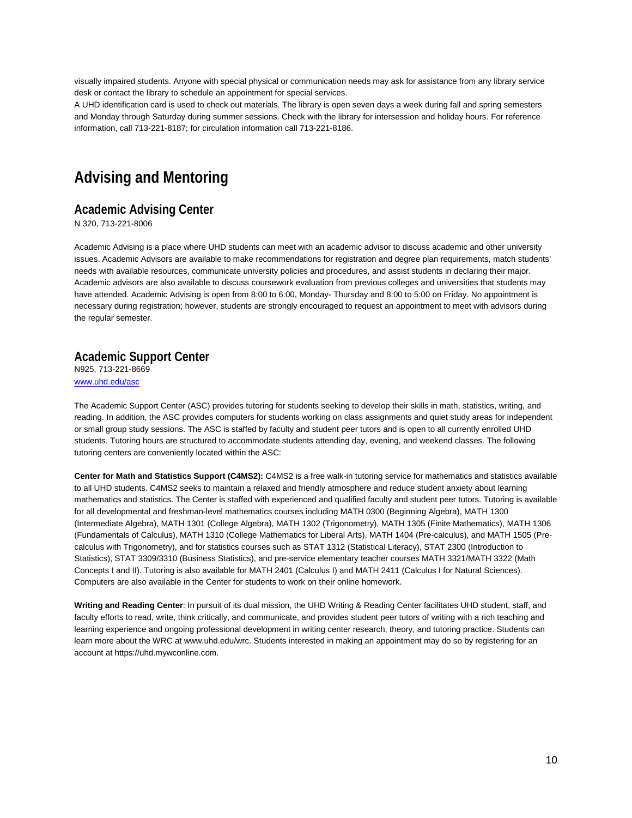visually impaired students. Anyone with special physical or communication needs may ask for assistance from any library service desk or contact the library to schedule an appointment for special services.

A UHD identification card is used to check out materials. The library is open seven days a week during fall and spring semesters and Monday through Saturday during summer sessions. Check with the library for intersession and holiday hours. For reference information, call 713-221-8187; for circulation information call 713-221-8186.

# <span id="page-9-0"></span>**Advising and Mentoring**

#### <span id="page-9-1"></span>**Academic Advising Center**

N 320, 713-221-8006

Academic Advising is a place where UHD students can meet with an academic advisor to discuss academic and other university issues. Academic Advisors are available to make recommendations for registration and degree plan requirements, match students' needs with available resources, communicate university policies and procedures, and assist students in declaring their major. Academic advisors are also available to discuss coursework evaluation from previous colleges and universities that students may have attended. Academic Advising is open from 8:00 to 6:00, Monday- Thursday and 8:00 to 5:00 on Friday. No appointment is necessary during registration; however, students are strongly encouraged to request an appointment to meet with advisors during the regular semester.

#### <span id="page-9-2"></span>**Academic Support Center**

N925, 713-221-8669 [www.uhd.edu/asc](http://www.uhd.edu/asc)

The Academic Support Center (ASC) provides tutoring for students seeking to develop their skills in math, statistics, writing, and reading. In addition, the ASC provides computers for students working on class assignments and quiet study areas for independent or small group study sessions. The ASC is staffed by faculty and student peer tutors and is open to all currently enrolled UHD students. Tutoring hours are structured to accommodate students attending day, evening, and weekend classes. The following tutoring centers are conveniently located within the ASC:

**Center for Math and Statistics Support (C4MS2):** C4MS2 is a free walk-in tutoring service for mathematics and statistics available to all UHD students. C4MS2 seeks to maintain a relaxed and friendly atmosphere and reduce student anxiety about learning mathematics and statistics. The Center is staffed with experienced and qualified faculty and student peer tutors. Tutoring is available for all developmental and freshman-level mathematics courses including MATH 0300 (Beginning Algebra), MATH 1300 (Intermediate Algebra), MATH 1301 (College Algebra), MATH 1302 (Trigonometry), MATH 1305 (Finite Mathematics), MATH 1306 (Fundamentals of Calculus), MATH 1310 (College Mathematics for Liberal Arts), MATH 1404 (Pre-calculus), and MATH 1505 (Precalculus with Trigonometry), and for statistics courses such as STAT 1312 (Statistical Literacy), STAT 2300 (Introduction to Statistics), STAT 3309/3310 (Business Statistics), and pre-service elementary teacher courses MATH 3321/MATH 3322 (Math Concepts I and II). Tutoring is also available for MATH 2401 (Calculus I) and MATH 2411 (Calculus I for Natural Sciences). Computers are also available in the Center for students to work on their online homework.

**Writing and Reading Center**: In pursuit of its dual mission, the UHD Writing & Reading Center facilitates UHD student, staff, and faculty efforts to read, write, think critically, and communicate, and provides student peer tutors of writing with a rich teaching and learning experience and ongoing professional development in writing center research, theory, and tutoring practice. Students can learn more about the WRC at www.uhd.edu/wrc. Students interested in making an appointment may do so by registering for an account at https://uhd.mywconline.com.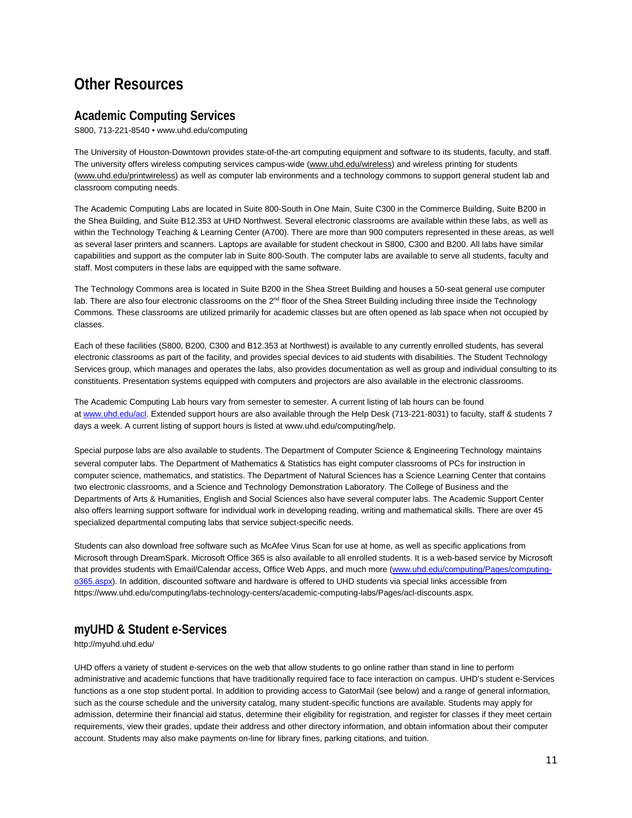# <span id="page-10-0"></span>**Other Resources**

# <span id="page-10-1"></span>**Academic Computing Services**

S800, 713-221-8540 • www.uhd.edu/computing

The University of Houston-Downtown provides state-of-the-art computing equipment and software to its students, faculty, and staff. The university offers wireless computing services campus-wide (www.uhd.edu/wireless) and wireless printing for students [\(www.uhd.edu/printwireless\)](http://www.uhd.edu/printwireless) as well as computer lab environments and a technology commons to support general student lab and classroom computing needs.

The Academic Computing Labs are located in Suite 800-South in One Main, Suite C300 in the Commerce Building, Suite B200 in the Shea Building, and Suite B12.353 at UHD Northwest. Several electronic classrooms are available within these labs, as well as within the Technology Teaching & Learning Center (A700). There are more than 900 computers represented in these areas, as well as several laser printers and scanners. Laptops are available for student checkout in S800, C300 and B200. All labs have similar capabilities and support as the computer lab in Suite 800-South. The computer labs are available to serve all students, faculty and staff. Most computers in these labs are equipped with the same software.

The Technology Commons area is located in Suite B200 in the Shea Street Building and houses a 50-seat general use computer lab. There are also four electronic classrooms on the 2<sup>nd</sup> floor of the Shea Street Building including three inside the Technology Commons. These classrooms are utilized primarily for academic classes but are often opened as lab space when not occupied by classes.

Each of these facilities (S800, B200, C300 and B12.353 at Northwest) is available to any currently enrolled students, has several electronic classrooms as part of the facility, and provides special devices to aid students with disabilities. The Student Technology Services group, which manages and operates the labs, also provides documentation as well as group and individual consulting to its constituents. Presentation systems equipped with computers and projectors are also available in the electronic classrooms.

The Academic Computing Lab hours vary from semester to semester. A current listing of lab hours can be found at [www.uhd.edu/acl.](http://www.uhd.edu/acl) Extended support hours are also available through the Help Desk (713-221-8031) to faculty, staff & students 7 days a week. A current listing of support hours is listed at www.uhd.edu/computing/help.

Special purpose labs are also available to students. The Department of Computer Science & Engineering Technology maintains several computer labs. The Department of Mathematics & Statistics has eight computer classrooms of PCs for instruction in computer science, mathematics, and statistics. The Department of Natural Sciences has a Science Learning Center that contains two electronic classrooms, and a Science and Technology Demonstration Laboratory. The College of Business and the Departments of Arts & Humanities, English and Social Sciences also have several computer labs. The Academic Support Center also offers learning support software for individual work in developing reading, writing and mathematical skills. There are over 45 specialized departmental computing labs that service subject-specific needs.

Students can also download free software such as McAfee Virus Scan for use at home, as well as specific applications from Microsoft through DreamSpark. Microsoft Office 365 is also available to all enrolled students. It is a web-based service by Microsoft that provides students with Email/Calendar access, Office Web Apps, and much more [\(www.uhd.edu/computing/Pages/computing](http://www.uhd.edu/computing/Pages/computing-o365.aspx)[o365.aspx\)](http://www.uhd.edu/computing/Pages/computing-o365.aspx). In addition, discounted software and hardware is offered to UHD students via special links accessible from https://www.uhd.edu/computing/labs-technology-centers/academic-computing-labs/Pages/acl-discounts.aspx.

# <span id="page-10-2"></span>**myUHD & Student e-Services**

http://myuhd.uhd.edu/

UHD offers a variety of student e-services on the web that allow students to go online rather than stand in line to perform administrative and academic functions that have traditionally required face to face interaction on campus. UHD's student e-Services functions as a one stop student portal. In addition to providing access to GatorMail (see below) and a range of general information, such as the course schedule and the university catalog, many student-specific functions are available. Students may apply for admission, determine their financial aid status, determine their eligibility for registration, and register for classes if they meet certain requirements, view their grades, update their address and other directory information, and obtain information about their computer account. Students may also make payments on-line for library fines, parking citations, and tuition.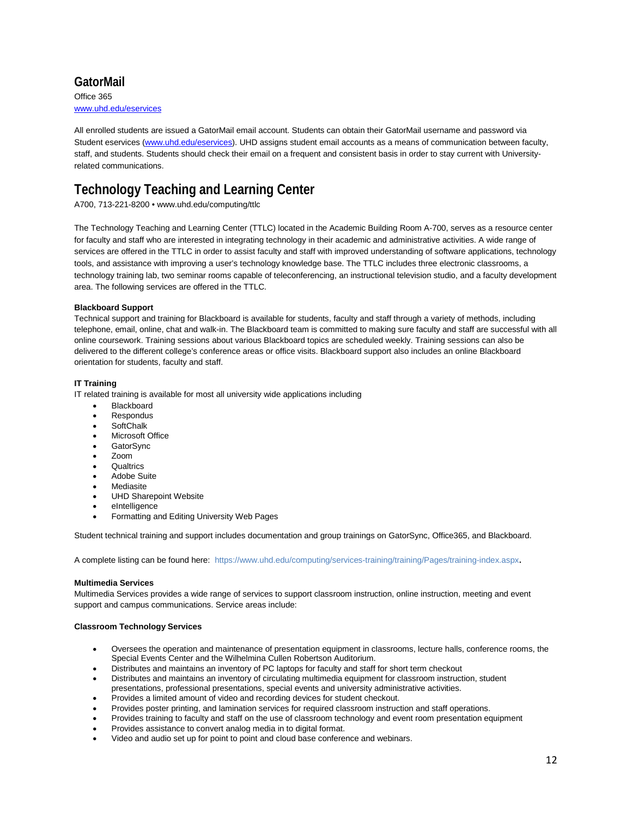# <span id="page-11-0"></span>**GatorMail** Office 365

www.uhd.edu/eservices

All enrolled students are issued a GatorMail email account. Students can obtain their GatorMail username and password via Student eservices [\(www.uhd.edu/eservices\)](http://www.uhd.edu/eservices). UHD assigns student email accounts as a means of communication between faculty, staff, and students. Students should check their email on a frequent and consistent basis in order to stay current with Universityrelated communications.

# **Technology Teaching and Learning Center**

A700, 713-221-8200 [• www.uhd.edu/computing/ttlc](http://www.uhd.edu/computing/ttlc)

The Technology Teaching and Learning Center (TTLC) located in the Academic Building Room A-700, serves as a resource center for faculty and staff who are interested in integrating technology in their academic and administrative activities. A wide range of services are offered in the TTLC in order to assist faculty and staff with improved understanding of software applications, technology tools, and assistance with improving a user's technology knowledge base. The TTLC includes three electronic classrooms, a technology training lab, two seminar rooms capable of teleconferencing, an instructional television studio, and a faculty development area. The following services are offered in the TTLC.

#### **Blackboard Support**

Technical support and training for Blackboard is available for students, faculty and staff through a variety of methods, including telephone, email, online, chat and walk-in. The Blackboard team is committed to making sure faculty and staff are successful with all online coursework. Training sessions about various Blackboard topics are scheduled weekly. Training sessions can also be delivered to the different college's conference areas or office visits. Blackboard support also includes an online Blackboard orientation for students, faculty and staff.

#### **IT Training**

IT related training is available for most all university wide applications including

- **Blackboard**
- **Respondus**
- SoftChalk
- Microsoft Office
- GatorSync
- Zoom
- **Qualtrics**
- Adobe Suite
- Mediasite
- UHD Sharepoint Website
- eIntelligence
- Formatting and Editing University Web Pages

Student technical training and support includes documentation and group trainings on GatorSync, Office365, and Blackboard.

A complete listing can be found here: <https://www.uhd.edu/computing/services-training/training/Pages/training-index.aspx>.

#### **Multimedia Services**

Multimedia Services provides a wide range of services to support classroom instruction, online instruction, meeting and event support and campus communications. Service areas include:

#### **Classroom Technology Services**

- Oversees the operation and maintenance of presentation equipment in classrooms, lecture halls, conference rooms, the Special Events Center and the Wilhelmina Cullen Robertson Auditorium.
- Distributes and maintains an inventory of PC laptops for faculty and staff for short term checkout
- Distributes and maintains an inventory of circulating multimedia equipment for classroom instruction, student presentations, professional presentations, special events and university administrative activities.
- Provides a limited amount of video and recording devices for student checkout.
- Provides poster printing, and lamination services for required classroom instruction and staff operations.
- Provides training to faculty and staff on the use of classroom technology and event room presentation equipment
- Provides assistance to convert analog media in to digital format.
- Video and audio set up for point to point and cloud base conference and webinars.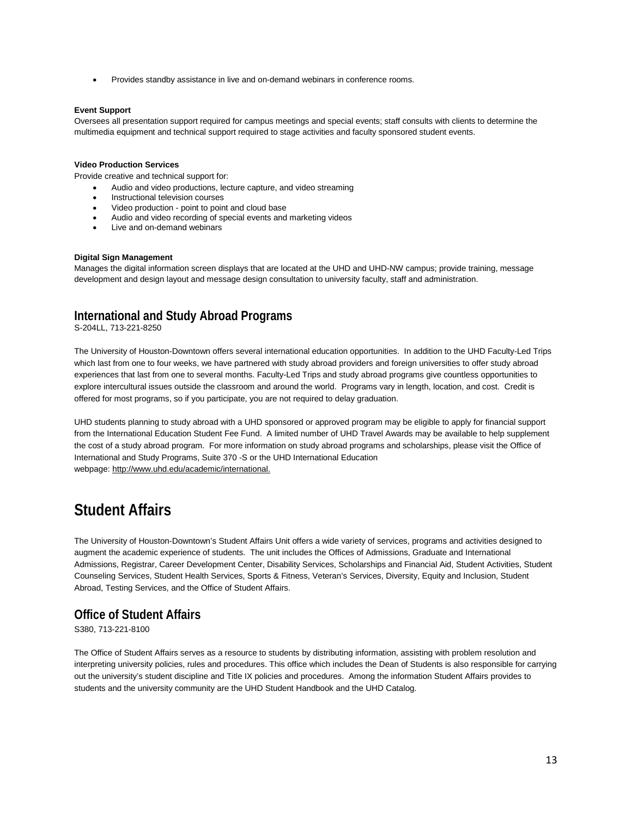• Provides standby assistance in live and on-demand webinars in conference rooms.

#### **Event Support**

Oversees all presentation support required for campus meetings and special events; staff consults with clients to determine the multimedia equipment and technical support required to stage activities and faculty sponsored student events.

#### **Video Production Services**

Provide creative and technical support for:

- Audio and video productions, lecture capture, and video streaming
- Instructional television courses
- Video production point to point and cloud base
- Audio and video recording of special events and marketing videos
- Live and on-demand webinars

#### **Digital Sign Management**

Manages the digital information screen displays that are located at the UHD and UHD-NW campus; provide training, message development and design layout and message design consultation to university faculty, staff and administration.

# <span id="page-12-0"></span>**International and Study Abroad Programs**

S-204LL, 713-221-8250

The University of Houston-Downtown offers several international education opportunities. In addition to the UHD Faculty-Led Trips which last from one to four weeks, we have partnered with study abroad providers and foreign universities to offer study abroad experiences that last from one to several months. Faculty-Led Trips and study abroad programs give countless opportunities to explore intercultural issues outside the classroom and around the world. Programs vary in length, location, and cost. Credit is offered for most programs, so if you participate, you are not required to delay graduation.

UHD students planning to study abroad with a UHD sponsored or approved program may be eligible to apply for financial support from the International Education Student Fee Fund. A limited number of UHD Travel Awards may be available to help supplement the cost of a study abroad program. For more information on study abroad programs and scholarships, please visit the Office of International and Study Programs, Suite 370 -S or the UHD International Education webpage: [http://www.uhd.edu/academic/international.](http://www.uhd.edu/academic/international)

# <span id="page-12-1"></span>**Student Affairs**

The University of Houston-Downtown's Student Affairs Unit offers a wide variety of services, programs and activities designed to augment the academic experience of students. The unit includes the Offices of Admissions, Graduate and International Admissions, Registrar, Career Development Center, Disability Services, Scholarships and Financial Aid, Student Activities, Student Counseling Services, Student Health Services, Sports & Fitness, Veteran's Services, Diversity, Equity and Inclusion, Student Abroad, Testing Services, and the Office of Student Affairs.

## <span id="page-12-2"></span>**Office of Student Affairs**

S380, 713-221-8100

The Office of Student Affairs serves as a resource to students by distributing information, assisting with problem resolution and interpreting university policies, rules and procedures. This office which includes the Dean of Students is also responsible for carrying out the university's student discipline and Title IX policies and procedures. Among the information Student Affairs provides to students and the university community are the UHD Student Handbook and the UHD Catalog.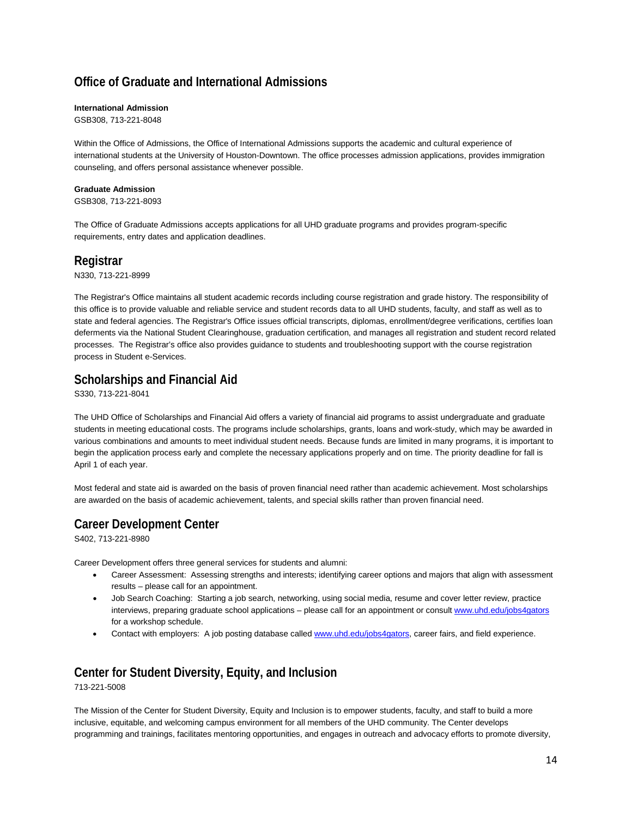# <span id="page-13-0"></span>**Office of Graduate and International Admissions**

#### **International Admission**

GSB308, 713-221-8048

Within the Office of Admissions, the Office of International Admissions supports the academic and cultural experience of international students at the University of Houston-Downtown. The office processes admission applications, provides immigration counseling, and offers personal assistance whenever possible.

#### **Graduate Admission**

GSB308, 713-221-8093

The Office of Graduate Admissions accepts applications for all UHD graduate programs and provides program-specific requirements, entry dates and application deadlines.

# <span id="page-13-1"></span>**Registrar**

N330, 713-221-8999

The Registrar's Office maintains all student academic records including course registration and grade history. The responsibility of this office is to provide valuable and reliable service and student records data to all UHD students, faculty, and staff as well as to state and federal agencies. The Registrar's Office issues official transcripts, diplomas, enrollment/degree verifications, certifies loan deferments via the National Student Clearinghouse, graduation certification, and manages all registration and student record related processes. The Registrar's office also provides guidance to students and troubleshooting support with the course registration process in Student e-Services.

# <span id="page-13-2"></span>**Scholarships and Financial Aid**

S330, 713-221-8041

The UHD Office of Scholarships and Financial Aid offers a variety of financial aid programs to assist undergraduate and graduate students in meeting educational costs. The programs include scholarships, grants, loans and work-study, which may be awarded in various combinations and amounts to meet individual student needs. Because funds are limited in many programs, it is important to begin the application process early and complete the necessary applications properly and on time. The priority deadline for fall is April 1 of each year.

Most federal and state aid is awarded on the basis of proven financial need rather than academic achievement. Most scholarships are awarded on the basis of academic achievement, talents, and special skills rather than proven financial need.

# <span id="page-13-3"></span>**Career Development Center**

S402, 713-221-8980

Career Development offers three general services for students and alumni:

- Career Assessment: Assessing strengths and interests; identifying career options and majors that align with assessment results – please call for an appointment.
- Job Search Coaching: Starting a job search, networking, using social media, resume and cover letter review, practice interviews, preparing graduate school applications – please call for an appointment or consul[t www.uhd.edu/jobs4gators](http://www.uhd.edu/jobs4gators) for a workshop schedule.
- Contact with employers: A job posting database calle[d www.uhd.edu/jobs4gators,](http://www.uhd.edu/jobs4gators) career fairs, and field experience.

# <span id="page-13-4"></span>**Center for Student Diversity, Equity, and Inclusion** 713-221-5008

The Mission of the Center for Student Diversity, Equity and Inclusion is to empower students, faculty, and staff to build a more inclusive, equitable, and welcoming campus environment for all members of the UHD community. The Center develops programming and trainings, facilitates mentoring opportunities, and engages in outreach and advocacy efforts to promote diversity,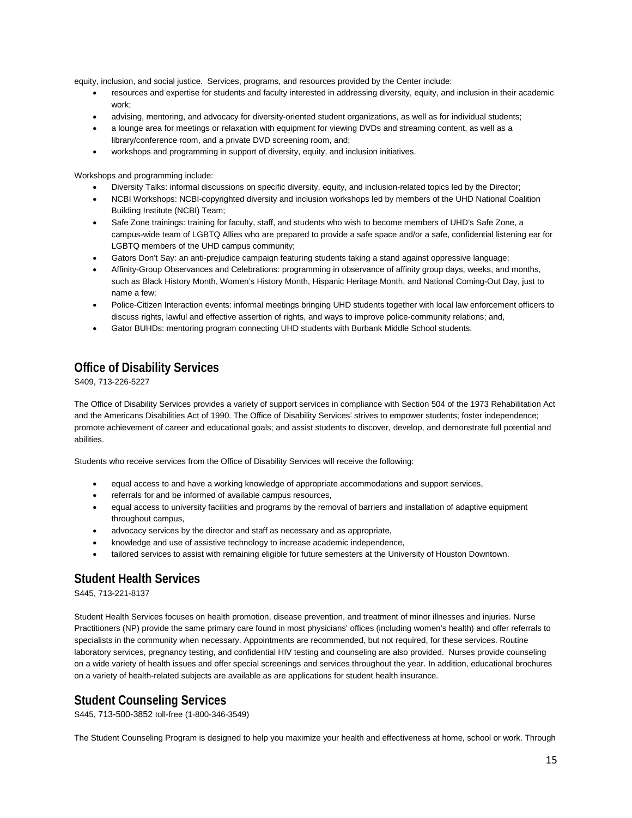equity, inclusion, and social justice. Services, programs, and resources provided by the Center include:

- resources and expertise for students and faculty interested in addressing diversity, equity, and inclusion in their academic work;
- advising, mentoring, and advocacy for diversity-oriented student organizations, as well as for individual students;
- a lounge area for meetings or relaxation with equipment for viewing DVDs and streaming content, as well as a library/conference room, and a private DVD screening room, and;
- workshops and programming in support of diversity, equity, and inclusion initiatives.

Workshops and programming include:

- Diversity Talks: informal discussions on specific diversity, equity, and inclusion-related topics led by the Director;
- NCBI Workshops: NCBI-copyrighted diversity and inclusion workshops led by members of the UHD National Coalition Building Institute (NCBI) Team;
- Safe Zone trainings: training for faculty, staff, and students who wish to become members of UHD's Safe Zone, a campus-wide team of LGBTQ Allies who are prepared to provide a safe space and/or a safe, confidential listening ear for LGBTQ members of the UHD campus community;
- Gators Don't Say: an anti-prejudice campaign featuring students taking a stand against oppressive language;
- Affinity-Group Observances and Celebrations: programming in observance of affinity group days, weeks, and months, such as Black History Month, Women's History Month, Hispanic Heritage Month, and National Coming-Out Day, just to name a few;
- Police-Citizen Interaction events: informal meetings bringing UHD students together with local law enforcement officers to discuss rights, lawful and effective assertion of rights, and ways to improve police-community relations; and,
- Gator BUHDs: mentoring program connecting UHD students with Burbank Middle School students.

# <span id="page-14-0"></span>**Office of Disability Services**

S409, 713-226-5227

The Office of Disability Services provides a variety of support services in compliance with Section 504 of the 1973 Rehabilitation Act and the Americans Disabilities Act of 1990. The Office of Disability Services' strives to empower students; foster independence; promote achievement of career and educational goals; and assist students to discover, develop, and demonstrate full potential and abilities.

Students who receive services from the Office of Disability Services will receive the following:

- equal access to and have a working knowledge of appropriate accommodations and support services,
- referrals for and be informed of available campus resources,
- equal access to university facilities and programs by the removal of barriers and installation of adaptive equipment throughout campus,
- advocacy services by the director and staff as necessary and as appropriate,
- knowledge and use of assistive technology to increase academic independence,
- tailored services to assist with remaining eligible for future semesters at the University of Houston Downtown.

# <span id="page-14-1"></span>**Student Health Services**

S445, 713-221-8137

Student Health Services focuses on health promotion, disease prevention, and treatment of minor illnesses and injuries. Nurse Practitioners (NP) provide the same primary care found in most physicians' offices (including women's health) and offer referrals to specialists in the community when necessary. Appointments are recommended, but not required, for these services. Routine laboratory services, pregnancy testing, and confidential HIV testing and counseling are also provided. Nurses provide counseling on a wide variety of health issues and offer special screenings and services throughout the year. In addition, educational brochures on a variety of health-related subjects are available as are applications for student health insurance.

# <span id="page-14-2"></span>**Student Counseling Services**

S445, 713-500-3852 toll-free (1-800-346-3549)

The Student Counseling Program is designed to help you maximize your health and effectiveness at home, school or work. Through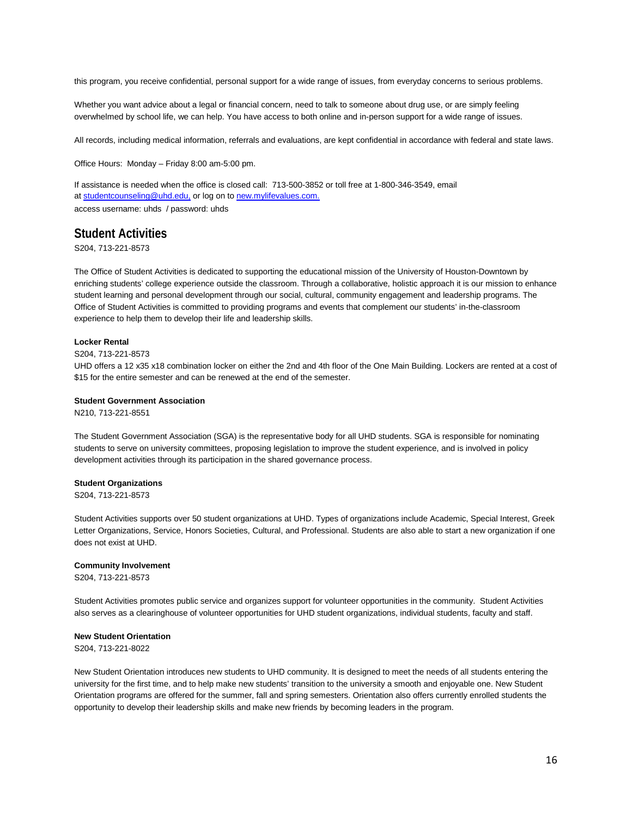this program, you receive confidential, personal support for a wide range of issues, from everyday concerns to serious problems.

Whether you want advice about a legal or financial concern, need to talk to someone about drug use, or are simply feeling overwhelmed by school life, we can help. You have access to both online and in-person support for a wide range of issues.

All records, including medical information, referrals and evaluations, are kept confidential in accordance with federal and state laws.

Office Hours: Monday – Friday 8:00 am-5:00 pm.

If assistance is needed when the office is closed call: 713-500-3852 or toll free at 1-800-346-3549, email at [studentcounseling@uhd.edu,](mailto:studentcounseling@uhd.edu) or log on t[o new.mylifevalues.com.](https://new.mylifevalues.com/login.aspx)  access username: uhds / password: uhds

# <span id="page-15-0"></span>**Student Activities**

S204, 713-221-8573

The Office of Student Activities is dedicated to supporting the educational mission of the University of Houston-Downtown by enriching students' college experience outside the classroom. Through a collaborative, holistic approach it is our mission to enhance student learning and personal development through our social, cultural, community engagement and leadership programs. The Office of Student Activities is committed to providing programs and events that complement our students' in-the-classroom experience to help them to develop their life and leadership skills.

#### **Locker Rental**

#### S204, 713-221-8573

UHD offers a 12 x35 x18 combination locker on either the 2nd and 4th floor of the One Main Building. Lockers are rented at a cost of \$15 for the entire semester and can be renewed at the end of the semester.

#### **Student Government Association**

N210, 713-221-8551

The Student Government Association (SGA) is the representative body for all UHD students. SGA is responsible for nominating students to serve on university committees, proposing legislation to improve the student experience, and is involved in policy development activities through its participation in the shared governance process.

#### **Student Organizations**

S204, 713-221-8573

Student Activities supports over 50 student organizations at UHD. Types of organizations include Academic, Special Interest, Greek Letter Organizations, Service, Honors Societies, Cultural, and Professional. Students are also able to start a new organization if one does not exist at UHD.

#### **Community Involvement**

S204, 713-221-8573

Student Activities promotes public service and organizes support for volunteer opportunities in the community. Student Activities also serves as a clearinghouse of volunteer opportunities for UHD student organizations, individual students, faculty and staff.

#### **New Student Orientation**

S204, 713-221-8022

New Student Orientation introduces new students to UHD community. It is designed to meet the needs of all students entering the university for the first time, and to help make new students' transition to the university a smooth and enjoyable one. New Student Orientation programs are offered for the summer, fall and spring semesters. Orientation also offers currently enrolled students the opportunity to develop their leadership skills and make new friends by becoming leaders in the program.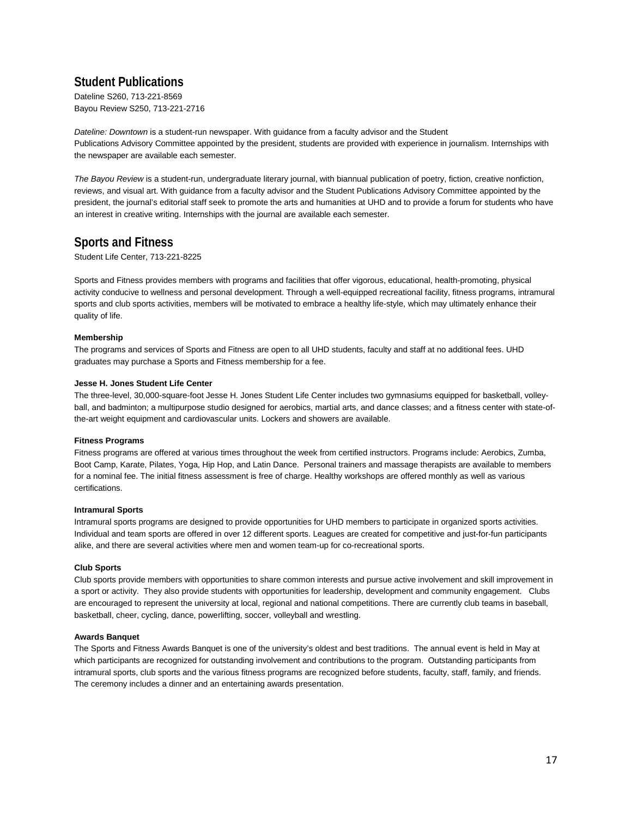# <span id="page-16-0"></span>**Student Publications**

Dateline S260, 713-221-8569 Bayou Review S250, 713-221-2716

*Dateline: Downtown* is a student-run newspaper. With guidance from a faculty advisor and the Student Publications Advisory Committee appointed by the president, students are provided with experience in journalism. Internships with the newspaper are available each semester.

*The Bayou Review* is a student-run, undergraduate literary journal, with biannual publication of poetry, fiction, creative nonfiction, reviews, and visual art. With guidance from a faculty advisor and the Student Publications Advisory Committee appointed by the president, the journal's editorial staff seek to promote the arts and humanities at UHD and to provide a forum for students who have an interest in creative writing. Internships with the journal are available each semester.

# <span id="page-16-1"></span>**Sports and Fitness**

Student Life Center, 713-221-8225

Sports and Fitness provides members with programs and facilities that offer vigorous, educational, health-promoting, physical activity conducive to wellness and personal development. Through a well-equipped recreational facility, fitness programs, intramural sports and club sports activities, members will be motivated to embrace a healthy life-style, which may ultimately enhance their quality of life.

#### **Membership**

The programs and services of Sports and Fitness are open to all UHD students, faculty and staff at no additional fees. UHD graduates may purchase a Sports and Fitness membership for a fee.

#### **Jesse H. Jones Student Life Center**

The three-level, 30,000-square-foot Jesse H. Jones Student Life Center includes two gymnasiums equipped for basketball, volleyball, and badminton; a multipurpose studio designed for aerobics, martial arts, and dance classes; and a fitness center with state-ofthe-art weight equipment and cardiovascular units. Lockers and showers are available.

#### **Fitness Programs**

Fitness programs are offered at various times throughout the week from certified instructors. Programs include: Aerobics, Zumba, Boot Camp, Karate, Pilates, Yoga, Hip Hop, and Latin Dance. Personal trainers and massage therapists are available to members for a nominal fee. The initial fitness assessment is free of charge. Healthy workshops are offered monthly as well as various certifications.

#### **Intramural Sports**

Intramural sports programs are designed to provide opportunities for UHD members to participate in organized sports activities. Individual and team sports are offered in over 12 different sports. Leagues are created for competitive and just-for-fun participants alike, and there are several activities where men and women team-up for co-recreational sports.

#### **Club Sports**

Club sports provide members with opportunities to share common interests and pursue active involvement and skill improvement in a sport or activity. They also provide students with opportunities for leadership, development and community engagement. Clubs are encouraged to represent the university at local, regional and national competitions. There are currently club teams in baseball, basketball, cheer, cycling, dance, powerlifting, soccer, volleyball and wrestling.

#### **Awards Banquet**

The Sports and Fitness Awards Banquet is one of the university's oldest and best traditions. The annual event is held in May at which participants are recognized for outstanding involvement and contributions to the program. Outstanding participants from intramural sports, club sports and the various fitness programs are recognized before students, faculty, staff, family, and friends. The ceremony includes a dinner and an entertaining awards presentation.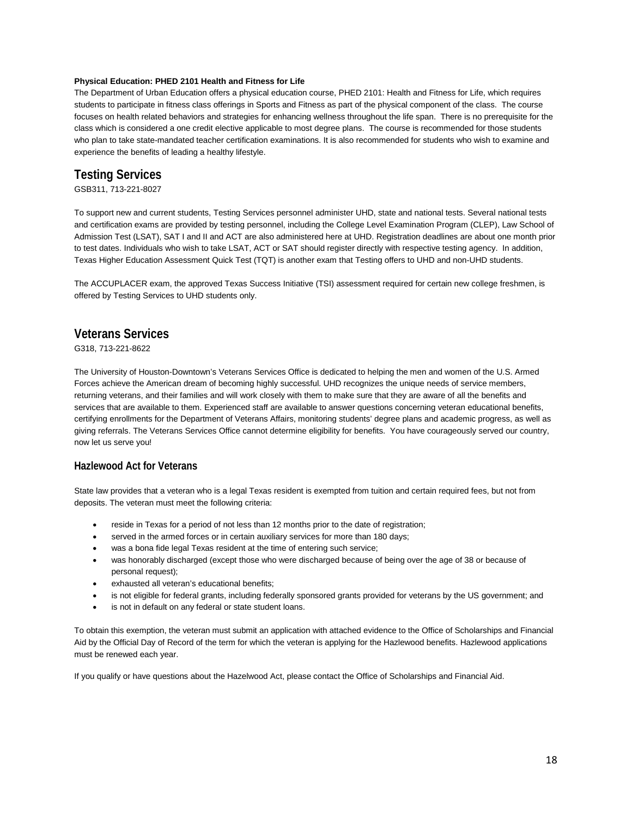#### **Physical Education: PHED 2101 Health and Fitness for Life**

The Department of Urban Education offers a physical education course, PHED 2101: Health and Fitness for Life, which requires students to participate in fitness class offerings in Sports and Fitness as part of the physical component of the class. The course focuses on health related behaviors and strategies for enhancing wellness throughout the life span. There is no prerequisite for the class which is considered a one credit elective applicable to most degree plans. The course is recommended for those students who plan to take state-mandated teacher certification examinations. It is also recommended for students who wish to examine and experience the benefits of leading a healthy lifestyle.

# <span id="page-17-0"></span>**Testing Services**

GSB311, 713-221-8027

To support new and current students, Testing Services personnel administer UHD, state and national tests. Several national tests and certification exams are provided by testing personnel, including the College Level Examination Program (CLEP), Law School of Admission Test (LSAT), SAT I and II and ACT are also administered here at UHD. Registration deadlines are about one month prior to test dates. Individuals who wish to take LSAT, ACT or SAT should register directly with respective testing agency. In addition, Texas Higher Education Assessment Quick Test (TQT) is another exam that Testing offers to UHD and non-UHD students.

The ACCUPLACER exam, the approved Texas Success Initiative (TSI) assessment required for certain new college freshmen, is offered by Testing Services to UHD students only.

# <span id="page-17-1"></span>**Veterans Services**

G318, 713-221-8622

The University of Houston-Downtown's Veterans Services Office is dedicated to helping the men and women of the U.S. Armed Forces achieve the American dream of becoming highly successful. UHD recognizes the unique needs of service members, returning veterans, and their families and will work closely with them to make sure that they are aware of all the benefits and services that are available to them. Experienced staff are available to answer questions concerning veteran educational benefits, certifying enrollments for the Department of Veterans Affairs, monitoring students' degree plans and academic progress, as well as giving referrals. The Veterans Services Office cannot determine eligibility for benefits. You have courageously served our country, now let us serve you!

#### **Hazlewood Act for Veterans**

State law provides that a veteran who is a legal Texas resident is exempted from tuition and certain required fees, but not from deposits. The veteran must meet the following criteria:

- reside in Texas for a period of not less than 12 months prior to the date of registration;
- served in the armed forces or in certain auxiliary services for more than 180 days;
- was a bona fide legal Texas resident at the time of entering such service;
- was honorably discharged (except those who were discharged because of being over the age of 38 or because of personal request);
- exhausted all veteran's educational benefits;
- is not eligible for federal grants, including federally sponsored grants provided for veterans by the US government; and
- is not in default on any federal or state student loans.

To obtain this exemption, the veteran must submit an application with attached evidence to the Office of Scholarships and Financial Aid by the Official Day of Record of the term for which the veteran is applying for the Hazlewood benefits. Hazlewood applications must be renewed each year.

If you qualify or have questions about the Hazelwood Act, please contact the Office of Scholarships and Financial Aid.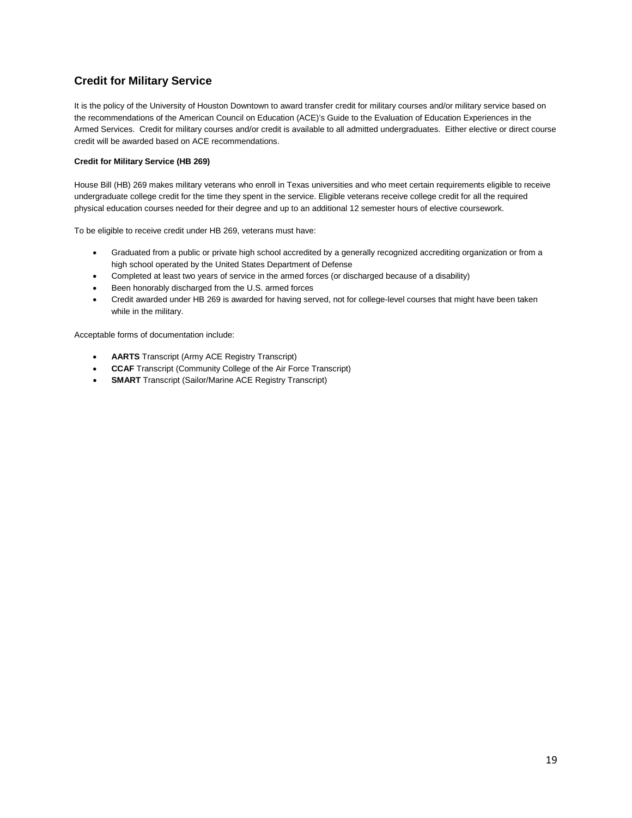# **Credit for Military Service**

It is the policy of the University of Houston Downtown to award transfer credit for military courses and/or military service based on the recommendations of the American Council on Education (ACE)'s Guide to the Evaluation of Education Experiences in the Armed Services. Credit for military courses and/or credit is available to all admitted undergraduates. Either elective or direct course credit will be awarded based on ACE recommendations.

#### **Credit for Military Service (HB 269)**

House Bill (HB) 269 makes military veterans who enroll in Texas universities and who meet certain requirements eligible to receive undergraduate college credit for the time they spent in the service. Eligible veterans receive college credit for all the required physical education courses needed for their degree and up to an additional 12 semester hours of elective coursework.

To be eligible to receive credit under HB 269, veterans must have:

- Graduated from a public or private high school accredited by a generally recognized accrediting organization or from a high school operated by the United States Department of Defense
- Completed at least two years of service in the armed forces (or discharged because of a disability)
- Been honorably discharged from the U.S. armed forces
- Credit awarded under HB 269 is awarded for having served, not for college-level courses that might have been taken while in the military.

Acceptable forms of documentation include:

- **AARTS** Transcript (Army ACE Registry Transcript)
- **CCAF** Transcript (Community College of the Air Force Transcript)
- **SMART** Transcript (Sailor/Marine ACE Registry Transcript)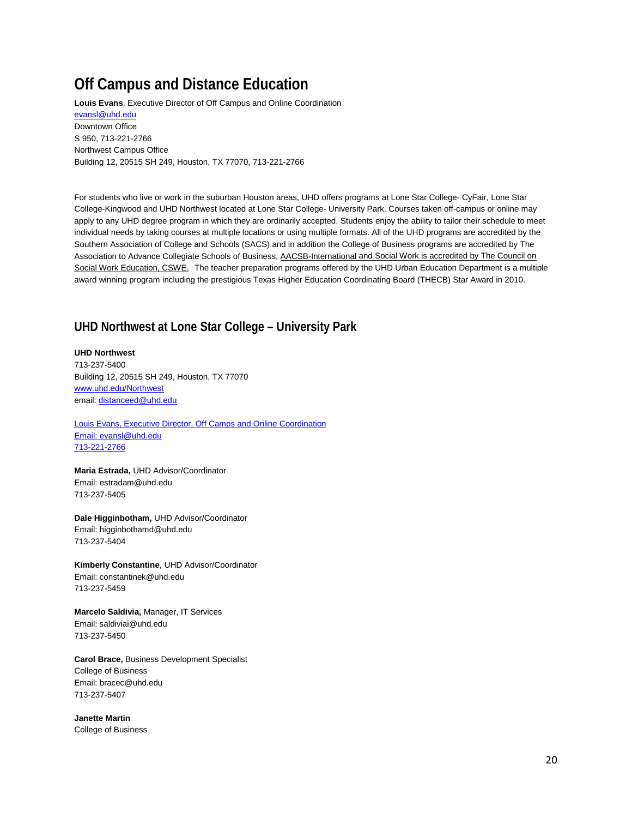# <span id="page-19-0"></span>**Off Campus and Distance Education**

**Louis Evans**, Executive Director of Off Campus and Online Coordination [evansl@uhd.edu](mailto:evansl@uhd.edu) Downtown Office S 950, 713-221-2766 Northwest Campus Office Building 12, 20515 SH 249, Houston, TX 77070, 713-221-2766

For students who live or work in the suburban Houston areas, UHD offers programs at Lone Star College- CyFair, Lone Star College-Kingwood and UHD Northwest located at Lone Star College- University Park. Courses taken off-campus or online may apply to any UHD degree program in which they are ordinarily accepted. Students enjoy the ability to tailor their schedule to meet individual needs by taking courses at multiple locations or using multiple formats. All of the UHD programs are accredited by the Southern Association of College and Schools (SACS) and in addition the College of Business programs are accredited by The Association to Advance Collegiate Schools of Business[, AACSB-International](http://www.aacsb.edu/) and Social Work is accredited by The Council on Social Work Education, CSWE. The teacher preparation programs offered by the UHD Urban Education Department is a multiple award winning program including the prestigious Texas Higher Education Coordinating Board (THECB) Star Award in 2010.

# <span id="page-19-1"></span>**UHD Northwest at Lone Star College – University Park**

**UHD Northwest** 713-237-5400 Building 12, 20515 SH 249, Houston, TX 77070 [www.uhd.edu/Northwest](http://www.uhd.edu/Northwest) email[: distanceed@uhd.edu](mailto:distanceed@uhd.edu)

Louis Evans, Executive Director, Off Camps and Online Coordination Email[: evansl@uhd.edu](mailto:evansl@uhd.edu) 713-221-2766

**Maria Estrada,** UHD Advisor/Coordinator Email: estradam@uhd.edu 713-237-5405

**Dale Higginbotham,** UHD Advisor/Coordinator Email: higginbothamd@uhd.edu 713-237-5404

**Kimberly Constantine**, UHD Advisor/Coordinator Email: constantinek@uhd.edu 713-237-5459

**Marcelo Saldivia,** Manager, IT Services Email: saldiviai@uhd.edu 713-237-5450

**Carol Brace,** Business Development Specialist College of Business Email: bracec@uhd.edu 713-237-5407

**Janette Martin** College of Business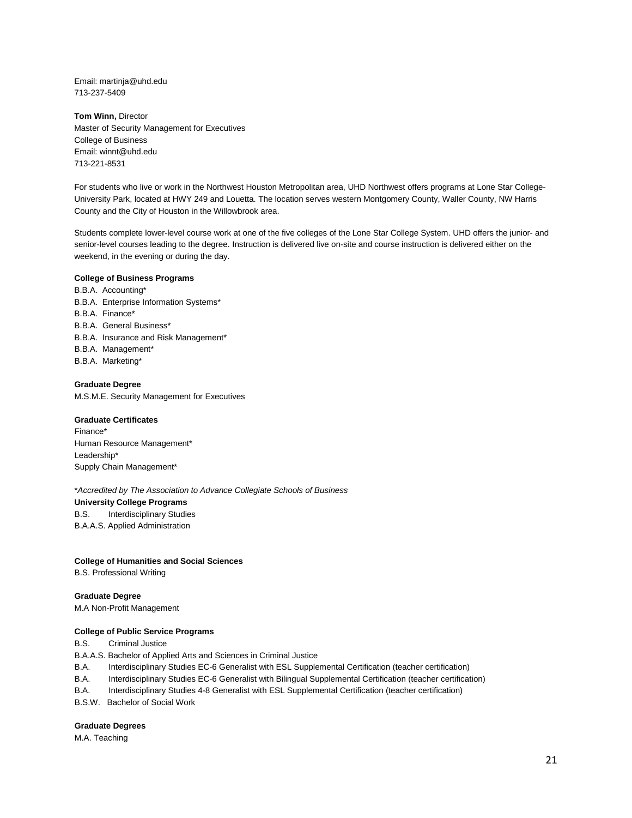Email: martinja@uhd.edu 713-237-5409

**Tom Winn,** Director Master of Security Management for Executives College of Business Email: winnt@uhd.edu 713-221-8531

For students who live or work in the Northwest Houston Metropolitan area, UHD Northwest offers programs at Lone Star College-University Park, located at HWY 249 and Louetta. The location serves western Montgomery County, Waller County, NW Harris County and the City of Houston in the Willowbrook area.

Students complete lower-level course work at one of the five colleges of the Lone Star College System. UHD offers the junior- and senior-level courses leading to the degree. Instruction is delivered live on-site and course instruction is delivered either on the weekend, in the evening or during the day.

#### **College of Business Programs**

B.B.A. Accounting\* B.B.A. Enterprise Information Systems\* B.B.A. Finance\* B.B.A. General Business\* B.B.A. Insurance and Risk Management\* B.B.A. Management\* B.B.A. Marketing\*

#### **Graduate Degree**

M.S.M.E. Security Management for Executives

#### **Graduate Certificates**

Finance\* Human Resource Management\* Leadership\* Supply Chain Management\*

\**Accredited by The Association to Advance Collegiate Schools of Business* **University College Programs**  B.S. Interdisciplinary Studies B.A.A.S. Applied Administration

#### **College of Humanities and Social Sciences**

B.S. Professional Writing

#### **Graduate Degree**

M.A Non-Profit Management

#### **College of Public Service Programs**

B.S. Criminal Justice

B.A.A.S. Bachelor of Applied Arts and Sciences in Criminal Justice

B.A. Interdisciplinary Studies EC-6 Generalist with ESL Supplemental Certification (teacher certification)

B.A. Interdisciplinary Studies EC-6 Generalist with Bilingual Supplemental Certification (teacher certification)

B.A. Interdisciplinary Studies 4-8 Generalist with ESL Supplemental Certification (teacher certification)

B.S.W. Bachelor of Social Work

#### **Graduate Degrees**

M.A. Teaching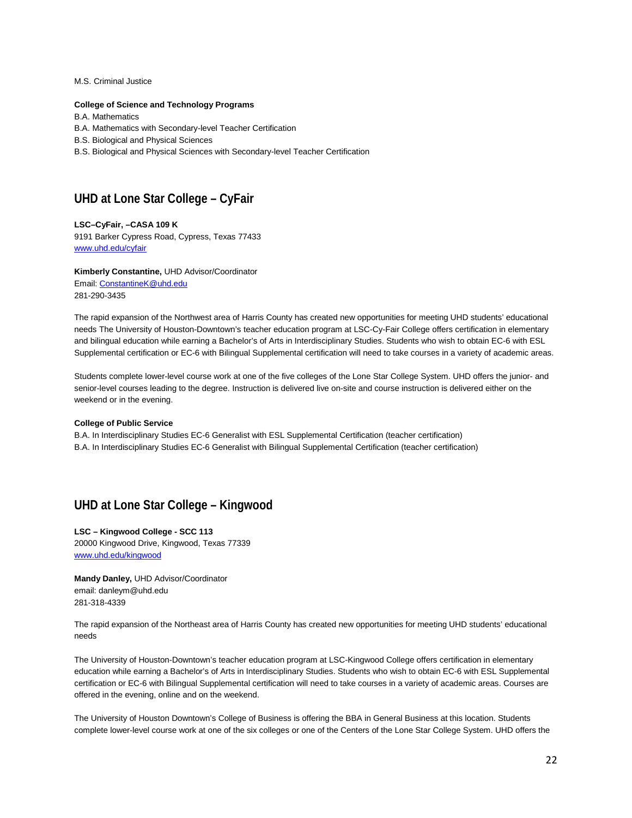M.S. Criminal Justice

#### **College of Science and Technology Programs**

B.A. Mathematics

B.A. Mathematics with Secondary-level Teacher Certification

B.S. Biological and Physical Sciences

B.S. Biological and Physical Sciences with Secondary-level Teacher Certification

# <span id="page-21-0"></span>**UHD at Lone Star College – CyFair**

**LSC–CyFair, –CASA 109 K** 9191 Barker Cypress Road, Cypress, Texas 77433 [www.uhd.edu/cyfair](http://www.uhd.edu/cyfair)

**Kimberly Constantine,** UHD Advisor/Coordinator Email[: ConstantineK@uhd.edu](mailto:ConstantineK@uhd.edu) 281-290-3435

The rapid expansion of the Northwest area of Harris County has created new opportunities for meeting UHD students' educational needs The University of Houston-Downtown's teacher education program at LSC-Cy-Fair College offers certification in elementary and bilingual education while earning a Bachelor's of Arts in Interdisciplinary Studies. Students who wish to obtain EC-6 with ESL Supplemental certification or EC-6 with Bilingual Supplemental certification will need to take courses in a variety of academic areas.

Students complete lower-level course work at one of the five colleges of the Lone Star College System. UHD offers the junior- and senior-level courses leading to the degree. Instruction is delivered live on-site and course instruction is delivered either on the weekend or in the evening.

#### **College of Public Service**

B.A. In Interdisciplinary Studies EC-6 Generalist with ESL Supplemental Certification (teacher certification) B.A. In Interdisciplinary Studies EC-6 Generalist with Bilingual Supplemental Certification (teacher certification)

# <span id="page-21-1"></span>**UHD at Lone Star College – Kingwood**

**LSC – Kingwood College - SCC 113** 20000 Kingwood Drive, Kingwood, Texas 77339 [www.uhd.edu/kingwood](http://www.uhd.edu/kingwood)

**Mandy Danley,** UHD Advisor/Coordinator email: danleym@uhd.edu 281-318-4339

The rapid expansion of the Northeast area of Harris County has created new opportunities for meeting UHD students' educational needs

The University of Houston-Downtown's teacher education program at LSC-Kingwood College offers certification in elementary education while earning a Bachelor's of Arts in Interdisciplinary Studies. Students who wish to obtain EC-6 with ESL Supplemental certification or EC-6 with Bilingual Supplemental certification will need to take courses in a variety of academic areas. Courses are offered in the evening, online and on the weekend.

The University of Houston Downtown's College of Business is offering the BBA in General Business at this location. Students complete lower-level course work at one of the six colleges or one of the Centers of the Lone Star College System. UHD offers the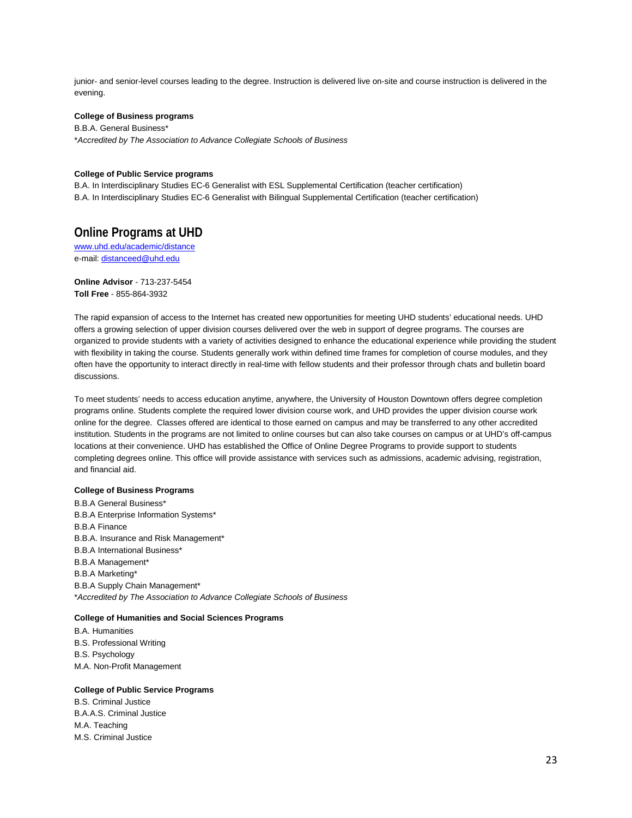junior- and senior-level courses leading to the degree. Instruction is delivered live on-site and course instruction is delivered in the evening.

#### **College of Business programs**

B.B.A. General Business\* \**Accredited by The Association to Advance Collegiate Schools of Business*

#### **College of Public Service programs**

B.A. In Interdisciplinary Studies EC-6 Generalist with ESL Supplemental Certification (teacher certification) B.A. In Interdisciplinary Studies EC-6 Generalist with Bilingual Supplemental Certification (teacher certification)

## <span id="page-22-0"></span>**Online Programs at UHD**

www.uhd.edu/academic/distance e-mail[: distanceed@uhd.edu](mailto:distanceed@uhd.edu)

**Online Advisor** - 713-237-5454 **Toll Free** - 855-864-3932

The rapid expansion of access to the Internet has created new opportunities for meeting UHD students' educational needs. UHD offers a growing selection of upper division courses delivered over the web in support of degree programs. The courses are organized to provide students with a variety of activities designed to enhance the educational experience while providing the student with flexibility in taking the course. Students generally work within defined time frames for completion of course modules, and they often have the opportunity to interact directly in real-time with fellow students and their professor through chats and bulletin board discussions.

To meet students' needs to access education anytime, anywhere, the University of Houston Downtown offers degree completion programs online. Students complete the required lower division course work, and UHD provides the upper division course work online for the degree. Classes offered are identical to those earned on campus and may be transferred to any other accredited institution. Students in the programs are not limited to online courses but can also take courses on campus or at UHD's off-campus locations at their convenience. UHD has established the Office of Online Degree Programs to provide support to students completing degrees online. This office will provide assistance with services such as admissions, academic advising, registration, and financial aid.

#### **College of Business Programs**

B.B.A General Business\* B.B.A Enterprise Information Systems\* B.B.A Finance B.B.A. Insurance and Risk Management\* B.B.A International Business\* B.B.A Management\* B.B.A Marketing\* B.B.A Supply Chain Management\* \**Accredited by The Association to Advance Collegiate Schools of Business*

#### **College of Humanities and Social Sciences Programs**

B.A. Humanities B.S. Professional Writing B.S. Psychology M.A. Non-Profit Management

#### **College of Public Service Programs**

B.S. Criminal Justice B.A.A.S. Criminal Justice M.A. Teaching M.S. Criminal Justice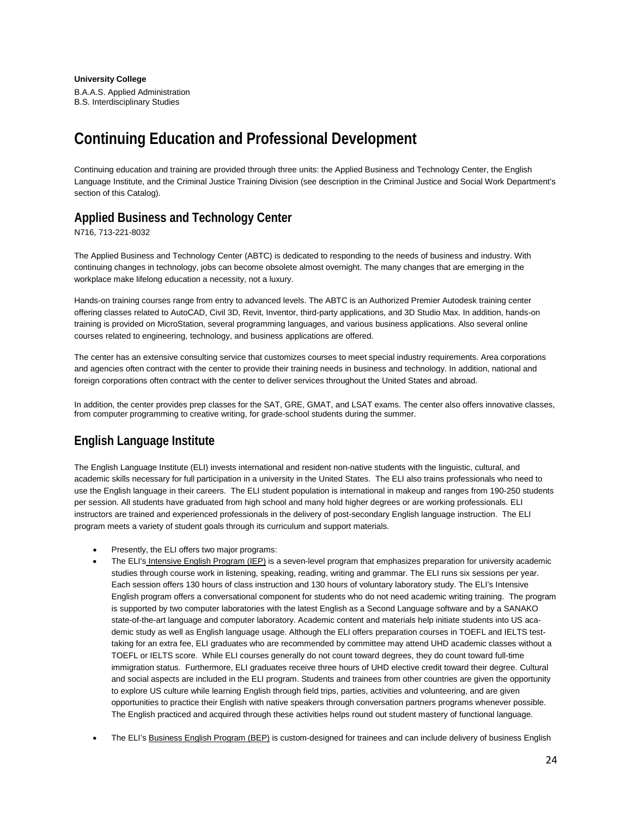**University College** B.A.A.S. Applied Administration B.S. Interdisciplinary Studies

# <span id="page-23-0"></span>**Continuing Education and Professional Development**

Continuing education and training are provided through three units: the Applied Business and Technology Center, the English Language Institute, and the Criminal Justice Training Division (see description in the Criminal Justice and Social Work Department's section of this Catalog).

# <span id="page-23-1"></span>**Applied Business and Technology Center**

N716, 713-221-8032

The Applied Business and Technology Center (ABTC) is dedicated to responding to the needs of business and industry. With continuing changes in technology, jobs can become obsolete almost overnight. The many changes that are emerging in the workplace make lifelong education a necessity, not a luxury.

Hands-on training courses range from entry to advanced levels. The ABTC is an Authorized Premier Autodesk training center offering classes related to AutoCAD, Civil 3D, Revit, Inventor, third-party applications, and 3D Studio Max. In addition, hands-on training is provided on MicroStation, several programming languages, and various business applications. Also several online courses related to engineering, technology, and business applications are offered.

The center has an extensive consulting service that customizes courses to meet special industry requirements. Area corporations and agencies often contract with the center to provide their training needs in business and technology. In addition, national and foreign corporations often contract with the center to deliver services throughout the United States and abroad.

In addition, the center provides prep classes for the SAT, GRE, GMAT, and LSAT exams. The center also offers innovative classes, from computer programming to creative writing, for grade-school students during the summer.

# <span id="page-23-2"></span>**English Language Institute**

The English Language Institute (ELI) invests international and resident non-native students with the linguistic, cultural, and academic skills necessary for full participation in a university in the United States. The ELI also trains professionals who need to use the English language in their careers. The ELI student population is international in makeup and ranges from 190-250 students per session. All students have graduated from high school and many hold higher degrees or are working professionals. ELI instructors are trained and experienced professionals in the delivery of post-secondary English language instruction. The ELI program meets a variety of student goals through its curriculum and support materials.

- Presently, the ELI offers two major programs:
- The ELI's Intensive English Program (IEP) is a seven-level program that emphasizes preparation for university academic studies through course work in listening, speaking, reading, writing and grammar. The ELI runs six sessions per year. Each session offers 130 hours of class instruction and 130 hours of voluntary laboratory study. The ELI's Intensive English program offers a conversational component for students who do not need academic writing training. The program is supported by two computer laboratories with the latest English as a Second Language software and by a SANAKO state-of-the-art language and computer laboratory. Academic content and materials help initiate students into US academic study as well as English language usage. Although the ELI offers preparation courses in TOEFL and IELTS testtaking for an extra fee, ELI graduates who are recommended by committee may attend UHD academic classes without a TOEFL or IELTS score. While ELI courses generally do not count toward degrees, they do count toward full-time immigration status. Furthermore, ELI graduates receive three hours of UHD elective credit toward their degree. Cultural and social aspects are included in the ELI program. Students and trainees from other countries are given the opportunity to explore US culture while learning English through field trips, parties, activities and volunteering, and are given opportunities to practice their English with native speakers through conversation partners programs whenever possible. The English practiced and acquired through these activities helps round out student mastery of functional language.
- The ELI's Business English Program (BEP) is custom-designed for trainees and can include delivery of business English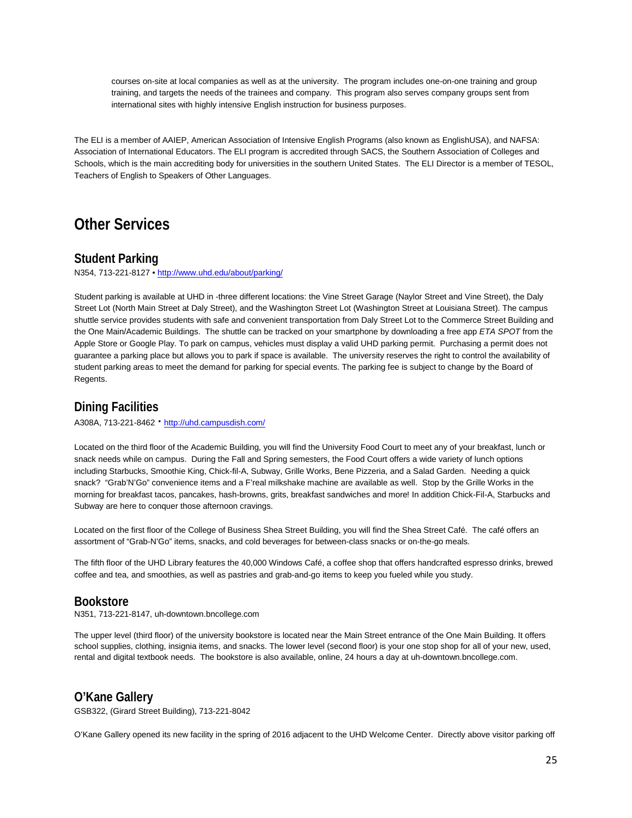courses on-site at local companies as well as at the university. The program includes one-on-one training and group training, and targets the needs of the trainees and company. This program also serves company groups sent from international sites with highly intensive English instruction for business purposes.

The ELI is a member of AAIEP, American Association of Intensive English Programs (also known as EnglishUSA), and NAFSA: Association of International Educators. The ELI program is accredited through SACS, the Southern Association of Colleges and Schools, which is the main accrediting body for universities in the southern United States. The ELI Director is a member of TESOL, Teachers of English to Speakers of Other Languages.

# <span id="page-24-0"></span>**Other Services**

# <span id="page-24-1"></span>**Student Parking**

N354, 713-221-8127 [• http://www.uhd.edu/about/parking/](http://www.uhd.edu/about/parking/)

Student parking is available at UHD in -three different locations: the Vine Street Garage (Naylor Street and Vine Street), the Daly Street Lot (North Main Street at Daly Street), and the Washington Street Lot (Washington Street at Louisiana Street). The campus shuttle service provides students with safe and convenient transportation from Daly Street Lot to the Commerce Street Building and the One Main/Academic Buildings. The shuttle can be tracked on your smartphone by downloading a free app *ETA SPOT* from the Apple Store or Google Play. To park on campus, vehicles must display a valid UHD parking permit. Purchasing a permit does not guarantee a parking place but allows you to park if space is available. The university reserves the right to control the availability of student parking areas to meet the demand for parking for special events. The parking fee is subject to change by the Board of Regents.

## <span id="page-24-2"></span>**Dining Facilities**

A308A, 713-221-8462 **·** http://uhd.campusdish.com/

Located on the third floor of the Academic Building, you will find the University Food Court to meet any of your breakfast, lunch or snack needs while on campus. During the Fall and Spring semesters, the Food Court offers a wide variety of lunch options including Starbucks, Smoothie King, Chick-fil-A, Subway, Grille Works, Bene Pizzeria, and a Salad Garden. Needing a quick snack? "Grab'N'Go" convenience items and a F'real milkshake machine are available as well. Stop by the Grille Works in the morning for breakfast tacos, pancakes, hash-browns, grits, breakfast sandwiches and more! In addition Chick-Fil-A, Starbucks and Subway are here to conquer those afternoon cravings.

Located on the first floor of the College of Business Shea Street Building, you will find the Shea Street Café. The café offers an assortment of "Grab-N'Go" items, snacks, and cold beverages for between-class snacks or on-the-go meals.

The fifth floor of the UHD Library features the 40,000 Windows Café, a coffee shop that offers handcrafted espresso drinks, brewed coffee and tea, and smoothies, as well as pastries and grab-and-go items to keep you fueled while you study.

## <span id="page-24-3"></span>**Bookstore**

N351, 713-221-8147, uh-downtown.bncollege.com

The upper level (third floor) of the university bookstore is located near the Main Street entrance of the One Main Building. It offers school supplies, clothing, insignia items, and snacks. The lower level (second floor) is your one stop shop for all of your new, used, rental and digital textbook needs. The bookstore is also available, online, 24 hours a day at uh-downtown.bncollege.com.

# <span id="page-24-4"></span>**O'Kane Gallery**

GSB322, (Girard Street Building), 713-221-8042

O'Kane Gallery opened its new facility in the spring of 2016 adjacent to the UHD Welcome Center. Directly above visitor parking off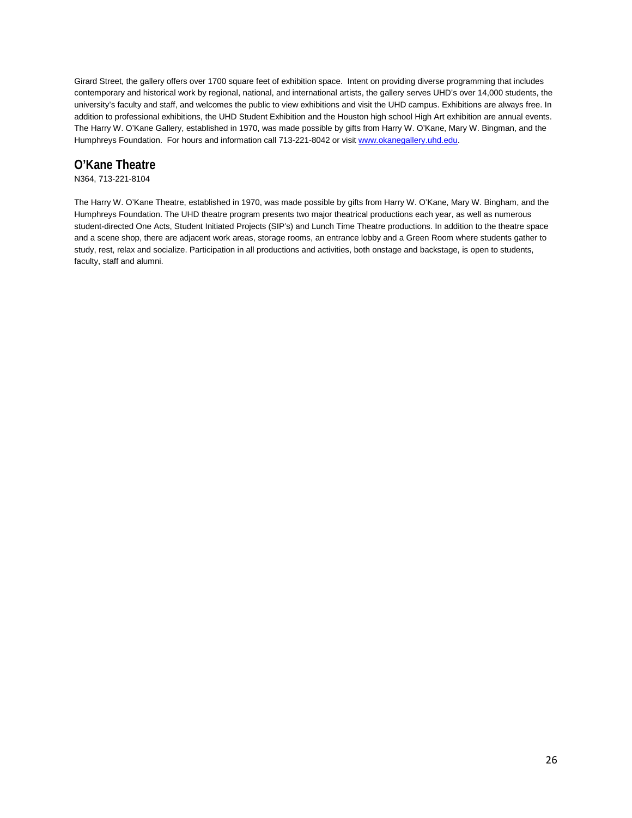Girard Street, the gallery offers over 1700 square feet of exhibition space. Intent on providing diverse programming that includes contemporary and historical work by regional, national, and international artists, the gallery serves UHD's over 14,000 students, the university's faculty and staff, and welcomes the public to view exhibitions and visit the UHD campus. Exhibitions are always free. In addition to professional exhibitions, the UHD Student Exhibition and the Houston high school High Art exhibition are annual events. The Harry W. O'Kane Gallery, established in 1970, was made possible by gifts from Harry W. O'Kane, Mary W. Bingman, and the Humphreys Foundation. For hours and information call 713-221-8042 or visi[t www.okanegallery.uhd.edu.](http://www.okanegallery.uhd.edu/)

# <span id="page-25-0"></span>**O'Kane Theatre**

N364, 713-221-8104

The Harry W. O'Kane Theatre, established in 1970, was made possible by gifts from Harry W. O'Kane, Mary W. Bingham, and the Humphreys Foundation. The UHD theatre program presents two major theatrical productions each year, as well as numerous student-directed One Acts, Student Initiated Projects (SIP's) and Lunch Time Theatre productions. In addition to the theatre space and a scene shop, there are adjacent work areas, storage rooms, an entrance lobby and a Green Room where students gather to study, rest, relax and socialize. Participation in all productions and activities, both onstage and backstage, is open to students, faculty, staff and alumni.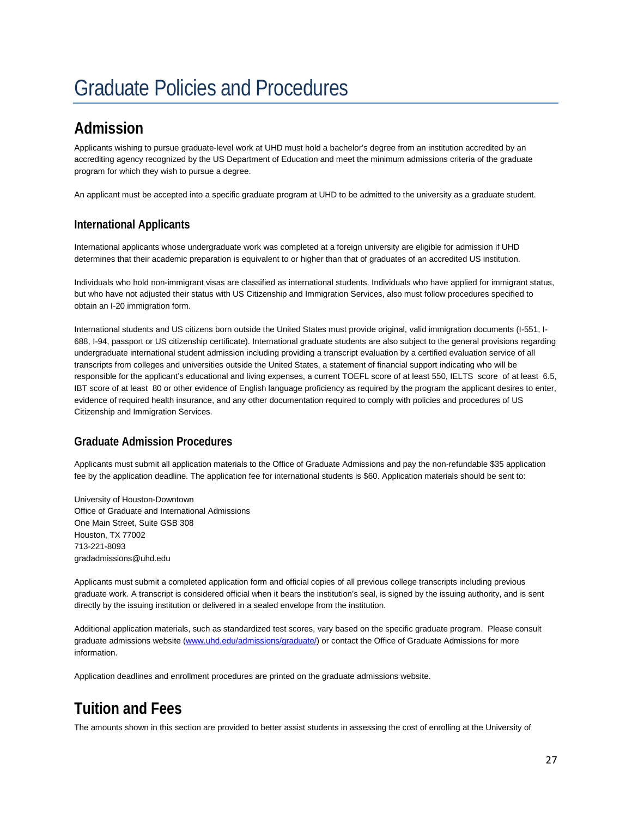# <span id="page-26-0"></span>Graduate Policies and Procedures

# <span id="page-26-1"></span>**Admission**

Applicants wishing to pursue graduate-level work at UHD must hold a bachelor's degree from an institution accredited by an accrediting agency recognized by the US Department of Education and meet the minimum admissions criteria of the graduate program for which they wish to pursue a degree.

An applicant must be accepted into a specific graduate program at UHD to be admitted to the university as a graduate student.

# **International Applicants**

International applicants whose undergraduate work was completed at a foreign university are eligible for admission if UHD determines that their academic preparation is equivalent to or higher than that of graduates of an accredited US institution.

Individuals who hold non-immigrant visas are classified as international students. Individuals who have applied for immigrant status, but who have not adjusted their status with US Citizenship and Immigration Services, also must follow procedures specified to obtain an I-20 immigration form.

International students and US citizens born outside the United States must provide original, valid immigration documents (I-551, I-688, I-94, passport or US citizenship certificate). International graduate students are also subject to the general provisions regarding undergraduate international student admission including providing a transcript evaluation by a certified evaluation service of all transcripts from colleges and universities outside the United States, a statement of financial support indicating who will be responsible for the applicant's educational and living expenses, a current TOEFL score of at least 550, IELTS score of at least 6.5, IBT score of at least 80 or other evidence of English language proficiency as required by the program the applicant desires to enter, evidence of required health insurance, and any other documentation required to comply with policies and procedures of US Citizenship and Immigration Services.

# **Graduate Admission Procedures**

Applicants must submit all application materials to the Office of Graduate Admissions and pay the non-refundable \$35 application fee by the application deadline. The application fee for international students is \$60. Application materials should be sent to:

University of Houston-Downtown Office of Graduate and International Admissions One Main Street, Suite GSB 308 Houston, TX 77002 713-221-8093 gradadmissions@uhd.edu

Applicants must submit a completed application form and official copies of all previous college transcripts including previous graduate work. A transcript is considered official when it bears the institution's seal, is signed by the issuing authority, and is sent directly by the issuing institution or delivered in a sealed envelope from the institution.

Additional application materials, such as standardized test scores, vary based on the specific graduate program. Please consult graduate admissions website (www.uhd.edu/admissions/graduate/) or contact the Office of Graduate Admissions for more information.

Application deadlines and enrollment procedures are printed on the graduate admissions website.

# <span id="page-26-2"></span>**Tuition and Fees**

The amounts shown in this section are provided to better assist students in assessing the cost of enrolling at the University of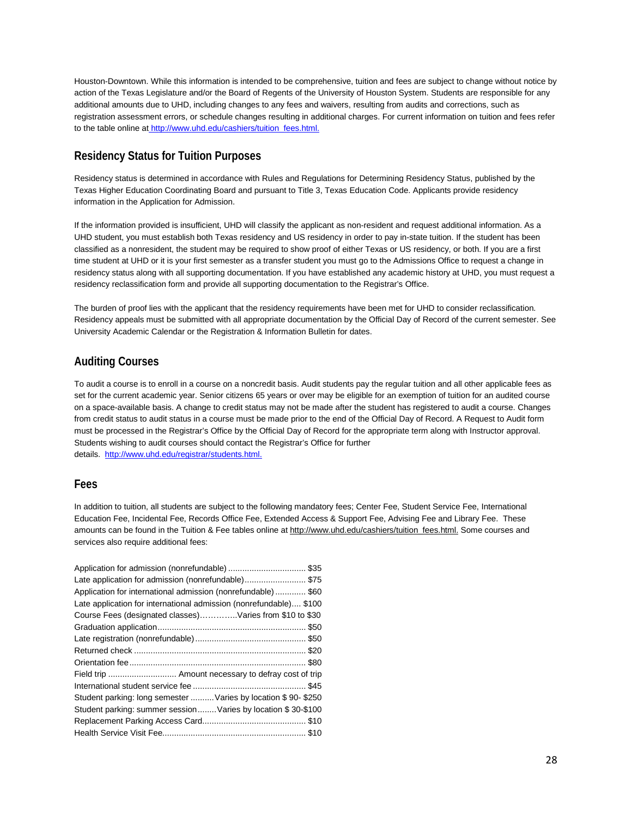Houston-Downtown. While this information is intended to be comprehensive, tuition and fees are subject to change without notice by action of the Texas Legislature and/or the Board of Regents of the University of Houston System. Students are responsible for any additional amounts due to UHD, including changes to any fees and waivers, resulting from audits and corrections, such as registration assessment errors, or schedule changes resulting in additional charges. For current information on tuition and fees refer to the table online at [http://www.uhd.edu/cashiers/tuition\\_fees.html.](http://www.uhd.edu/cashiers/tuition_fees.html)

# **Residency Status for Tuition Purposes**

Residency status is determined in accordance with Rules and Regulations for Determining Residency Status, published by the Texas Higher Education Coordinating Board and pursuant to Title 3, Texas Education Code. Applicants provide residency information in the Application for Admission.

If the information provided is insufficient, UHD will classify the applicant as non-resident and request additional information. As a UHD student, you must establish both Texas residency and US residency in order to pay in-state tuition. If the student has been classified as a nonresident, the student may be required to show proof of either Texas or US residency, or both. If you are a first time student at UHD or it is your first semester as a transfer student you must go to the Admissions Office to request a change in residency status along with all supporting documentation. If you have established any academic history at UHD, you must request a residency reclassification form and provide all supporting documentation to the Registrar's Office.

The burden of proof lies with the applicant that the residency requirements have been met for UHD to consider reclassification. Residency appeals must be submitted with all appropriate documentation by the Official Day of Record of the current semester. See University Academic Calendar or the Registration & Information Bulletin for dates.

# **Auditing Courses**

To audit a course is to enroll in a course on a noncredit basis. Audit students pay the regular tuition and all other applicable fees as set for the current academic year. Senior citizens 65 years or over may be eligible for an exemption of tuition for an audited course on a space-available basis. A change to credit status may not be made after the student has registered to audit a course. Changes from credit status to audit status in a course must be made prior to the end of the Official Day of Record. A Request to Audit form must be processed in the Registrar's Office by the Official Day of Record for the appropriate term along with Instructor approval. Students wishing to audit courses should contact the Registrar's Office for further details. [http://www.uhd.edu/registrar/students.html.](http://www.uhd.edu/registrar/students.html)

# **Fees**

In addition to tuition, all students are subject to the following mandatory fees; Center Fee, Student Service Fee, International Education Fee, Incidental Fee, Records Office Fee, Extended Access & Support Fee, Advising Fee and Library Fee. These amounts can be found in the Tuition & Fee tables online at http://www.uhd.edu/cashiers/tuition fees.html. Some courses and services also require additional fees:

| Application for admission (nonrefundable) \$35                     |
|--------------------------------------------------------------------|
| Late application for admission (nonrefundable)\$75                 |
| Application for international admission (nonrefundable)\$60        |
| Late application for international admission (nonrefundable) \$100 |
| Course Fees (designated classes)Varies from \$10 to \$30           |
|                                                                    |
|                                                                    |
|                                                                    |
|                                                                    |
| Field trip  Amount necessary to defray cost of trip                |
|                                                                    |
| Student parking: long semester  Varies by location \$90-\$250      |
| Student parking: summer session Varies by location \$30-\$100      |
|                                                                    |
|                                                                    |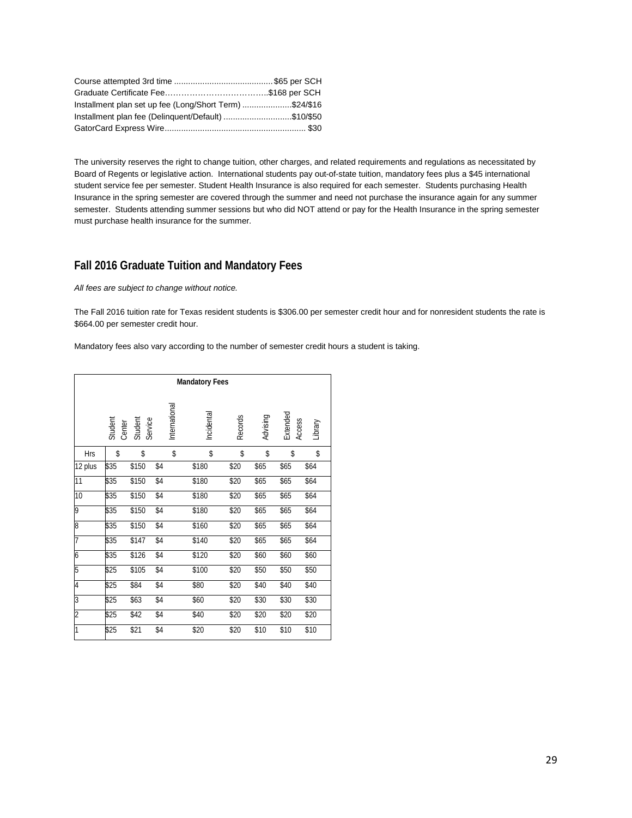| Installment plan set up fee (Long/Short Term) \$24/\$16 |  |
|---------------------------------------------------------|--|
| Installment plan fee (Delinguent/Default) \$10/\$50     |  |
|                                                         |  |

The university reserves the right to change tuition, other charges, and related requirements and regulations as necessitated by Board of Regents or legislative action. International students pay out-of-state tuition, mandatory fees plus a \$45 international student service fee per semester. Student Health Insurance is also required for each semester. Students purchasing Health Insurance in the spring semester are covered through the summer and need not purchase the insurance again for any summer semester. Students attending summer sessions but who did NOT attend or pay for the Health Insurance in the spring semester must purchase health insurance for the summer.

# **Fall 2016 Graduate Tuition and Mandatory Fees**

*All fees are subject to change without notice.*

The Fall 2016 tuition rate for Texas resident students is \$306.00 per semester credit hour and for nonresident students the rate is \$664.00 per semester credit hour.

Mandatory fees also vary according to the number of semester credit hours a student is taking.

| <b>Mandatory Fees</b> |      |                                         |               |      |            |                |          |                    |         |
|-----------------------|------|-----------------------------------------|---------------|------|------------|----------------|----------|--------------------|---------|
|                       |      | Student<br>Center<br>Student<br>Service | International |      | Incidental | <b>Records</b> | Advising | Extended<br>Access | Library |
| <b>Hrs</b>            | \$   | \$                                      | \$            |      | \$         | \$             | \$       | \$                 | \$      |
| 12 plus               | \$35 | \$150                                   | \$4           |      | \$180      | \$20           | \$65     | \$65               | \$64    |
| 11                    | \$35 | \$150                                   | \$4           |      | \$180      | \$20           | \$65     | \$65               | \$64    |
| 10                    | \$35 | \$150                                   | \$4           |      | \$180      | \$20           | \$65     | \$65               | \$64    |
| 9                     | \$35 | \$150                                   | \$4           |      | \$180      | \$20           | \$65     | \$65               | \$64    |
| 8                     | \$35 | \$150                                   | \$4           |      | \$160      | \$20           | \$65     | \$65               | \$64    |
| 7                     | \$35 | \$147                                   | \$4           |      | \$140      | \$20           | \$65     | \$65               | \$64    |
| 6                     | \$35 | \$126                                   | \$4           |      | \$120      | \$20           | \$60     | \$60               | \$60    |
| 5                     | \$25 | \$105                                   | \$4           |      | \$100      | \$20           | \$50     | \$50               | \$50    |
| 4                     | \$25 | \$84                                    | \$4           | \$80 |            | \$20           | \$40     | \$40               | \$40    |
| 3                     | \$25 | \$63                                    | \$4           | \$60 |            | \$20           | \$30     | \$30               | \$30    |
| $\overline{2}$        | \$25 | \$42                                    | \$4           | \$40 |            | \$20           | \$20     | \$20               | \$20    |
| 1                     | \$25 | \$21                                    | \$4           | \$20 |            | \$20           | \$10     | \$10               | \$10    |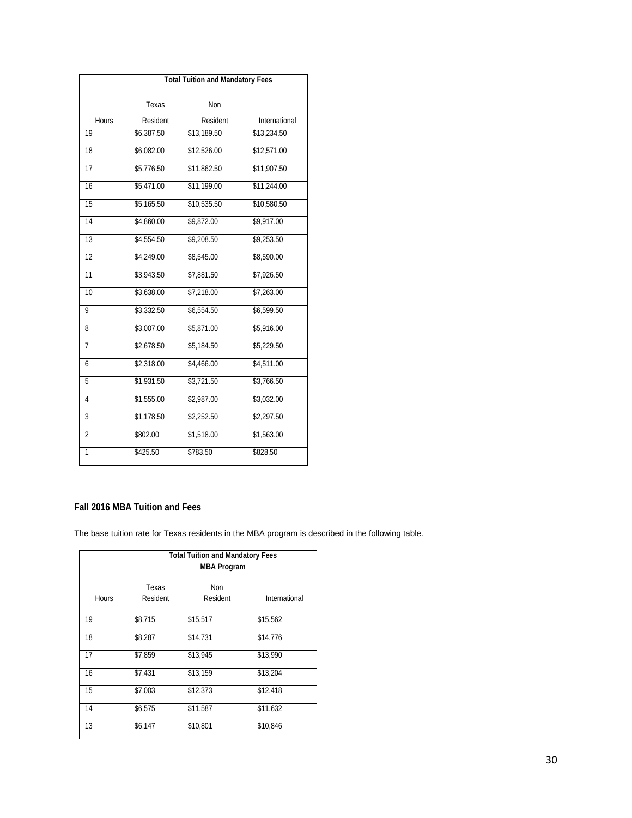| <b>Total Tuition and Mandatory Fees</b> |            |             |               |  |
|-----------------------------------------|------------|-------------|---------------|--|
|                                         |            |             |               |  |
|                                         | Texas      | Non         |               |  |
| Hours                                   | Resident   | Resident    | International |  |
| 19                                      | \$6,387.50 | \$13,189.50 | \$13,234.50   |  |
| 18                                      | \$6,082.00 | \$12,526.00 | \$12,571.00   |  |
| $\overline{17}$                         | \$5,776.50 | \$11,862.50 | \$11,907.50   |  |
| 16                                      | \$5,471.00 | \$11,199.00 | \$11,244.00   |  |
| 15                                      | \$5,165.50 | \$10,535.50 | \$10,580.50   |  |
| $\overline{14}$                         | \$4,860.00 | \$9,872.00  | \$9,917.00    |  |
| $\overline{13}$                         | \$4,554.50 | \$9,208.50  | \$9,253.50    |  |
| 12                                      | \$4,249.00 | \$8,545.00  | \$8,590.00    |  |
| 11                                      | \$3,943.50 | \$7,881.50  | \$7,926.50    |  |
| 10                                      | \$3,638.00 | \$7,218.00  | \$7,263.00    |  |
| $\overline{9}$                          | \$3,332.50 | \$6,554.50  | \$6,599.50    |  |
| 8                                       | \$3,007.00 | \$5,871.00  | \$5,916.00    |  |
| 7                                       | \$2,678.50 | \$5,184.50  | \$5,229.50    |  |
| 6                                       | \$2,318.00 | \$4,466.00  | \$4,511.00    |  |
| 5                                       | \$1,931.50 | \$3,721.50  | \$3,766.50    |  |
| $\overline{4}$                          | \$1,555.00 | \$2,987.00  | \$3,032.00    |  |
| $\overline{3}$                          | \$1,178.50 | \$2,252.50  | \$2,297.50    |  |
| $\overline{2}$                          | \$802.00   | \$1,518.00  | \$1,563.00    |  |
| 1                                       | \$425.50   | \$783.50    | \$828.50      |  |

# **Fall 2016 MBA Tuition and Fees**

The base tuition rate for Texas residents in the MBA program is described in the following table.

|              | <b>Total Tuition and Mandatory Fees</b><br><b>MBA Program</b> |                 |               |  |
|--------------|---------------------------------------------------------------|-----------------|---------------|--|
| <b>Hours</b> | Texas<br>Resident                                             | Non<br>Resident | International |  |
| 19           | \$8.715                                                       | \$15,517        | \$15,562      |  |
| 18           | \$8,287                                                       | \$14,731        | \$14,776      |  |
| 17           | \$7,859                                                       | \$13,945        | \$13,990      |  |
| 16           | \$7,431                                                       | \$13,159        | \$13,204      |  |
| 15           | \$7,003                                                       | \$12,373        | \$12,418      |  |
| 14           | \$6,575                                                       | \$11,587        | \$11,632      |  |
| 13           | \$6,147                                                       | \$10,801        | \$10,846      |  |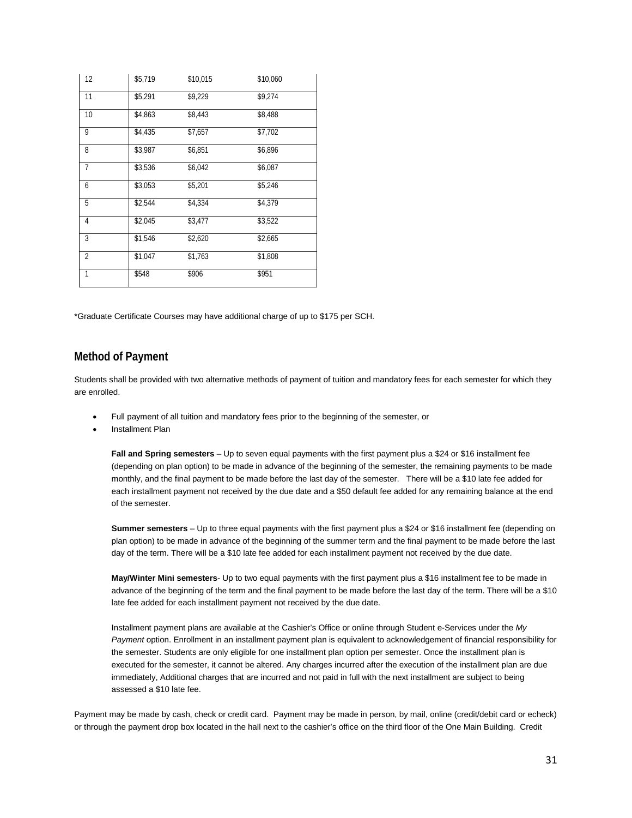| 12             | \$5,719 | \$10,015 | \$10,060 |
|----------------|---------|----------|----------|
| 11             | \$5,291 | \$9,229  | \$9,274  |
| 10             | \$4,863 | \$8,443  | \$8,488  |
| 9              | \$4,435 | \$7,657  | \$7,702  |
| 8              | \$3,987 | \$6,851  | \$6,896  |
| $\overline{7}$ | \$3,536 | \$6,042  | \$6,087  |
| 6              | \$3,053 | \$5,201  | \$5,246  |
| 5              | \$2,544 | \$4,334  | \$4,379  |
| 4              | \$2,045 | \$3,477  | \$3,522  |
| 3              | \$1,546 | \$2,620  | \$2,665  |
| $\overline{2}$ | \$1,047 | \$1,763  | \$1,808  |
| 1              | \$548   | \$906    | \$951    |

\*Graduate Certificate Courses may have additional charge of up to \$175 per SCH.

## **Method of Payment**

Students shall be provided with two alternative methods of payment of tuition and mandatory fees for each semester for which they are enrolled.

- Full payment of all tuition and mandatory fees prior to the beginning of the semester, or
- Installment Plan

**Fall and Spring semesters** – Up to seven equal payments with the first payment plus a \$24 or \$16 installment fee (depending on plan option) to be made in advance of the beginning of the semester, the remaining payments to be made monthly, and the final payment to be made before the last day of the semester. There will be a \$10 late fee added for each installment payment not received by the due date and a \$50 default fee added for any remaining balance at the end of the semester.

**Summer semesters** – Up to three equal payments with the first payment plus a \$24 or \$16 installment fee (depending on plan option) to be made in advance of the beginning of the summer term and the final payment to be made before the last day of the term. There will be a \$10 late fee added for each installment payment not received by the due date.

**May/Winter Mini semesters**- Up to two equal payments with the first payment plus a \$16 installment fee to be made in advance of the beginning of the term and the final payment to be made before the last day of the term. There will be a \$10 late fee added for each installment payment not received by the due date.

Installment payment plans are available at the Cashier's Office or online through Student e-Services under the *My Payment* option. Enrollment in an installment payment plan is equivalent to acknowledgement of financial responsibility for the semester. Students are only eligible for one installment plan option per semester. Once the installment plan is executed for the semester, it cannot be altered. Any charges incurred after the execution of the installment plan are due immediately, Additional charges that are incurred and not paid in full with the next installment are subject to being assessed a \$10 late fee.

Payment may be made by cash, check or credit card. Payment may be made in person, by mail, online (credit/debit card or echeck) or through the payment drop box located in the hall next to the cashier's office on the third floor of the One Main Building. Credit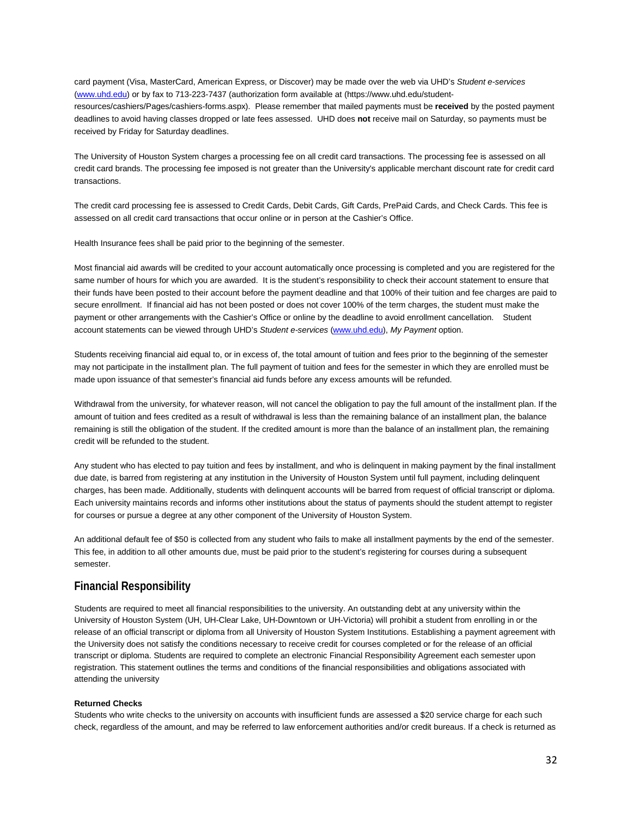card payment (Visa, MasterCard, American Express, or Discover) may be made over the web via UHD's *Student e-services*  (www.uhd.edu) or by fax to 713-223-7437 (authorization form available at (https://www.uhd.edu/studentresources/cashiers/Pages/cashiers-forms.aspx). Please remember that mailed payments must be **received** by the posted payment deadlines to avoid having classes dropped or late fees assessed. UHD does **not** receive mail on Saturday, so payments must be received by Friday for Saturday deadlines.

The University of Houston System charges a processing fee on all credit card transactions. The processing fee is assessed on all credit card brands. The processing fee imposed is not greater than the University's applicable merchant discount rate for credit card transactions.

The credit card processing fee is assessed to Credit Cards, Debit Cards, Gift Cards, PrePaid Cards, and Check Cards. This fee is assessed on all credit card transactions that occur online or in person at the Cashier's Office.

Health Insurance fees shall be paid prior to the beginning of the semester.

Most financial aid awards will be credited to your account automatically once processing is completed and you are registered for the same number of hours for which you are awarded. It is the student's responsibility to check their account statement to ensure that their funds have been posted to their account before the payment deadline and that 100% of their tuition and fee charges are paid to secure enrollment. If financial aid has not been posted or does not cover 100% of the term charges, the student must make the payment or other arrangements with the Cashier's Office or online by the deadline to avoid enrollment cancellation. Student account statements can be viewed through UHD's *Student e-services* (www.uhd.edu), *My Payment* option.

Students receiving financial aid equal to, or in excess of, the total amount of tuition and fees prior to the beginning of the semester may not participate in the installment plan. The full payment of tuition and fees for the semester in which they are enrolled must be made upon issuance of that semester's financial aid funds before any excess amounts will be refunded.

Withdrawal from the university, for whatever reason, will not cancel the obligation to pay the full amount of the installment plan. If the amount of tuition and fees credited as a result of withdrawal is less than the remaining balance of an installment plan, the balance remaining is still the obligation of the student. If the credited amount is more than the balance of an installment plan, the remaining credit will be refunded to the student.

Any student who has elected to pay tuition and fees by installment, and who is delinquent in making payment by the final installment due date, is barred from registering at any institution in the University of Houston System until full payment, including delinquent charges, has been made. Additionally, students with delinquent accounts will be barred from request of official transcript or diploma. Each university maintains records and informs other institutions about the status of payments should the student attempt to register for courses or pursue a degree at any other component of the University of Houston System.

An additional default fee of \$50 is collected from any student who fails to make all installment payments by the end of the semester. This fee, in addition to all other amounts due, must be paid prior to the student's registering for courses during a subsequent semester.

#### **Financial Responsibility**

Students are required to meet all financial responsibilities to the university. An outstanding debt at any university within the University of Houston System (UH, UH-Clear Lake, UH-Downtown or UH-Victoria) will prohibit a student from enrolling in or the release of an official transcript or diploma from all University of Houston System Institutions. Establishing a payment agreement with the University does not satisfy the conditions necessary to receive credit for courses completed or for the release of an official transcript or diploma. Students are required to complete an electronic Financial Responsibility Agreement each semester upon registration. This statement outlines the terms and conditions of the financial responsibilities and obligations associated with attending the university

#### **Returned Checks**

Students who write checks to the university on accounts with insufficient funds are assessed a \$20 service charge for each such check, regardless of the amount, and may be referred to law enforcement authorities and/or credit bureaus. If a check is returned as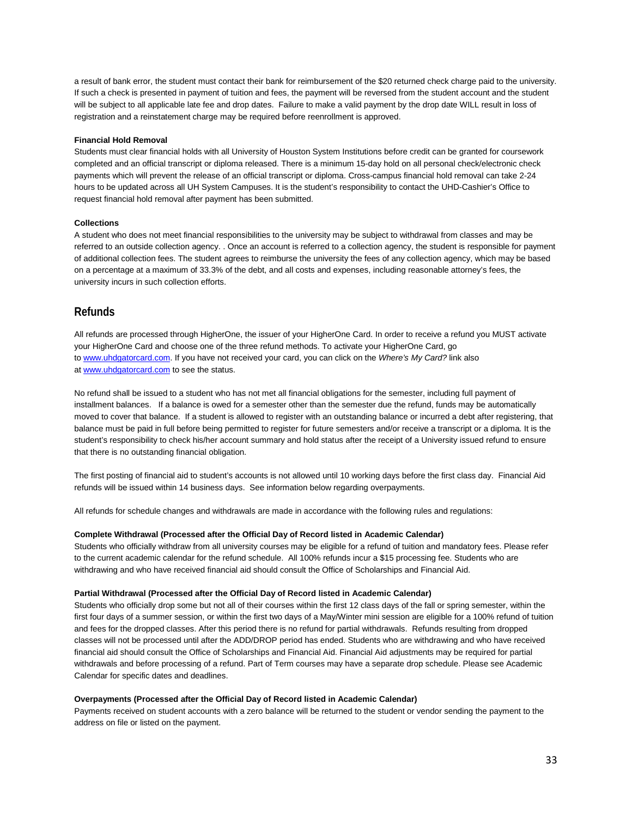a result of bank error, the student must contact their bank for reimbursement of the \$20 returned check charge paid to the university. If such a check is presented in payment of tuition and fees, the payment will be reversed from the student account and the student will be subject to all applicable late fee and drop dates. Failure to make a valid payment by the drop date WILL result in loss of registration and a reinstatement charge may be required before reenrollment is approved.

#### **Financial Hold Removal**

Students must clear financial holds with all University of Houston System Institutions before credit can be granted for coursework completed and an official transcript or diploma released. There is a minimum 15-day hold on all personal check/electronic check payments which will prevent the release of an official transcript or diploma. Cross-campus financial hold removal can take 2-24 hours to be updated across all UH System Campuses. It is the student's responsibility to contact the UHD-Cashier's Office to request financial hold removal after payment has been submitted.

#### **Collections**

A student who does not meet financial responsibilities to the university may be subject to withdrawal from classes and may be referred to an outside collection agency. . Once an account is referred to a collection agency, the student is responsible for payment of additional collection fees. The student agrees to reimburse the university the fees of any collection agency, which may be based on a percentage at a maximum of 33.3% of the debt, and all costs and expenses, including reasonable attorney's fees, the university incurs in such collection efforts.

#### **Refunds**

All refunds are processed through HigherOne, the issuer of your HigherOne Card. In order to receive a refund you MUST activate your HigherOne Card and choose one of the three refund methods. To activate your HigherOne Card, go to www.uhdgatorcard.com. If you have not received your card, you can click on the *Where's My Card?* link also at www.uhdgatorcard.com to see the status.

No refund shall be issued to a student who has not met all financial obligations for the semester, including full payment of installment balances. If a balance is owed for a semester other than the semester due the refund, funds may be automatically moved to cover that balance. If a student is allowed to register with an outstanding balance or incurred a debt after registering, that balance must be paid in full before being permitted to register for future semesters and/or receive a transcript or a diploma. It is the student's responsibility to check his/her account summary and hold status after the receipt of a University issued refund to ensure that there is no outstanding financial obligation.

The first posting of financial aid to student's accounts is not allowed until 10 working days before the first class day. Financial Aid refunds will be issued within 14 business days. See information below regarding overpayments.

All refunds for schedule changes and withdrawals are made in accordance with the following rules and regulations:

#### **Complete Withdrawal (Processed after the Official Day of Record listed in Academic Calendar)**

Students who officially withdraw from all university courses may be eligible for a refund of tuition and mandatory fees. Please refer to the current academic calendar for the refund schedule. All 100% refunds incur a \$15 processing fee. Students who are withdrawing and who have received financial aid should consult the Office of Scholarships and Financial Aid.

#### **Partial Withdrawal (Processed after the Official Day of Record listed in Academic Calendar)**

Students who officially drop some but not all of their courses within the first 12 class days of the fall or spring semester, within the first four days of a summer session, or within the first two days of a May/Winter mini session are eligible for a 100% refund of tuition and fees for the dropped classes. After this period there is no refund for partial withdrawals. Refunds resulting from dropped classes will not be processed until after the ADD/DROP period has ended. Students who are withdrawing and who have received financial aid should consult the Office of Scholarships and Financial Aid. Financial Aid adjustments may be required for partial withdrawals and before processing of a refund. Part of Term courses may have a separate drop schedule. Please see Academic Calendar for specific dates and deadlines.

#### **Overpayments (Processed after the Official Day of Record listed in Academic Calendar)**

Payments received on student accounts with a zero balance will be returned to the student or vendor sending the payment to the address on file or listed on the payment.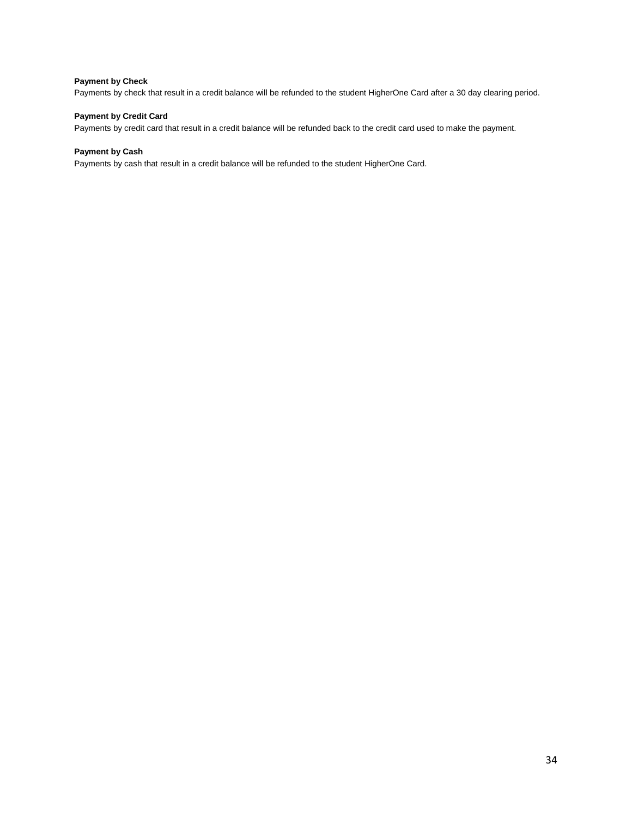#### **Payment by Check**

Payments by check that result in a credit balance will be refunded to the student HigherOne Card after a 30 day clearing period.

#### **Payment by Credit Card**

Payments by credit card that result in a credit balance will be refunded back to the credit card used to make the payment.

#### **Payment by Cash**

Payments by cash that result in a credit balance will be refunded to the student HigherOne Card.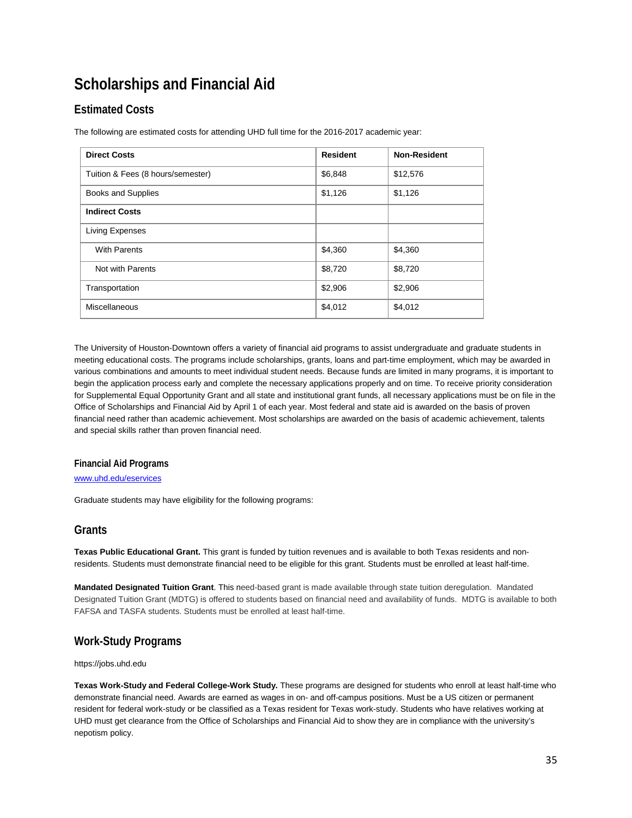# <span id="page-34-0"></span>**Scholarships and Financial Aid**

# **Estimated Costs**

The following are estimated costs for attending UHD full time for the 2016-2017 academic year:

| <b>Direct Costs</b>               | <b>Resident</b> | <b>Non-Resident</b> |
|-----------------------------------|-----------------|---------------------|
| Tuition & Fees (8 hours/semester) | \$6,848         | \$12,576            |
| Books and Supplies                | \$1,126         | \$1,126             |
| <b>Indirect Costs</b>             |                 |                     |
| Living Expenses                   |                 |                     |
| <b>With Parents</b>               | \$4,360         | \$4,360             |
| Not with Parents                  | \$8,720         | \$8,720             |
| Transportation                    | \$2,906         | \$2,906             |
| Miscellaneous                     | \$4,012         | \$4,012             |

The University of Houston-Downtown offers a variety of financial aid programs to assist undergraduate and graduate students in meeting educational costs. The programs include scholarships, grants, loans and part-time employment, which may be awarded in various combinations and amounts to meet individual student needs. Because funds are limited in many programs, it is important to begin the application process early and complete the necessary applications properly and on time. To receive priority consideration for Supplemental Equal Opportunity Grant and all state and institutional grant funds, all necessary applications must be on file in the Office of Scholarships and Financial Aid by April 1 of each year. Most federal and state aid is awarded on the basis of proven financial need rather than academic achievement. Most scholarships are awarded on the basis of academic achievement, talents and special skills rather than proven financial need.

#### **Financial Aid Programs**

[www.uhd.edu/eservices](http://www.uhd.edu/eservices)

Graduate students may have eligibility for the following programs:

## **Grants**

**Texas Public Educational Grant.** This grant is funded by tuition revenues and is available to both Texas residents and nonresidents. Students must demonstrate financial need to be eligible for this grant. Students must be enrolled at least half-time.

**Mandated Designated Tuition Grant**. This need-based grant is made available through state tuition deregulation. Mandated Designated Tuition Grant (MDTG) is offered to students based on financial need and availability of funds. MDTG is available to both FAFSA and TASFA students. Students must be enrolled at least half-time.

# **Work-Study Programs**

https://jobs.uhd.edu

**Texas Work-Study and Federal College-Work Study.** These programs are designed for students who enroll at least half-time who demonstrate financial need. Awards are earned as wages in on- and off-campus positions. Must be a US citizen or permanent resident for federal work-study or be classified as a Texas resident for Texas work-study. Students who have relatives working at UHD must get clearance from the Office of Scholarships and Financial Aid to show they are in compliance with the university's nepotism policy.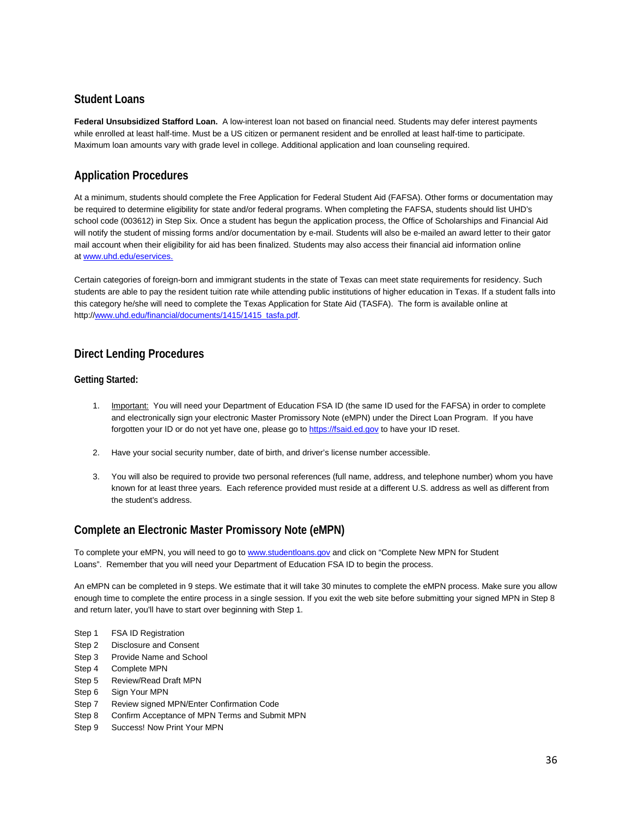# **Student Loans**

**Federal Unsubsidized Stafford Loan.** A low-interest loan not based on financial need. Students may defer interest payments while enrolled at least half-time. Must be a US citizen or permanent resident and be enrolled at least half-time to participate. Maximum loan amounts vary with grade level in college. Additional application and loan counseling required.

# **Application Procedures**

At a minimum, students should complete the Free Application for Federal Student Aid (FAFSA). Other forms or documentation may be required to determine eligibility for state and/or federal programs. When completing the FAFSA, students should list UHD's school code (003612) in Step Six. Once a student has begun the application process, the Office of Scholarships and Financial Aid will notify the student of missing forms and/or documentation by e-mail. Students will also be e-mailed an award letter to their gator mail account when their eligibility for aid has been finalized. Students may also access their financial aid information online at [www.uhd.edu/eservices.](http://www.uhd.edu/eservices)

Certain categories of foreign-born and immigrant students in the state of Texas can meet state requirements for residency. Such students are able to pay the resident tuition rate while attending public institutions of higher education in Texas. If a student falls into this category he/she will need to complete the Texas Application for State Aid (TASFA). The form is available online at http://www.uhd.edu/financial/documents/1415/1415\_tasfa.pdf.

# **Direct Lending Procedures**

#### **Getting Started:**

- 1. Important: You will need your Department of Education FSA ID (the same ID used for the FAFSA) in order to complete and electronically sign your electronic Master Promissory Note (eMPN) under the Direct Loan Program. If you have forgotten your ID or do not yet have one, please go t[o https://fsaid.ed.gov](https://fsaid.ed.gov/npas/index.htm) to have your ID reset.
- 2. Have your social security number, date of birth, and driver's license number accessible.
- 3. You will also be required to provide two personal references (full name, address, and telephone number) whom you have known for at least three years. Each reference provided must reside at a different U.S. address as well as different from the student's address.

# **Complete an Electronic Master Promissory Note (eMPN)**

To complete your eMPN, you will need to go to [www.studentloans.gov](http://www.studentloans.gov/) and click on "Complete New MPN for Student Loans". Remember that you will need your Department of Education FSA ID to begin the process.

An eMPN can be completed in 9 steps. We estimate that it will take 30 minutes to complete the eMPN process. Make sure you allow enough time to complete the entire process in a single session. If you exit the web site before submitting your signed MPN in Step 8 and return later, you'll have to start over beginning with Step 1.

- Step 1 FSA ID Registration
- Step 2 Disclosure and Consent
- Step 3 Provide Name and School
- Step 4 Complete MPN
- Step 5 Review/Read Draft MPN
- Step 6 Sign Your MPN
- Step 7 Review signed MPN/Enter Confirmation Code
- Step 8 Confirm Acceptance of MPN Terms and Submit MPN
- Step 9 Success! Now Print Your MPN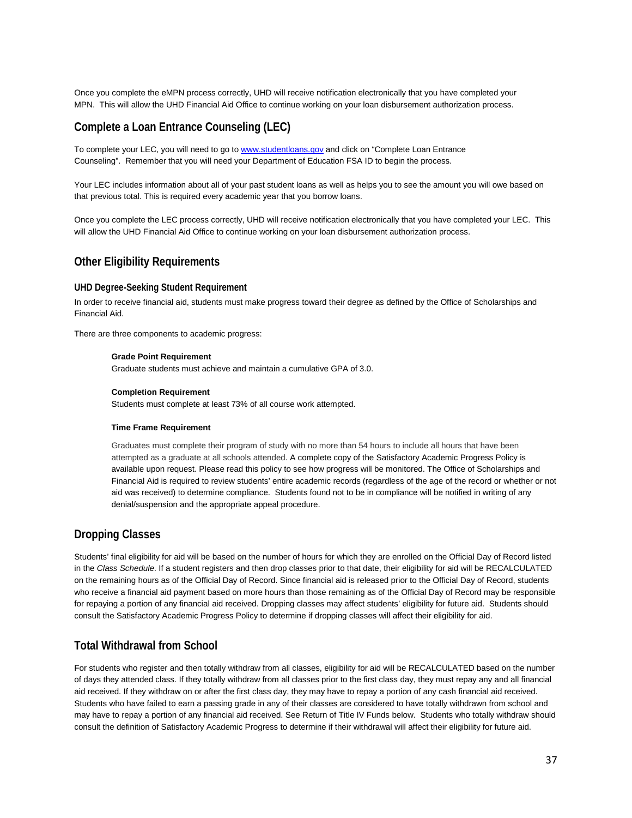Once you complete the eMPN process correctly, UHD will receive notification electronically that you have completed your MPN. This will allow the UHD Financial Aid Office to continue working on your loan disbursement authorization process.

### **Complete a Loan Entrance Counseling (LEC)**

To complete your LEC, you will need to go t[o www.studentloans.gov](http://www.studentloans.gov/) and click on "Complete Loan Entrance Counseling". Remember that you will need your Department of Education FSA ID to begin the process.

Your LEC includes information about all of your past student loans as well as helps you to see the amount you will owe based on that previous total. This is required every academic year that you borrow loans.

Once you complete the LEC process correctly, UHD will receive notification electronically that you have completed your LEC. This will allow the UHD Financial Aid Office to continue working on your loan disbursement authorization process.

### **Other Eligibility Requirements**

### **UHD Degree-Seeking Student Requirement**

In order to receive financial aid, students must make progress toward their degree as defined by the Office of Scholarships and Financial Aid.

There are three components to academic progress:

### **Grade Point Requirement**

Graduate students must achieve and maintain a cumulative GPA of 3.0.

#### **Completion Requirement**

Students must complete at least 73% of all course work attempted.

#### **Time Frame Requirement**

Graduates must complete their program of study with no more than 54 hours to include all hours that have been attempted as a graduate at all schools attended. A complete copy of the Satisfactory Academic Progress Policy is available upon request. Please read this policy to see how progress will be monitored. The Office of Scholarships and Financial Aid is required to review students' entire academic records (regardless of the age of the record or whether or not aid was received) to determine compliance. Students found not to be in compliance will be notified in writing of any denial/suspension and the appropriate appeal procedure.

### **Dropping Classes**

Students' final eligibility for aid will be based on the number of hours for which they are enrolled on the Official Day of Record listed in the *Class Schedule*. If a student registers and then drop classes prior to that date, their eligibility for aid will be RECALCULATED on the remaining hours as of the Official Day of Record. Since financial aid is released prior to the Official Day of Record, students who receive a financial aid payment based on more hours than those remaining as of the Official Day of Record may be responsible for repaying a portion of any financial aid received. Dropping classes may affect students' eligibility for future aid. Students should consult the Satisfactory Academic Progress Policy to determine if dropping classes will affect their eligibility for aid.

### **Total Withdrawal from School**

For students who register and then totally withdraw from all classes, eligibility for aid will be RECALCULATED based on the number of days they attended class. If they totally withdraw from all classes prior to the first class day, they must repay any and all financial aid received. If they withdraw on or after the first class day, they may have to repay a portion of any cash financial aid received. Students who have failed to earn a passing grade in any of their classes are considered to have totally withdrawn from school and may have to repay a portion of any financial aid received. See Return of Title IV Funds below. Students who totally withdraw should consult the definition of Satisfactory Academic Progress to determine if their withdrawal will affect their eligibility for future aid.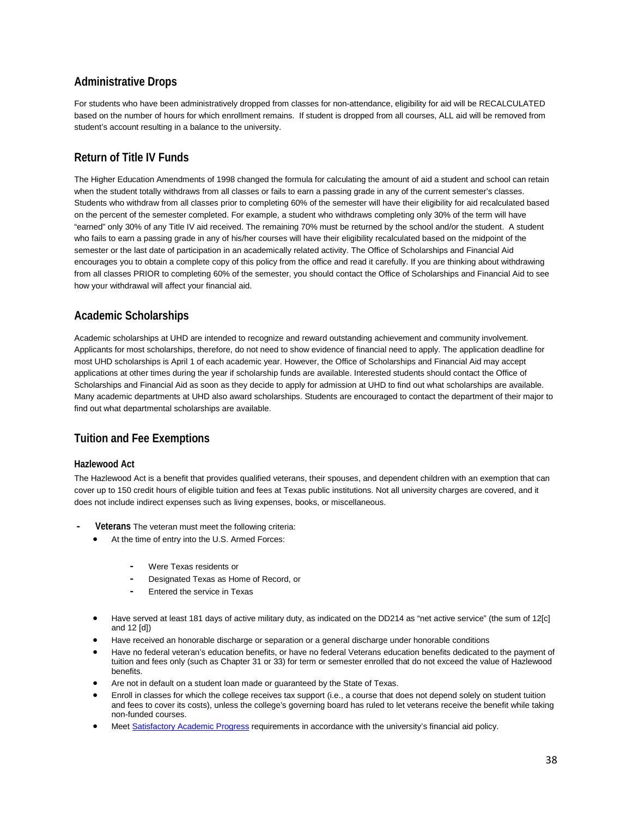### **Administrative Drops**

For students who have been administratively dropped from classes for non-attendance, eligibility for aid will be RECALCULATED based on the number of hours for which enrollment remains. If student is dropped from all courses, ALL aid will be removed from student's account resulting in a balance to the university.

### **Return of Title IV Funds**

The Higher Education Amendments of 1998 changed the formula for calculating the amount of aid a student and school can retain when the student totally withdraws from all classes or fails to earn a passing grade in any of the current semester's classes. Students who withdraw from all classes prior to completing 60% of the semester will have their eligibility for aid recalculated based on the percent of the semester completed. For example, a student who withdraws completing only 30% of the term will have "earned" only 30% of any Title IV aid received. The remaining 70% must be returned by the school and/or the student. A student who fails to earn a passing grade in any of his/her courses will have their eligibility recalculated based on the midpoint of the semester or the last date of participation in an academically related activity. The Office of Scholarships and Financial Aid encourages you to obtain a complete copy of this policy from the office and read it carefully. If you are thinking about withdrawing from all classes PRIOR to completing 60% of the semester, you should contact the Office of Scholarships and Financial Aid to see how your withdrawal will affect your financial aid.

### **Academic Scholarships**

Academic scholarships at UHD are intended to recognize and reward outstanding achievement and community involvement. Applicants for most scholarships, therefore, do not need to show evidence of financial need to apply. The application deadline for most UHD scholarships is April 1 of each academic year. However, the Office of Scholarships and Financial Aid may accept applications at other times during the year if scholarship funds are available. Interested students should contact the Office of Scholarships and Financial Aid as soon as they decide to apply for admission at UHD to find out what scholarships are available. Many academic departments at UHD also award scholarships. Students are encouraged to contact the department of their major to find out what departmental scholarships are available.

### **Tuition and Fee Exemptions**

### **Hazlewood Act**

The Hazlewood Act is a benefit that provides qualified veterans, their spouses, and dependent children with an exemption that can cover up to 150 credit hours of eligible tuition and fees at Texas public institutions. Not all university charges are covered, and it does not include indirect expenses such as living expenses, books, or miscellaneous.

- **- Veterans** The veteran must meet the following criteria:
	- At the time of entry into the U.S. Armed Forces:
		- **-** Were Texas residents or
		- **-** Designated Texas as Home of Record, or
		- **-** Entered the service in Texas
	- Have served at least 181 days of active military duty, as indicated on the DD214 as "net active service" (the sum of 12[c] and 12 [d])
	- Have received an honorable discharge or separation or a general discharge under honorable conditions
	- Have no federal veteran's education benefits, or have no federal Veterans education benefits dedicated to the payment of tuition and fees only (such as Chapter 31 or 33) for term or semester enrolled that do not exceed the value of Hazlewood benefits.
	- Are not in default on a student loan made or guaranteed by the State of Texas.
	- Enroll in classes for which the college receives tax support (i.e., a course that does not depend solely on student tuition and fees to cover its costs), unless the college's governing board has ruled to let veterans receive the benefit while taking non-funded courses.
	- Meet [Satisfactory Academic Progress](https://www.uhd.edu/financial/eligibility/Pages/financial-sap.aspx) requirements in accordance with the university's financial aid policy.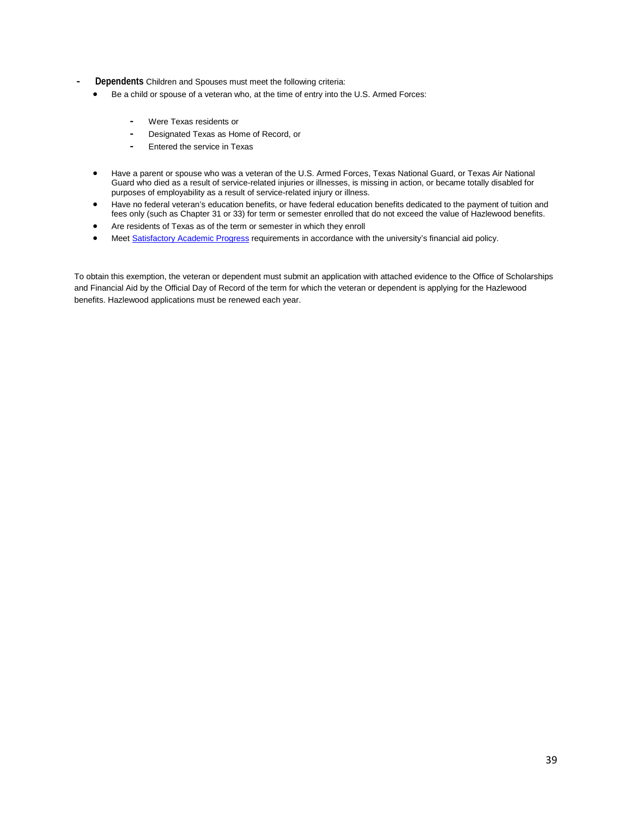- **- Dependents** Children and Spouses must meet the following criteria:
	- Be a child or spouse of a veteran who, at the time of entry into the U.S. Armed Forces:
		- **-** Were Texas residents or
		- **-** Designated Texas as Home of Record, or
		- **-** Entered the service in Texas
	- Have a parent or spouse who was a veteran of the U.S. Armed Forces, Texas National Guard, or Texas Air National Guard who died as a result of service-related injuries or illnesses, is missing in action, or became totally disabled for purposes of employability as a result of service-related injury or illness.
	- Have no federal veteran's education benefits, or have federal education benefits dedicated to the payment of tuition and fees only (such as Chapter 31 or 33) for term or semester enrolled that do not exceed the value of Hazlewood benefits.
	- Are residents of Texas as of the term or semester in which they enroll
	- Meet [Satisfactory Academic Progress](https://www.uhd.edu/financial/eligibility/Pages/financial-sap.aspx) requirements in accordance with the university's financial aid policy.

To obtain this exemption, the veteran or dependent must submit an application with attached evidence to the Office of Scholarships and Financial Aid by the Official Day of Record of the term for which the veteran or dependent is applying for the Hazlewood benefits. Hazlewood applications must be renewed each year.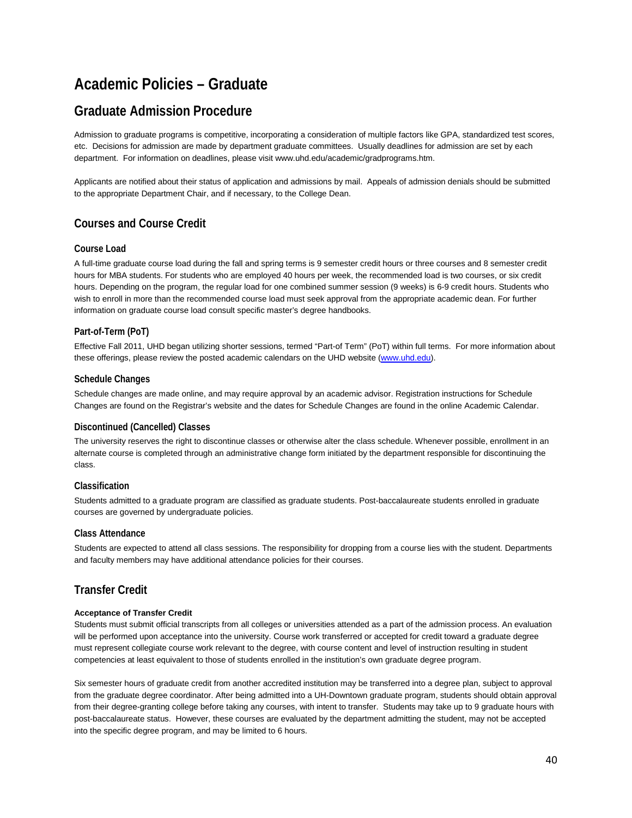## **Academic Policies – Graduate**

## **Graduate Admission Procedure**

Admission to graduate programs is competitive, incorporating a consideration of multiple factors like GPA, standardized test scores, etc. Decisions for admission are made by department graduate committees. Usually deadlines for admission are set by each department. For information on deadlines, please visit www.uhd.edu/academic/gradprograms.htm.

Applicants are notified about their status of application and admissions by mail. Appeals of admission denials should be submitted to the appropriate Department Chair, and if necessary, to the College Dean.

### **Courses and Course Credit**

### **Course Load**

A full-time graduate course load during the fall and spring terms is 9 semester credit hours or three courses and 8 semester credit hours for MBA students. For students who are employed 40 hours per week, the recommended load is two courses, or six credit hours. Depending on the program, the regular load for one combined summer session (9 weeks) is 6-9 credit hours. Students who wish to enroll in more than the recommended course load must seek approval from the appropriate academic dean. For further information on graduate course load consult specific master's degree handbooks.

### **Part-of-Term (PoT)**

Effective Fall 2011, UHD began utilizing shorter sessions, termed "Part-of Term" (PoT) within full terms. For more information about these offerings, please review the posted academic calendars on the UHD website (www.uhd.edu).

### **Schedule Changes**

Schedule changes are made online, and may require approval by an academic advisor. Registration instructions for Schedule Changes are found on the Registrar's website and the dates for Schedule Changes are found in the online Academic Calendar.

### **Discontinued (Cancelled) Classes**

The university reserves the right to discontinue classes or otherwise alter the class schedule. Whenever possible, enrollment in an alternate course is completed through an administrative change form initiated by the department responsible for discontinuing the class.

### **Classification**

Students admitted to a graduate program are classified as graduate students. Post-baccalaureate students enrolled in graduate courses are governed by undergraduate policies.

### **Class Attendance**

Students are expected to attend all class sessions. The responsibility for dropping from a course lies with the student. Departments and faculty members may have additional attendance policies for their courses.

### **Transfer Credit**

### **Acceptance of Transfer Credit**

Students must submit official transcripts from all colleges or universities attended as a part of the admission process. An evaluation will be performed upon acceptance into the university. Course work transferred or accepted for credit toward a graduate degree must represent collegiate course work relevant to the degree, with course content and level of instruction resulting in student competencies at least equivalent to those of students enrolled in the institution's own graduate degree program.

Six semester hours of graduate credit from another accredited institution may be transferred into a degree plan, subject to approval from the graduate degree coordinator. After being admitted into a UH-Downtown graduate program, students should obtain approval from their degree-granting college before taking any courses, with intent to transfer. Students may take up to 9 graduate hours with post-baccalaureate status. However, these courses are evaluated by the department admitting the student, may not be accepted into the specific degree program, and may be limited to 6 hours.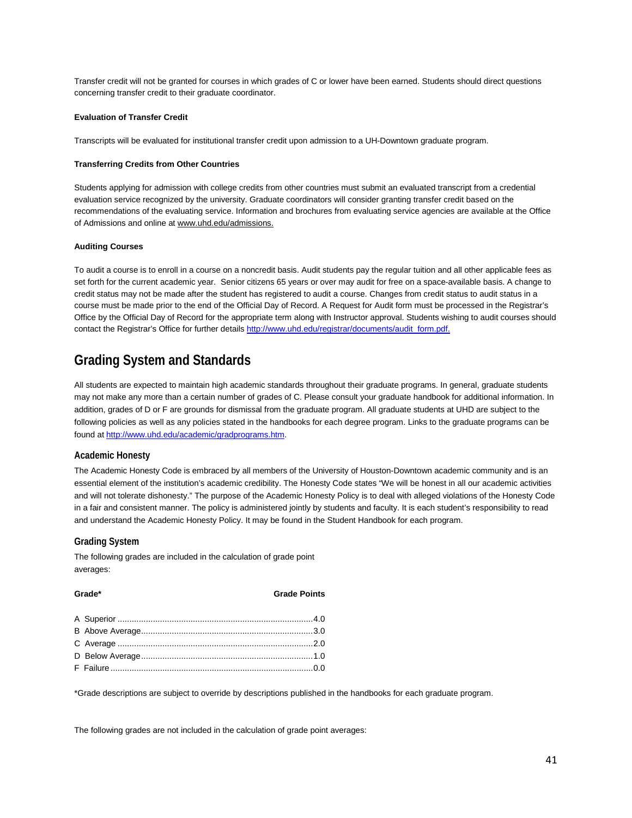Transfer credit will not be granted for courses in which grades of C or lower have been earned. Students should direct questions concerning transfer credit to their graduate coordinator.

#### **Evaluation of Transfer Credit**

Transcripts will be evaluated for institutional transfer credit upon admission to a UH-Downtown graduate program.

#### **Transferring Credits from Other Countries**

Students applying for admission with college credits from other countries must submit an evaluated transcript from a credential evaluation service recognized by the university. Graduate coordinators will consider granting transfer credit based on the recommendations of the evaluating service. Information and brochures from evaluating service agencies are available at the Office of Admissions and online at [www.uhd.edu/admissions.](http://www.uhd.edu/admissions)

#### **Auditing Courses**

To audit a course is to enroll in a course on a noncredit basis. Audit students pay the regular tuition and all other applicable fees as set forth for the current academic year. Senior citizens 65 years or over may audit for free on a space-available basis. A change to credit status may not be made after the student has registered to audit a course. Changes from credit status to audit status in a course must be made prior to the end of the Official Day of Record. A Request for Audit form must be processed in the Registrar's Office by the Official Day of Record for the appropriate term along with Instructor approval. Students wishing to audit courses should contact the Registrar's Office for further details [http://www.uhd.edu/registrar/documents/audit\\_form.pdf.](http://www.uhd.edu/registrar/documents/audit_form.pdf)

## **Grading System and Standards**

All students are expected to maintain high academic standards throughout their graduate programs. In general, graduate students may not make any more than a certain number of grades of C. Please consult your graduate handbook for additional information. In addition, grades of D or F are grounds for dismissal from the graduate program. All graduate students at UHD are subject to the following policies as well as any policies stated in the handbooks for each degree program. Links to the graduate programs can be found at [http://www.uhd.edu/academic/gradprograms.htm.](http://www.uhd.edu/academic/gradprograms.htm)

### **Academic Honesty**

The Academic Honesty Code is embraced by all members of the University of Houston-Downtown academic community and is an essential element of the institution's academic credibility. The Honesty Code states "We will be honest in all our academic activities and will not tolerate dishonesty." The purpose of the Academic Honesty Policy is to deal with alleged violations of the Honesty Code in a fair and consistent manner. The policy is administered jointly by students and faculty. It is each student's responsibility to read and understand the Academic Honesty Policy. It may be found in the Student Handbook for each program.

### **Grading System**

The following grades are included in the calculation of grade point averages:

| <b>Grade Points</b> |
|---------------------|
|                     |
|                     |
|                     |
|                     |
|                     |
| Grade*              |

\*Grade descriptions are subject to override by descriptions published in the handbooks for each graduate program.

The following grades are not included in the calculation of grade point averages: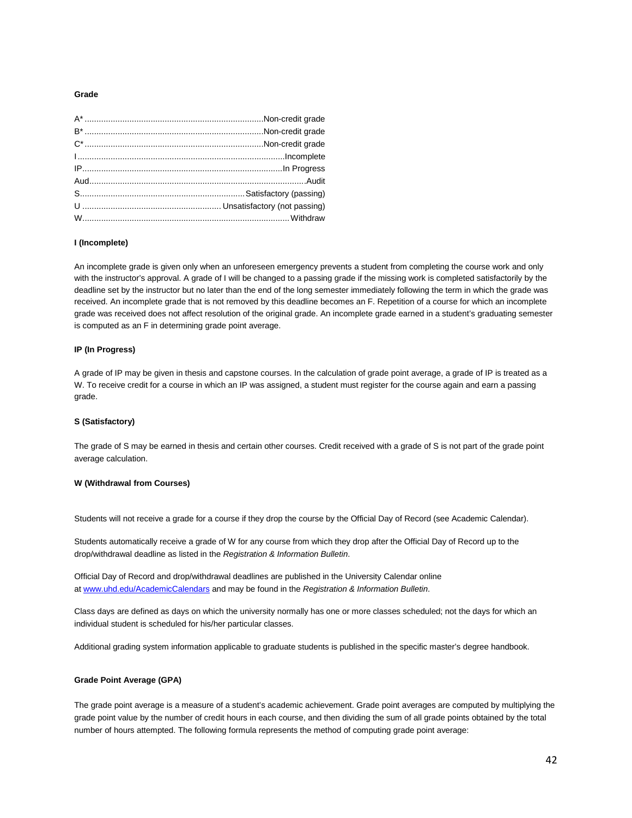#### **Grade**

#### **I (Incomplete)**

An incomplete grade is given only when an unforeseen emergency prevents a student from completing the course work and only with the instructor's approval. A grade of I will be changed to a passing grade if the missing work is completed satisfactorily by the deadline set by the instructor but no later than the end of the long semester immediately following the term in which the grade was received. An incomplete grade that is not removed by this deadline becomes an F. Repetition of a course for which an incomplete grade was received does not affect resolution of the original grade. An incomplete grade earned in a student's graduating semester is computed as an F in determining grade point average.

#### **IP (In Progress)**

A grade of IP may be given in thesis and capstone courses. In the calculation of grade point average, a grade of IP is treated as a W. To receive credit for a course in which an IP was assigned, a student must register for the course again and earn a passing grade.

#### **S (Satisfactory)**

The grade of S may be earned in thesis and certain other courses. Credit received with a grade of S is not part of the grade point average calculation.

### **W (Withdrawal from Courses)**

Students will not receive a grade for a course if they drop the course by the Official Day of Record (see Academic Calendar).

Students automatically receive a grade of W for any course from which they drop after the Official Day of Record up to the drop/withdrawal deadline as listed in the *Registration & Information Bulletin*.

Official Day of Record and drop/withdrawal deadlines are published in the University Calendar online at www.uhd.edu/AcademicCalendars and may be found in the *Registration & Information Bulletin*.

Class days are defined as days on which the university normally has one or more classes scheduled; not the days for which an individual student is scheduled for his/her particular classes.

Additional grading system information applicable to graduate students is published in the specific master's degree handbook.

#### **Grade Point Average (GPA)**

The grade point average is a measure of a student's academic achievement. Grade point averages are computed by multiplying the grade point value by the number of credit hours in each course, and then dividing the sum of all grade points obtained by the total number of hours attempted. The following formula represents the method of computing grade point average: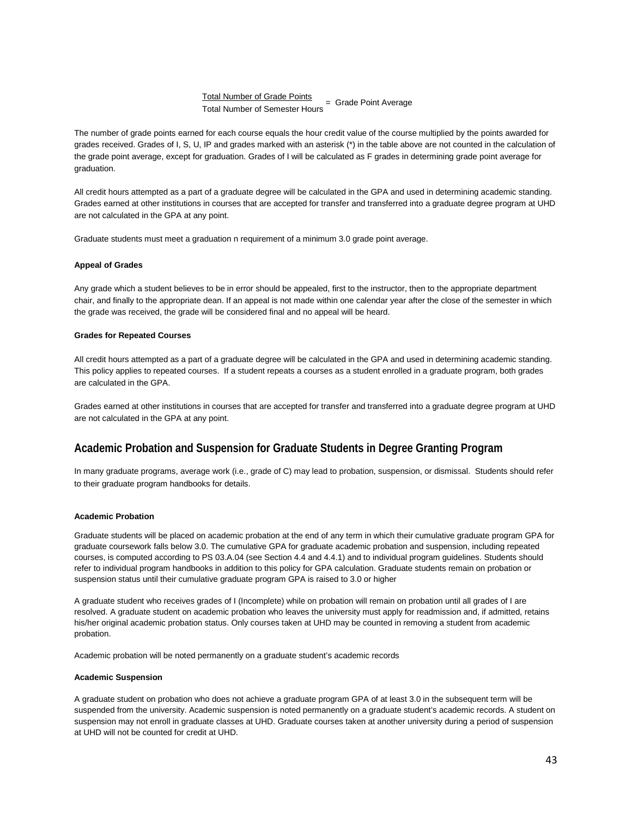# <u>Total Number of Grade Points</u><br>Total Number of Semester Hours = Grade Point Average

The number of grade points earned for each course equals the hour credit value of the course multiplied by the points awarded for grades received. Grades of I, S, U, IP and grades marked with an asterisk (\*) in the table above are not counted in the calculation of the grade point average, except for graduation. Grades of I will be calculated as F grades in determining grade point average for graduation.

All credit hours attempted as a part of a graduate degree will be calculated in the GPA and used in determining academic standing. Grades earned at other institutions in courses that are accepted for transfer and transferred into a graduate degree program at UHD are not calculated in the GPA at any point.

Graduate students must meet a graduation n requirement of a minimum 3.0 grade point average.

#### **Appeal of Grades**

Any grade which a student believes to be in error should be appealed, first to the instructor, then to the appropriate department chair, and finally to the appropriate dean. If an appeal is not made within one calendar year after the close of the semester in which the grade was received, the grade will be considered final and no appeal will be heard.

### **Grades for Repeated Courses**

All credit hours attempted as a part of a graduate degree will be calculated in the GPA and used in determining academic standing. This policy applies to repeated courses. If a student repeats a courses as a student enrolled in a graduate program, both grades are calculated in the GPA.

Grades earned at other institutions in courses that are accepted for transfer and transferred into a graduate degree program at UHD are not calculated in the GPA at any point.

### **Academic Probation and Suspension for Graduate Students in Degree Granting Program**

In many graduate programs, average work (i.e., grade of C) may lead to probation, suspension, or dismissal. Students should refer to their graduate program handbooks for details.

#### **Academic Probation**

Graduate students will be placed on academic probation at the end of any term in which their cumulative graduate program GPA for graduate coursework falls below 3.0. The cumulative GPA for graduate academic probation and suspension, including repeated courses, is computed according to PS 03.A.04 (see Section 4.4 and 4.4.1) and to individual program guidelines. Students should refer to individual program handbooks in addition to this policy for GPA calculation. Graduate students remain on probation or suspension status until their cumulative graduate program GPA is raised to 3.0 or higher

A graduate student who receives grades of I (Incomplete) while on probation will remain on probation until all grades of I are resolved. A graduate student on academic probation who leaves the university must apply for readmission and, if admitted, retains his/her original academic probation status. Only courses taken at UHD may be counted in removing a student from academic probation.

Academic probation will be noted permanently on a graduate student's academic records

#### **Academic Suspension**

A graduate student on probation who does not achieve a graduate program GPA of at least 3.0 in the subsequent term will be suspended from the university. Academic suspension is noted permanently on a graduate student's academic records. A student on suspension may not enroll in graduate classes at UHD. Graduate courses taken at another university during a period of suspension at UHD will not be counted for credit at UHD.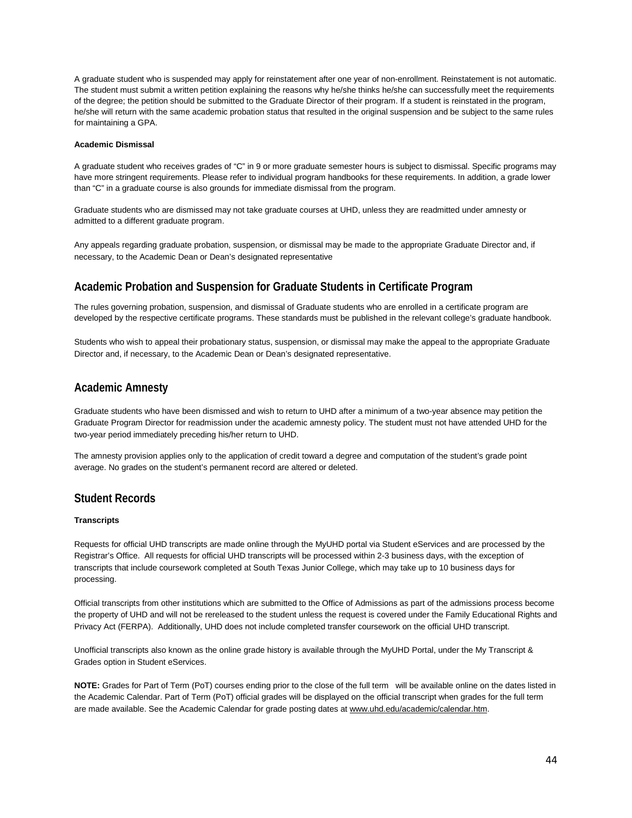A graduate student who is suspended may apply for reinstatement after one year of non-enrollment. Reinstatement is not automatic. The student must submit a written petition explaining the reasons why he/she thinks he/she can successfully meet the requirements of the degree; the petition should be submitted to the Graduate Director of their program. If a student is reinstated in the program, he/she will return with the same academic probation status that resulted in the original suspension and be subject to the same rules for maintaining a GPA.

#### **Academic Dismissal**

A graduate student who receives grades of "C" in 9 or more graduate semester hours is subject to dismissal. Specific programs may have more stringent requirements. Please refer to individual program handbooks for these requirements. In addition, a grade lower than "C" in a graduate course is also grounds for immediate dismissal from the program.

Graduate students who are dismissed may not take graduate courses at UHD, unless they are readmitted under amnesty or admitted to a different graduate program.

Any appeals regarding graduate probation, suspension, or dismissal may be made to the appropriate Graduate Director and, if necessary, to the Academic Dean or Dean's designated representative

### **Academic Probation and Suspension for Graduate Students in Certificate Program**

The rules governing probation, suspension, and dismissal of Graduate students who are enrolled in a certificate program are developed by the respective certificate programs. These standards must be published in the relevant college's graduate handbook.

Students who wish to appeal their probationary status, suspension, or dismissal may make the appeal to the appropriate Graduate Director and, if necessary, to the Academic Dean or Dean's designated representative.

### **Academic Amnesty**

Graduate students who have been dismissed and wish to return to UHD after a minimum of a two-year absence may petition the Graduate Program Director for readmission under the academic amnesty policy. The student must not have attended UHD for the two-year period immediately preceding his/her return to UHD.

The amnesty provision applies only to the application of credit toward a degree and computation of the student's grade point average. No grades on the student's permanent record are altered or deleted.

### **Student Records**

### **Transcripts**

Requests for official UHD transcripts are made online through the MyUHD portal via Student eServices and are processed by the Registrar's Office. All requests for official UHD transcripts will be processed within 2-3 business days, with the exception of transcripts that include coursework completed at South Texas Junior College, which may take up to 10 business days for processing.

Official transcripts from other institutions which are submitted to the Office of Admissions as part of the admissions process become the property of UHD and will not be rereleased to the student unless the request is covered under the Family Educational Rights and Privacy Act (FERPA). Additionally, UHD does not include completed transfer coursework on the official UHD transcript.

Unofficial transcripts also known as the online grade history is available through the MyUHD Portal, under the My Transcript & Grades option in Student eServices.

**NOTE:** Grades for Part of Term (PoT) courses ending prior to the close of the full term will be available online on the dates listed in the Academic Calendar. Part of Term (PoT) official grades will be displayed on the official transcript when grades for the full term are made available. See the Academic Calendar for grade posting dates at [www.uhd.edu/academic/calendar.htm.](http://www.uhd.edu/academic/calendar.htm)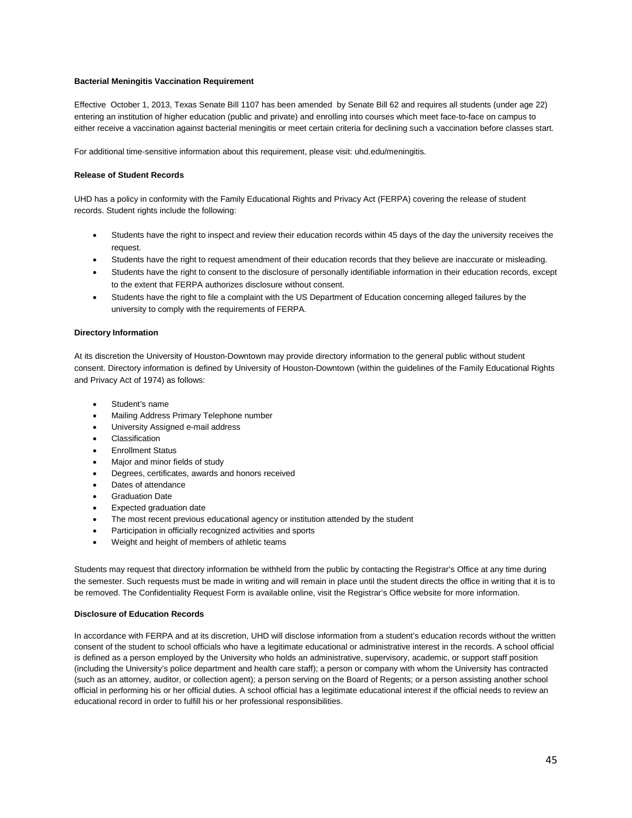### **Bacterial Meningitis Vaccination Requirement**

Effective October 1, 2013, Texas Senate Bill 1107 has been amended by Senate Bill 62 and requires all students (under age 22) entering an institution of higher education (public and private) and enrolling into courses which meet face-to-face on campus to either receive a vaccination against bacterial meningitis or meet certain criteria for declining such a vaccination before classes start.

For additional time-sensitive information about this requirement, please visit: uhd.edu/meningitis.

### **Release of Student Records**

UHD has a policy in conformity with the Family Educational Rights and Privacy Act (FERPA) covering the release of student records. Student rights include the following:

- Students have the right to inspect and review their education records within 45 days of the day the university receives the request.
- Students have the right to request amendment of their education records that they believe are inaccurate or misleading.
- Students have the right to consent to the disclosure of personally identifiable information in their education records, except to the extent that FERPA authorizes disclosure without consent.
- Students have the right to file a complaint with the US Department of Education concerning alleged failures by the university to comply with the requirements of FERPA.

### **Directory Information**

At its discretion the University of Houston-Downtown may provide directory information to the general public without student consent. Directory information is defined by University of Houston-Downtown (within the guidelines of the Family Educational Rights and Privacy Act of 1974) as follows:

- Student's name
- Mailing Address Primary Telephone number
- University Assigned e-mail address
- **Classification**
- Enrollment Status
- Major and minor fields of study
- Degrees, certificates, awards and honors received
- Dates of attendance
- **Graduation Date**
- Expected graduation date
- The most recent previous educational agency or institution attended by the student
- Participation in officially recognized activities and sports
- Weight and height of members of athletic teams

Students may request that directory information be withheld from the public by contacting the Registrar's Office at any time during the semester. Such requests must be made in writing and will remain in place until the student directs the office in writing that it is to be removed. The Confidentiality Request Form is available online, visit the Registrar's Office website for more information.

### **Disclosure of Education Records**

In accordance with FERPA and at its discretion, UHD will disclose information from a student's education records without the written consent of the student to school officials who have a legitimate educational or administrative interest in the records. A school official is defined as a person employed by the University who holds an administrative, supervisory, academic, or support staff position (including the University's police department and health care staff); a person or company with whom the University has contracted (such as an attorney, auditor, or collection agent); a person serving on the Board of Regents; or a person assisting another school official in performing his or her official duties. A school official has a legitimate educational interest if the official needs to review an educational record in order to fulfill his or her professional responsibilities.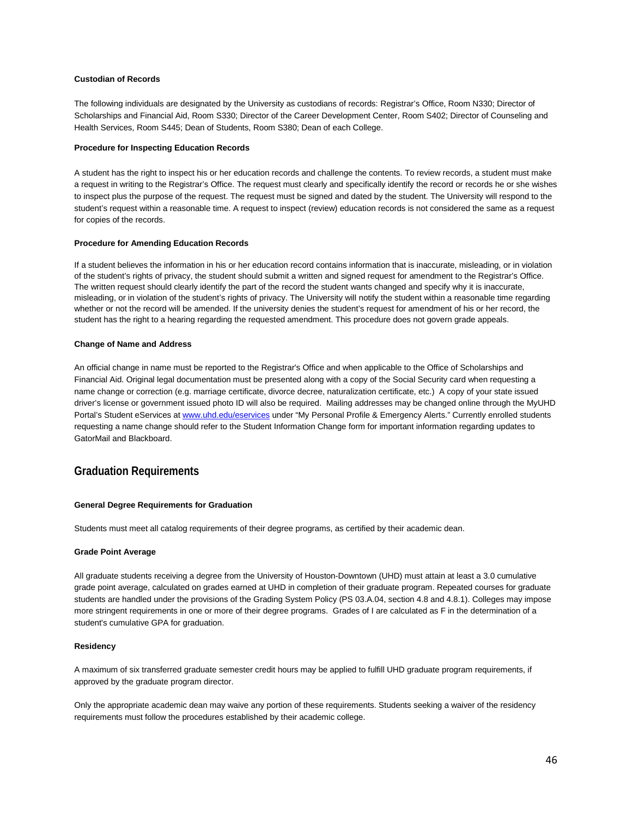### **Custodian of Records**

The following individuals are designated by the University as custodians of records: Registrar's Office, Room N330; Director of Scholarships and Financial Aid, Room S330; Director of the Career Development Center, Room S402; Director of Counseling and Health Services, Room S445; Dean of Students, Room S380; Dean of each College.

### **Procedure for Inspecting Education Records**

A student has the right to inspect his or her education records and challenge the contents. To review records, a student must make a request in writing to the Registrar's Office. The request must clearly and specifically identify the record or records he or she wishes to inspect plus the purpose of the request. The request must be signed and dated by the student. The University will respond to the student's request within a reasonable time. A request to inspect (review) education records is not considered the same as a request for copies of the records.

### **Procedure for Amending Education Records**

If a student believes the information in his or her education record contains information that is inaccurate, misleading, or in violation of the student's rights of privacy, the student should submit a written and signed request for amendment to the Registrar's Office. The written request should clearly identify the part of the record the student wants changed and specify why it is inaccurate, misleading, or in violation of the student's rights of privacy. The University will notify the student within a reasonable time regarding whether or not the record will be amended. If the university denies the student's request for amendment of his or her record, the student has the right to a hearing regarding the requested amendment. This procedure does not govern grade appeals.

#### **Change of Name and Address**

An official change in name must be reported to the Registrar's Office and when applicable to the Office of Scholarships and Financial Aid. Original legal documentation must be presented along with a copy of the Social Security card when requesting a name change or correction (e.g. marriage certificate, divorce decree, naturalization certificate, etc.) A copy of your state issued driver's license or government issued photo ID will also be required. Mailing addresses may be changed online through the MyUHD Portal's Student eServices at [www.uhd.edu/eservices](http://www.uhd.edu/eservices) under "My Personal Profile & Emergency Alerts." Currently enrolled students requesting a name change should refer to the Student Information Change form for important information regarding updates to GatorMail and Blackboard.

### **Graduation Requirements**

### **General Degree Requirements for Graduation**

Students must meet all catalog requirements of their degree programs, as certified by their academic dean.

#### **Grade Point Average**

All graduate students receiving a degree from the University of Houston-Downtown (UHD) must attain at least a 3.0 cumulative grade point average, calculated on grades earned at UHD in completion of their graduate program. Repeated courses for graduate students are handled under the provisions of the Grading System Policy (PS 03.A.04, section 4.8 and 4.8.1). Colleges may impose more stringent requirements in one or more of their degree programs. Grades of I are calculated as F in the determination of a student's cumulative GPA for graduation.

#### **Residency**

A maximum of six transferred graduate semester credit hours may be applied to fulfill UHD graduate program requirements, if approved by the graduate program director.

Only the appropriate academic dean may waive any portion of these requirements. Students seeking a waiver of the residency requirements must follow the procedures established by their academic college.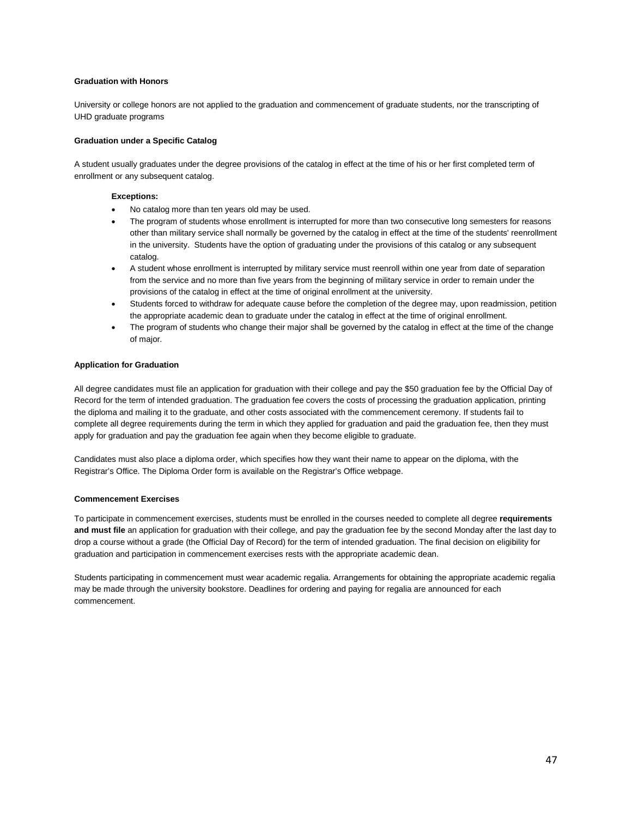### **Graduation with Honors**

University or college honors are not applied to the graduation and commencement of graduate students, nor the transcripting of UHD graduate programs

#### **Graduation under a Specific Catalog**

A student usually graduates under the degree provisions of the catalog in effect at the time of his or her first completed term of enrollment or any subsequent catalog.

#### **Exceptions:**

- No catalog more than ten years old may be used.
- The program of students whose enrollment is interrupted for more than two consecutive long semesters for reasons other than military service shall normally be governed by the catalog in effect at the time of the students' reenrollment in the university. Students have the option of graduating under the provisions of this catalog or any subsequent catalog.
- A student whose enrollment is interrupted by military service must reenroll within one year from date of separation from the service and no more than five years from the beginning of military service in order to remain under the provisions of the catalog in effect at the time of original enrollment at the university.
- Students forced to withdraw for adequate cause before the completion of the degree may, upon readmission, petition the appropriate academic dean to graduate under the catalog in effect at the time of original enrollment.
- The program of students who change their major shall be governed by the catalog in effect at the time of the change of major.

#### **Application for Graduation**

All degree candidates must file an application for graduation with their college and pay the \$50 graduation fee by the Official Day of Record for the term of intended graduation. The graduation fee covers the costs of processing the graduation application, printing the diploma and mailing it to the graduate, and other costs associated with the commencement ceremony. If students fail to complete all degree requirements during the term in which they applied for graduation and paid the graduation fee, then they must apply for graduation and pay the graduation fee again when they become eligible to graduate.

Candidates must also place a diploma order, which specifies how they want their name to appear on the diploma, with the Registrar's Office. The Diploma Order form is available on the Registrar's Office webpage.

### **Commencement Exercises**

To participate in commencement exercises, students must be enrolled in the courses needed to complete all degree **requirements and must file** an application for graduation with their college, and pay the graduation fee by the second Monday after the last day to drop a course without a grade (the Official Day of Record) for the term of intended graduation. The final decision on eligibility for graduation and participation in commencement exercises rests with the appropriate academic dean.

Students participating in commencement must wear academic regalia. Arrangements for obtaining the appropriate academic regalia may be made through the university bookstore. Deadlines for ordering and paying for regalia are announced for each commencement.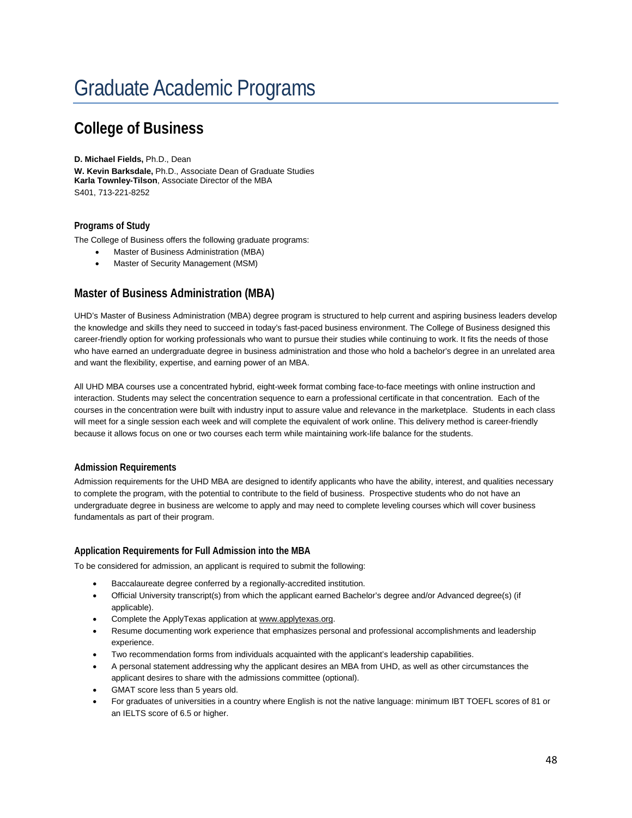# Graduate Academic Programs

## **College of Business**

### **D. Michael Fields,** Ph.D., Dean

**W. Kevin Barksdale,** Ph.D., Associate Dean of Graduate Studies **Karla Townley-Tilson**, Associate Director of the MBA S401, 713-221-8252

### **Programs of Study**

The College of Business offers the following graduate programs:

- Master of Business Administration (MBA)
- Master of Security Management (MSM)

### **Master of Business Administration (MBA)**

UHD's Master of Business Administration (MBA) degree program is structured to help current and aspiring business leaders develop the knowledge and skills they need to succeed in today's fast-paced business environment. The College of Business designed this career-friendly option for working professionals who want to pursue their studies while continuing to work. It fits the needs of those who have earned an undergraduate degree in business administration and those who hold a bachelor's degree in an unrelated area and want the flexibility, expertise, and earning power of an MBA.

All UHD MBA courses use a concentrated hybrid, eight-week format combing face-to-face meetings with online instruction and interaction. Students may select the concentration sequence to earn a professional certificate in that concentration. Each of the courses in the concentration were built with industry input to assure value and relevance in the marketplace. Students in each class will meet for a single session each week and will complete the equivalent of work online. This delivery method is career-friendly because it allows focus on one or two courses each term while maintaining work-life balance for the students.

### **Admission Requirements**

Admission requirements for the UHD MBA are designed to identify applicants who have the ability, interest, and qualities necessary to complete the program, with the potential to contribute to the field of business. Prospective students who do not have an undergraduate degree in business are welcome to apply and may need to complete leveling courses which will cover business fundamentals as part of their program.

### **Application Requirements for Full Admission into the MBA**

To be considered for admission, an applicant is required to submit the following:

- Baccalaureate degree conferred by a regionally-accredited institution.
- Official University transcript(s) from which the applicant earned Bachelor's degree and/or Advanced degree(s) (if applicable).
- Complete the ApplyTexas application at www.applytexas.org.
- Resume documenting work experience that emphasizes personal and professional accomplishments and leadership experience.
- Two recommendation forms from individuals acquainted with the applicant's leadership capabilities.
- A personal statement addressing why the applicant desires an MBA from UHD, as well as other circumstances the applicant desires to share with the admissions committee (optional).
- GMAT score less than 5 years old.
- For graduates of universities in a country where English is not the native language: minimum IBT TOEFL scores of 81 or an IELTS score of 6.5 or higher.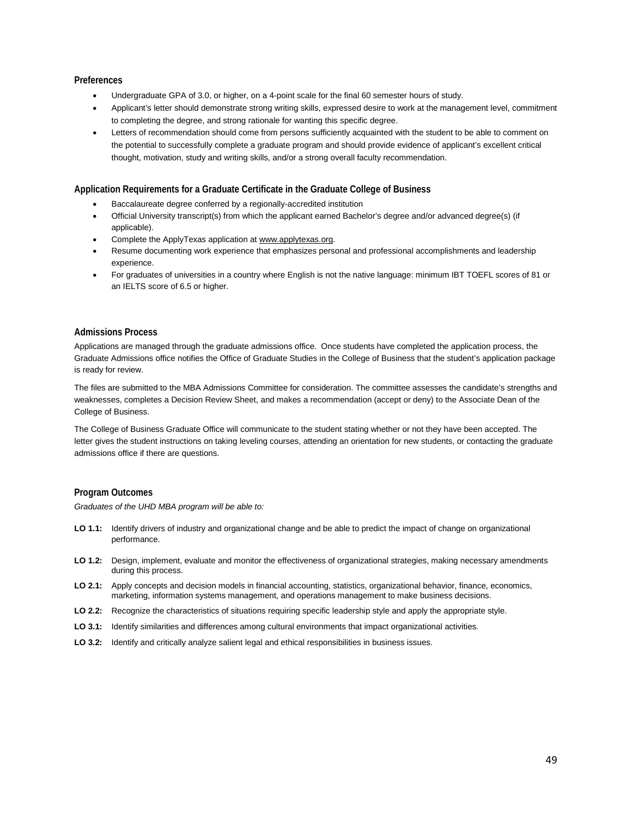### **Preferences**

- Undergraduate GPA of 3.0, or higher, on a 4-point scale for the final 60 semester hours of study.
- Applicant's letter should demonstrate strong writing skills, expressed desire to work at the management level, commitment to completing the degree, and strong rationale for wanting this specific degree.
- Letters of recommendation should come from persons sufficiently acquainted with the student to be able to comment on the potential to successfully complete a graduate program and should provide evidence of applicant's excellent critical thought, motivation, study and writing skills, and/or a strong overall faculty recommendation.

### **Application Requirements for a Graduate Certificate in the Graduate College of Business**

- Baccalaureate degree conferred by a regionally-accredited institution
- Official University transcript(s) from which the applicant earned Bachelor's degree and/or advanced degree(s) (if applicable).
- Complete the ApplyTexas application at www.applytexas.org.
- Resume documenting work experience that emphasizes personal and professional accomplishments and leadership experience.
- For graduates of universities in a country where English is not the native language: minimum IBT TOEFL scores of 81 or an IELTS score of 6.5 or higher.

### **Admissions Process**

Applications are managed through the graduate admissions office. Once students have completed the application process, the Graduate Admissions office notifies the Office of Graduate Studies in the College of Business that the student's application package is ready for review.

The files are submitted to the MBA Admissions Committee for consideration. The committee assesses the candidate's strengths and weaknesses, completes a Decision Review Sheet, and makes a recommendation (accept or deny) to the Associate Dean of the College of Business.

The College of Business Graduate Office will communicate to the student stating whether or not they have been accepted. The letter gives the student instructions on taking leveling courses, attending an orientation for new students, or contacting the graduate admissions office if there are questions.

### **Program Outcomes**

*Graduates of the UHD MBA program will be able to:*

- **LO 1.1:** Identify drivers of industry and organizational change and be able to predict the impact of change on organizational performance.
- **LO 1.2:** Design, implement, evaluate and monitor the effectiveness of organizational strategies, making necessary amendments during this process.
- **LO 2.1:** Apply concepts and decision models in financial accounting, statistics, organizational behavior, finance, economics, marketing, information systems management, and operations management to make business decisions.
- **LO 2.2:** Recognize the characteristics of situations requiring specific leadership style and apply the appropriate style.
- **LO 3.1:** Identify similarities and differences among cultural environments that impact organizational activities.
- **LO 3.2:** Identify and critically analyze salient legal and ethical responsibilities in business issues.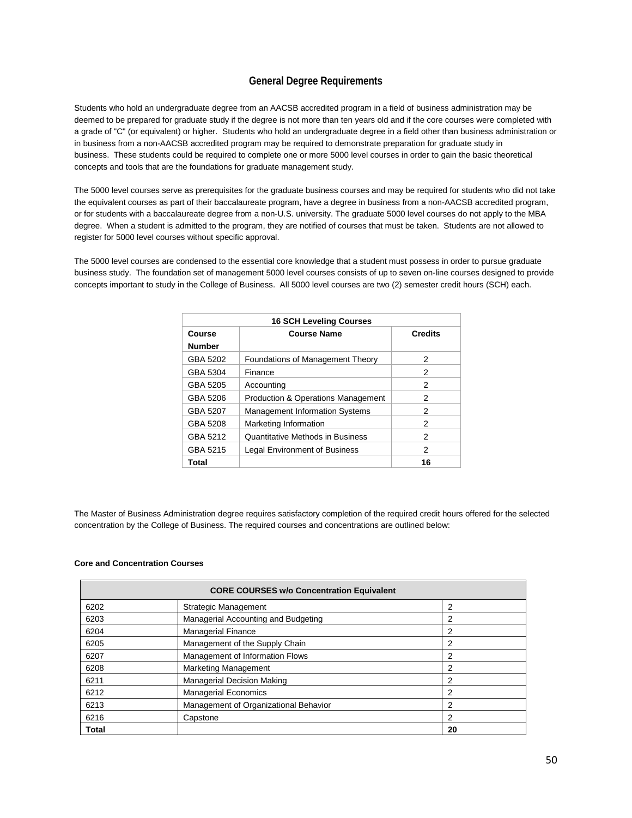### **General Degree Requirements**

Students who hold an undergraduate degree from an AACSB accredited program in a field of business administration may be deemed to be prepared for graduate study if the degree is not more than ten years old and if the core courses were completed with a grade of "C" (or equivalent) or higher. Students who hold an undergraduate degree in a field other than business administration or in business from a non-AACSB accredited program may be required to demonstrate preparation for graduate study in business. These students could be required to complete one or more 5000 level courses in order to gain the basic theoretical concepts and tools that are the foundations for graduate management study.

The 5000 level courses serve as prerequisites for the graduate business courses and may be required for students who did not take the equivalent courses as part of their baccalaureate program, have a degree in business from a non-AACSB accredited program, or for students with a baccalaureate degree from a non-U.S. university. The graduate 5000 level courses do not apply to the MBA degree. When a student is admitted to the program, they are notified of courses that must be taken. Students are not allowed to register for 5000 level courses without specific approval.

The 5000 level courses are condensed to the essential core knowledge that a student must possess in order to pursue graduate business study. The foundation set of management 5000 level courses consists of up to seven on-line courses designed to provide concepts important to study in the College of Business. All 5000 level courses are two (2) semester credit hours (SCH) each.

| <b>16 SCH Leveling Courses</b> |                                               |                |
|--------------------------------|-----------------------------------------------|----------------|
| Course                         | <b>Course Name</b>                            | <b>Credits</b> |
| <b>Number</b>                  |                                               |                |
| GBA 5202                       | <b>Foundations of Management Theory</b>       | 2              |
| GBA 5304                       | Finance                                       | 2              |
| GBA 5205                       | Accounting                                    | 2              |
| GBA 5206                       | <b>Production &amp; Operations Management</b> | 2              |
| GBA 5207                       | <b>Management Information Systems</b>         | 2              |
| GBA 5208                       | Marketing Information                         | 2              |
| GBA 5212                       | Quantitative Methods in Business              | 2              |
| GBA 5215                       | <b>Legal Environment of Business</b>          | 2              |
| Total                          |                                               | 16             |

The Master of Business Administration degree requires satisfactory completion of the required credit hours offered for the selected concentration by the College of Business. The required courses and concentrations are outlined below:

### **Core and Concentration Courses**

|       | <b>CORE COURSES w/o Concentration Equivalent</b> |    |
|-------|--------------------------------------------------|----|
| 6202  | Strategic Management                             | 2  |
| 6203  | Managerial Accounting and Budgeting              | 2  |
| 6204  | <b>Managerial Finance</b>                        | 2  |
| 6205  | Management of the Supply Chain                   | 2  |
| 6207  | Management of Information Flows                  | 2  |
| 6208  | <b>Marketing Management</b>                      | 2  |
| 6211  | <b>Managerial Decision Making</b>                | 2  |
| 6212  | <b>Managerial Economics</b>                      | 2  |
| 6213  | Management of Organizational Behavior            | 2  |
| 6216  | Capstone                                         | 2  |
| Total |                                                  | 20 |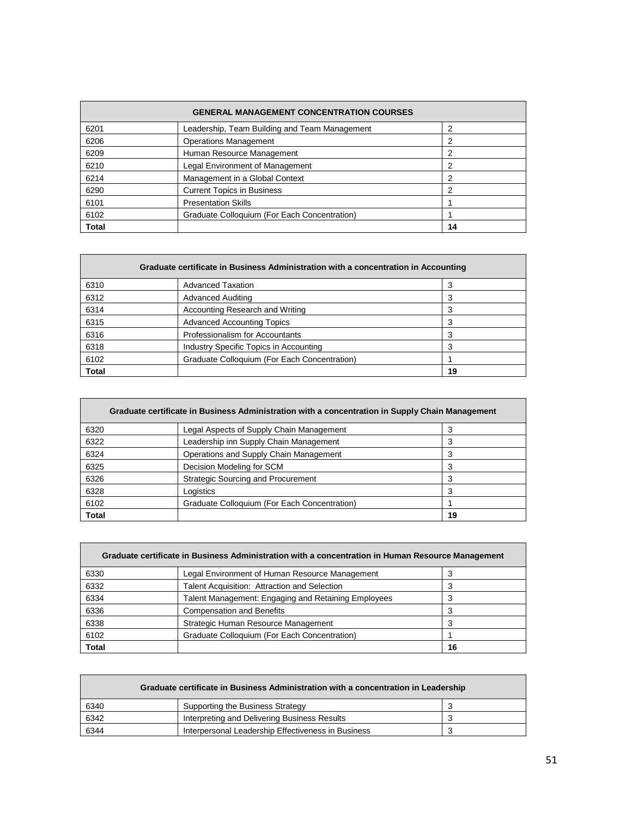| <b>GENERAL MANAGEMENT CONCENTRATION COURSES</b> |                                               |    |
|-------------------------------------------------|-----------------------------------------------|----|
| 6201                                            | Leadership, Team Building and Team Management | 2  |
| 6206                                            | <b>Operations Management</b>                  | 2  |
| 6209                                            | Human Resource Management                     | 2  |
| 6210                                            | Legal Environment of Management               | 2  |
| 6214                                            | Management in a Global Context                | 2  |
| 6290                                            | <b>Current Topics in Business</b>             | 2  |
| 6101                                            | <b>Presentation Skills</b>                    |    |
| 6102                                            | Graduate Colloquium (For Each Concentration)  |    |
| <b>Total</b>                                    |                                               | 14 |

| Graduate certificate in Business Administration with a concentration in Accounting |                                              |    |
|------------------------------------------------------------------------------------|----------------------------------------------|----|
| 6310                                                                               | <b>Advanced Taxation</b>                     |    |
| 6312                                                                               | <b>Advanced Auditing</b>                     |    |
| 6314                                                                               | Accounting Research and Writing              | 3  |
| 6315                                                                               | <b>Advanced Accounting Topics</b>            | 3  |
| 6316                                                                               | Professionalism for Accountants              |    |
| 6318                                                                               | Industry Specific Topics in Accounting       | 3  |
| 6102                                                                               | Graduate Colloquium (For Each Concentration) |    |
| <b>Total</b>                                                                       |                                              | 19 |

| Graduate certificate in Business Administration with a concentration in Supply Chain Management |                                              |    |
|-------------------------------------------------------------------------------------------------|----------------------------------------------|----|
| 6320                                                                                            | Legal Aspects of Supply Chain Management     |    |
| 6322                                                                                            | Leadership inn Supply Chain Management       |    |
| 6324                                                                                            | Operations and Supply Chain Management       | 3  |
| 6325                                                                                            | Decision Modeling for SCM                    |    |
| 6326                                                                                            | <b>Strategic Sourcing and Procurement</b>    | 3  |
| 6328                                                                                            | Logistics                                    | 3  |
| 6102                                                                                            | Graduate Colloquium (For Each Concentration) |    |
| <b>Total</b>                                                                                    |                                              | 19 |

| Graduate certificate in Business Administration with a concentration in Human Resource Management |                                                     |    |
|---------------------------------------------------------------------------------------------------|-----------------------------------------------------|----|
| 6330                                                                                              | Legal Environment of Human Resource Management      |    |
| 6332                                                                                              | Talent Acquisition: Attraction and Selection        |    |
| 6334                                                                                              | Talent Management: Engaging and Retaining Employees |    |
| 6336                                                                                              | <b>Compensation and Benefits</b>                    |    |
| 6338                                                                                              | Strategic Human Resource Management                 |    |
| 6102                                                                                              | Graduate Colloquium (For Each Concentration)        |    |
| Total                                                                                             |                                                     | 16 |

| Graduate certificate in Business Administration with a concentration in Leadership |                                                    |  |
|------------------------------------------------------------------------------------|----------------------------------------------------|--|
| 6340                                                                               | Supporting the Business Strategy                   |  |
| 6342                                                                               | Interpreting and Delivering Business Results       |  |
| 6344                                                                               | Interpersonal Leadership Effectiveness in Business |  |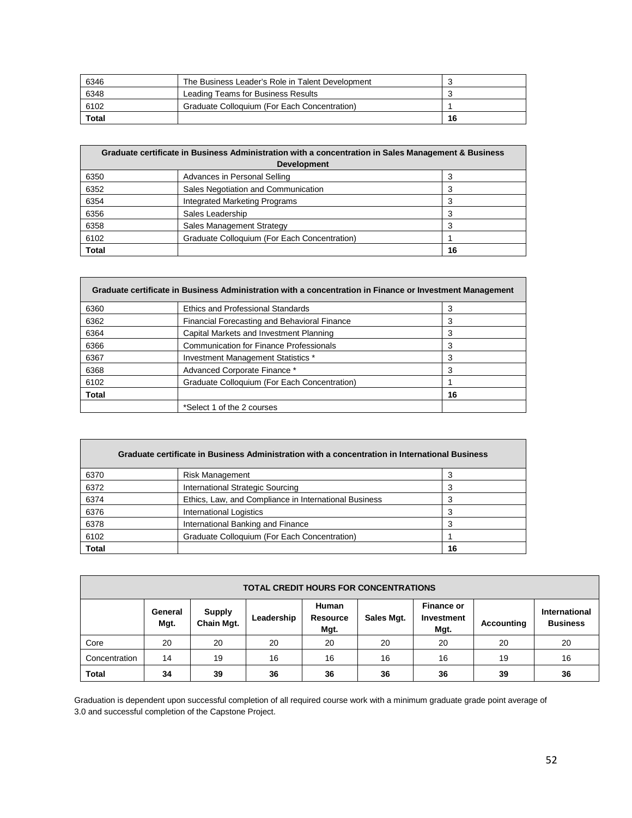| 6346  | The Business Leader's Role in Talent Development |    |
|-------|--------------------------------------------------|----|
| 6348  | Leading Teams for Business Results               |    |
| 6102  | Graduate Colloquium (For Each Concentration)     |    |
| Total |                                                  | 16 |

| Graduate certificate in Business Administration with a concentration in Sales Management & Business |                                              |    |
|-----------------------------------------------------------------------------------------------------|----------------------------------------------|----|
| <b>Development</b>                                                                                  |                                              |    |
| 6350                                                                                                | Advances in Personal Selling                 | 3  |
| 6352                                                                                                | Sales Negotiation and Communication          | 3  |
| 6354                                                                                                | Integrated Marketing Programs                |    |
| 6356                                                                                                | Sales Leadership                             | 3  |
| 6358                                                                                                | Sales Management Strategy                    | 3  |
| 6102                                                                                                | Graduate Colloquium (For Each Concentration) |    |
| <b>Total</b>                                                                                        |                                              | 16 |

| Graduate certificate in Business Administration with a concentration in Finance or Investment Management |                                                |    |
|----------------------------------------------------------------------------------------------------------|------------------------------------------------|----|
| 6360                                                                                                     | <b>Ethics and Professional Standards</b>       | 3  |
| 6362                                                                                                     | Financial Forecasting and Behavioral Finance   | 3  |
| 6364                                                                                                     | Capital Markets and Investment Planning        | 3  |
| 6366                                                                                                     | <b>Communication for Finance Professionals</b> | 3  |
| 6367                                                                                                     | Investment Management Statistics *             | 3  |
| 6368                                                                                                     | Advanced Corporate Finance *                   | 3  |
| 6102                                                                                                     | Graduate Colloquium (For Each Concentration)   |    |
| <b>Total</b>                                                                                             |                                                | 16 |
|                                                                                                          | *Select 1 of the 2 courses                     |    |

|              | Graduate certificate in Business Administration with a concentration in International Business |    |
|--------------|------------------------------------------------------------------------------------------------|----|
| 6370         | <b>Risk Management</b>                                                                         | 3  |
| 6372         | International Strategic Sourcing                                                               | 3  |
| 6374         | Ethics, Law, and Compliance in International Business                                          | 3  |
| 6376         | <b>International Logistics</b>                                                                 | 3  |
| 6378         | International Banking and Finance                                                              | 3  |
| 6102         | Graduate Colloquium (For Each Concentration)                                                   |    |
| <b>Total</b> |                                                                                                | 16 |

| <b>TOTAL CREDIT HOURS FOR CONCENTRATIONS</b> |                 |                                    |            |                                  |            |                                         |            |                                         |
|----------------------------------------------|-----------------|------------------------------------|------------|----------------------------------|------------|-----------------------------------------|------------|-----------------------------------------|
|                                              | General<br>Mqt. | <b>Supply</b><br><b>Chain Mgt.</b> | Leadership | Human<br><b>Resource</b><br>Mgt. | Sales Mgt. | <b>Finance or</b><br>Investment<br>Mgt. | Accounting | <b>International</b><br><b>Business</b> |
| Core                                         | 20              | 20                                 | 20         | 20                               | 20         | 20                                      | 20         | 20                                      |
| Concentration                                | 14              | 19                                 | 16         | 16                               | 16         | 16                                      | 19         | 16                                      |
| <b>Total</b>                                 | 34              | 39                                 | 36         | 36                               | 36         | 36                                      | 39         | 36                                      |

Graduation is dependent upon successful completion of all required course work with a minimum graduate grade point average of 3.0 and successful completion of the Capstone Project.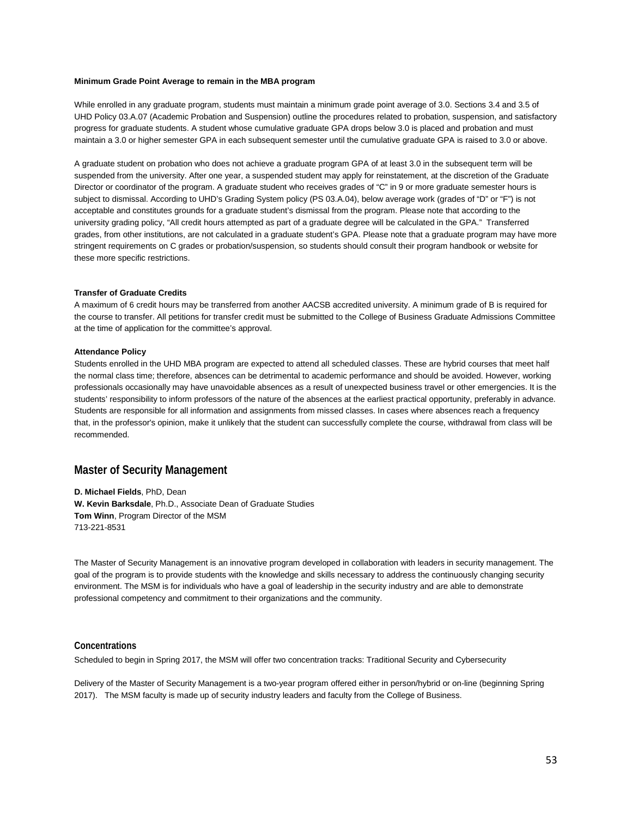#### **Minimum Grade Point Average to remain in the MBA program**

While enrolled in any graduate program, students must maintain a minimum grade point average of 3.0. Sections 3.4 and 3.5 of UHD Policy 03.A.07 (Academic Probation and Suspension) outline the procedures related to probation, suspension, and satisfactory progress for graduate students. A student whose cumulative graduate GPA drops below 3.0 is placed and probation and must maintain a 3.0 or higher semester GPA in each subsequent semester until the cumulative graduate GPA is raised to 3.0 or above.

A graduate student on probation who does not achieve a graduate program GPA of at least 3.0 in the subsequent term will be suspended from the university. After one year, a suspended student may apply for reinstatement, at the discretion of the Graduate Director or coordinator of the program. A graduate student who receives grades of "C" in 9 or more graduate semester hours is subject to dismissal. According to UHD's Grading System policy (PS 03.A.04), below average work (grades of "D" or "F") is not acceptable and constitutes grounds for a graduate student's dismissal from the program. Please note that according to the university grading policy, "All credit hours attempted as part of a graduate degree will be calculated in the GPA." Transferred grades, from other institutions, are not calculated in a graduate student's GPA. Please note that a graduate program may have more stringent requirements on C grades or probation/suspension, so students should consult their program handbook or website for these more specific restrictions.

### **Transfer of Graduate Credits**

A maximum of 6 credit hours may be transferred from another AACSB accredited university. A minimum grade of B is required for the course to transfer. All petitions for transfer credit must be submitted to the College of Business Graduate Admissions Committee at the time of application for the committee's approval.

#### **Attendance Policy**

Students enrolled in the UHD MBA program are expected to attend all scheduled classes. These are hybrid courses that meet half the normal class time; therefore, absences can be detrimental to academic performance and should be avoided. However, working professionals occasionally may have unavoidable absences as a result of unexpected business travel or other emergencies. It is the students' responsibility to inform professors of the nature of the absences at the earliest practical opportunity, preferably in advance. Students are responsible for all information and assignments from missed classes. In cases where absences reach a frequency that, in the professor's opinion, make it unlikely that the student can successfully complete the course, withdrawal from class will be recommended.

### **Master of Security Management**

**D. Michael Fields**, PhD, Dean **W. Kevin Barksdale**, Ph.D., Associate Dean of Graduate Studies **Tom Winn**, Program Director of the MSM 713-221-8531

The Master of Security Management is an innovative program developed in collaboration with leaders in security management. The goal of the program is to provide students with the knowledge and skills necessary to address the continuously changing security environment. The MSM is for individuals who have a goal of leadership in the security industry and are able to demonstrate professional competency and commitment to their organizations and the community.

### **Concentrations**

Scheduled to begin in Spring 2017, the MSM will offer two concentration tracks: Traditional Security and Cybersecurity

Delivery of the Master of Security Management is a two-year program offered either in person/hybrid or on-line (beginning Spring 2017). The MSM faculty is made up of security industry leaders and faculty from the College of Business.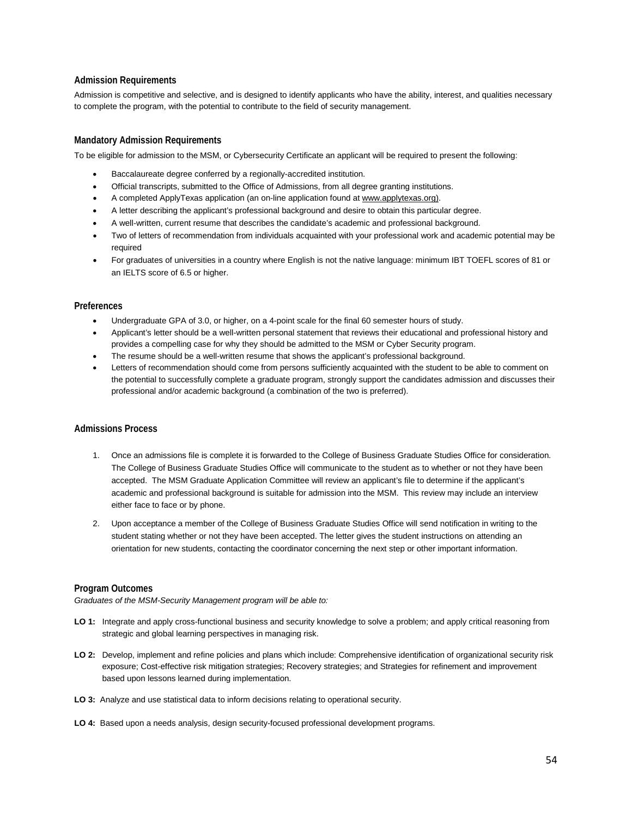### **Admission Requirements**

Admission is competitive and selective, and is designed to identify applicants who have the ability, interest, and qualities necessary to complete the program, with the potential to contribute to the field of security management.

### **Mandatory Admission Requirements**

To be eligible for admission to the MSM, or Cybersecurity Certificate an applicant will be required to present the following:

- Baccalaureate degree conferred by a regionally-accredited institution.
- Official transcripts, submitted to the Office of Admissions, from all degree granting institutions.
- A completed ApplyTexas application (an on-line application found at www.applytexas.org).
- A letter describing the applicant's professional background and desire to obtain this particular degree.
- A well-written, current resume that describes the candidate's academic and professional background.
- Two of letters of recommendation from individuals acquainted with your professional work and academic potential may be required
- For graduates of universities in a country where English is not the native language: minimum IBT TOEFL scores of 81 or an IELTS score of 6.5 or higher.

### **Preferences**

- Undergraduate GPA of 3.0, or higher, on a 4-point scale for the final 60 semester hours of study.
- Applicant's letter should be a well-written personal statement that reviews their educational and professional history and provides a compelling case for why they should be admitted to the MSM or Cyber Security program.
- The resume should be a well-written resume that shows the applicant's professional background.
- Letters of recommendation should come from persons sufficiently acquainted with the student to be able to comment on the potential to successfully complete a graduate program, strongly support the candidates admission and discusses their professional and/or academic background (a combination of the two is preferred).

### **Admissions Process**

- 1. Once an admissions file is complete it is forwarded to the College of Business Graduate Studies Office for consideration. The College of Business Graduate Studies Office will communicate to the student as to whether or not they have been accepted. The MSM Graduate Application Committee will review an applicant's file to determine if the applicant's academic and professional background is suitable for admission into the MSM. This review may include an interview either face to face or by phone.
- 2. Upon acceptance a member of the College of Business Graduate Studies Office will send notification in writing to the student stating whether or not they have been accepted. The letter gives the student instructions on attending an orientation for new students, contacting the coordinator concerning the next step or other important information.

### **Program Outcomes**

*Graduates of the MSM-Security Management program will be able to:*

- **LO 1:** Integrate and apply cross-functional business and security knowledge to solve a problem; and apply critical reasoning from strategic and global learning perspectives in managing risk.
- **LO 2:** Develop, implement and refine policies and plans which include: Comprehensive identification of organizational security risk exposure; Cost-effective risk mitigation strategies; Recovery strategies; and Strategies for refinement and improvement based upon lessons learned during implementation.
- **LO 3:** Analyze and use statistical data to inform decisions relating to operational security.
- **LO 4:** Based upon a needs analysis, design security-focused professional development programs.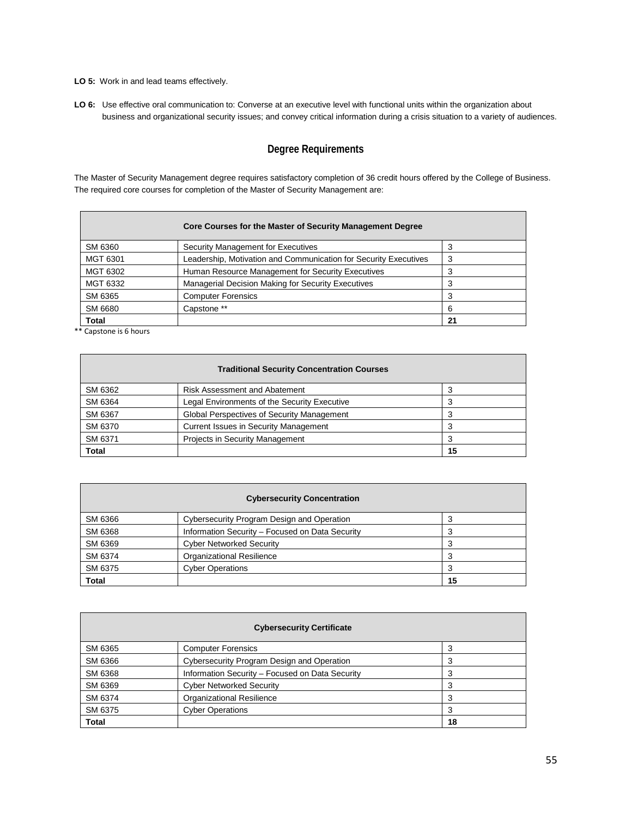**LO 5:** Work in and lead teams effectively.

**LO 6:** Use effective oral communication to: Converse at an executive level with functional units within the organization about business and organizational security issues; and convey critical information during a crisis situation to a variety of audiences.

### **Degree Requirements**

The Master of Security Management degree requires satisfactory completion of 36 credit hours offered by the College of Business. The required core courses for completion of the Master of Security Management are:

|              | Core Courses for the Master of Security Management Degree        |    |
|--------------|------------------------------------------------------------------|----|
| SM 6360      | Security Management for Executives                               | 3  |
| MGT 6301     | Leadership, Motivation and Communication for Security Executives | 3  |
| MGT 6302     | Human Resource Management for Security Executives                | 3  |
| MGT 6332     | Managerial Decision Making for Security Executives               |    |
| SM 6365      | <b>Computer Forensics</b>                                        | 3  |
| SM 6680      | Capstone **                                                      | 6  |
| <b>Total</b> |                                                                  | 21 |

\*\* Capstone is 6 hours

| <b>Traditional Security Concentration Courses</b> |                                              |    |
|---------------------------------------------------|----------------------------------------------|----|
| SM 6362                                           | <b>Risk Assessment and Abatement</b>         |    |
| SM 6364                                           | Legal Environments of the Security Executive |    |
| SM 6367                                           | Global Perspectives of Security Management   |    |
| SM 6370                                           | <b>Current Issues in Security Management</b> |    |
| SM 6371                                           | <b>Projects in Security Management</b>       |    |
| Total                                             |                                              | 15 |

| <b>Cybersecurity Concentration</b> |                                                 |    |
|------------------------------------|-------------------------------------------------|----|
| SM 6366                            | Cybersecurity Program Design and Operation      |    |
| SM 6368                            | Information Security - Focused on Data Security |    |
| SM 6369                            | <b>Cyber Networked Security</b>                 |    |
| SM 6374                            | <b>Organizational Resilience</b>                |    |
| SM 6375                            | <b>Cyber Operations</b>                         |    |
| <b>Total</b>                       |                                                 | 15 |

| <b>Cybersecurity Certificate</b> |                                                 |    |
|----------------------------------|-------------------------------------------------|----|
| SM 6365                          | <b>Computer Forensics</b>                       |    |
| SM 6366                          | Cybersecurity Program Design and Operation      | 3  |
| SM 6368                          | Information Security - Focused on Data Security | 3  |
| SM 6369                          | <b>Cyber Networked Security</b>                 |    |
| SM 6374                          | <b>Organizational Resilience</b>                | 3  |
| SM 6375                          | <b>Cyber Operations</b>                         | 3  |
| <b>Total</b>                     |                                                 | 18 |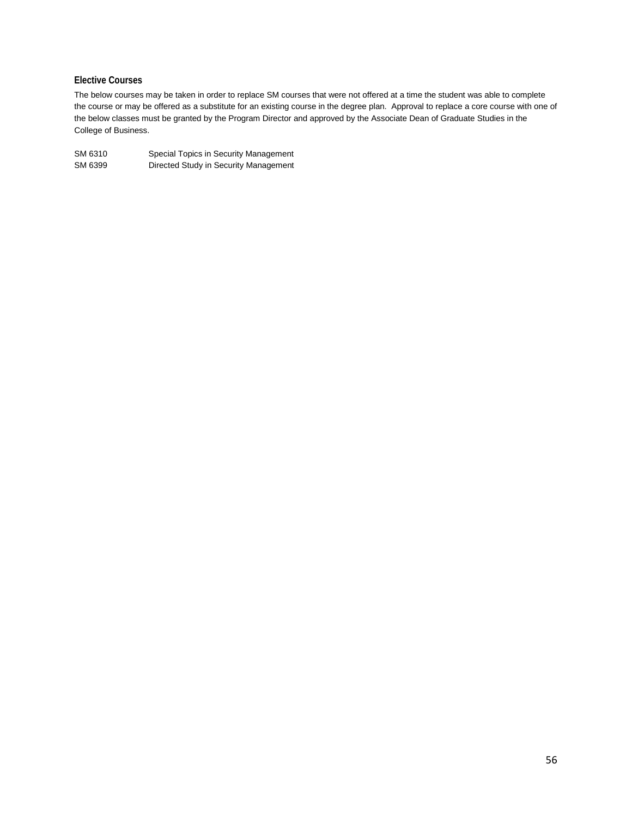### **Elective Courses**

The below courses may be taken in order to replace SM courses that were not offered at a time the student was able to complete the course or may be offered as a substitute for an existing course in the degree plan. Approval to replace a core course with one of the below classes must be granted by the Program Director and approved by the Associate Dean of Graduate Studies in the College of Business.

| SM 6310 | Special Topics in Security Management |
|---------|---------------------------------------|
| SM 6399 | Directed Study in Security Management |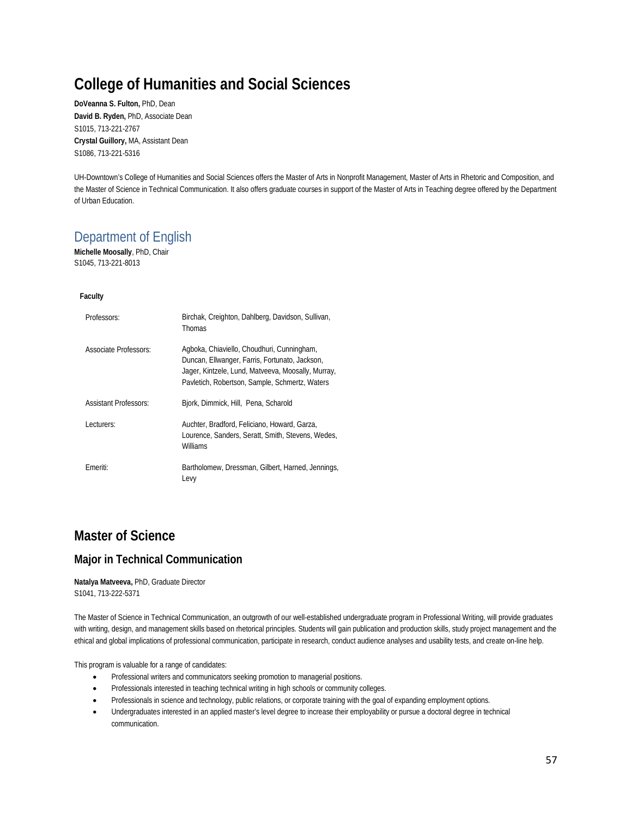## **College of Humanities and Social Sciences**

**DoVeanna S. Fulton,** PhD, Dean **David B. Ryden,** PhD, Associate Dean S1015, 713-221-2767 **Crystal Guillory,** MA, Assistant Dean S1086, 713-221-5316

UH-Downtown's College of Humanities and Social Sciences offers the Master of Arts in Nonprofit Management, Master of Arts in Rhetoric and Composition, and the Master of Science in Technical Communication. It also offers graduate courses in support of the Master of Arts in Teaching degree offered by the Department of Urban Education.

## Department of English

**Michelle Moosally**, PhD, Chair S1045, 713-221-8013

### **Faculty**

| Professors:                  | Birchak, Creighton, Dahlberg, Davidson, Sullivan,<br>Thomas                                                                                                                                          |
|------------------------------|------------------------------------------------------------------------------------------------------------------------------------------------------------------------------------------------------|
| Associate Professors:        | Agboka, Chiaviello, Choudhuri, Cunningham,<br>Duncan, Ellwanger, Farris, Fortunato, Jackson,<br>Jager, Kintzele, Lund, Matveeva, Moosally, Murray,<br>Payletich, Robertson, Sample, Schmertz, Waters |
| <b>Assistant Professors:</b> | Bjork, Dimmick, Hill, Pena, Scharold                                                                                                                                                                 |
| Lecturers:                   | Auchter, Bradford, Feliciano, Howard, Garza,<br>Lourence, Sanders, Seratt, Smith, Stevens, Wedes,<br>Williams                                                                                        |
| Emeriti:                     | Bartholomew, Dressman, Gilbert, Harned, Jennings,<br>Levy                                                                                                                                            |

## **Master of Science**

### **Major in Technical Communication**

### **Natalya Matveeva,** PhD, Graduate Director S1041, 713-222-5371

The Master of Science in Technical Communication, an outgrowth of our well-established undergraduate program in Professional Writing, will provide graduates with writing, design, and management skills based on rhetorical principles. Students will gain publication and production skills, study project management and the ethical and global implications of professional communication, participate in research, conduct audience analyses and usability tests, and create on-line help.

This program is valuable for a range of candidates:

- Professional writers and communicators seeking promotion to managerial positions.
- Professionals interested in teaching technical writing in high schools or community colleges.
- Professionals in science and technology, public relations, or corporate training with the goal of expanding employment options.
- Undergraduates interested in an applied master's level degree to increase their employability or pursue a doctoral degree in technical communication.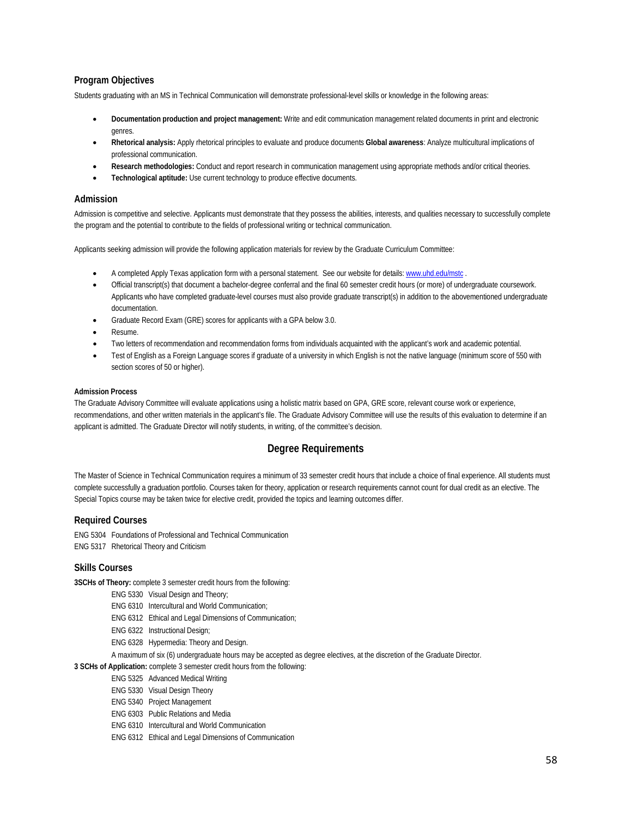### **Program Objectives**

Students graduating with an MS in Technical Communication will demonstrate professional-level skills or knowledge in the following areas:

- **Documentation production and project management:** Write and edit communication management related documents in print and electronic genres.
- **Rhetorical analysis:** Apply rhetorical principles to evaluate and produce documents **Global awareness**: Analyze multicultural implications of professional communication.
- **Research methodologies:** Conduct and report research in communication management using appropriate methods and/or critical theories.
- **Technological aptitude:** Use current technology to produce effective documents.

### **Admission**

Admission is competitive and selective. Applicants must demonstrate that they possess the abilities, interests, and qualities necessary to successfully complete the program and the potential to contribute to the fields of professional writing or technical communication.

Applicants seeking admission will provide the following application materials for review by the Graduate Curriculum Committee:

- A completed Apply Texas application form with a personal statement. See our website for details[: www.uhd.edu/mstc](http://www.uhd.edu/mstc) .
- Official transcript(s) that document a bachelor-degree conferral and the final 60 semester credit hours (or more) of undergraduate coursework. Applicants who have completed graduate-level courses must also provide graduate transcript(s) in addition to the abovementioned undergraduate documentation.
- Graduate Record Exam (GRE) scores for applicants with a GPA below 3.0.
- Resume.
- Two letters of recommendation and recommendation forms from individuals acquainted with the applicant's work and academic potential.
- Test of English as a Foreign Language scores if graduate of a university in which English is not the native language (minimum score of 550 with section scores of 50 or higher).

### **Admission Process**

The Graduate Advisory Committee will evaluate applications using a holistic matrix based on GPA, GRE score, relevant course work or experience, recommendations, and other written materials in the applicant's file. The Graduate Advisory Committee will use the results of this evaluation to determine if an applicant is admitted. The Graduate Director will notify students, in writing, of the committee's decision.

### **Degree Requirements**

The Master of Science in Technical Communication requires a minimum of 33 semester credit hours that include a choice of final experience. All students must complete successfully a graduation portfolio. Courses taken for theory, application or research requirements cannot count for dual credit as an elective. The Special Topics course may be taken twice for elective credit, provided the topics and learning outcomes differ.

### **Required Courses**

ENG 5304 Foundations of Professional and Technical Communication ENG 5317 Rhetorical Theory and Criticism

### **Skills Courses**

**3SCHs of Theory:** complete 3 semester credit hours from the following:

- ENG 5330 Visual Design and Theory;
- ENG 6310 Intercultural and World Communication;
- ENG 6312 Ethical and Legal Dimensions of Communication;
- ENG 6322 Instructional Design;
- ENG 6328 Hypermedia: Theory and Design.
- A maximum of six (6) undergraduate hours may be accepted as degree electives, at the discretion of the Graduate Director.

**3 SCHs of Application:** complete 3 semester credit hours from the following:

- ENG 5325 Advanced Medical Writing
	- ENG 5330 Visual Design Theory
	- ENG 5340 Project Management
	- ENG 6303 Public Relations and Media
	- ENG 6310 Intercultural and World Communication
	- ENG 6312 Ethical and Legal Dimensions of Communication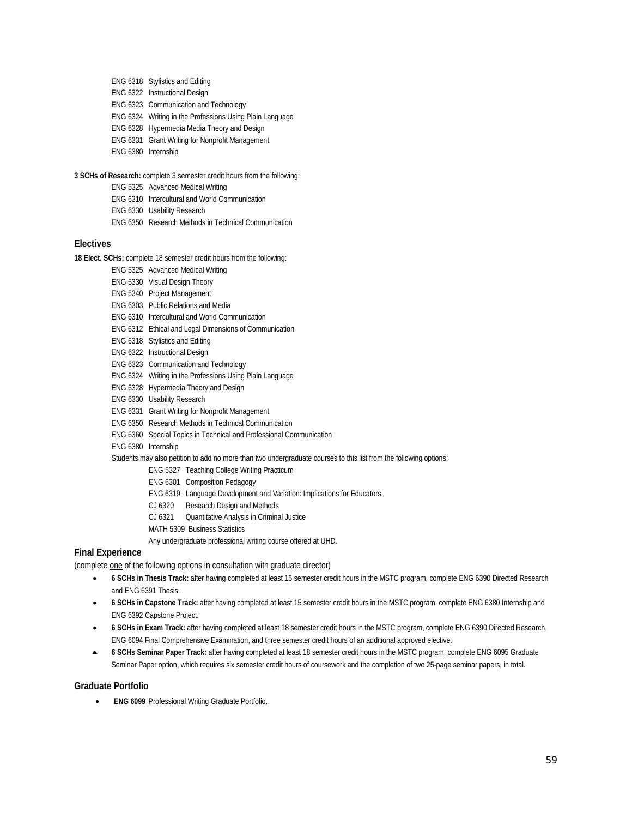- ENG 6318 Stylistics and Editing
- ENG 6322 Instructional Design
- ENG 6323 Communication and Technology
- ENG 6324 Writing in the Professions Using Plain Language
- ENG 6328 Hypermedia Media Theory and Design
- ENG 6331 Grant Writing for Nonprofit Management
- ENG 6380 Internship

**3 SCHs of Research:** complete 3 semester credit hours from the following:

- ENG 5325 Advanced Medical Writing
- ENG 6310 Intercultural and World Communication
- ENG 6330 Usability Research
- ENG 6350 Research Methods in Technical Communication

### **Electives**

**18 Elect. SCHs:** complete 18 semester credit hours from the following:

- ENG 5325 Advanced Medical Writing
- ENG 5330 Visual Design Theory
- ENG 5340 Project Management
- ENG 6303 Public Relations and Media
- ENG 6310 Intercultural and World Communication
- ENG 6312 Ethical and Legal Dimensions of Communication
- ENG 6318 Stylistics and Editing
- ENG 6322 Instructional Design
- ENG 6323 Communication and Technology
- ENG 6324 Writing in the Professions Using Plain Language
- ENG 6328 Hypermedia Theory and Design
- ENG 6330 Usability Research
- ENG 6331 Grant Writing for Nonprofit Management
- ENG 6350 Research Methods in Technical Communication
- ENG 6360 Special Topics in Technical and Professional Communication
- ENG 6380 Internship

### Students may also petition to add no more than two undergraduate courses to this list from the following options:

- ENG 5327 Teaching College Writing Practicum
- ENG 6301 Composition Pedagogy
- ENG 6319 Language Development and Variation: Implications for Educators
- CJ 6320 Research Design and Methods
- CJ 6321 Quantitative Analysis in Criminal Justice
- MATH 5309 Business Statistics
- Any undergraduate professional writing course offered at UHD.

### **Final Experience**

(complete one of the following options in consultation with graduate director)

- **6 SCHs in Thesis Track:** after having completed at least 15 semester credit hours in the MSTC program, complete ENG 6390 Directed Research and ENG 6391 Thesis.
- **6 SCHs in Capstone Track:** after having completed at least 15 semester credit hours in the MSTC program, complete ENG 6380 Internship and ENG 6392 Capstone Project.
- **6 SCHs in Exam Track:** after having completed at least 18 semester credit hours in the MSTC program, complete ENG 6390 Directed Research, ENG 6094 Final Comprehensive Examination, and three semester credit hours of an additional approved elective.
- **6 SCHs Seminar Paper Track:** after having completed at least 18 semester credit hours in the MSTC program, complete ENG 6095 Graduate Seminar Paper option, which requires six semester credit hours of coursework and the completion of two 25-page seminar papers, in total.

### **Graduate Portfolio**

• **ENG 6099** Professional Writing Graduate Portfolio.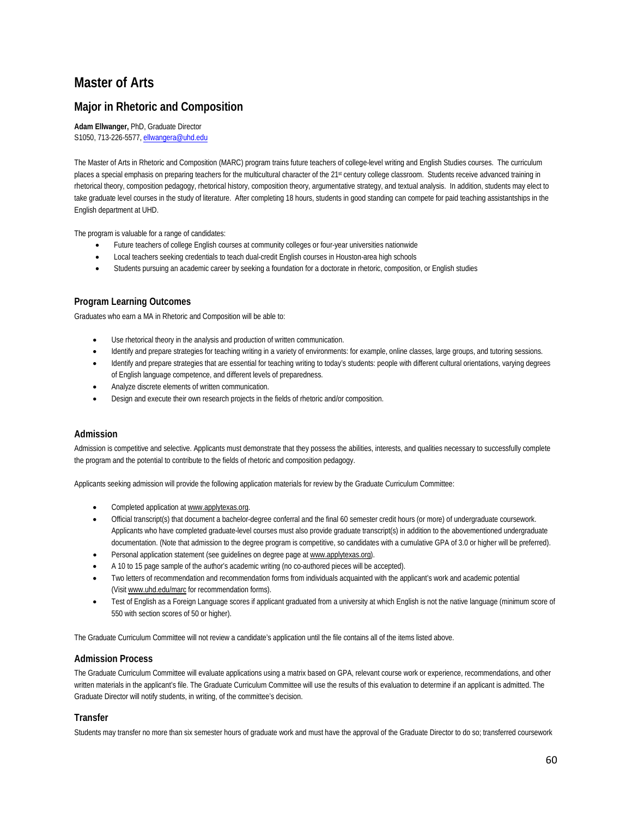## **Master of Arts**

### **Major in Rhetoric and Composition**

**Adam Ellwanger,** PhD, Graduate Director S1050, 713-226-5577[, ellwangera@uhd.edu](mailto:ellwangera@uhd.edu)

The Master of Arts in Rhetoric and Composition (MARC) program trains future teachers of college-level writing and English Studies courses. The curriculum places a special emphasis on preparing teachers for the multicultural character of the 21st century college classroom. Students receive advanced training in rhetorical theory, composition pedagogy, rhetorical history, composition theory, argumentative strategy, and textual analysis. In addition, students may elect to take graduate level courses in the study of literature. After completing 18 hours, students in good standing can compete for paid teaching assistantships in the English department at UHD.

The program is valuable for a range of candidates:

- Future teachers of college English courses at community colleges or four-year universities nationwide
- Local teachers seeking credentials to teach dual-credit English courses in Houston-area high schools
- Students pursuing an academic career by seeking a foundation for a doctorate in rhetoric, composition, or English studies

### **Program Learning Outcomes**

Graduates who earn a MA in Rhetoric and Composition will be able to:

- Use rhetorical theory in the analysis and production of written communication.
- Identify and prepare strategies for teaching writing in a variety of environments: for example, online classes, large groups, and tutoring sessions.
- Identify and prepare strategies that are essential for teaching writing to today's students: people with different cultural orientations, varying degrees of English language competence, and different levels of preparedness.
- Analyze discrete elements of written communication.
- Design and execute their own research projects in the fields of rhetoric and/or composition.

### **Admission**

Admission is competitive and selective. Applicants must demonstrate that they possess the abilities, interests, and qualities necessary to successfully complete the program and the potential to contribute to the fields of rhetoric and composition pedagogy.

Applicants seeking admission will provide the following application materials for review by the Graduate Curriculum Committee:

- Completed application at www.applytexas.org.
- Official transcript(s) that document a bachelor-degree conferral and the final 60 semester credit hours (or more) of undergraduate coursework. Applicants who have completed graduate-level courses must also provide graduate transcript(s) in addition to the abovementioned undergraduate documentation. (Note that admission to the degree program is competitive, so candidates with a cumulative GPA of 3.0 or higher will be preferred).
- Personal application statement (see guidelines on degree page a[t www.applytexas.org\).](http://www.applytexas.org/)
- A 10 to 15 page sample of the author's academic writing (no co-authored pieces will be accepted).
- Two letters of recommendation and recommendation forms from individuals acquainted with the applicant's work and academic potential (Visi[t www.uhd.edu/marc](http://www.uhd.edu/marc) for recommendation forms).
- Test of English as a Foreign Language scores if applicant graduated from a university at which English is not the native language (minimum score of 550 with section scores of 50 or higher).

The Graduate Curriculum Committee will not review a candidate's application until the file contains all of the items listed above.

### **Admission Process**

The Graduate Curriculum Committee will evaluate applications using a matrix based on GPA, relevant course work or experience, recommendations, and other written materials in the applicant's file. The Graduate Curriculum Committee will use the results of this evaluation to determine if an applicant is admitted. The Graduate Director will notify students, in writing, of the committee's decision.

### **Transfer**

Students may transfer no more than six semester hours of graduate work and must have the approval of the Graduate Director to do so; transferred coursework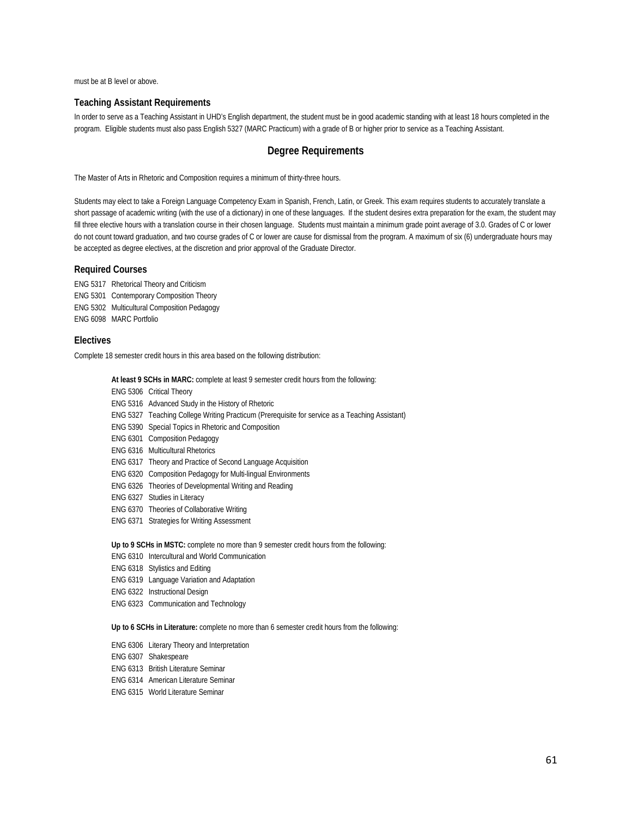must be at B level or above.

### **Teaching Assistant Requirements**

In order to serve as a Teaching Assistant in UHD's English department, the student must be in good academic standing with at least 18 hours completed in the program. Eligible students must also pass English 5327 (MARC Practicum) with a grade of B or higher prior to service as a Teaching Assistant.

### **Degree Requirements**

The Master of Arts in Rhetoric and Composition requires a minimum of thirty-three hours.

Students may elect to take a Foreign Language Competency Exam in Spanish, French, Latin, or Greek. This exam requires students to accurately translate a short passage of academic writing (with the use of a dictionary) in one of these languages. If the student desires extra preparation for the exam, the student may fill three elective hours with a translation course in their chosen language. Students must maintain a minimum grade point average of 3.0. Grades of C or lower do not count toward graduation, and two course grades of C or lower are cause for dismissal from the program. A maximum of six (6) undergraduate hours may be accepted as degree electives, at the discretion and prior approval of the Graduate Director.

### **Required Courses**

ENG 5317 Rhetorical Theory and Criticism ENG 5301 Contemporary Composition Theory ENG 5302 Multicultural Composition Pedagogy ENG 6098 MARC Portfolio

### **Electives**

Complete 18 semester credit hours in this area based on the following distribution:

**At least 9 SCHs in MARC:** complete at least 9 semester credit hours from the following:

ENG 5306 Critical Theory

- ENG 5316 Advanced Study in the History of Rhetoric
- ENG 5327 Teaching College Writing Practicum (Prerequisite for service as a Teaching Assistant)
- ENG 5390 Special Topics in Rhetoric and Composition
- ENG 6301 Composition Pedagogy
- ENG 6316 Multicultural Rhetorics
- ENG 6317 Theory and Practice of Second Language Acquisition
- ENG 6320 Composition Pedagogy for Multi-lingual Environments
- ENG 6326 Theories of Developmental Writing and Reading
- ENG 6327 Studies in Literacy
- ENG 6370 Theories of Collaborative Writing
- ENG 6371 Strategies for Writing Assessment

**Up to 9 SCHs in MSTC:** complete no more than 9 semester credit hours from the following:

- ENG 6310 Intercultural and World Communication
- ENG 6318 Stylistics and Editing
- ENG 6319 Language Variation and Adaptation
- ENG 6322 Instructional Design
- ENG 6323 Communication and Technology

**Up to 6 SCHs in Literature:** complete no more than 6 semester credit hours from the following:

- ENG 6306 Literary Theory and Interpretation
- ENG 6307 Shakespeare
- ENG 6313 British Literature Seminar
- ENG 6314 American Literature Seminar
- ENG 6315 World Literature Seminar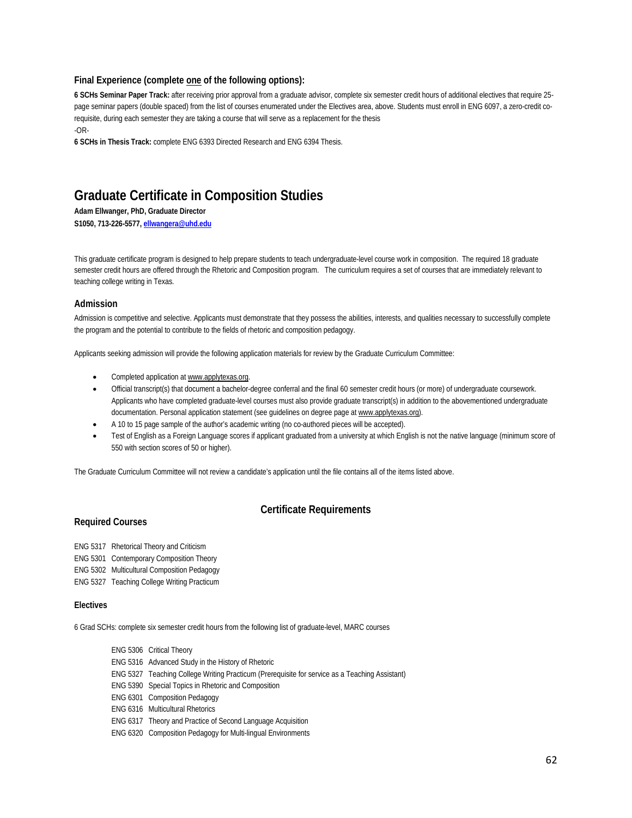### **Final Experience (complete one of the following options):**

**6 SCHs Seminar Paper Track:** after receiving prior approval from a graduate advisor, complete six semester credit hours of additional electives that require 25 page seminar papers (double spaced) from the list of courses enumerated under the Electives area, above. Students must enroll in ENG 6097, a zero-credit corequisite, during each semester they are taking a course that will serve as a replacement for the thesis -OR-

**6 SCHs in Thesis Track:** complete ENG 6393 Directed Research and ENG 6394 Thesis.

## **Graduate Certificate in Composition Studies**

**Adam Ellwanger, PhD, Graduate Director**

**S1050, 713-226-5577[, ellwangera@uhd.edu](mailto:ellwangera@uhd.edu)**

This graduate certificate program is designed to help prepare students to teach undergraduate-level course work in composition. The required 18 graduate semester credit hours are offered through the Rhetoric and Composition program. The curriculum requires a set of courses that are immediately relevant to teaching college writing in Texas.

### **Admission**

Admission is competitive and selective. Applicants must demonstrate that they possess the abilities, interests, and qualities necessary to successfully complete the program and the potential to contribute to the fields of rhetoric and composition pedagogy.

Applicants seeking admission will provide the following application materials for review by the Graduate Curriculum Committee:

- Completed application at www.applytexas.org.
- Official transcript(s) that document a bachelor-degree conferral and the final 60 semester credit hours (or more) of undergraduate coursework. Applicants who have completed graduate-level courses must also provide graduate transcript(s) in addition to the abovementioned undergraduate documentation. Personal application statement (see guidelines on degree page a[t www.applytexas.org\)](http://www.applytexas.org/).
- A 10 to 15 page sample of the author's academic writing (no co-authored pieces will be accepted).
- Test of English as a Foreign Language scores if applicant graduated from a university at which English is not the native language (minimum score of 550 with section scores of 50 or higher).

The Graduate Curriculum Committee will not review a candidate's application until the file contains all of the items listed above.

### **Certificate Requirements**

### **Required Courses**

ENG 5317 Rhetorical Theory and Criticism

- ENG 5301 Contemporary Composition Theory
- ENG 5302 Multicultural Composition Pedagogy
- ENG 5327 Teaching College Writing Practicum

### **Electives**

6 Grad SCHs: complete six semester credit hours from the following list of graduate-level, MARC courses

- ENG 5306 Critical Theory
- ENG 5316 Advanced Study in the History of Rhetoric
- ENG 5327 Teaching College Writing Practicum (Prerequisite for service as a Teaching Assistant)
- ENG 5390 Special Topics in Rhetoric and Composition
- ENG 6301 Composition Pedagogy
- ENG 6316 Multicultural Rhetorics
- ENG 6317 Theory and Practice of Second Language Acquisition
- ENG 6320 Composition Pedagogy for Multi-lingual Environments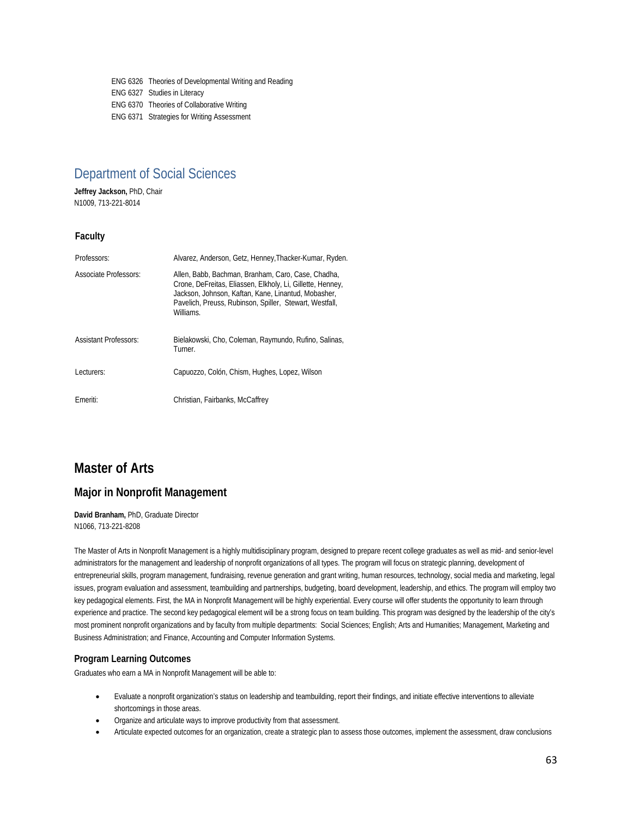ENG 6326 Theories of Developmental Writing and Reading ENG 6327 Studies in Literacy ENG 6370 Theories of Collaborative Writing ENG 6371 Strategies for Writing Assessment

## Department of Social Sciences

**Jeffrey Jackson,** PhD, Chair N1009, 713-221-8014

### **Faculty**

| Professors:                  | Alvarez, Anderson, Getz, Henney, Thacker-Kumar, Ryden.                                                                                                                                                                                          |
|------------------------------|-------------------------------------------------------------------------------------------------------------------------------------------------------------------------------------------------------------------------------------------------|
| <b>Associate Professors:</b> | Allen, Babb, Bachman, Branham, Caro, Case, Chadha,<br>Crone, DeFreitas, Eliassen, Elkholy, Li, Gillette, Henney,<br>Jackson, Johnson, Kaftan, Kane, Linantud, Mobasher,<br>Pavelich, Preuss, Rubinson, Spiller, Stewart, Westfall,<br>Williams. |
| <b>Assistant Professors:</b> | Bielakowski, Cho, Coleman, Raymundo, Rufino, Salinas,<br>Turner.                                                                                                                                                                                |
| Lecturers:                   | Capuozzo, Colón, Chism, Hughes, Lopez, Wilson                                                                                                                                                                                                   |
| Emeriti:                     | Christian, Fairbanks, McCaffrey                                                                                                                                                                                                                 |

## **Master of Arts**

### **Major in Nonprofit Management**

**David Branham,** PhD, Graduate Director N1066, 713-221-8208

The Master of Arts in Nonprofit Management is a highly multidisciplinary program, designed to prepare recent college graduates as well as mid- and senior-level administrators for the management and leadership of nonprofit organizations of all types. The program will focus on strategic planning, development of entrepreneurial skills, program management, fundraising, revenue generation and grant writing, human resources, technology, social media and marketing, legal issues, program evaluation and assessment, teambuilding and partnerships, budgeting, board development, leadership, and ethics. The program will employ two key pedagogical elements. First, the MA in Nonprofit Management will be highly experiential. Every course will offer students the opportunity to learn through experience and practice. The second key pedagogical element will be a strong focus on team building. This program was designed by the leadership of the city's most prominent nonprofit organizations and by faculty from multiple departments: Social Sciences; English; Arts and Humanities; Management, Marketing and Business Administration; and Finance, Accounting and Computer Information Systems.

### **Program Learning Outcomes**

Graduates who earn a MA in Nonprofit Management will be able to:

- Evaluate a nonprofit organization's status on leadership and teambuilding, report their findings, and initiate effective interventions to alleviate shortcomings in those areas.
- Organize and articulate ways to improve productivity from that assessment.
- Articulate expected outcomes for an organization, create a strategic plan to assess those outcomes, implement the assessment, draw conclusions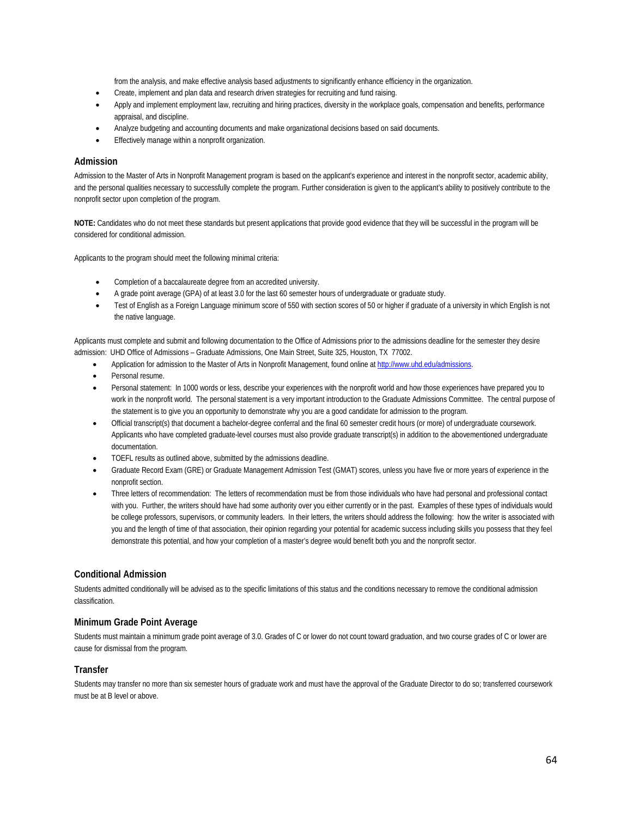from the analysis, and make effective analysis based adjustments to significantly enhance efficiency in the organization.

- Create, implement and plan data and research driven strategies for recruiting and fund raising.
- Apply and implement employment law, recruiting and hiring practices, diversity in the workplace goals, compensation and benefits, performance appraisal, and discipline.
- Analyze budgeting and accounting documents and make organizational decisions based on said documents.
- Effectively manage within a nonprofit organization.

### **Admission**

Admission to the Master of Arts in Nonprofit Management program is based on the applicant's experience and interest in the nonprofit sector, academic ability, and the personal qualities necessary to successfully complete the program. Further consideration is given to the applicant's ability to positively contribute to the nonprofit sector upon completion of the program.

**NOTE:** Candidates who do not meet these standards but present applications that provide good evidence that they will be successful in the program will be considered for conditional admission.

Applicants to the program should meet the following minimal criteria:

- Completion of a baccalaureate degree from an accredited university.
- A grade point average (GPA) of at least 3.0 for the last 60 semester hours of undergraduate or graduate study.
- Test of English as a Foreign Language minimum score of 550 with section scores of 50 or higher if graduate of a university in which English is not the native language.

Applicants must complete and submit and following documentation to the Office of Admissions prior to the admissions deadline for the semester they desire admission: UHD Office of Admissions – Graduate Admissions, One Main Street, Suite 325, Houston, TX 77002.

- Application for admission to the Master of Arts in Nonprofit Management, found online a[t http://www.uhd.edu/admissions.](http://www.uhd.edu/admissions)
- Personal resume.
- Personal statement: In 1000 words or less, describe your experiences with the nonprofit world and how those experiences have prepared you to work in the nonprofit world. The personal statement is a very important introduction to the Graduate Admissions Committee. The central purpose of the statement is to give you an opportunity to demonstrate why you are a good candidate for admission to the program.
- Official transcript(s) that document a bachelor-degree conferral and the final 60 semester credit hours (or more) of undergraduate coursework. Applicants who have completed graduate-level courses must also provide graduate transcript(s) in addition to the abovementioned undergraduate documentation.
- TOEFL results as outlined above, submitted by the admissions deadline.
- Graduate Record Exam (GRE) or Graduate Management Admission Test (GMAT) scores, unless you have five or more years of experience in the nonprofit section.
- Three letters of recommendation: The letters of recommendation must be from those individuals who have had personal and professional contact with you. Further, the writers should have had some authority over you either currently or in the past. Examples of these types of individuals would be college professors, supervisors, or community leaders. In their letters, the writers should address the following: how the writer is associated with you and the length of time of that association, their opinion regarding your potential for academic success including skills you possess that they feel demonstrate this potential, and how your completion of a master's degree would benefit both you and the nonprofit sector.

### **Conditional Admission**

Students admitted conditionally will be advised as to the specific limitations of this status and the conditions necessary to remove the conditional admission classification.

### **Minimum Grade Point Average**

Students must maintain a minimum grade point average of 3.0. Grades of C or lower do not count toward graduation, and two course grades of C or lower are cause for dismissal from the program.

### **Transfer**

Students may transfer no more than six semester hours of graduate work and must have the approval of the Graduate Director to do so; transferred coursework must be at B level or above.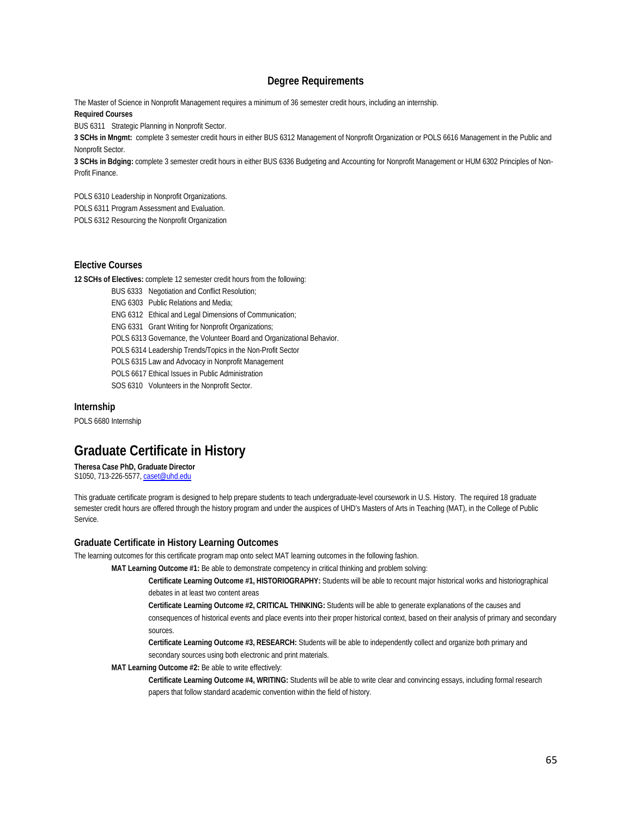### **Degree Requirements**

The Master of Science in Nonprofit Management requires a minimum of 36 semester credit hours, including an internship. **Required Courses**

BUS 6311 Strategic Planning in Nonprofit Sector.

**3 SCHs in Mngmt:** complete 3 semester credit hours in either BUS 6312 Management of Nonprofit Organization or POLS 6616 Management in the Public and Nonprofit Sector.

**3 SCHs in Bdging:** complete 3 semester credit hours in either BUS 6336 Budgeting and Accounting for Nonprofit Management or HUM 6302 Principles of Non-Profit Finance.

POLS 6310 Leadership in Nonprofit Organizations.

POLS 6311 Program Assessment and Evaluation.

POLS 6312 Resourcing the Nonprofit Organization

### **Elective Courses**

**12 SCHs of Electives:** complete 12 semester credit hours from the following:

BUS 6333 Negotiation and Conflict Resolution;

ENG 6303 Public Relations and Media;

ENG 6312 Ethical and Legal Dimensions of Communication;

ENG 6331 Grant Writing for Nonprofit Organizations;

POLS 6313 Governance, the Volunteer Board and Organizational Behavior.

POLS 6314 Leadership Trends/Topics in the Non-Profit Sector

POLS 6315 Law and Advocacy in Nonprofit Management

POLS 6617 Ethical Issues in Public Administration

SOS 6310 Volunteers in the Nonprofit Sector.

### **Internship**

POLS 6680 Internship

## **Graduate Certificate in History**

**Theresa Case PhD, Graduate Director** S1050, 713-226-5577[, caset@uhd.edu](mailto:caset@uhd.edu)

This graduate certificate program is designed to help prepare students to teach undergraduate-level coursework in U.S. History. The required 18 graduate semester credit hours are offered through the history program and under the auspices of UHD's Masters of Arts in Teaching (MAT), in the College of Public Service.

### **Graduate Certificate in History Learning Outcomes**

The learning outcomes for this certificate program map onto select MAT learning outcomes in the following fashion.

**MAT Learning Outcome #1:** Be able to demonstrate competency in critical thinking and problem solving:

**Certificate Learning Outcome #1, HISTORIOGRAPHY:** Students will be able to recount major historical works and historiographical debates in at least two content areas

**Certificate Learning Outcome #2, CRITICAL THINKING:** Students will be able to generate explanations of the causes and consequences of historical events and place events into their proper historical context, based on their analysis of primary and secondary sources.

**Certificate Learning Outcome #3, RESEARCH:** Students will be able to independently collect and organize both primary and secondary sources using both electronic and print materials.

### **MAT Learning Outcome #2:** Be able to write effectively:

**Certificate Learning Outcome #4, WRITING:** Students will be able to write clear and convincing essays, including formal research papers that follow standard academic convention within the field of history.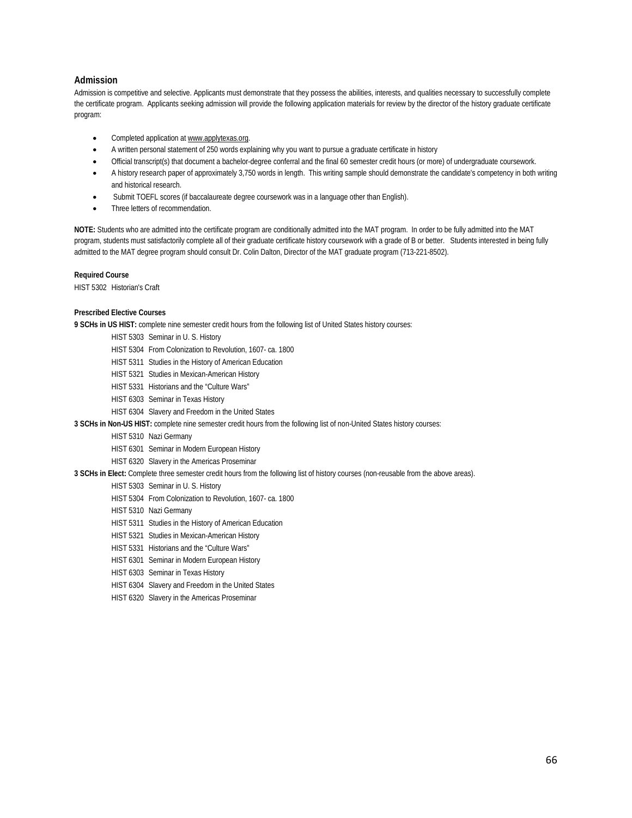### **Admission**

Admission is competitive and selective. Applicants must demonstrate that they possess the abilities, interests, and qualities necessary to successfully complete the certificate program. Applicants seeking admission will provide the following application materials for review by the director of the history graduate certificate program:

- Completed application a[t www.applytexas.org.](http://www.applytexas.org/)
- A written personal statement of 250 words explaining why you want to pursue a graduate certificate in history
- Official transcript(s) that document a bachelor-degree conferral and the final 60 semester credit hours (or more) of undergraduate coursework.
- A history research paper of approximately 3,750 words in length. This writing sample should demonstrate the candidate's competency in both writing and historical research.
- Submit TOEFL scores (if baccalaureate degree coursework was in a language other than English).
- Three letters of recommendation.

**NOTE:** Students who are admitted into the certificate program are conditionally admitted into the MAT program. In order to be fully admitted into the MAT program, students must satisfactorily complete all of their graduate certificate history coursework with a grade of B or better. Students interested in being fully admitted to the MAT degree program should consult Dr. Colin Dalton, Director of the MAT graduate program (713-221-8502).

**Required Course**

HIST 5302 Historian's Craft

### **Prescribed Elective Courses**

**9 SCHs in US HIST:** complete nine semester credit hours from the following list of United States history courses:

- HIST 5303 Seminar in U. S. History
- HIST 5304 From Colonization to Revolution, 1607- ca. 1800
- HIST 5311 Studies in the History of American Education
- HIST 5321 Studies in Mexican-American History
- HIST 5331 Historians and the "Culture Wars"
- HIST 6303 Seminar in Texas History
- HIST 6304 Slavery and Freedom in the United States
- **3 SCHs in Non-US HIST:** complete nine semester credit hours from the following list of non-United States history courses:
	- HIST 5310 Nazi Germany
		- HIST 6301 Seminar in Modern European History
		- HIST 6320 Slavery in the Americas Proseminar
- **3 SCHs in Elect:** Complete three semester credit hours from the following list of history courses (non-reusable from the above areas).
	- HIST 5303 Seminar in U. S. History
		- HIST 5304 From Colonization to Revolution, 1607- ca. 1800
		- HIST 5310 Nazi Germany
		- HIST 5311 Studies in the History of American Education
		- HIST 5321 Studies in Mexican-American History
		- HIST 5331 Historians and the "Culture Wars"
		- HIST 6301 Seminar in Modern European History
		- HIST 6303 Seminar in Texas History
		- HIST 6304 Slavery and Freedom in the United States
	- HIST 6320 Slavery in the Americas Proseminar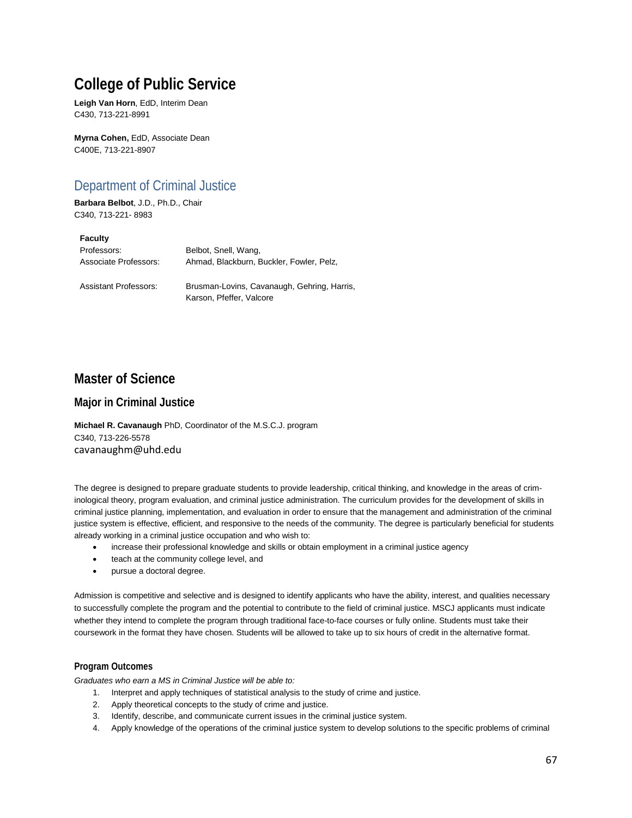## **College of Public Service**

**Leigh Van Horn**, EdD, Interim Dean C430, 713-221-8991

**Myrna Cohen,** EdD, Associate Dean C400E, 713-221-8907

## Department of Criminal Justice

**Barbara Belbot**, J.D., Ph.D., Chair C340, 713-221- 8983

### **Faculty**

| Professors:           | Belbot, Snell, Wang,                     |
|-----------------------|------------------------------------------|
| Associate Professors: | Ahmad, Blackburn, Buckler, Fowler, Pelz, |
|                       |                                          |

Assistant Professors: Brusman-Lovins, Cavanaugh, Gehring, Harris, Karson, Pfeffer, Valcore

### **Master of Science**

### **Major in Criminal Justice**

**Michael R. Cavanaugh** PhD, Coordinator of the M.S.C.J. program C340, 713-226-5578 cavanaughm@uhd.edu

The degree is designed to prepare graduate students to provide leadership, critical thinking, and knowledge in the areas of criminological theory, program evaluation, and criminal justice administration. The curriculum provides for the development of skills in criminal justice planning, implementation, and evaluation in order to ensure that the management and administration of the criminal justice system is effective, efficient, and responsive to the needs of the community. The degree is particularly beneficial for students already working in a criminal justice occupation and who wish to:

- increase their professional knowledge and skills or obtain employment in a criminal justice agency
- teach at the community college level, and
- pursue a doctoral degree.

Admission is competitive and selective and is designed to identify applicants who have the ability, interest, and qualities necessary to successfully complete the program and the potential to contribute to the field of criminal justice. MSCJ applicants must indicate whether they intend to complete the program through traditional face-to-face courses or fully online. Students must take their coursework in the format they have chosen. Students will be allowed to take up to six hours of credit in the alternative format.

### **Program Outcomes**

*Graduates who earn a MS in Criminal Justice will be able to:* 

- 1. Interpret and apply techniques of statistical analysis to the study of crime and justice.
- 2. Apply theoretical concepts to the study of crime and justice.
- 3. Identify, describe, and communicate current issues in the criminal justice system.
- 4. Apply knowledge of the operations of the criminal justice system to develop solutions to the specific problems of criminal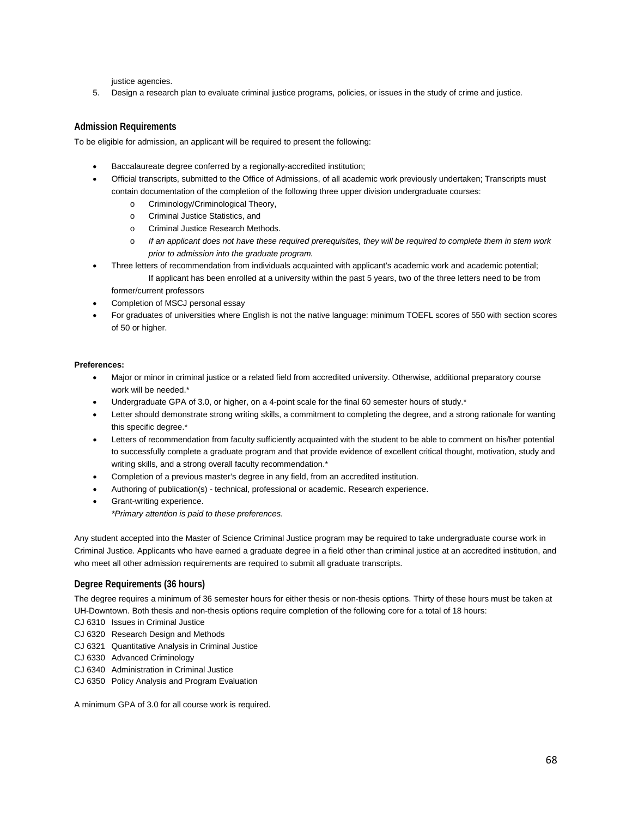justice agencies.

5. Design a research plan to evaluate criminal justice programs, policies, or issues in the study of crime and justice.

### **Admission Requirements**

To be eligible for admission, an applicant will be required to present the following:

- Baccalaureate degree conferred by a regionally-accredited institution;
- Official transcripts, submitted to the Office of Admissions, of all academic work previously undertaken; Transcripts must contain documentation of the completion of the following three upper division undergraduate courses:
	- o Criminology/Criminological Theory,
	- o Criminal Justice Statistics, and
	- o Criminal Justice Research Methods.
	- o *If an applicant does not have these required prerequisites, they will be required to complete them in stem work prior to admission into the graduate program.*
- Three letters of recommendation from individuals acquainted with applicant's academic work and academic potential; If applicant has been enrolled at a university within the past 5 years, two of the three letters need to be from former/current professors
- Completion of MSCJ personal essay
- For graduates of universities where English is not the native language: minimum TOEFL scores of 550 with section scores of 50 or higher.

### **Preferences:**

- Major or minor in criminal justice or a related field from accredited university. Otherwise, additional preparatory course work will be needed.\*
- Undergraduate GPA of 3.0, or higher, on a 4-point scale for the final 60 semester hours of study.\*
- Letter should demonstrate strong writing skills, a commitment to completing the degree, and a strong rationale for wanting this specific degree.\*
- Letters of recommendation from faculty sufficiently acquainted with the student to be able to comment on his/her potential to successfully complete a graduate program and that provide evidence of excellent critical thought, motivation, study and writing skills, and a strong overall faculty recommendation.<sup>\*</sup>
- Completion of a previous master's degree in any field, from an accredited institution.
- Authoring of publication(s) technical, professional or academic. Research experience.
- Grant-writing experience. *\*Primary attention is paid to these preferences.*

Any student accepted into the Master of Science Criminal Justice program may be required to take undergraduate course work in Criminal Justice. Applicants who have earned a graduate degree in a field other than criminal justice at an accredited institution, and who meet all other admission requirements are required to submit all graduate transcripts.

### **Degree Requirements (36 hours)**

The degree requires a minimum of 36 semester hours for either thesis or non-thesis options. Thirty of these hours must be taken at UH-Downtown. Both thesis and non-thesis options require completion of the following core for a total of 18 hours:

- CJ 6310 Issues in Criminal Justice
- CJ 6320 Research Design and Methods
- CJ 6321 Quantitative Analysis in Criminal Justice
- CJ 6330 Advanced Criminology
- CJ 6340 Administration in Criminal Justice
- CJ 6350 Policy Analysis and Program Evaluation

A minimum GPA of 3.0 for all course work is required.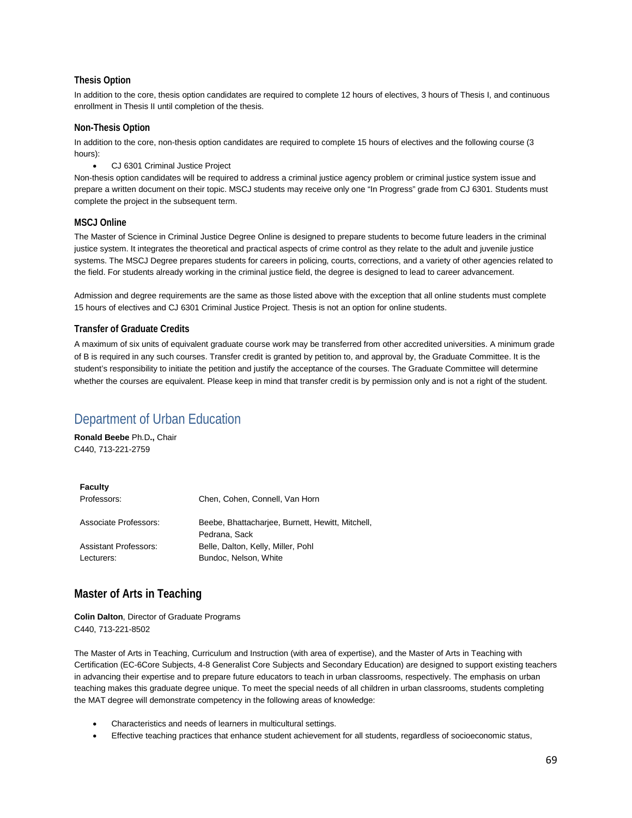### **Thesis Option**

In addition to the core, thesis option candidates are required to complete 12 hours of electives, 3 hours of Thesis I, and continuous enrollment in Thesis II until completion of the thesis.

### **Non-Thesis Option**

In addition to the core, non-thesis option candidates are required to complete 15 hours of electives and the following course (3 hours):

• CJ 6301 Criminal Justice Project

Non-thesis option candidates will be required to address a criminal justice agency problem or criminal justice system issue and prepare a written document on their topic. MSCJ students may receive only one "In Progress" grade from CJ 6301. Students must complete the project in the subsequent term.

### **MSCJ Online**

The Master of Science in Criminal Justice Degree Online is designed to prepare students to become future leaders in the criminal justice system. It integrates the theoretical and practical aspects of crime control as they relate to the adult and juvenile justice systems. The MSCJ Degree prepares students for careers in policing, courts, corrections, and a variety of other agencies related to the field. For students already working in the criminal justice field, the degree is designed to lead to career advancement.

Admission and degree requirements are the same as those listed above with the exception that all online students must complete 15 hours of electives and CJ 6301 Criminal Justice Project. Thesis is not an option for online students.

### **Transfer of Graduate Credits**

A maximum of six units of equivalent graduate course work may be transferred from other accredited universities. A minimum grade of B is required in any such courses. Transfer credit is granted by petition to, and approval by, the Graduate Committee. It is the student's responsibility to initiate the petition and justify the acceptance of the courses. The Graduate Committee will determine whether the courses are equivalent. Please keep in mind that transfer credit is by permission only and is not a right of the student.

## Department of Urban Education

**Ronald Beebe** Ph.D**.,** Chair C440, 713-221-2759

| <b>Faculty</b>        |                                                  |
|-----------------------|--------------------------------------------------|
| Professors:           | Chen, Cohen, Connell, Van Horn                   |
|                       |                                                  |
| Associate Professors: | Beebe, Bhattacharjee, Burnett, Hewitt, Mitchell, |
|                       | Pedrana, Sack                                    |
| Assistant Professors: | Belle, Dalton, Kelly, Miller, Pohl               |
| Lecturers:            | Bundoc, Nelson, White                            |
|                       |                                                  |

### **Master of Arts in Teaching**

**Colin Dalton**, Director of Graduate Programs C440, 713-221-8502

The Master of Arts in Teaching, Curriculum and Instruction (with area of expertise), and the Master of Arts in Teaching with Certification (EC-6Core Subjects, 4-8 Generalist Core Subjects and Secondary Education) are designed to support existing teachers in advancing their expertise and to prepare future educators to teach in urban classrooms, respectively. The emphasis on urban teaching makes this graduate degree unique. To meet the special needs of all children in urban classrooms, students completing the MAT degree will demonstrate competency in the following areas of knowledge:

- Characteristics and needs of learners in multicultural settings.
- Effective teaching practices that enhance student achievement for all students, regardless of socioeconomic status,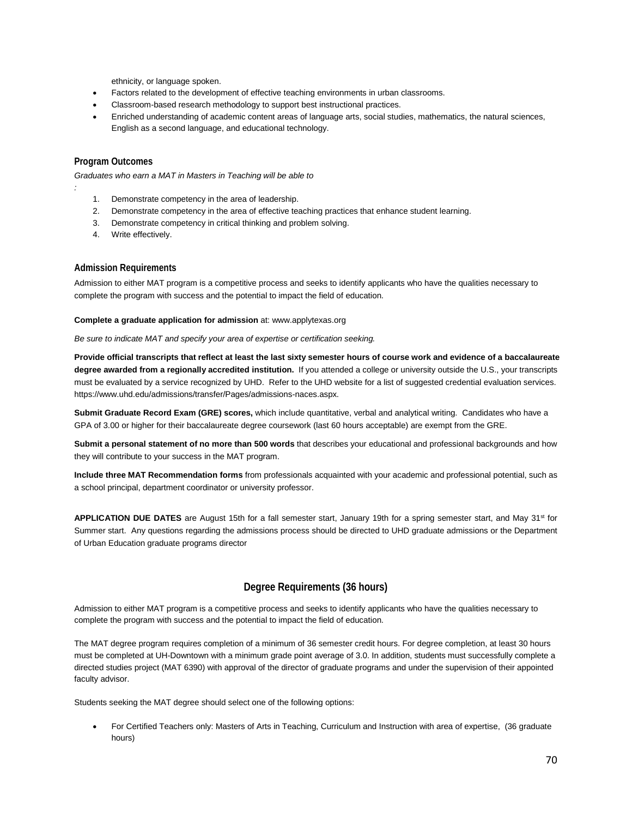ethnicity, or language spoken.

- Factors related to the development of effective teaching environments in urban classrooms.
- Classroom-based research methodology to support best instructional practices.
- Enriched understanding of academic content areas of language arts, social studies, mathematics, the natural sciences, English as a second language, and educational technology.

### **Program Outcomes**

*:*

*Graduates who earn a MAT in Masters in Teaching will be able to*

- 1. Demonstrate competency in the area of leadership.
- 2. Demonstrate competency in the area of effective teaching practices that enhance student learning.
- 3. Demonstrate competency in critical thinking and problem solving.
- 4. Write effectively.

### **Admission Requirements**

Admission to either MAT program is a competitive process and seeks to identify applicants who have the qualities necessary to complete the program with success and the potential to impact the field of education.

### **Complete a graduate application for admission** at: www.applytexas.org

*Be sure to indicate MAT and specify your area of expertise or certification seeking.*

**Provide official transcripts that reflect at least the last sixty semester hours of course work and evidence of a baccalaureate degree awarded from a regionally accredited institution.** If you attended a college or university outside the U.S., your transcripts must be evaluated by a service recognized by UHD. Refer to the UHD website for a list of suggested credential evaluation services. https://www.uhd.edu/admissions/transfer/Pages/admissions-naces.aspx.

**Submit Graduate Record Exam (GRE) scores,** which include quantitative, verbal and analytical writing. Candidates who have a GPA of 3.00 or higher for their baccalaureate degree coursework (last 60 hours acceptable) are exempt from the GRE.

**Submit a personal statement of no more than 500 words** that describes your educational and professional backgrounds and how they will contribute to your success in the MAT program.

**Include three MAT Recommendation forms** from professionals acquainted with your academic and professional potential, such as a school principal, department coordinator or university professor.

APPLICATION DUE DATES are August 15th for a fall semester start, January 19th for a spring semester start, and May 31<sup>st</sup> for Summer start. Any questions regarding the admissions process should be directed to UHD graduate admissions or the Department of Urban Education graduate programs director

### **Degree Requirements (36 hours)**

Admission to either MAT program is a competitive process and seeks to identify applicants who have the qualities necessary to complete the program with success and the potential to impact the field of education.

The MAT degree program requires completion of a minimum of 36 semester credit hours. For degree completion, at least 30 hours must be completed at UH-Downtown with a minimum grade point average of 3.0. In addition, students must successfully complete a directed studies project (MAT 6390) with approval of the director of graduate programs and under the supervision of their appointed faculty advisor.

Students seeking the MAT degree should select one of the following options:

• For Certified Teachers only: Masters of Arts in Teaching, Curriculum and Instruction with area of expertise, (36 graduate hours)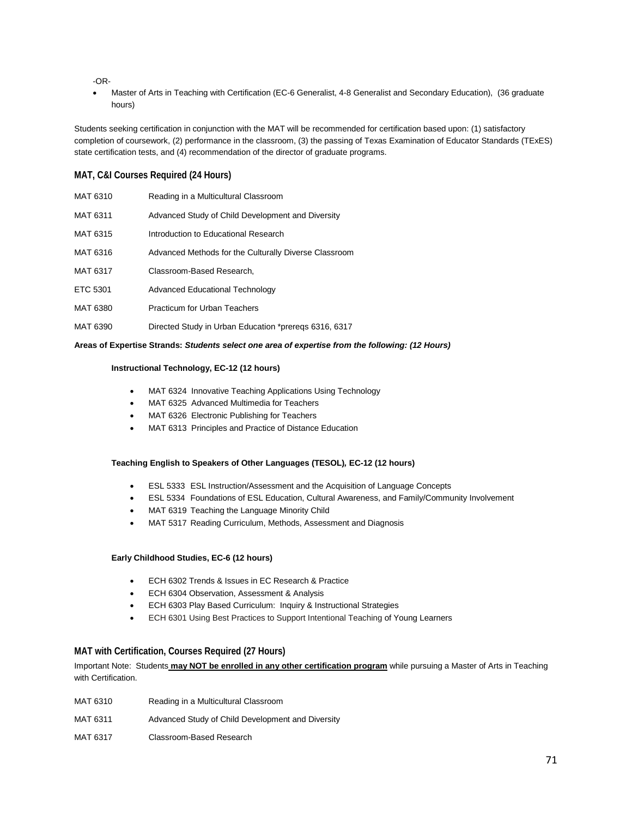-OR-

• Master of Arts in Teaching with Certification (EC-6 Generalist, 4-8 Generalist and Secondary Education), (36 graduate hours)

Students seeking certification in conjunction with the MAT will be recommended for certification based upon: (1) satisfactory completion of coursework, (2) performance in the classroom, (3) the passing of Texas Examination of Educator Standards (TExES) state certification tests, and (4) recommendation of the director of graduate programs.

### **MAT, C&I Courses Required (24 Hours)**

| MAT 6310 | Reading in a Multicultural Classroom                  |
|----------|-------------------------------------------------------|
| MAT 6311 | Advanced Study of Child Development and Diversity     |
| MAT 6315 | Introduction to Educational Research                  |
| MAT 6316 | Advanced Methods for the Culturally Diverse Classroom |
| MAT 6317 | Classroom-Based Research,                             |
| ETC 5301 | Advanced Educational Technology                       |
| MAT 6380 | Practicum for Urban Teachers                          |
| MAT 6390 | Directed Study in Urban Education *preregs 6316, 6317 |

### **Areas of Expertise Strands:** *Students select one area of expertise from the following: (12 Hours)*

### **Instructional Technology, EC-12 (12 hours)**

- MAT 6324 Innovative Teaching Applications Using Technology
- MAT 6325 Advanced Multimedia for Teachers
- MAT 6326 Electronic Publishing for Teachers
- MAT 6313 Principles and Practice of Distance Education

### **Teaching English to Speakers of Other Languages (TESOL)***,* **EC-12 (12 hours)**

- ESL 5333 ESL Instruction/Assessment and the Acquisition of Language Concepts
- ESL 5334 Foundations of ESL Education, Cultural Awareness, and Family/Community Involvement
- MAT 6319 Teaching the Language Minority Child
- MAT 5317 Reading Curriculum, Methods, Assessment and Diagnosis

### **Early Childhood Studies, EC-6 (12 hours)**

- ECH 6302 Trends & Issues in EC Research & Practice
- ECH 6304 Observation, Assessment & Analysis
- ECH 6303 Play Based Curriculum: Inquiry & Instructional Strategies
- ECH 6301 Using Best Practices to Support Intentional Teaching of Young Learners

### **MAT with Certification, Courses Required (27 Hours)**

Important Note: Students **may NOT be enrolled in any other certification program** while pursuing a Master of Arts in Teaching with Certification.

| MAT 6310 | Reading in a Multicultural Classroom              |
|----------|---------------------------------------------------|
| MAT 6311 | Advanced Study of Child Development and Diversity |
| MAT 6317 | Classroom-Based Research                          |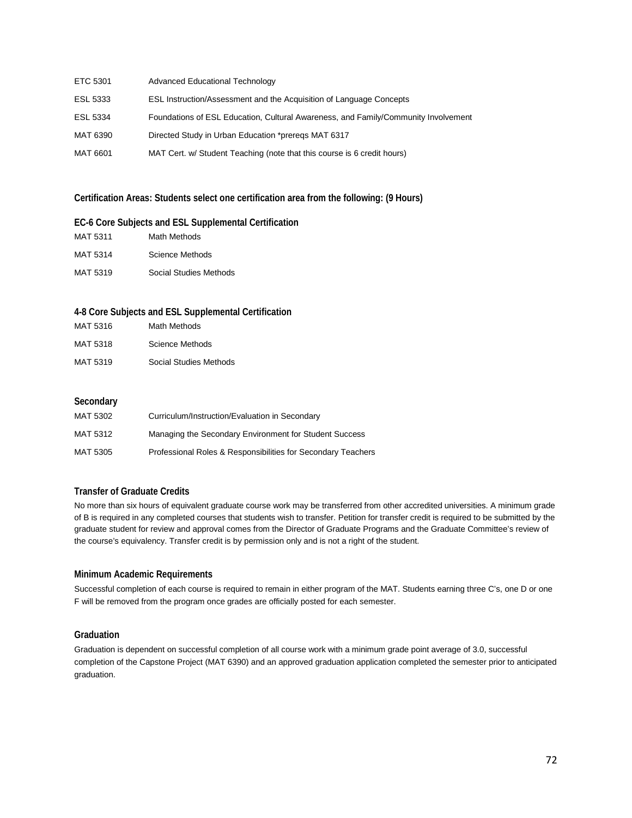| ETC 5301 | Advanced Educational Technology                                                    |
|----------|------------------------------------------------------------------------------------|
| ESL 5333 | <b>ESL Instruction/Assessment and the Acquisition of Language Concepts</b>         |
| ESL 5334 | Foundations of ESL Education, Cultural Awareness, and Family/Community Involvement |
| MAT 6390 | Directed Study in Urban Education *preregs MAT 6317                                |
| MAT 6601 | MAT Cert. w/ Student Teaching (note that this course is 6 credit hours)            |

### **Certification Areas: Students select one certification area from the following: (9 Hours)**

### **EC-6 Core Subjects and ESL Supplemental Certification**

| MAT 5311 | Math Methods           |
|----------|------------------------|
| MAT 5314 | Science Methods        |
| MAT 5319 | Social Studies Methods |

### **4-8 Core Subjects and ESL Supplemental Certification**

| MAT 5316 | Math Methods           |
|----------|------------------------|
| MAT 5318 | Science Methods        |
| MAT 5319 | Social Studies Methods |

### **Secondary**

| MAT 5302 | Curriculum/Instruction/Evaluation in Secondary               |
|----------|--------------------------------------------------------------|
| MAT 5312 | Managing the Secondary Environment for Student Success       |
| MAT 5305 | Professional Roles & Responsibilities for Secondary Teachers |

### **Transfer of Graduate Credits**

No more than six hours of equivalent graduate course work may be transferred from other accredited universities. A minimum grade of B is required in any completed courses that students wish to transfer. Petition for transfer credit is required to be submitted by the graduate student for review and approval comes from the Director of Graduate Programs and the Graduate Committee's review of the course's equivalency. Transfer credit is by permission only and is not a right of the student.

### **Minimum Academic Requirements**

Successful completion of each course is required to remain in either program of the MAT. Students earning three C's, one D or one F will be removed from the program once grades are officially posted for each semester.

### **Graduation**

Graduation is dependent on successful completion of all course work with a minimum grade point average of 3.0, successful completion of the Capstone Project (MAT 6390) and an approved graduation application completed the semester prior to anticipated graduation.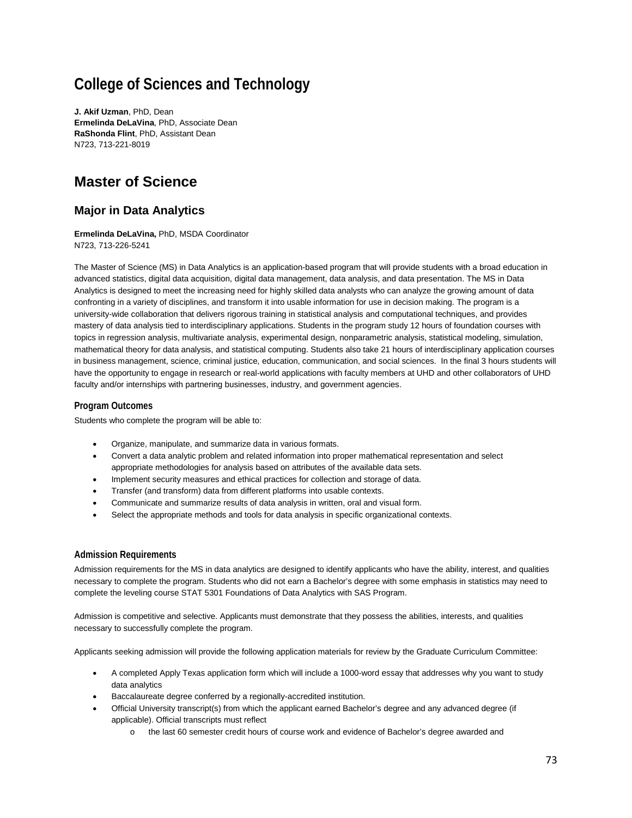## **College of Sciences and Technology**

**J. Akif Uzman**, PhD, Dean **Ermelinda DeLaVina**, PhD, Associate Dean **RaShonda Flint**, PhD, Assistant Dean N723, 713-221-8019

## **Master of Science**

## **Major in Data Analytics**

**Ermelinda DeLaVina,** PhD, MSDA Coordinator N723, 713-226-5241

The Master of Science (MS) in Data Analytics is an application-based program that will provide students with a broad education in advanced statistics, digital data acquisition, digital data management, data analysis, and data presentation. The MS in Data Analytics is designed to meet the increasing need for highly skilled data analysts who can analyze the growing amount of data confronting in a variety of disciplines, and transform it into usable information for use in decision making. The program is a university-wide collaboration that delivers rigorous training in statistical analysis and computational techniques, and provides mastery of data analysis tied to interdisciplinary applications. Students in the program study 12 hours of foundation courses with topics in regression analysis, multivariate analysis, experimental design, nonparametric analysis, statistical modeling, simulation, mathematical theory for data analysis, and statistical computing. Students also take 21 hours of interdisciplinary application courses in business management, science, criminal justice, education, communication, and social sciences. In the final 3 hours students will have the opportunity to engage in research or real-world applications with faculty members at UHD and other collaborators of UHD faculty and/or internships with partnering businesses, industry, and government agencies.

### **Program Outcomes**

Students who complete the program will be able to:

- Organize, manipulate, and summarize data in various formats.
- Convert a data analytic problem and related information into proper mathematical representation and select appropriate methodologies for analysis based on attributes of the available data sets.
- Implement security measures and ethical practices for collection and storage of data.
- Transfer (and transform) data from different platforms into usable contexts.
- Communicate and summarize results of data analysis in written, oral and visual form.
- Select the appropriate methods and tools for data analysis in specific organizational contexts.

#### **Admission Requirements**

Admission requirements for the MS in data analytics are designed to identify applicants who have the ability, interest, and qualities necessary to complete the program. Students who did not earn a Bachelor's degree with some emphasis in statistics may need to complete the leveling course STAT 5301 Foundations of Data Analytics with SAS Program.

Admission is competitive and selective. Applicants must demonstrate that they possess the abilities, interests, and qualities necessary to successfully complete the program.

Applicants seeking admission will provide the following application materials for review by the Graduate Curriculum Committee:

- A completed Apply Texas application form which will include a 1000-word essay that addresses why you want to study data analytics
- Baccalaureate degree conferred by a regionally-accredited institution.
- Official University transcript(s) from which the applicant earned Bachelor's degree and any advanced degree (if applicable). Official transcripts must reflect
	- o the last 60 semester credit hours of course work and evidence of Bachelor's degree awarded and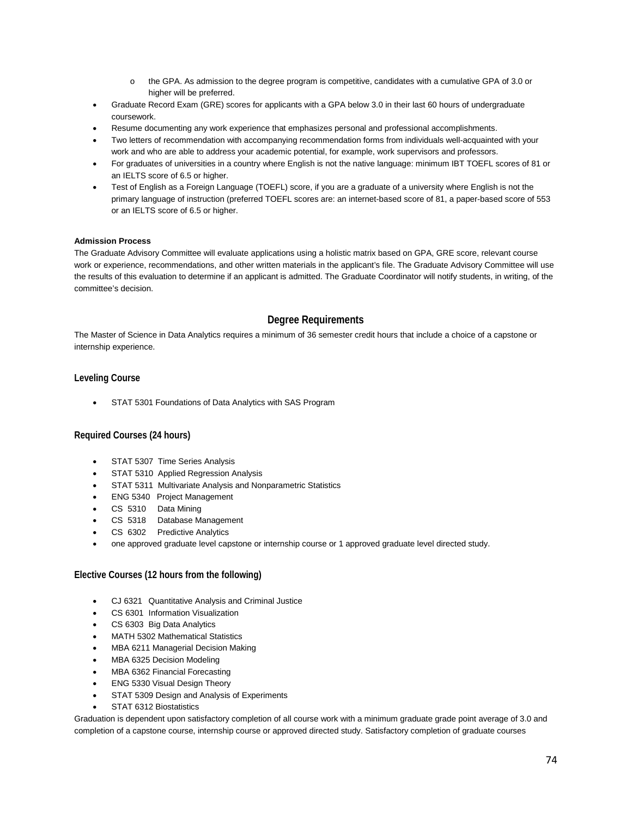- o the GPA. As admission to the degree program is competitive, candidates with a cumulative GPA of 3.0 or higher will be preferred.
- Graduate Record Exam (GRE) scores for applicants with a GPA below 3.0 in their last 60 hours of undergraduate coursework.
- Resume documenting any work experience that emphasizes personal and professional accomplishments.
- Two letters of recommendation with accompanying recommendation forms from individuals well-acquainted with your work and who are able to address your academic potential, for example, work supervisors and professors.
- For graduates of universities in a country where English is not the native language: minimum IBT TOEFL scores of 81 or an IELTS score of 6.5 or higher.
- Test of English as a Foreign Language (TOEFL) score, if you are a graduate of a university where English is not the primary language of instruction (preferred TOEFL scores are: an internet-based score of 81, a paper-based score of 553 or an IELTS score of 6.5 or higher.

#### **Admission Process**

The Graduate Advisory Committee will evaluate applications using a holistic matrix based on GPA, GRE score, relevant course work or experience, recommendations, and other written materials in the applicant's file. The Graduate Advisory Committee will use the results of this evaluation to determine if an applicant is admitted. The Graduate Coordinator will notify students, in writing, of the committee's decision.

### **Degree Requirements**

The Master of Science in Data Analytics requires a minimum of 36 semester credit hours that include a choice of a capstone or internship experience.

#### **Leveling Course**

• STAT 5301 Foundations of Data Analytics with SAS Program

#### **Required Courses (24 hours)**

- STAT 5307 Time Series Analysis
- STAT 5310 Applied Regression Analysis
- STAT 5311 Multivariate Analysis and Nonparametric Statistics
- ENG 5340 Project Management
- CS 5310 Data Mining
- CS 5318 Database Management
- CS 6302 Predictive Analytics
- one approved graduate level capstone or internship course or 1 approved graduate level directed study.

#### **Elective Courses (12 hours from the following)**

- CJ 6321 Quantitative Analysis and Criminal Justice
- CS 6301 Information Visualization
- CS 6303 Big Data Analytics
- MATH 5302 Mathematical Statistics
- MBA 6211 Managerial Decision Making
- MBA 6325 Decision Modeling
- MBA 6362 Financial Forecasting
- ENG 5330 Visual Design Theory
- STAT 5309 Design and Analysis of Experiments
- STAT 6312 Biostatistics

Graduation is dependent upon satisfactory completion of all course work with a minimum graduate grade point average of 3.0 and completion of a capstone course, internship course or approved directed study. Satisfactory completion of graduate courses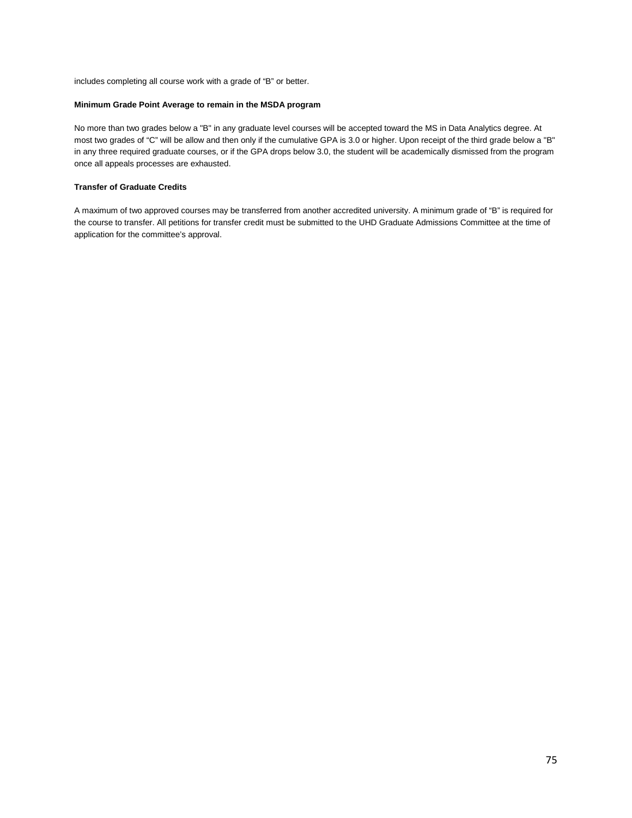includes completing all course work with a grade of "B" or better.

#### **Minimum Grade Point Average to remain in the MSDA program**

No more than two grades below a "B" in any graduate level courses will be accepted toward the MS in Data Analytics degree. At most two grades of "C" will be allow and then only if the cumulative GPA is 3.0 or higher. Upon receipt of the third grade below a "B" in any three required graduate courses, or if the GPA drops below 3.0, the student will be academically dismissed from the program once all appeals processes are exhausted.

#### **Transfer of Graduate Credits**

A maximum of two approved courses may be transferred from another accredited university. A minimum grade of "B" is required for the course to transfer. All petitions for transfer credit must be submitted to the UHD Graduate Admissions Committee at the time of application for the committee's approval.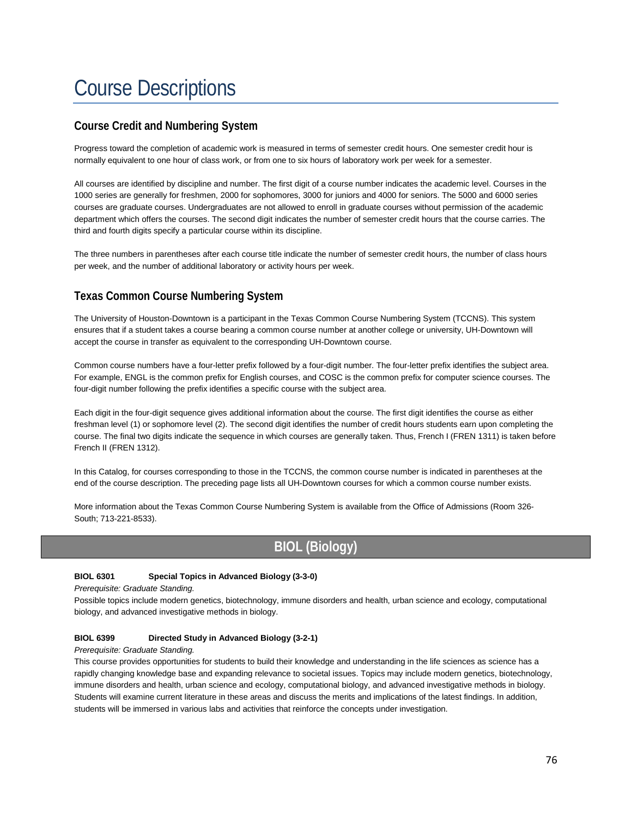# Course Descriptions

## **Course Credit and Numbering System**

Progress toward the completion of academic work is measured in terms of semester credit hours. One semester credit hour is normally equivalent to one hour of class work, or from one to six hours of laboratory work per week for a semester.

All courses are identified by discipline and number. The first digit of a course number indicates the academic level. Courses in the 1000 series are generally for freshmen, 2000 for sophomores, 3000 for juniors and 4000 for seniors. The 5000 and 6000 series courses are graduate courses. Undergraduates are not allowed to enroll in graduate courses without permission of the academic department which offers the courses. The second digit indicates the number of semester credit hours that the course carries. The third and fourth digits specify a particular course within its discipline.

The three numbers in parentheses after each course title indicate the number of semester credit hours, the number of class hours per week, and the number of additional laboratory or activity hours per week.

## **Texas Common Course Numbering System**

The University of Houston-Downtown is a participant in the Texas Common Course Numbering System (TCCNS). This system ensures that if a student takes a course bearing a common course number at another college or university, UH-Downtown will accept the course in transfer as equivalent to the corresponding UH-Downtown course.

Common course numbers have a four-letter prefix followed by a four-digit number. The four-letter prefix identifies the subject area. For example, ENGL is the common prefix for English courses, and COSC is the common prefix for computer science courses. The four-digit number following the prefix identifies a specific course with the subject area.

Each digit in the four-digit sequence gives additional information about the course. The first digit identifies the course as either freshman level (1) or sophomore level (2). The second digit identifies the number of credit hours students earn upon completing the course. The final two digits indicate the sequence in which courses are generally taken. Thus, French I (FREN 1311) is taken before French II (FREN 1312).

In this Catalog, for courses corresponding to those in the TCCNS, the common course number is indicated in parentheses at the end of the course description. The preceding page lists all UH-Downtown courses for which a common course number exists.

More information about the Texas Common Course Numbering System is available from the Office of Admissions (Room 326- South; 713-221-8533).

## **BIOL (Biology)**

### **BIOL 6301 Special Topics in Advanced Biology (3-3-0)**

*Prerequisite: Graduate Standing.*

Possible topics include modern genetics, biotechnology, immune disorders and health, urban science and ecology, computational biology, and advanced investigative methods in biology.

#### **BIOL 6399 Directed Study in Advanced Biology (3-2-1)**

#### *Prerequisite: Graduate Standing.*

This course provides opportunities for students to build their knowledge and understanding in the life sciences as science has a rapidly changing knowledge base and expanding relevance to societal issues. Topics may include modern genetics, biotechnology, immune disorders and health, urban science and ecology, computational biology, and advanced investigative methods in biology. Students will examine current literature in these areas and discuss the merits and implications of the latest findings. In addition, students will be immersed in various labs and activities that reinforce the concepts under investigation.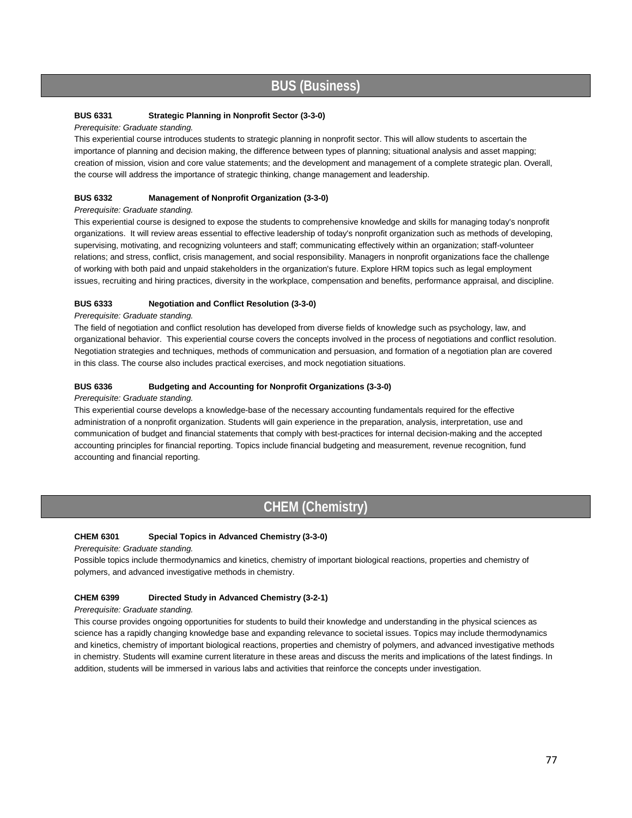## **BUS (Business)**

### **BUS 6331 Strategic Planning in Nonprofit Sector (3-3-0)**

#### *Prerequisite: Graduate standing.*

This experiential course introduces students to strategic planning in nonprofit sector. This will allow students to ascertain the importance of planning and decision making, the difference between types of planning; situational analysis and asset mapping; creation of mission, vision and core value statements; and the development and management of a complete strategic plan. Overall, the course will address the importance of strategic thinking, change management and leadership.

#### **BUS 6332 Management of Nonprofit Organization (3-3-0)**

#### *Prerequisite: Graduate standing.*

This experiential course is designed to expose the students to comprehensive knowledge and skills for managing today's nonprofit organizations. It will review areas essential to effective leadership of today's nonprofit organization such as methods of developing, supervising, motivating, and recognizing volunteers and staff; communicating effectively within an organization; staff-volunteer relations; and stress, conflict, crisis management, and social responsibility. Managers in nonprofit organizations face the challenge of working with both paid and unpaid stakeholders in the organization's future. Explore HRM topics such as legal employment issues, recruiting and hiring practices, diversity in the workplace, compensation and benefits, performance appraisal, and discipline.

#### **BUS 6333 Negotiation and Conflict Resolution (3-3-0)**

#### *Prerequisite: Graduate standing.*

The field of negotiation and conflict resolution has developed from diverse fields of knowledge such as psychology, law, and organizational behavior. This experiential course covers the concepts involved in the process of negotiations and conflict resolution. Negotiation strategies and techniques, methods of communication and persuasion, and formation of a negotiation plan are covered in this class. The course also includes practical exercises, and mock negotiation situations.

#### **BUS 6336 Budgeting and Accounting for Nonprofit Organizations (3-3-0)**

#### *Prerequisite: Graduate standing.*

This experiential course develops a knowledge-base of the necessary accounting fundamentals required for the effective administration of a nonprofit organization. Students will gain experience in the preparation, analysis, interpretation, use and communication of budget and financial statements that comply with best-practices for internal decision-making and the accepted accounting principles for financial reporting. Topics include financial budgeting and measurement, revenue recognition, fund accounting and financial reporting.

## **CHEM (Chemistry)**

#### **CHEM 6301 Special Topics in Advanced Chemistry (3-3-0)**

*Prerequisite: Graduate standing.*

Possible topics include thermodynamics and kinetics, chemistry of important biological reactions, properties and chemistry of polymers, and advanced investigative methods in chemistry.

#### **CHEM 6399 Directed Study in Advanced Chemistry (3-2-1)**

#### *Prerequisite: Graduate standing.*

This course provides ongoing opportunities for students to build their knowledge and understanding in the physical sciences as science has a rapidly changing knowledge base and expanding relevance to societal issues. Topics may include thermodynamics and kinetics, chemistry of important biological reactions, properties and chemistry of polymers, and advanced investigative methods in chemistry. Students will examine current literature in these areas and discuss the merits and implications of the latest findings. In addition, students will be immersed in various labs and activities that reinforce the concepts under investigation.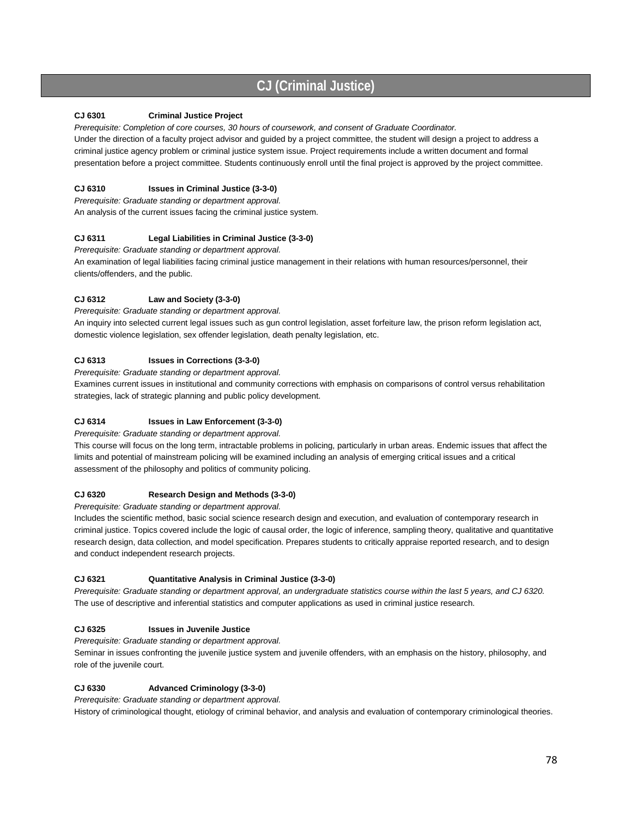## **CJ (Criminal Justice)**

#### **CJ 6301 Criminal Justice Project**

*Prerequisite: Completion of core courses, 30 hours of coursework, and consent of Graduate Coordinator.* 

Under the direction of a faculty project advisor and guided by a project committee, the student will design a project to address a criminal justice agency problem or criminal justice system issue. Project requirements include a written document and formal presentation before a project committee. Students continuously enroll until the final project is approved by the project committee.

### **CJ 6310 Issues in Criminal Justice (3-3-0)**

*Prerequisite: Graduate standing or department approval.*  An analysis of the current issues facing the criminal justice system.

### **CJ 6311 Legal Liabilities in Criminal Justice (3-3-0)**

*Prerequisite: Graduate standing or department approval.*  An examination of legal liabilities facing criminal justice management in their relations with human resources/personnel, their clients/offenders, and the public.

### **CJ 6312 Law and Society (3-3-0)**

*Prerequisite: Graduate standing or department approval.* 

An inquiry into selected current legal issues such as gun control legislation, asset forfeiture law, the prison reform legislation act, domestic violence legislation, sex offender legislation, death penalty legislation, etc.

### **CJ 6313 Issues in Corrections (3-3-0)**

*Prerequisite: Graduate standing or department approval.* 

Examines current issues in institutional and community corrections with emphasis on comparisons of control versus rehabilitation strategies, lack of strategic planning and public policy development.

### **CJ 6314 Issues in Law Enforcement (3-3-0)**

*Prerequisite: Graduate standing or department approval.* 

This course will focus on the long term, intractable problems in policing, particularly in urban areas. Endemic issues that affect the limits and potential of mainstream policing will be examined including an analysis of emerging critical issues and a critical assessment of the philosophy and politics of community policing.

#### **CJ 6320 Research Design and Methods (3-3-0)**

*Prerequisite: Graduate standing or department approval.* 

Includes the scientific method, basic social science research design and execution, and evaluation of contemporary research in criminal justice. Topics covered include the logic of causal order, the logic of inference, sampling theory, qualitative and quantitative research design, data collection, and model specification. Prepares students to critically appraise reported research, and to design and conduct independent research projects.

#### **CJ 6321 Quantitative Analysis in Criminal Justice (3-3-0)**

*Prerequisite: Graduate standing or department approval, an undergraduate statistics course within the last 5 years, and CJ 6320.*  The use of descriptive and inferential statistics and computer applications as used in criminal justice research.

#### **CJ 6325 Issues in Juvenile Justice**

*Prerequisite: Graduate standing or department approval.*

Seminar in issues confronting the juvenile justice system and juvenile offenders, with an emphasis on the history, philosophy, and role of the juvenile court.

#### **CJ 6330 Advanced Criminology (3-3-0)**

*Prerequisite: Graduate standing or department approval.* 

History of criminological thought, etiology of criminal behavior, and analysis and evaluation of contemporary criminological theories.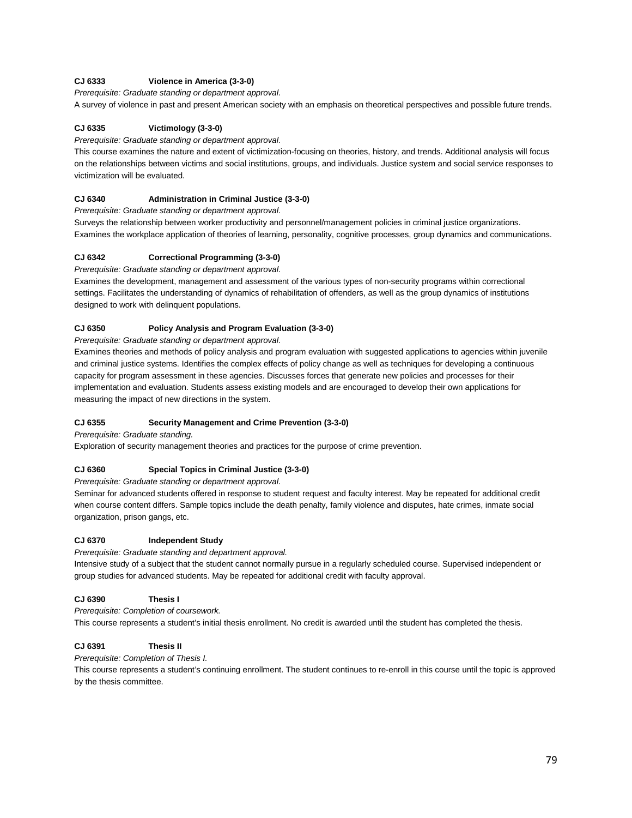### **CJ 6333 Violence in America (3-3-0)**

*Prerequisite: Graduate standing or department approval.* 

A survey of violence in past and present American society with an emphasis on theoretical perspectives and possible future trends.

#### **CJ 6335 Victimology (3-3-0)**

*Prerequisite: Graduate standing or department approval.*

This course examines the nature and extent of victimization-focusing on theories, history, and trends. Additional analysis will focus on the relationships between victims and social institutions, groups, and individuals. Justice system and social service responses to victimization will be evaluated.

#### **CJ 6340 Administration in Criminal Justice (3-3-0)**

*Prerequisite: Graduate standing or department approval.* 

Surveys the relationship between worker productivity and personnel/management policies in criminal justice organizations. Examines the workplace application of theories of learning, personality, cognitive processes, group dynamics and communications.

#### **CJ 6342 Correctional Programming (3-3-0)**

*Prerequisite: Graduate standing or department approval.* 

Examines the development, management and assessment of the various types of non-security programs within correctional settings. Facilitates the understanding of dynamics of rehabilitation of offenders, as well as the group dynamics of institutions designed to work with delinquent populations.

#### **CJ 6350 Policy Analysis and Program Evaluation (3-3-0)**

*Prerequisite: Graduate standing or department approval.* 

Examines theories and methods of policy analysis and program evaluation with suggested applications to agencies within juvenile and criminal justice systems. Identifies the complex effects of policy change as well as techniques for developing a continuous capacity for program assessment in these agencies. Discusses forces that generate new policies and processes for their implementation and evaluation. Students assess existing models and are encouraged to develop their own applications for measuring the impact of new directions in the system.

#### **CJ 6355 Security Management and Crime Prevention (3-3-0)**

*Prerequisite: Graduate standing.* 

Exploration of security management theories and practices for the purpose of crime prevention.

#### **CJ 6360 Special Topics in Criminal Justice (3-3-0)**

*Prerequisite: Graduate standing or department approval.* 

Seminar for advanced students offered in response to student request and faculty interest. May be repeated for additional credit when course content differs. Sample topics include the death penalty, family violence and disputes, hate crimes, inmate social organization, prison gangs, etc.

#### **CJ 6370 Independent Study**

*Prerequisite: Graduate standing and department approval.*

Intensive study of a subject that the student cannot normally pursue in a regularly scheduled course. Supervised independent or group studies for advanced students. May be repeated for additional credit with faculty approval.

#### **CJ 6390 Thesis I**

#### *Prerequisite: Completion of coursework.*

This course represents a student's initial thesis enrollment. No credit is awarded until the student has completed the thesis.

#### **CJ 6391 Thesis II**

*Prerequisite: Completion of Thesis I.* 

This course represents a student's continuing enrollment. The student continues to re-enroll in this course until the topic is approved by the thesis committee.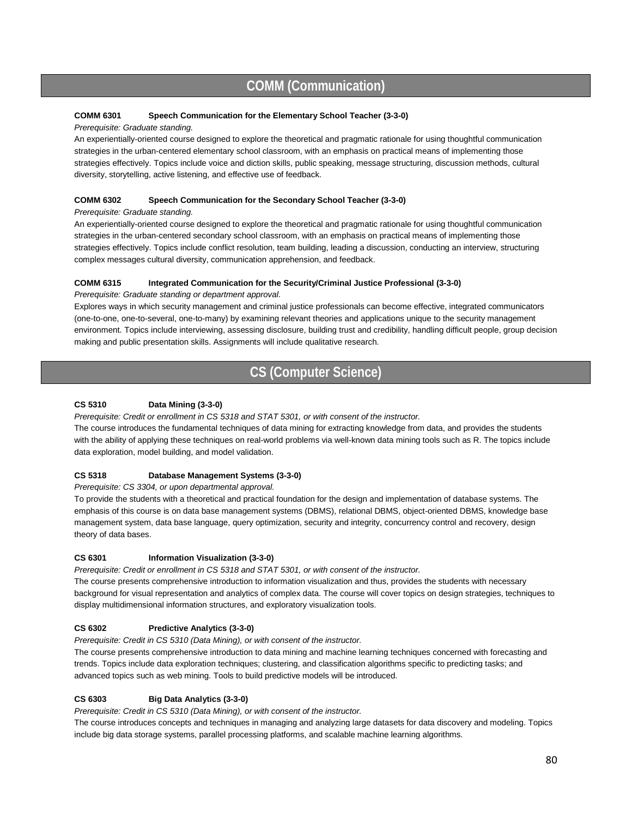## **COMM (Communication)**

#### **COMM 6301 Speech Communication for the Elementary School Teacher (3-3-0)**

#### *Prerequisite: Graduate standing.*

An experientially-oriented course designed to explore the theoretical and pragmatic rationale for using thoughtful communication strategies in the urban-centered elementary school classroom, with an emphasis on practical means of implementing those strategies effectively. Topics include voice and diction skills, public speaking, message structuring, discussion methods, cultural diversity, storytelling, active listening, and effective use of feedback.

#### **COMM 6302 Speech Communication for the Secondary School Teacher (3-3-0)**

#### *Prerequisite: Graduate standing.*

An experientially-oriented course designed to explore the theoretical and pragmatic rationale for using thoughtful communication strategies in the urban-centered secondary school classroom, with an emphasis on practical means of implementing those strategies effectively. Topics include conflict resolution, team building, leading a discussion, conducting an interview, structuring complex messages cultural diversity, communication apprehension, and feedback.

#### **COMM 6315 Integrated Communication for the Security/Criminal Justice Professional (3-3-0)**

#### *Prerequisite: Graduate standing or department approval.*

Explores ways in which security management and criminal justice professionals can become effective, integrated communicators (one-to-one, one-to-several, one-to-many) by examining relevant theories and applications unique to the security management environment. Topics include interviewing, assessing disclosure, building trust and credibility, handling difficult people, group decision making and public presentation skills. Assignments will include qualitative research.

## **CS (Computer Science)**

#### **CS 5310 Data Mining (3-3-0)**

*Prerequisite: Credit or enrollment in CS 5318 and STAT 5301, or with consent of the instructor.*

The course introduces the fundamental techniques of data mining for extracting knowledge from data, and provides the students with the ability of applying these techniques on real-world problems via well-known data mining tools such as R. The topics include data exploration, model building, and model validation.

#### **CS 5318 Database Management Systems (3-3-0)**

*Prerequisite: CS 3304, or upon departmental approval.*

To provide the students with a theoretical and practical foundation for the design and implementation of database systems. The emphasis of this course is on data base management systems (DBMS), relational DBMS, object-oriented DBMS, knowledge base management system, data base language, query optimization, security and integrity, concurrency control and recovery, design theory of data bases.

#### **CS 6301 Information Visualization (3-3-0)**

*Prerequisite: Credit or enrollment in CS 5318 and STAT 5301, or with consent of the instructor.*

The course presents comprehensive introduction to information visualization and thus, provides the students with necessary background for visual representation and analytics of complex data. The course will cover topics on design strategies, techniques to display multidimensional information structures, and exploratory visualization tools.

#### **CS 6302 Predictive Analytics (3-3-0)**

*Prerequisite: Credit in CS 5310 (Data Mining), or with consent of the instructor.* 

The course presents comprehensive introduction to data mining and machine learning techniques concerned with forecasting and trends. Topics include data exploration techniques; clustering, and classification algorithms specific to predicting tasks; and advanced topics such as web mining. Tools to build predictive models will be introduced.

### **CS 6303 Big Data Analytics (3-3-0)**

*Prerequisite: Credit in CS 5310 (Data Mining), or with consent of the instructor.* 

The course introduces concepts and techniques in managing and analyzing large datasets for data discovery and modeling. Topics include big data storage systems, parallel processing platforms, and scalable machine learning algorithms.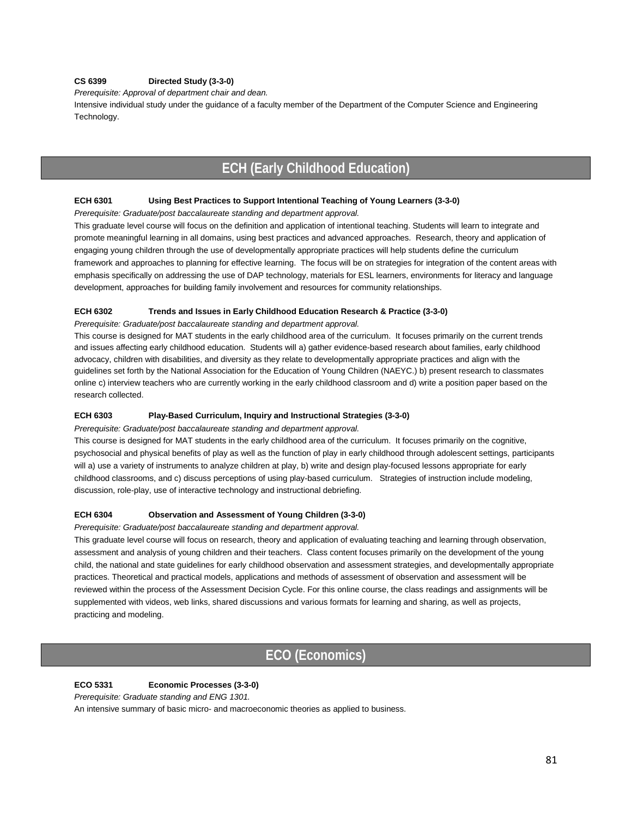#### **CS 6399 Directed Study (3-3-0)**

*Prerequisite: Approval of department chair and dean.* 

Intensive individual study under the guidance of a faculty member of the Department of the Computer Science and Engineering Technology.

## **ECH (Early Childhood Education)**

#### **ECH 6301 Using Best Practices to Support Intentional Teaching of Young Learners (3-3-0)**

*Prerequisite: Graduate/post baccalaureate standing and department approval.*

This graduate level course will focus on the definition and application of intentional teaching. Students will learn to integrate and promote meaningful learning in all domains, using best practices and advanced approaches. Research, theory and application of engaging young children through the use of developmentally appropriate practices will help students define the curriculum framework and approaches to planning for effective learning. The focus will be on strategies for integration of the content areas with emphasis specifically on addressing the use of DAP technology, materials for ESL learners, environments for literacy and language development, approaches for building family involvement and resources for community relationships.

#### **ECH 6302 Trends and Issues in Early Childhood Education Research & Practice (3-3-0)**

*Prerequisite: Graduate/post baccalaureate standing and department approval.*

This course is designed for MAT students in the early childhood area of the curriculum. It focuses primarily on the current trends and issues affecting early childhood education. Students will a) gather evidence-based research about families, early childhood advocacy, children with disabilities, and diversity as they relate to developmentally appropriate practices and align with the guidelines set forth by the National Association for the Education of Young Children (NAEYC.) b) present research to classmates online c) interview teachers who are currently working in the early childhood classroom and d) write a position paper based on the research collected.

#### **ECH 6303 Play-Based Curriculum, Inquiry and Instructional Strategies (3-3-0)**

*Prerequisite: Graduate/post baccalaureate standing and department approval.*

This course is designed for MAT students in the early childhood area of the curriculum. It focuses primarily on the cognitive, psychosocial and physical benefits of play as well as the function of play in early childhood through adolescent settings, participants will a) use a variety of instruments to analyze children at play, b) write and design play-focused lessons appropriate for early childhood classrooms, and c) discuss perceptions of using play-based curriculum. Strategies of instruction include modeling, discussion, role-play, use of interactive technology and instructional debriefing.

#### **ECH 6304 Observation and Assessment of Young Children (3-3-0)**

*Prerequisite: Graduate/post baccalaureate standing and department approval.*

This graduate level course will focus on research, theory and application of evaluating teaching and learning through observation, assessment and analysis of young children and their teachers. Class content focuses primarily on the development of the young child, the national and state guidelines for early childhood observation and assessment strategies, and developmentally appropriate practices. Theoretical and practical models, applications and methods of assessment of observation and assessment will be reviewed within the process of the Assessment Decision Cycle. For this online course, the class readings and assignments will be supplemented with videos, web links, shared discussions and various formats for learning and sharing, as well as projects, practicing and modeling.

## **ECO (Economics)**

#### **ECO 5331 Economic Processes (3-3-0)**

*Prerequisite: Graduate standing and ENG 1301.* 

An intensive summary of basic micro- and macroeconomic theories as applied to business.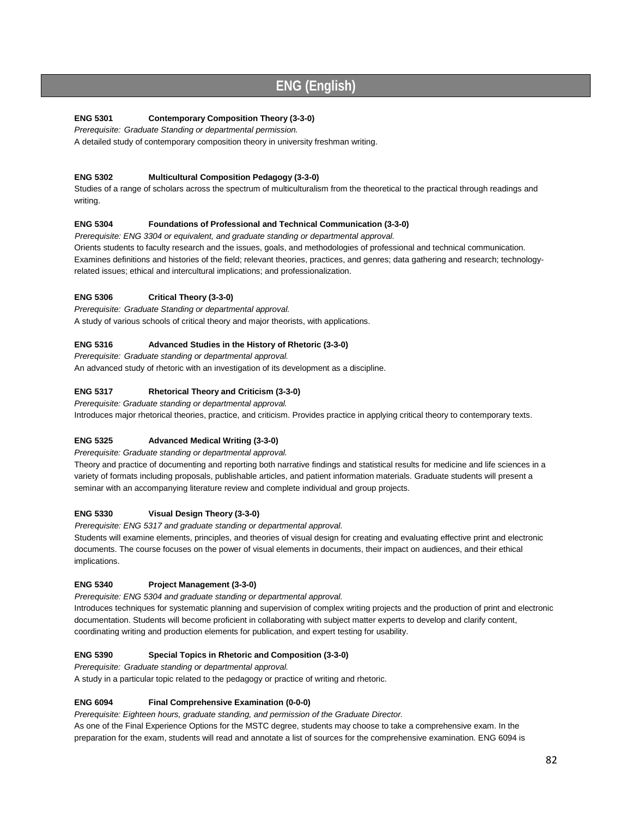## **ENG (English)**

### **ENG 5301 Contemporary Composition Theory (3-3-0)**

*Prerequisite: Graduate Standing or departmental permission.*

A detailed study of contemporary composition theory in university freshman writing.

### **ENG 5302 Multicultural Composition Pedagogy (3-3-0)**

Studies of a range of scholars across the spectrum of multiculturalism from the theoretical to the practical through readings and writing.

#### **ENG 5304 Foundations of Professional and Technical Communication (3-3-0)**

*Prerequisite: ENG 3304 or equivalent, and graduate standing or departmental approval.*  Orients students to faculty research and the issues, goals, and methodologies of professional and technical communication. Examines definitions and histories of the field; relevant theories, practices, and genres; data gathering and research; technologyrelated issues; ethical and intercultural implications; and professionalization.

### **ENG 5306 Critical Theory (3-3-0)**

*Prerequisite: Graduate Standing or departmental approval.* A study of various schools of critical theory and major theorists, with applications.

### **ENG 5316 Advanced Studies in the History of Rhetoric (3-3-0)**

*Prerequisite: Graduate standing or departmental approval.* An advanced study of rhetoric with an investigation of its development as a discipline.

### **ENG 5317 Rhetorical Theory and Criticism (3-3-0)**

*Prerequisite: Graduate standing or departmental approval.*  Introduces major rhetorical theories, practice, and criticism. Provides practice in applying critical theory to contemporary texts.

### **ENG 5325 Advanced Medical Writing (3-3-0)**

*Prerequisite: Graduate standing or departmental approval.* 

Theory and practice of documenting and reporting both narrative findings and statistical results for medicine and life sciences in a variety of formats including proposals, publishable articles, and patient information materials. Graduate students will present a seminar with an accompanying literature review and complete individual and group projects.

#### **ENG 5330 Visual Design Theory (3-3-0)**

*Prerequisite: ENG 5317 and graduate standing or departmental approval.* 

Students will examine elements, principles, and theories of visual design for creating and evaluating effective print and electronic documents. The course focuses on the power of visual elements in documents, their impact on audiences, and their ethical implications.

#### **ENG 5340 Project Management (3-3-0)**

*Prerequisite: ENG 5304 and graduate standing or departmental approval.* 

Introduces techniques for systematic planning and supervision of complex writing projects and the production of print and electronic documentation. Students will become proficient in collaborating with subject matter experts to develop and clarify content, coordinating writing and production elements for publication, and expert testing for usability.

#### **ENG 5390 Special Topics in Rhetoric and Composition (3-3-0)**

*Prerequisite: Graduate standing or departmental approval.*

A study in a particular topic related to the pedagogy or practice of writing and rhetoric.

#### **ENG 6094 Final Comprehensive Examination (0-0-0)**

*Prerequisite: Eighteen hours, graduate standing, and permission of the Graduate Director.* 

As one of the Final Experience Options for the MSTC degree, students may choose to take a comprehensive exam. In the preparation for the exam, students will read and annotate a list of sources for the comprehensive examination. ENG 6094 is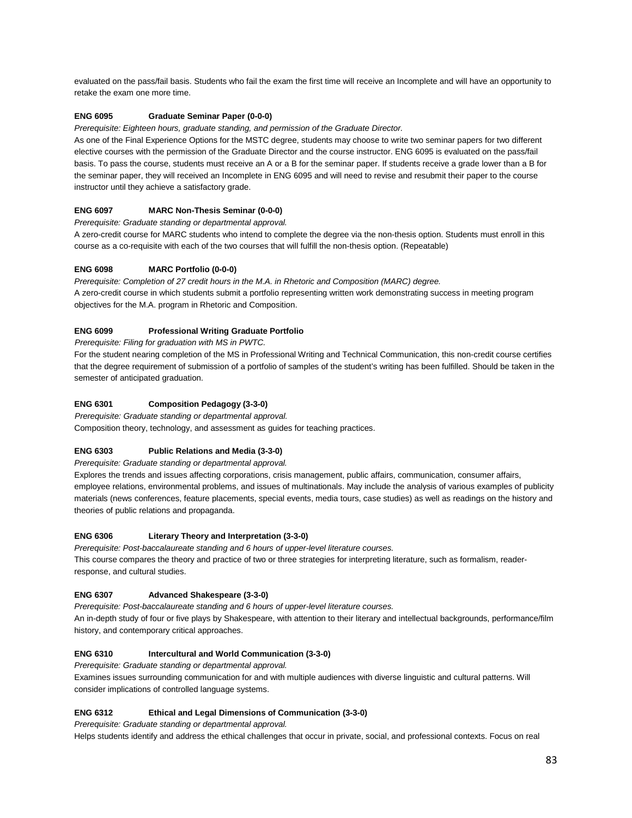evaluated on the pass/fail basis. Students who fail the exam the first time will receive an Incomplete and will have an opportunity to retake the exam one more time.

#### **ENG 6095 Graduate Seminar Paper (0-0-0)**

*Prerequisite: Eighteen hours, graduate standing, and permission of the Graduate Director.* 

As one of the Final Experience Options for the MSTC degree, students may choose to write two seminar papers for two different elective courses with the permission of the Graduate Director and the course instructor. ENG 6095 is evaluated on the pass/fail basis. To pass the course, students must receive an A or a B for the seminar paper. If students receive a grade lower than a B for the seminar paper, they will received an Incomplete in ENG 6095 and will need to revise and resubmit their paper to the course instructor until they achieve a satisfactory grade.

#### **ENG 6097 MARC Non-Thesis Seminar (0-0-0)**

*Prerequisite: Graduate standing or departmental approval.* 

A zero-credit course for MARC students who intend to complete the degree via the non-thesis option. Students must enroll in this course as a co-requisite with each of the two courses that will fulfill the non-thesis option. (Repeatable)

#### **ENG 6098 MARC Portfolio (0-0-0)**

*Prerequisite: Completion of 27 credit hours in the M.A. in Rhetoric and Composition (MARC) degree.*  A zero-credit course in which students submit a portfolio representing written work demonstrating success in meeting program objectives for the M.A. program in Rhetoric and Composition.

#### **ENG 6099 Professional Writing Graduate Portfolio**

*Prerequisite: Filing for graduation with MS in PWTC.* 

For the student nearing completion of the MS in Professional Writing and Technical Communication, this non-credit course certifies that the degree requirement of submission of a portfolio of samples of the student's writing has been fulfilled. Should be taken in the semester of anticipated graduation.

#### **ENG 6301 Composition Pedagogy (3-3-0)**

*Prerequisite: Graduate standing or departmental approval.*  Composition theory, technology, and assessment as guides for teaching practices.

#### **ENG 6303 Public Relations and Media (3-3-0)**

*Prerequisite: Graduate standing or departmental approval.* 

Explores the trends and issues affecting corporations, crisis management, public affairs, communication, consumer affairs, employee relations, environmental problems, and issues of multinationals. May include the analysis of various examples of publicity materials (news conferences, feature placements, special events, media tours, case studies) as well as readings on the history and theories of public relations and propaganda.

#### **ENG 6306 Literary Theory and Interpretation (3-3-0)**

*Prerequisite: Post-baccalaureate standing and 6 hours of upper-level literature courses.*  This course compares the theory and practice of two or three strategies for interpreting literature, such as formalism, readerresponse, and cultural studies.

#### **ENG 6307 Advanced Shakespeare (3-3-0)**

*Prerequisite: Post-baccalaureate standing and 6 hours of upper-level literature courses.*  An in-depth study of four or five plays by Shakespeare, with attention to their literary and intellectual backgrounds, performance/film history, and contemporary critical approaches.

#### **ENG 6310 Intercultural and World Communication (3-3-0)**

*Prerequisite: Graduate standing or departmental approval.*  Examines issues surrounding communication for and with multiple audiences with diverse linguistic and cultural patterns. Will

consider implications of controlled language systems.

#### **ENG 6312 Ethical and Legal Dimensions of Communication (3-3-0)**

*Prerequisite: Graduate standing or departmental approval.*  Helps students identify and address the ethical challenges that occur in private, social, and professional contexts. Focus on real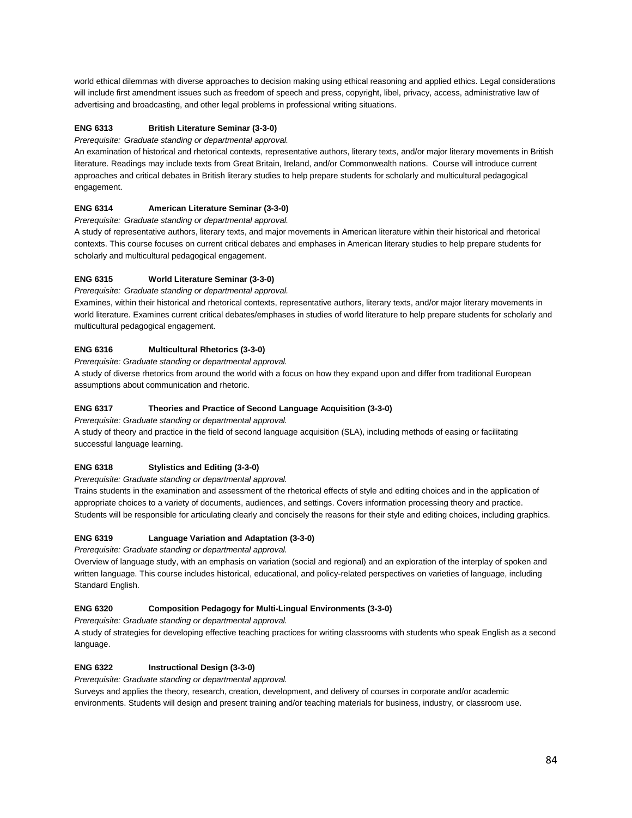world ethical dilemmas with diverse approaches to decision making using ethical reasoning and applied ethics. Legal considerations will include first amendment issues such as freedom of speech and press, copyright, libel, privacy, access, administrative law of advertising and broadcasting, and other legal problems in professional writing situations.

#### **ENG 6313 British Literature Seminar (3-3-0)**

*Prerequisite: Graduate standing or departmental approval.*

An examination of historical and rhetorical contexts, representative authors, literary texts, and/or major literary movements in British literature. Readings may include texts from Great Britain, Ireland, and/or Commonwealth nations. Course will introduce current approaches and critical debates in British literary studies to help prepare students for scholarly and multicultural pedagogical engagement.

#### **ENG 6314 American Literature Seminar (3-3-0)**

*Prerequisite: Graduate standing or departmental approval.*

A study of representative authors, literary texts, and major movements in American literature within their historical and rhetorical contexts. This course focuses on current critical debates and emphases in American literary studies to help prepare students for scholarly and multicultural pedagogical engagement.

#### **ENG 6315 World Literature Seminar (3-3-0)**

*Prerequisite: Graduate standing or departmental approval.*

Examines, within their historical and rhetorical contexts, representative authors, literary texts, and/or major literary movements in world literature. Examines current critical debates/emphases in studies of world literature to help prepare students for scholarly and multicultural pedagogical engagement.

#### **ENG 6316 Multicultural Rhetorics (3-3-0)**

*Prerequisite: Graduate standing or departmental approval.* 

A study of diverse rhetorics from around the world with a focus on how they expand upon and differ from traditional European assumptions about communication and rhetoric.

#### **ENG 6317 Theories and Practice of Second Language Acquisition (3-3-0)**

*Prerequisite: Graduate standing or departmental approval.* 

A study of theory and practice in the field of second language acquisition (SLA), including methods of easing or facilitating successful language learning.

#### **ENG 6318 Stylistics and Editing (3-3-0)**

*Prerequisite: Graduate standing or departmental approval.* 

Trains students in the examination and assessment of the rhetorical effects of style and editing choices and in the application of appropriate choices to a variety of documents, audiences, and settings. Covers information processing theory and practice. Students will be responsible for articulating clearly and concisely the reasons for their style and editing choices, including graphics.

#### **ENG 6319 Language Variation and Adaptation (3-3-0)**

*Prerequisite: Graduate standing or departmental approval.*

Overview of language study, with an emphasis on variation (social and regional) and an exploration of the interplay of spoken and written language. This course includes historical, educational, and policy-related perspectives on varieties of language, including Standard English.

#### **ENG 6320 Composition Pedagogy for Multi-Lingual Environments (3-3-0)**

*Prerequisite: Graduate standing or departmental approval.* 

A study of strategies for developing effective teaching practices for writing classrooms with students who speak English as a second language.

#### **ENG 6322 Instructional Design (3-3-0)**

*Prerequisite: Graduate standing or departmental approval.* 

Surveys and applies the theory, research, creation, development, and delivery of courses in corporate and/or academic environments. Students will design and present training and/or teaching materials for business, industry, or classroom use.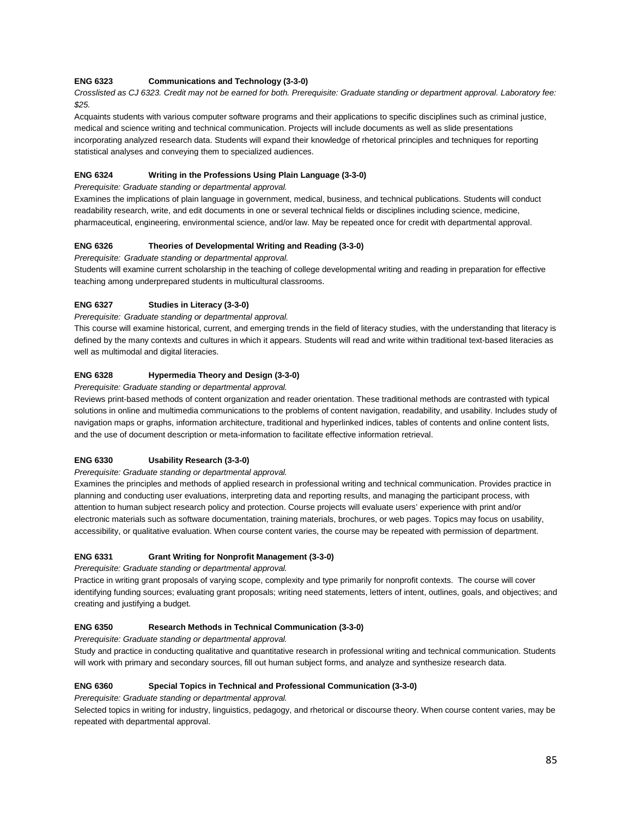#### **ENG 6323 Communications and Technology (3-3-0)**

*Crosslisted as CJ 6323. Credit may not be earned for both. Prerequisite: Graduate standing or department approval. Laboratory fee: \$25.*

Acquaints students with various computer software programs and their applications to specific disciplines such as criminal justice, medical and science writing and technical communication. Projects will include documents as well as slide presentations incorporating analyzed research data. Students will expand their knowledge of rhetorical principles and techniques for reporting statistical analyses and conveying them to specialized audiences.

#### **ENG 6324 Writing in the Professions Using Plain Language (3-3-0)**

*Prerequisite: Graduate standing or departmental approval.* 

Examines the implications of plain language in government, medical, business, and technical publications. Students will conduct readability research, write, and edit documents in one or several technical fields or disciplines including science, medicine, pharmaceutical, engineering, environmental science, and/or law. May be repeated once for credit with departmental approval.

#### **ENG 6326 Theories of Developmental Writing and Reading (3-3-0)**

*Prerequisite: Graduate standing or departmental approval.*

Students will examine current scholarship in the teaching of college developmental writing and reading in preparation for effective teaching among underprepared students in multicultural classrooms.

#### **ENG 6327 Studies in Literacy (3-3-0)**

*Prerequisite: Graduate standing or departmental approval.*

This course will examine historical, current, and emerging trends in the field of literacy studies, with the understanding that literacy is defined by the many contexts and cultures in which it appears. Students will read and write within traditional text-based literacies as well as multimodal and digital literacies.

#### **ENG 6328 Hypermedia Theory and Design (3-3-0)**

*Prerequisite: Graduate standing or departmental approval.* 

Reviews print-based methods of content organization and reader orientation. These traditional methods are contrasted with typical solutions in online and multimedia communications to the problems of content navigation, readability, and usability. Includes study of navigation maps or graphs, information architecture, traditional and hyperlinked indices, tables of contents and online content lists, and the use of document description or meta-information to facilitate effective information retrieval.

#### **ENG 6330 Usability Research (3-3-0)**

*Prerequisite: Graduate standing or departmental approval.* 

Examines the principles and methods of applied research in professional writing and technical communication. Provides practice in planning and conducting user evaluations, interpreting data and reporting results, and managing the participant process, with attention to human subject research policy and protection. Course projects will evaluate users' experience with print and/or electronic materials such as software documentation, training materials, brochures, or web pages. Topics may focus on usability, accessibility, or qualitative evaluation. When course content varies, the course may be repeated with permission of department.

#### **ENG 6331 Grant Writing for Nonprofit Management (3-3-0)**

*Prerequisite: Graduate standing or departmental approval.* 

Practice in writing grant proposals of varying scope, complexity and type primarily for nonprofit contexts. The course will cover identifying funding sources; evaluating grant proposals; writing need statements, letters of intent, outlines, goals, and objectives; and creating and justifying a budget.

#### **ENG 6350 Research Methods in Technical Communication (3-3-0)**

*Prerequisite: Graduate standing or departmental approval.* 

Study and practice in conducting qualitative and quantitative research in professional writing and technical communication. Students will work with primary and secondary sources, fill out human subject forms, and analyze and synthesize research data.

#### **ENG 6360 Special Topics in Technical and Professional Communication (3-3-0)**

*Prerequisite: Graduate standing or departmental approval.* 

Selected topics in writing for industry, linguistics, pedagogy, and rhetorical or discourse theory. When course content varies, may be repeated with departmental approval.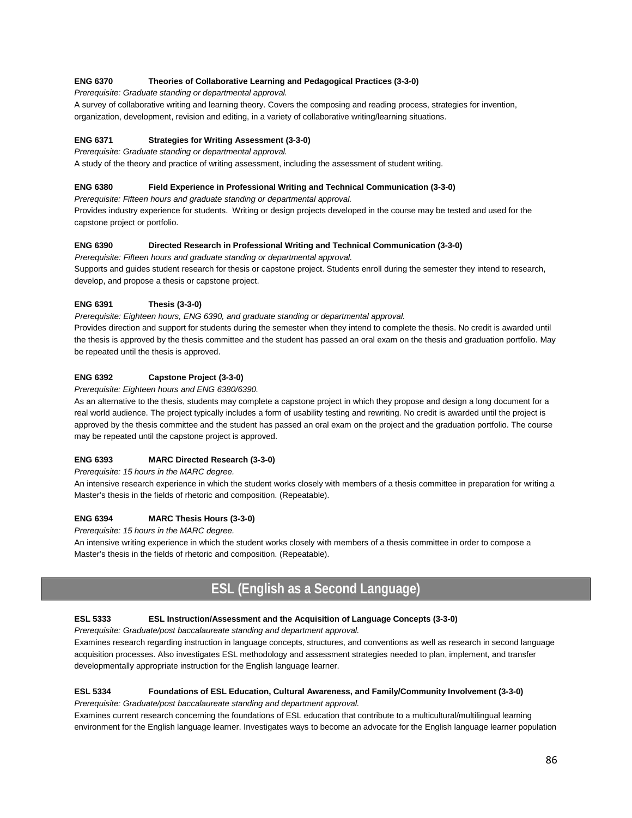#### **ENG 6370 Theories of Collaborative Learning and Pedagogical Practices (3-3-0)**

*Prerequisite: Graduate standing or departmental approval.* 

A survey of collaborative writing and learning theory. Covers the composing and reading process, strategies for invention, organization, development, revision and editing, in a variety of collaborative writing/learning situations.

### **ENG 6371 Strategies for Writing Assessment (3-3-0)**

*Prerequisite: Graduate standing or departmental approval.* 

A study of the theory and practice of writing assessment, including the assessment of student writing.

### **ENG 6380 Field Experience in Professional Writing and Technical Communication (3-3-0)**

*Prerequisite: Fifteen hours and graduate standing or departmental approval.* 

Provides industry experience for students. Writing or design projects developed in the course may be tested and used for the capstone project or portfolio.

### **ENG 6390 Directed Research in Professional Writing and Technical Communication (3-3-0)**

*Prerequisite: Fifteen hours and graduate standing or departmental approval.* 

Supports and guides student research for thesis or capstone project. Students enroll during the semester they intend to research, develop, and propose a thesis or capstone project.

## **ENG 6391 Thesis (3-3-0)**

*Prerequisite: Eighteen hours, ENG 6390, and graduate standing or departmental approval.*  Provides direction and support for students during the semester when they intend to complete the thesis. No credit is awarded until the thesis is approved by the thesis committee and the student has passed an oral exam on the thesis and graduation portfolio. May be repeated until the thesis is approved.

### **ENG 6392 Capstone Project (3-3-0)**

*Prerequisite: Eighteen hours and ENG 6380/6390.* 

As an alternative to the thesis, students may complete a capstone project in which they propose and design a long document for a real world audience. The project typically includes a form of usability testing and rewriting. No credit is awarded until the project is approved by the thesis committee and the student has passed an oral exam on the project and the graduation portfolio. The course may be repeated until the capstone project is approved.

### **ENG 6393 MARC Directed Research (3-3-0)**

*Prerequisite: 15 hours in the MARC degree.* 

An intensive research experience in which the student works closely with members of a thesis committee in preparation for writing a Master's thesis in the fields of rhetoric and composition. (Repeatable).

#### **ENG 6394 MARC Thesis Hours (3-3-0)**

*Prerequisite: 15 hours in the MARC degree.* 

An intensive writing experience in which the student works closely with members of a thesis committee in order to compose a Master's thesis in the fields of rhetoric and composition. (Repeatable).

## **ESL (English as a Second Language)**

#### **ESL 5333 ESL Instruction/Assessment and the Acquisition of Language Concepts (3-3-0)**

*Prerequisite: Graduate/post baccalaureate standing and department approval.*

Examines research regarding instruction in language concepts, structures, and conventions as well as research in second language acquisition processes. Also investigates ESL methodology and assessment strategies needed to plan, implement, and transfer developmentally appropriate instruction for the English language learner.

#### **ESL 5334 Foundations of ESL Education, Cultural Awareness, and Family/Community Involvement (3-3-0)**  *Prerequisite: Graduate/post baccalaureate standing and department approval.*

Examines current research concerning the foundations of ESL education that contribute to a multicultural/multilingual learning environment for the English language learner. Investigates ways to become an advocate for the English language learner population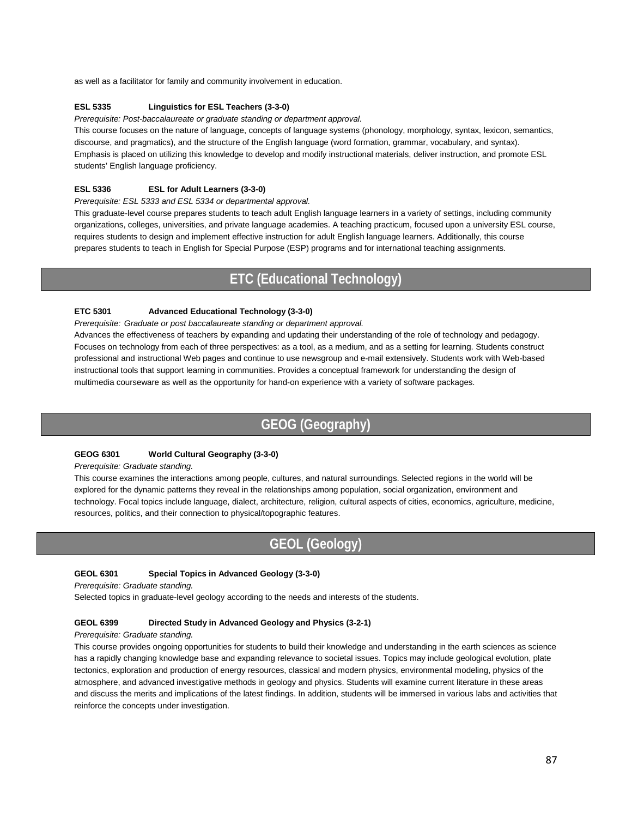as well as a facilitator for family and community involvement in education.

#### **ESL 5335 Linguistics for ESL Teachers (3-3-0)**

*Prerequisite: Post-baccalaureate or graduate standing or department approval.*

This course focuses on the nature of language, concepts of language systems (phonology, morphology, syntax, lexicon, semantics, discourse, and pragmatics), and the structure of the English language (word formation, grammar, vocabulary, and syntax). Emphasis is placed on utilizing this knowledge to develop and modify instructional materials, deliver instruction, and promote ESL students' English language proficiency.

#### **ESL 5336 ESL for Adult Learners (3-3-0)**

*Prerequisite: ESL 5333 and ESL 5334 or departmental approval.* 

This graduate-level course prepares students to teach adult English language learners in a variety of settings, including community organizations, colleges, universities, and private language academies. A teaching practicum, focused upon a university ESL course, requires students to design and implement effective instruction for adult English language learners. Additionally, this course prepares students to teach in English for Special Purpose (ESP) programs and for international teaching assignments.

## **ETC (Educational Technology)**

#### **ETC 5301 Advanced Educational Technology (3-3-0)**

*Prerequisite: Graduate or post baccalaureate standing or department approval.*

Advances the effectiveness of teachers by expanding and updating their understanding of the role of technology and pedagogy. Focuses on technology from each of three perspectives: as a tool, as a medium, and as a setting for learning. Students construct professional and instructional Web pages and continue to use newsgroup and e-mail extensively. Students work with Web-based instructional tools that support learning in communities. Provides a conceptual framework for understanding the design of multimedia courseware as well as the opportunity for hand-on experience with a variety of software packages.

## **GEOG (Geography)**

#### **GEOG 6301 World Cultural Geography (3-3-0)**

#### *Prerequisite: Graduate standing.*

This course examines the interactions among people, cultures, and natural surroundings. Selected regions in the world will be explored for the dynamic patterns they reveal in the relationships among population, social organization, environment and technology. Focal topics include language, dialect, architecture, religion, cultural aspects of cities, economics, agriculture, medicine, resources, politics, and their connection to physical/topographic features.

## **GEOL (Geology)**

#### **GEOL 6301 Special Topics in Advanced Geology (3-3-0)**

*Prerequisite: Graduate standing.*

Selected topics in graduate-level geology according to the needs and interests of the students.

#### **GEOL 6399 Directed Study in Advanced Geology and Physics (3-2-1)**

#### *Prerequisite: Graduate standing.*

This course provides ongoing opportunities for students to build their knowledge and understanding in the earth sciences as science has a rapidly changing knowledge base and expanding relevance to societal issues. Topics may include geological evolution, plate tectonics, exploration and production of energy resources, classical and modern physics, environmental modeling, physics of the atmosphere, and advanced investigative methods in geology and physics. Students will examine current literature in these areas and discuss the merits and implications of the latest findings. In addition, students will be immersed in various labs and activities that reinforce the concepts under investigation.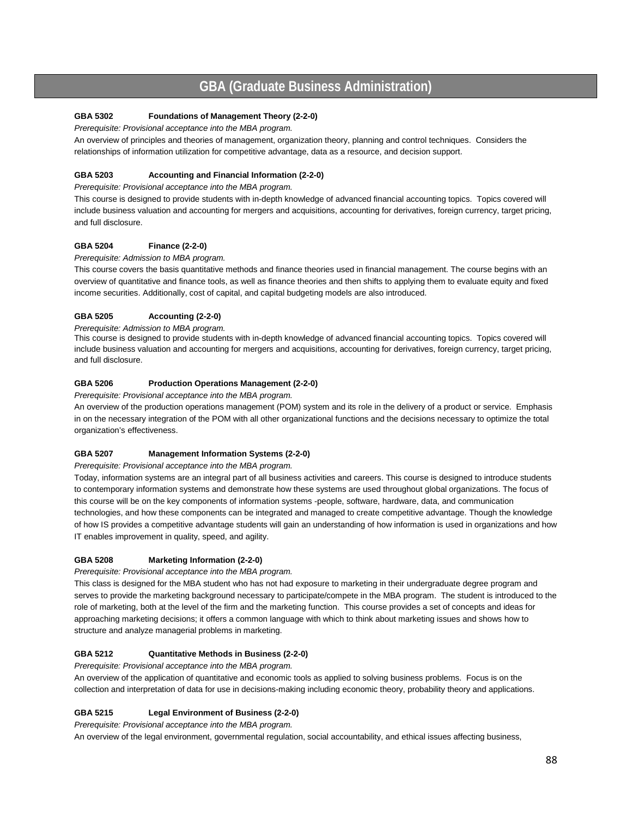## **GBA (Graduate Business Administration)**

#### **GBA 5302 Foundations of Management Theory (2-2-0)**

*Prerequisite: Provisional acceptance into the MBA program.*

An overview of principles and theories of management, organization theory, planning and control techniques. Considers the relationships of information utilization for competitive advantage, data as a resource, and decision support.

#### **GBA 5203 Accounting and Financial Information (2-2-0)**

*Prerequisite: Provisional acceptance into the MBA program.*

This course is designed to provide students with in-depth knowledge of advanced financial accounting topics. Topics covered will include business valuation and accounting for mergers and acquisitions, accounting for derivatives, foreign currency, target pricing, and full disclosure.

#### **GBA 5204 Finance (2-2-0)**

*Prerequisite: Admission to MBA program.*

This course covers the basis quantitative methods and finance theories used in financial management. The course begins with an overview of quantitative and finance tools, as well as finance theories and then shifts to applying them to evaluate equity and fixed income securities. Additionally, cost of capital, and capital budgeting models are also introduced.

#### **GBA 5205 Accounting (2-2-0)**

*Prerequisite: Admission to MBA program.*

This course is designed to provide students with in-depth knowledge of advanced financial accounting topics. Topics covered will include business valuation and accounting for mergers and acquisitions, accounting for derivatives, foreign currency, target pricing, and full disclosure.

#### **GBA 5206 Production Operations Management (2-2-0)**

*Prerequisite: Provisional acceptance into the MBA program.*

An overview of the production operations management (POM) system and its role in the delivery of a product or service. Emphasis in on the necessary integration of the POM with all other organizational functions and the decisions necessary to optimize the total organization's effectiveness.

#### **GBA 5207 Management Information Systems (2-2-0)**

#### *Prerequisite: Provisional acceptance into the MBA program.*

Today, information systems are an integral part of all business activities and careers. This course is designed to introduce students to contemporary information systems and demonstrate how these systems are used throughout global organizations. The focus of this course will be on the key components of information systems -people, software, hardware, data, and communication technologies, and how these components can be integrated and managed to create competitive advantage. Though the knowledge of how IS provides a competitive advantage students will gain an understanding of how information is used in organizations and how IT enables improvement in quality, speed, and agility.

#### **GBA 5208 Marketing Information (2-2-0)**

*Prerequisite: Provisional acceptance into the MBA program.*

This class is designed for the MBA student who has not had exposure to marketing in their undergraduate degree program and serves to provide the marketing background necessary to participate/compete in the MBA program. The student is introduced to the role of marketing, both at the level of the firm and the marketing function. This course provides a set of concepts and ideas for approaching marketing decisions; it offers a common language with which to think about marketing issues and shows how to structure and analyze managerial problems in marketing.

#### **GBA 5212 Quantitative Methods in Business (2-2-0)**

*Prerequisite: Provisional acceptance into the MBA program.*

An overview of the application of quantitative and economic tools as applied to solving business problems. Focus is on the collection and interpretation of data for use in decisions-making including economic theory, probability theory and applications.

#### **GBA 5215 Legal Environment of Business (2-2-0)**

*Prerequisite: Provisional acceptance into the MBA program.*

An overview of the legal environment, governmental regulation, social accountability, and ethical issues affecting business,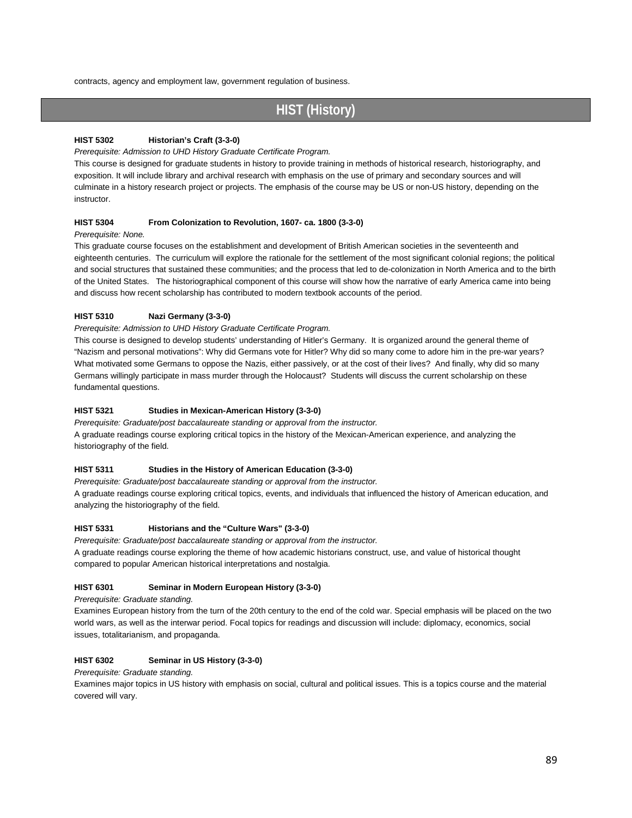contracts, agency and employment law, government regulation of business.

## **HIST (History)**

#### **HIST 5302 Historian's Craft (3-3-0)**

*Prerequisite: Admission to UHD History Graduate Certificate Program.* 

This course is designed for graduate students in history to provide training in methods of historical research, historiography, and exposition. It will include library and archival research with emphasis on the use of primary and secondary sources and will culminate in a history research project or projects. The emphasis of the course may be US or non-US history, depending on the instructor.

#### **HIST 5304 From Colonization to Revolution, 1607- ca. 1800 (3-3-0)**

#### *Prerequisite: None.*

This graduate course focuses on the establishment and development of British American societies in the seventeenth and eighteenth centuries. The curriculum will explore the rationale for the settlement of the most significant colonial regions; the political and social structures that sustained these communities; and the process that led to de-colonization in North America and to the birth of the United States. The historiographical component of this course will show how the narrative of early America came into being and discuss how recent scholarship has contributed to modern textbook accounts of the period.

#### **HIST 5310 Nazi Germany (3-3-0)**

#### *Prerequisite: Admission to UHD History Graduate Certificate Program.*

This course is designed to develop students' understanding of Hitler's Germany. It is organized around the general theme of "Nazism and personal motivations": Why did Germans vote for Hitler? Why did so many come to adore him in the pre-war years? What motivated some Germans to oppose the Nazis, either passively, or at the cost of their lives? And finally, why did so many Germans willingly participate in mass murder through the Holocaust? Students will discuss the current scholarship on these fundamental questions.

#### **HIST 5321 Studies in Mexican-American History (3-3-0)**

*Prerequisite: Graduate/post baccalaureate standing or approval from the instructor.* A graduate readings course exploring critical topics in the history of the Mexican-American experience, and analyzing the historiography of the field.

#### **HIST 5311 Studies in the History of American Education (3-3-0)**

*Prerequisite: Graduate/post baccalaureate standing or approval from the instructor.*

A graduate readings course exploring critical topics, events, and individuals that influenced the history of American education, and analyzing the historiography of the field.

#### **HIST 5331 Historians and the "Culture Wars" (3-3-0)**

*Prerequisite: Graduate/post baccalaureate standing or approval from the instructor.*

A graduate readings course exploring the theme of how academic historians construct, use, and value of historical thought compared to popular American historical interpretations and nostalgia.

#### **HIST 6301 Seminar in Modern European History (3-3-0)**

*Prerequisite: Graduate standing.* 

Examines European history from the turn of the 20th century to the end of the cold war. Special emphasis will be placed on the two world wars, as well as the interwar period. Focal topics for readings and discussion will include: diplomacy, economics, social issues, totalitarianism, and propaganda.

#### **HIST 6302 Seminar in US History (3-3-0)**

#### *Prerequisite: Graduate standing.*

Examines major topics in US history with emphasis on social, cultural and political issues. This is a topics course and the material covered will vary.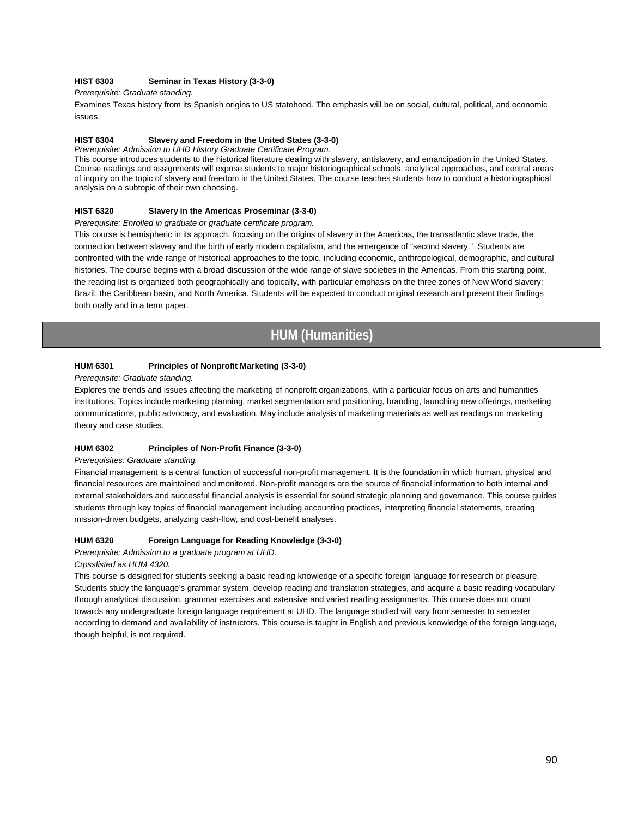#### **HIST 6303 Seminar in Texas History (3-3-0)**

#### *Prerequisite: Graduate standing.*

Examines Texas history from its Spanish origins to US statehood. The emphasis will be on social, cultural, political, and economic issues.

#### **HIST 6304 Slavery and Freedom in the United States (3-3-0)**

*Prerequisite: Admission to UHD History Graduate Certificate Program.*

This course introduces students to the historical literature dealing with slavery, antislavery, and emancipation in the United States. Course readings and assignments will expose students to major historiographical schools, analytical approaches, and central areas of inquiry on the topic of slavery and freedom in the United States. The course teaches students how to conduct a historiographical analysis on a subtopic of their own choosing.

#### **HIST 6320 Slavery in the Americas Proseminar (3-3-0)**

#### *Prerequisite: Enrolled in graduate or graduate certificate program.*

This course is hemispheric in its approach, focusing on the origins of slavery in the Americas, the transatlantic slave trade, the connection between slavery and the birth of early modern capitalism, and the emergence of "second slavery." Students are confronted with the wide range of historical approaches to the topic, including economic, anthropological, demographic, and cultural histories. The course begins with a broad discussion of the wide range of slave societies in the Americas. From this starting point, the reading list is organized both geographically and topically, with particular emphasis on the three zones of New World slavery: Brazil, the Caribbean basin, and North America. Students will be expected to conduct original research and present their findings both orally and in a term paper.

## **HUM (Humanities)**

#### **HUM 6301 Principles of Nonprofit Marketing (3-3-0)**

#### *Prerequisite: Graduate standing.*

Explores the trends and issues affecting the marketing of nonprofit organizations, with a particular focus on arts and humanities institutions. Topics include marketing planning, market segmentation and positioning, branding, launching new offerings, marketing communications, public advocacy, and evaluation. May include analysis of marketing materials as well as readings on marketing theory and case studies.

#### **HUM 6302 Principles of Non-Profit Finance (3-3-0)**

#### *Prerequisites: Graduate standing.*

Financial management is a central function of successful non-profit management. It is the foundation in which human, physical and financial resources are maintained and monitored. Non-profit managers are the source of financial information to both internal and external stakeholders and successful financial analysis is essential for sound strategic planning and governance. This course guides students through key topics of financial management including accounting practices, interpreting financial statements, creating mission-driven budgets, analyzing cash-flow, and cost-benefit analyses.

#### **HUM 6320 Foreign Language for Reading Knowledge (3-3-0)**

*Prerequisite: Admission to a graduate program at UHD.* 

*Crpsslisted as HUM 4320.*

This course is designed for students seeking a basic reading knowledge of a specific foreign language for research or pleasure. Students study the language's grammar system, develop reading and translation strategies, and acquire a basic reading vocabulary through analytical discussion, grammar exercises and extensive and varied reading assignments. This course does not count towards any undergraduate foreign language requirement at UHD. The language studied will vary from semester to semester according to demand and availability of instructors. This course is taught in English and previous knowledge of the foreign language, though helpful, is not required.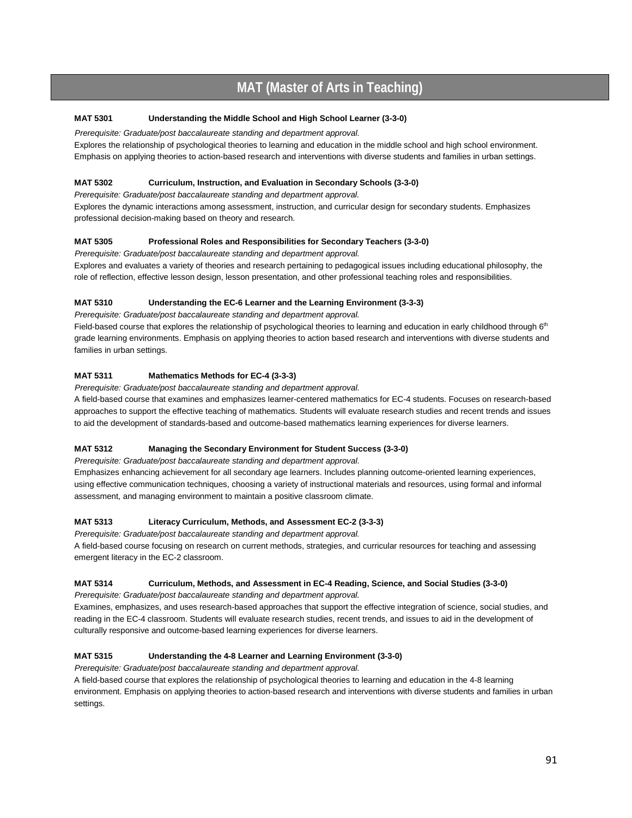## **MAT (Master of Arts in Teaching)**

### **MAT 5301 Understanding the Middle School and High School Learner (3-3-0)**

*Prerequisite: Graduate/post baccalaureate standing and department approval.*

Explores the relationship of psychological theories to learning and education in the middle school and high school environment. Emphasis on applying theories to action-based research and interventions with diverse students and families in urban settings.

#### **MAT 5302 Curriculum, Instruction, and Evaluation in Secondary Schools (3-3-0)**

*Prerequisite: Graduate/post baccalaureate standing and department approval.*

Explores the dynamic interactions among assessment, instruction, and curricular design for secondary students. Emphasizes professional decision-making based on theory and research.

#### **MAT 5305 Professional Roles and Responsibilities for Secondary Teachers (3-3-0)**

*Prerequisite: Graduate/post baccalaureate standing and department approval.*

Explores and evaluates a variety of theories and research pertaining to pedagogical issues including educational philosophy, the role of reflection, effective lesson design, lesson presentation, and other professional teaching roles and responsibilities.

#### **MAT 5310 Understanding the EC-6 Learner and the Learning Environment (3-3-3)**

*Prerequisite: Graduate/post baccalaureate standing and department approval.*

Field-based course that explores the relationship of psychological theories to learning and education in early childhood through  $6<sup>th</sup>$ grade learning environments. Emphasis on applying theories to action based research and interventions with diverse students and families in urban settings.

#### **MAT 5311 Mathematics Methods for EC-4 (3-3-3)**

*Prerequisite: Graduate/post baccalaureate standing and department approval.*

A field-based course that examines and emphasizes learner-centered mathematics for EC-4 students. Focuses on research-based approaches to support the effective teaching of mathematics. Students will evaluate research studies and recent trends and issues to aid the development of standards-based and outcome-based mathematics learning experiences for diverse learners.

#### **MAT 5312 Managing the Secondary Environment for Student Success (3-3-0)**

*Prerequisite: Graduate/post baccalaureate standing and department approval.*

Emphasizes enhancing achievement for all secondary age learners. Includes planning outcome-oriented learning experiences, using effective communication techniques, choosing a variety of instructional materials and resources, using formal and informal assessment, and managing environment to maintain a positive classroom climate.

#### **MAT 5313 Literacy Curriculum, Methods, and Assessment EC-2 (3-3-3)**

*Prerequisite: Graduate/post baccalaureate standing and department approval.*

A field-based course focusing on research on current methods, strategies, and curricular resources for teaching and assessing emergent literacy in the EC-2 classroom.

#### **MAT 5314 Curriculum, Methods, and Assessment in EC-4 Reading, Science, and Social Studies (3-3-0)**

*Prerequisite: Graduate/post baccalaureate standing and department approval.*

Examines, emphasizes, and uses research-based approaches that support the effective integration of science, social studies, and reading in the EC-4 classroom. Students will evaluate research studies, recent trends, and issues to aid in the development of culturally responsive and outcome-based learning experiences for diverse learners.

#### **MAT 5315 Understanding the 4-8 Learner and Learning Environment (3-3-0)**

*Prerequisite: Graduate/post baccalaureate standing and department approval.*

A field-based course that explores the relationship of psychological theories to learning and education in the 4-8 learning environment. Emphasis on applying theories to action-based research and interventions with diverse students and families in urban settings.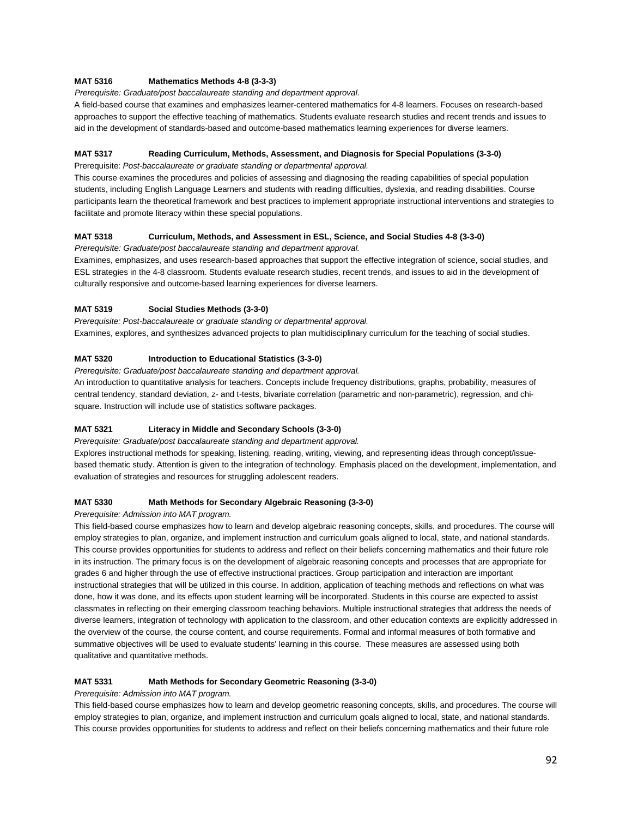#### **MAT 5316 Mathematics Methods 4-8 (3-3-3)**

*Prerequisite: Graduate/post baccalaureate standing and department approval.*

A field-based course that examines and emphasizes learner-centered mathematics for 4-8 learners. Focuses on research-based approaches to support the effective teaching of mathematics. Students evaluate research studies and recent trends and issues to aid in the development of standards-based and outcome-based mathematics learning experiences for diverse learners.

#### **MAT 5317 Reading Curriculum, Methods, Assessment, and Diagnosis for Special Populations (3-3-0)**

Prerequisite: *Post-baccalaureate or graduate standing or departmental approval.*

This course examines the procedures and policies of assessing and diagnosing the reading capabilities of special population students, including English Language Learners and students with reading difficulties, dyslexia, and reading disabilities. Course participants learn the theoretical framework and best practices to implement appropriate instructional interventions and strategies to facilitate and promote literacy within these special populations.

#### **MAT 5318 Curriculum, Methods, and Assessment in ESL, Science, and Social Studies 4-8 (3-3-0)**

*Prerequisite: Graduate/post baccalaureate standing and department approval.*

Examines, emphasizes, and uses research-based approaches that support the effective integration of science, social studies, and ESL strategies in the 4-8 classroom. Students evaluate research studies, recent trends, and issues to aid in the development of culturally responsive and outcome-based learning experiences for diverse learners.

#### **MAT 5319 Social Studies Methods (3-3-0)**

*Prerequisite: Post-baccalaureate or graduate standing or departmental approval.* Examines, explores, and synthesizes advanced projects to plan multidisciplinary curriculum for the teaching of social studies.

#### **MAT 5320 Introduction to Educational Statistics (3-3-0)**

*Prerequisite: Graduate/post baccalaureate standing and department approval.*

An introduction to quantitative analysis for teachers. Concepts include frequency distributions, graphs, probability, measures of central tendency, standard deviation, z- and t-tests, bivariate correlation (parametric and non-parametric), regression, and chisquare. Instruction will include use of statistics software packages.

#### **MAT 5321 Literacy in Middle and Secondary Schools (3-3-0)**

*Prerequisite: Graduate/post baccalaureate standing and department approval.*

Explores instructional methods for speaking, listening, reading, writing, viewing, and representing ideas through concept/issuebased thematic study. Attention is given to the integration of technology. Emphasis placed on the development, implementation, and evaluation of strategies and resources for struggling adolescent readers.

#### **MAT 5330 Math Methods for Secondary Algebraic Reasoning (3-3-0)**

#### *Prerequisite: Admission into MAT program.*

This field-based course emphasizes how to learn and develop algebraic reasoning concepts, skills, and procedures. The course will employ strategies to plan, organize, and implement instruction and curriculum goals aligned to local, state, and national standards. This course provides opportunities for students to address and reflect on their beliefs concerning mathematics and their future role in its instruction. The primary focus is on the development of algebraic reasoning concepts and processes that are appropriate for grades 6 and higher through the use of effective instructional practices. Group participation and interaction are important instructional strategies that will be utilized in this course. In addition, application of teaching methods and reflections on what was done, how it was done, and its effects upon student learning will be incorporated. Students in this course are expected to assist classmates in reflecting on their emerging classroom teaching behaviors. Multiple instructional strategies that address the needs of diverse learners, integration of technology with application to the classroom, and other education contexts are explicitly addressed in the overview of the course, the course content, and course requirements. Formal and informal measures of both formative and summative objectives will be used to evaluate students' learning in this course. These measures are assessed using both qualitative and quantitative methods.

#### **MAT 5331 Math Methods for Secondary Geometric Reasoning (3-3-0)**

#### *Prerequisite: Admission into MAT program.*

This field-based course emphasizes how to learn and develop geometric reasoning concepts, skills, and procedures. The course will employ strategies to plan, organize, and implement instruction and curriculum goals aligned to local, state, and national standards. This course provides opportunities for students to address and reflect on their beliefs concerning mathematics and their future role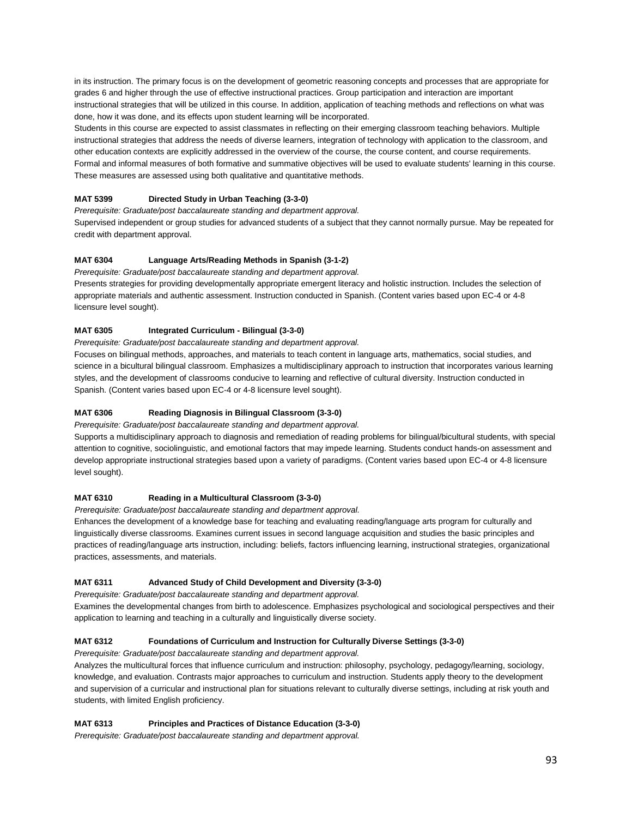in its instruction. The primary focus is on the development of geometric reasoning concepts and processes that are appropriate for grades 6 and higher through the use of effective instructional practices. Group participation and interaction are important instructional strategies that will be utilized in this course. In addition, application of teaching methods and reflections on what was done, how it was done, and its effects upon student learning will be incorporated.

Students in this course are expected to assist classmates in reflecting on their emerging classroom teaching behaviors. Multiple instructional strategies that address the needs of diverse learners, integration of technology with application to the classroom, and other education contexts are explicitly addressed in the overview of the course, the course content, and course requirements. Formal and informal measures of both formative and summative objectives will be used to evaluate students' learning in this course. These measures are assessed using both qualitative and quantitative methods.

#### **MAT 5399 Directed Study in Urban Teaching (3-3-0)**

*Prerequisite: Graduate/post baccalaureate standing and department approval.* Supervised independent or group studies for advanced students of a subject that they cannot normally pursue. May be repeated for credit with department approval.

#### **MAT 6304 Language Arts/Reading Methods in Spanish (3-1-2)**

*Prerequisite: Graduate/post baccalaureate standing and department approval.*

Presents strategies for providing developmentally appropriate emergent literacy and holistic instruction. Includes the selection of appropriate materials and authentic assessment. Instruction conducted in Spanish. (Content varies based upon EC-4 or 4-8 licensure level sought).

#### **MAT 6305 Integrated Curriculum - Bilingual (3-3-0)**

*Prerequisite: Graduate/post baccalaureate standing and department approval.*

Focuses on bilingual methods, approaches, and materials to teach content in language arts, mathematics, social studies, and science in a bicultural bilingual classroom. Emphasizes a multidisciplinary approach to instruction that incorporates various learning styles, and the development of classrooms conducive to learning and reflective of cultural diversity. Instruction conducted in Spanish. (Content varies based upon EC-4 or 4-8 licensure level sought).

#### **MAT 6306 Reading Diagnosis in Bilingual Classroom (3-3-0)**

*Prerequisite: Graduate/post baccalaureate standing and department approval.*

Supports a multidisciplinary approach to diagnosis and remediation of reading problems for bilingual/bicultural students, with special attention to cognitive, sociolinguistic, and emotional factors that may impede learning. Students conduct hands-on assessment and develop appropriate instructional strategies based upon a variety of paradigms. (Content varies based upon EC-4 or 4-8 licensure level sought).

#### **MAT 6310 Reading in a Multicultural Classroom (3-3-0)**

*Prerequisite: Graduate/post baccalaureate standing and department approval.*

Enhances the development of a knowledge base for teaching and evaluating reading/language arts program for culturally and linguistically diverse classrooms. Examines current issues in second language acquisition and studies the basic principles and practices of reading/language arts instruction, including: beliefs, factors influencing learning, instructional strategies, organizational practices, assessments, and materials.

#### **MAT 6311 Advanced Study of Child Development and Diversity (3-3-0)**

*Prerequisite: Graduate/post baccalaureate standing and department approval.*

Examines the developmental changes from birth to adolescence. Emphasizes psychological and sociological perspectives and their application to learning and teaching in a culturally and linguistically diverse society.

#### **MAT 6312 Foundations of Curriculum and Instruction for Culturally Diverse Settings (3-3-0)**

*Prerequisite: Graduate/post baccalaureate standing and department approval.*

Analyzes the multicultural forces that influence curriculum and instruction: philosophy, psychology, pedagogy/learning, sociology, knowledge, and evaluation. Contrasts major approaches to curriculum and instruction. Students apply theory to the development and supervision of a curricular and instructional plan for situations relevant to culturally diverse settings, including at risk youth and students, with limited English proficiency.

#### **MAT 6313 Principles and Practices of Distance Education (3-3-0)**

*Prerequisite: Graduate/post baccalaureate standing and department approval.*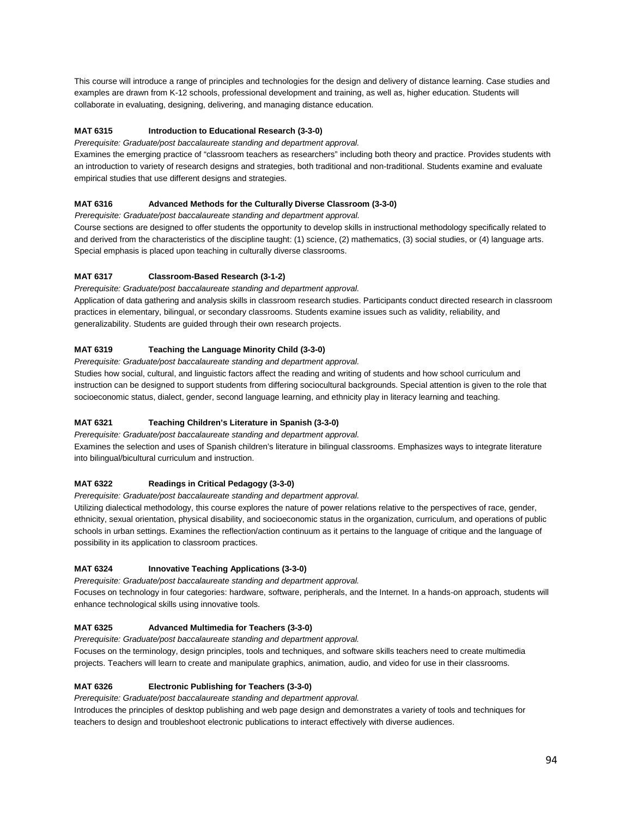This course will introduce a range of principles and technologies for the design and delivery of distance learning. Case studies and examples are drawn from K-12 schools, professional development and training, as well as, higher education. Students will collaborate in evaluating, designing, delivering, and managing distance education.

#### **MAT 6315 Introduction to Educational Research (3-3-0)**

*Prerequisite: Graduate/post baccalaureate standing and department approval.*

Examines the emerging practice of "classroom teachers as researchers" including both theory and practice. Provides students with an introduction to variety of research designs and strategies, both traditional and non-traditional. Students examine and evaluate empirical studies that use different designs and strategies.

#### **MAT 6316 Advanced Methods for the Culturally Diverse Classroom (3-3-0)**

*Prerequisite: Graduate/post baccalaureate standing and department approval.*

Course sections are designed to offer students the opportunity to develop skills in instructional methodology specifically related to and derived from the characteristics of the discipline taught: (1) science, (2) mathematics, (3) social studies, or (4) language arts. Special emphasis is placed upon teaching in culturally diverse classrooms.

#### **MAT 6317 Classroom-Based Research (3-1-2)**

*Prerequisite: Graduate/post baccalaureate standing and department approval.*

Application of data gathering and analysis skills in classroom research studies. Participants conduct directed research in classroom practices in elementary, bilingual, or secondary classrooms. Students examine issues such as validity, reliability, and generalizability. Students are guided through their own research projects.

#### **MAT 6319 Teaching the Language Minority Child (3-3-0)**

*Prerequisite: Graduate/post baccalaureate standing and department approval.*

Studies how social, cultural, and linguistic factors affect the reading and writing of students and how school curriculum and instruction can be designed to support students from differing sociocultural backgrounds. Special attention is given to the role that socioeconomic status, dialect, gender, second language learning, and ethnicity play in literacy learning and teaching.

#### **MAT 6321 Teaching Children's Literature in Spanish (3-3-0)**

*Prerequisite: Graduate/post baccalaureate standing and department approval.*

Examines the selection and uses of Spanish children's literature in bilingual classrooms. Emphasizes ways to integrate literature into bilingual/bicultural curriculum and instruction.

#### **MAT 6322 Readings in Critical Pedagogy (3-3-0)**

*Prerequisite: Graduate/post baccalaureate standing and department approval.*

Utilizing dialectical methodology, this course explores the nature of power relations relative to the perspectives of race, gender, ethnicity, sexual orientation, physical disability, and socioeconomic status in the organization, curriculum, and operations of public schools in urban settings. Examines the reflection/action continuum as it pertains to the language of critique and the language of possibility in its application to classroom practices.

#### **MAT 6324 Innovative Teaching Applications (3-3-0)**

*Prerequisite: Graduate/post baccalaureate standing and department approval.*

Focuses on technology in four categories: hardware, software, peripherals, and the Internet. In a hands-on approach, students will enhance technological skills using innovative tools.

#### **MAT 6325 Advanced Multimedia for Teachers (3-3-0)**

*Prerequisite: Graduate/post baccalaureate standing and department approval.*

Focuses on the terminology, design principles, tools and techniques, and software skills teachers need to create multimedia projects. Teachers will learn to create and manipulate graphics, animation, audio, and video for use in their classrooms.

#### **MAT 6326 Electronic Publishing for Teachers (3-3-0)**

*Prerequisite: Graduate/post baccalaureate standing and department approval.*

Introduces the principles of desktop publishing and web page design and demonstrates a variety of tools and techniques for teachers to design and troubleshoot electronic publications to interact effectively with diverse audiences.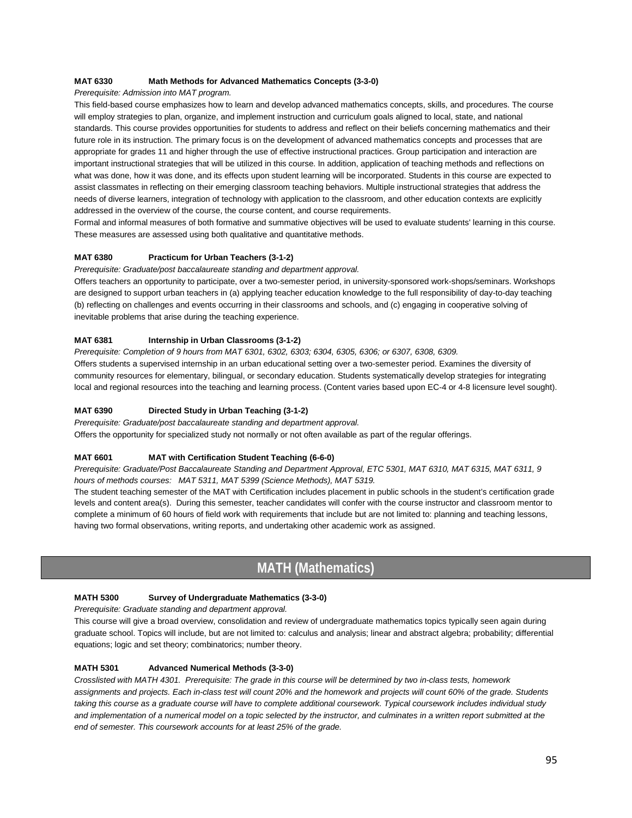#### **MAT 6330 Math Methods for Advanced Mathematics Concepts (3-3-0)**

*Prerequisite: Admission into MAT program.*

This field-based course emphasizes how to learn and develop advanced mathematics concepts, skills, and procedures. The course will employ strategies to plan, organize, and implement instruction and curriculum goals aligned to local, state, and national standards. This course provides opportunities for students to address and reflect on their beliefs concerning mathematics and their future role in its instruction. The primary focus is on the development of advanced mathematics concepts and processes that are appropriate for grades 11 and higher through the use of effective instructional practices. Group participation and interaction are important instructional strategies that will be utilized in this course. In addition, application of teaching methods and reflections on what was done, how it was done, and its effects upon student learning will be incorporated. Students in this course are expected to assist classmates in reflecting on their emerging classroom teaching behaviors. Multiple instructional strategies that address the needs of diverse learners, integration of technology with application to the classroom, and other education contexts are explicitly addressed in the overview of the course, the course content, and course requirements.

Formal and informal measures of both formative and summative objectives will be used to evaluate students' learning in this course. These measures are assessed using both qualitative and quantitative methods.

#### **MAT 6380 Practicum for Urban Teachers (3-1-2)**

*Prerequisite: Graduate/post baccalaureate standing and department approval.*

Offers teachers an opportunity to participate, over a two-semester period, in university-sponsored work-shops/seminars. Workshops are designed to support urban teachers in (a) applying teacher education knowledge to the full responsibility of day-to-day teaching (b) reflecting on challenges and events occurring in their classrooms and schools, and (c) engaging in cooperative solving of inevitable problems that arise during the teaching experience.

#### **MAT 6381 Internship in Urban Classrooms (3-1-2)**

*Prerequisite: Completion of 9 hours from MAT 6301, 6302, 6303; 6304, 6305, 6306; or 6307, 6308, 6309.*  Offers students a supervised internship in an urban educational setting over a two-semester period. Examines the diversity of community resources for elementary, bilingual, or secondary education. Students systematically develop strategies for integrating local and regional resources into the teaching and learning process. (Content varies based upon EC-4 or 4-8 licensure level sought).

#### **MAT 6390 Directed Study in Urban Teaching (3-1-2)**

*Prerequisite: Graduate/post baccalaureate standing and department approval.*

Offers the opportunity for specialized study not normally or not often available as part of the regular offerings.

#### **MAT 6601 MAT with Certification Student Teaching (6-6-0)**

*Prerequisite: Graduate/Post Baccalaureate Standing and Department Approval, ETC 5301, MAT 6310, MAT 6315, MAT 6311, 9 hours of methods courses: MAT 5311, MAT 5399 (Science Methods), MAT 5319.* 

The student teaching semester of the MAT with Certification includes placement in public schools in the student's certification grade levels and content area(s). During this semester, teacher candidates will confer with the course instructor and classroom mentor to complete a minimum of 60 hours of field work with requirements that include but are not limited to: planning and teaching lessons, having two formal observations, writing reports, and undertaking other academic work as assigned.

## **MATH (Mathematics)**

#### **MATH 5300 Survey of Undergraduate Mathematics (3-3-0)**

*Prerequisite: Graduate standing and department approval.* 

This course will give a broad overview, consolidation and review of undergraduate mathematics topics typically seen again during graduate school. Topics will include, but are not limited to: calculus and analysis; linear and abstract algebra; probability; differential equations; logic and set theory; combinatorics; number theory.

#### **MATH 5301 Advanced Numerical Methods (3-3-0)**

*Crosslisted with MATH 4301. Prerequisite: The grade in this course will be determined by two in-class tests, homework assignments and projects. Each in-class test will count 20% and the homework and projects will count 60% of the grade. Students taking this course as a graduate course will have to complete additional coursework. Typical coursework includes individual study*  and implementation of a numerical model on a topic selected by the instructor, and culminates in a written report submitted at the *end of semester. This coursework accounts for at least 25% of the grade.*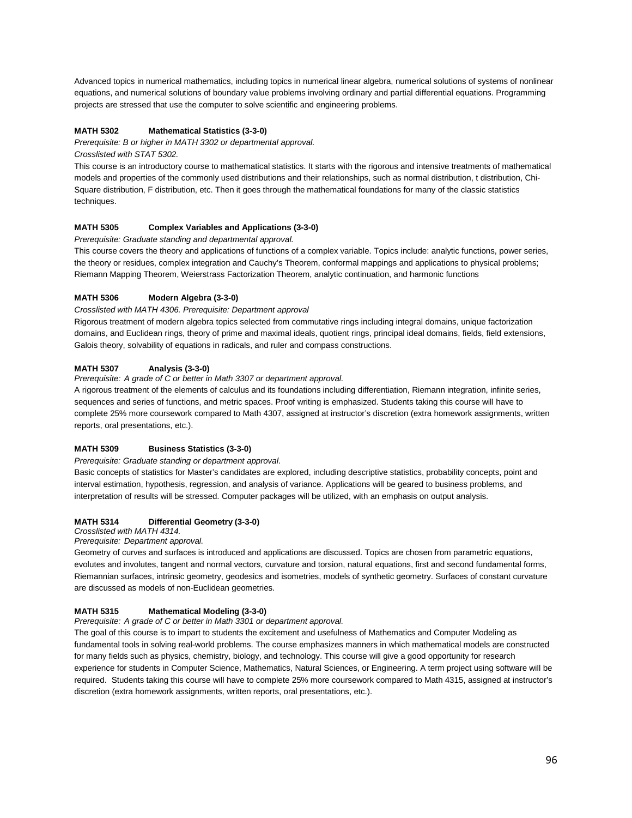Advanced topics in numerical mathematics, including topics in numerical linear algebra, numerical solutions of systems of nonlinear equations, and numerical solutions of boundary value problems involving ordinary and partial differential equations. Programming projects are stressed that use the computer to solve scientific and engineering problems.

#### **MATH 5302 Mathematical Statistics (3-3-0)**

*Prerequisite: B or higher in MATH 3302 or departmental approval.*

*Crosslisted with STAT 5302.*

This course is an introductory course to mathematical statistics. It starts with the rigorous and intensive treatments of mathematical models and properties of the commonly used distributions and their relationships, such as normal distribution, t distribution, Chi-Square distribution, F distribution, etc. Then it goes through the mathematical foundations for many of the classic statistics techniques.

#### **MATH 5305 Complex Variables and Applications (3-3-0)**

*Prerequisite: Graduate standing and departmental approval.*

This course covers the theory and applications of functions of a complex variable. Topics include: analytic functions, power series, the theory or residues, complex integration and Cauchy's Theorem, conformal mappings and applications to physical problems; Riemann Mapping Theorem, Weierstrass Factorization Theorem, analytic continuation, and harmonic functions

#### **MATH 5306 Modern Algebra (3-3-0)**

#### *Crosslisted with MATH 4306. Prerequisite: Department approval*

Rigorous treatment of modern algebra topics selected from commutative rings including integral domains, unique factorization domains, and Euclidean rings, theory of prime and maximal ideals, quotient rings, principal ideal domains, fields, field extensions, Galois theory, solvability of equations in radicals, and ruler and compass constructions.

#### **MATH 5307 Analysis (3-3-0)**

*Prerequisite: A grade of C or better in Math 3307 or department approval.*

A rigorous treatment of the elements of calculus and its foundations including differentiation, Riemann integration, infinite series, sequences and series of functions, and metric spaces. Proof writing is emphasized. Students taking this course will have to complete 25% more coursework compared to Math 4307, assigned at instructor's discretion (extra homework assignments, written reports, oral presentations, etc.).

#### **MATH 5309 Business Statistics (3-3-0)**

#### *Prerequisite: Graduate standing or department approval.*

Basic concepts of statistics for Master's candidates are explored, including descriptive statistics, probability concepts, point and interval estimation, hypothesis, regression, and analysis of variance. Applications will be geared to business problems, and interpretation of results will be stressed. Computer packages will be utilized, with an emphasis on output analysis.

#### **MATH 5314 Differential Geometry (3-3-0)**

*Crosslisted with MATH 4314.* 

#### *Prerequisite: Department approval.*

Geometry of curves and surfaces is introduced and applications are discussed. Topics are chosen from parametric equations, evolutes and involutes, tangent and normal vectors, curvature and torsion, natural equations, first and second fundamental forms, Riemannian surfaces, intrinsic geometry, geodesics and isometries, models of synthetic geometry. Surfaces of constant curvature are discussed as models of non-Euclidean geometries.

#### **MATH 5315 Mathematical Modeling (3-3-0)**

#### *Prerequisite: A grade of C or better in Math 3301 or department approval.*

The goal of this course is to impart to students the excitement and usefulness of Mathematics and Computer Modeling as fundamental tools in solving real-world problems. The course emphasizes manners in which mathematical models are constructed for many fields such as physics, chemistry, biology, and technology. This course will give a good opportunity for research experience for students in Computer Science, Mathematics, Natural Sciences, or Engineering. A term project using software will be required. Students taking this course will have to complete 25% more coursework compared to Math 4315, assigned at instructor's discretion (extra homework assignments, written reports, oral presentations, etc.).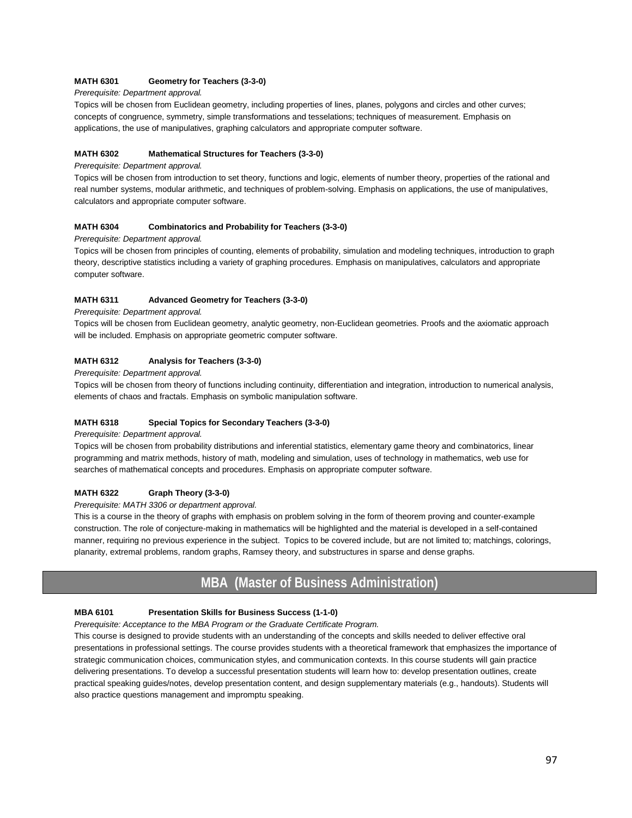#### **MATH 6301 Geometry for Teachers (3-3-0)**

#### *Prerequisite: Department approval.*

Topics will be chosen from Euclidean geometry, including properties of lines, planes, polygons and circles and other curves; concepts of congruence, symmetry, simple transformations and tesselations; techniques of measurement. Emphasis on applications, the use of manipulatives, graphing calculators and appropriate computer software.

#### **MATH 6302 Mathematical Structures for Teachers (3-3-0)**

#### *Prerequisite: Department approval.*

Topics will be chosen from introduction to set theory, functions and logic, elements of number theory, properties of the rational and real number systems, modular arithmetic, and techniques of problem-solving. Emphasis on applications, the use of manipulatives, calculators and appropriate computer software.

#### **MATH 6304 Combinatorics and Probability for Teachers (3-3-0)**

*Prerequisite: Department approval.* 

Topics will be chosen from principles of counting, elements of probability, simulation and modeling techniques, introduction to graph theory, descriptive statistics including a variety of graphing procedures. Emphasis on manipulatives, calculators and appropriate computer software.

#### **MATH 6311 Advanced Geometry for Teachers (3-3-0)**

#### *Prerequisite: Department approval.*

Topics will be chosen from Euclidean geometry, analytic geometry, non-Euclidean geometries. Proofs and the axiomatic approach will be included. Emphasis on appropriate geometric computer software.

#### **MATH 6312 Analysis for Teachers (3-3-0)**

*Prerequisite: Department approval.* 

Topics will be chosen from theory of functions including continuity, differentiation and integration, introduction to numerical analysis, elements of chaos and fractals. Emphasis on symbolic manipulation software.

#### **MATH 6318 Special Topics for Secondary Teachers (3-3-0)**

*Prerequisite: Department approval.* 

Topics will be chosen from probability distributions and inferential statistics, elementary game theory and combinatorics, linear programming and matrix methods, history of math, modeling and simulation, uses of technology in mathematics, web use for searches of mathematical concepts and procedures. Emphasis on appropriate computer software.

#### **MATH 6322 Graph Theory (3-3-0)**

*Prerequisite: MATH 3306 or department approval.* 

This is a course in the theory of graphs with emphasis on problem solving in the form of theorem proving and counter-example construction. The role of conjecture-making in mathematics will be highlighted and the material is developed in a self-contained manner, requiring no previous experience in the subject. Topics to be covered include, but are not limited to; matchings, colorings, planarity, extremal problems, random graphs, Ramsey theory, and substructures in sparse and dense graphs.

## **MBA (Master of Business Administration)**

#### **MBA 6101 Presentation Skills for Business Success (1-1-0)**

*Prerequisite: Acceptance to the MBA Program or the Graduate Certificate Program.* 

This course is designed to provide students with an understanding of the concepts and skills needed to deliver effective oral presentations in professional settings. The course provides students with a theoretical framework that emphasizes the importance of strategic communication choices, communication styles, and communication contexts. In this course students will gain practice delivering presentations. To develop a successful presentation students will learn how to: develop presentation outlines, create practical speaking guides/notes, develop presentation content, and design supplementary materials (e.g., handouts). Students will also practice questions management and impromptu speaking.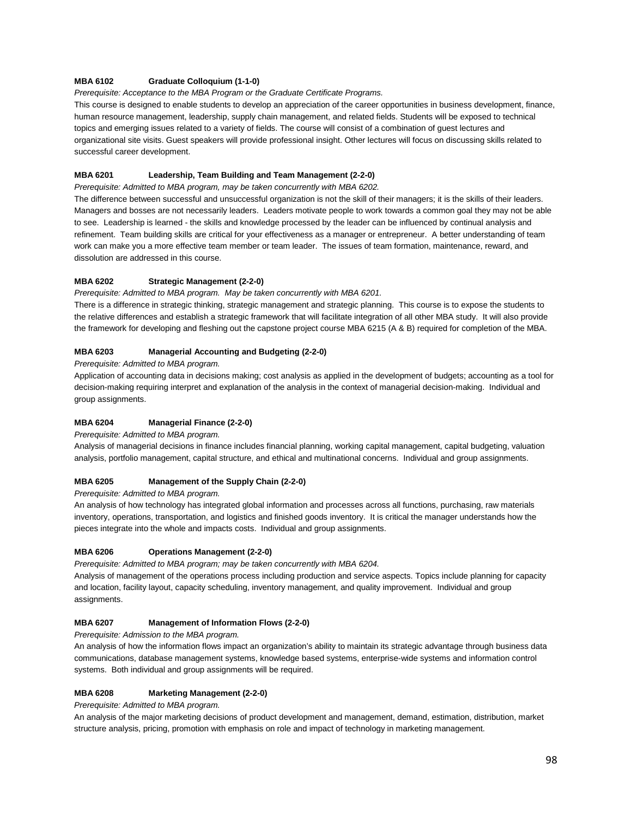#### **MBA 6102 Graduate Colloquium (1-1-0)**

*Prerequisite: Acceptance to the MBA Program or the Graduate Certificate Programs.*

This course is designed to enable students to develop an appreciation of the career opportunities in business development, finance, human resource management, leadership, supply chain management, and related fields. Students will be exposed to technical topics and emerging issues related to a variety of fields. The course will consist of a combination of guest lectures and organizational site visits. Guest speakers will provide professional insight. Other lectures will focus on discussing skills related to successful career development.

#### **MBA 6201 Leadership, Team Building and Team Management (2-2-0)**

*Prerequisite: Admitted to MBA program, may be taken concurrently with MBA 6202.*

The difference between successful and unsuccessful organization is not the skill of their managers; it is the skills of their leaders. Managers and bosses are not necessarily leaders. Leaders motivate people to work towards a common goal they may not be able to see. Leadership is learned - the skills and knowledge processed by the leader can be influenced by continual analysis and refinement. Team building skills are critical for your effectiveness as a manager or entrepreneur. A better understanding of team work can make you a more effective team member or team leader. The issues of team formation, maintenance, reward, and dissolution are addressed in this course.

#### **MBA 6202 Strategic Management (2-2-0)**

*Prerequisite: Admitted to MBA program. May be taken concurrently with MBA 6201.*

There is a difference in strategic thinking, strategic management and strategic planning. This course is to expose the students to the relative differences and establish a strategic framework that will facilitate integration of all other MBA study. It will also provide the framework for developing and fleshing out the capstone project course MBA 6215 (A & B) required for completion of the MBA.

#### **MBA 6203 Managerial Accounting and Budgeting (2-2-0)**

*Prerequisite: Admitted to MBA program.*

Application of accounting data in decisions making; cost analysis as applied in the development of budgets; accounting as a tool for decision-making requiring interpret and explanation of the analysis in the context of managerial decision-making. Individual and group assignments.

#### **MBA 6204 Managerial Finance (2-2-0)**

*Prerequisite: Admitted to MBA program.*

Analysis of managerial decisions in finance includes financial planning, working capital management, capital budgeting, valuation analysis, portfolio management, capital structure, and ethical and multinational concerns. Individual and group assignments.

#### **MBA 6205 Management of the Supply Chain (2-2-0)**

*Prerequisite: Admitted to MBA program.*

An analysis of how technology has integrated global information and processes across all functions, purchasing, raw materials inventory, operations, transportation, and logistics and finished goods inventory. It is critical the manager understands how the pieces integrate into the whole and impacts costs. Individual and group assignments.

#### **MBA 6206 Operations Management (2-2-0)**

*Prerequisite: Admitted to MBA program; may be taken concurrently with MBA 6204.* Analysis of management of the operations process including production and service aspects. Topics include planning for capacity and location, facility layout, capacity scheduling, inventory management, and quality improvement. Individual and group assignments.

#### **MBA 6207 Management of Information Flows (2-2-0)**

*Prerequisite: Admission to the MBA program.*

An analysis of how the information flows impact an organization's ability to maintain its strategic advantage through business data communications, database management systems, knowledge based systems, enterprise-wide systems and information control systems. Both individual and group assignments will be required.

#### **MBA 6208 Marketing Management (2-2-0)**

*Prerequisite: Admitted to MBA program.*

An analysis of the major marketing decisions of product development and management, demand, estimation, distribution, market structure analysis, pricing, promotion with emphasis on role and impact of technology in marketing management.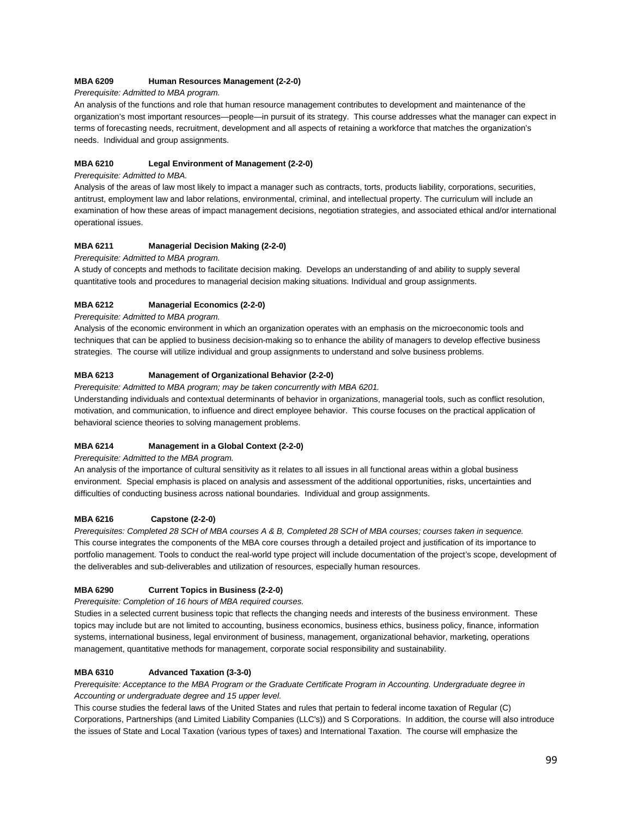#### **MBA 6209 Human Resources Management (2-2-0)**

*Prerequisite: Admitted to MBA program.*

An analysis of the functions and role that human resource management contributes to development and maintenance of the organization's most important resources—people—in pursuit of its strategy. This course addresses what the manager can expect in terms of forecasting needs, recruitment, development and all aspects of retaining a workforce that matches the organization's needs. Individual and group assignments.

#### **MBA 6210 Legal Environment of Management (2-2-0)**

#### *Prerequisite: Admitted to MBA.*

Analysis of the areas of law most likely to impact a manager such as contracts, torts, products liability, corporations, securities, antitrust, employment law and labor relations, environmental, criminal, and intellectual property. The curriculum will include an examination of how these areas of impact management decisions, negotiation strategies, and associated ethical and/or international operational issues.

#### **MBA 6211 Managerial Decision Making (2-2-0)**

#### *Prerequisite: Admitted to MBA program.*

A study of concepts and methods to facilitate decision making. Develops an understanding of and ability to supply several quantitative tools and procedures to managerial decision making situations. Individual and group assignments.

#### **MBA 6212 Managerial Economics (2-2-0)**

#### *Prerequisite: Admitted to MBA program.*

Analysis of the economic environment in which an organization operates with an emphasis on the microeconomic tools and techniques that can be applied to business decision-making so to enhance the ability of managers to develop effective business strategies. The course will utilize individual and group assignments to understand and solve business problems.

#### **MBA 6213 Management of Organizational Behavior (2-2-0)**

*Prerequisite: Admitted to MBA program; may be taken concurrently with MBA 6201.*

Understanding individuals and contextual determinants of behavior in organizations, managerial tools, such as conflict resolution, motivation, and communication, to influence and direct employee behavior. This course focuses on the practical application of behavioral science theories to solving management problems.

#### **MBA 6214 Management in a Global Context (2-2-0)**

*Prerequisite: Admitted to the MBA program.*

An analysis of the importance of cultural sensitivity as it relates to all issues in all functional areas within a global business environment. Special emphasis is placed on analysis and assessment of the additional opportunities, risks, uncertainties and difficulties of conducting business across national boundaries. Individual and group assignments.

#### **MBA 6216 Capstone (2-2-0)**

*Prerequisites: Completed 28 SCH of MBA courses A & B, Completed 28 SCH of MBA courses; courses taken in sequence.* This course integrates the components of the MBA core courses through a detailed project and justification of its importance to portfolio management. Tools to conduct the real-world type project will include documentation of the project's scope, development of the deliverables and sub-deliverables and utilization of resources, especially human resources.

#### **MBA 6290 Current Topics in Business (2-2-0)**

*Prerequisite: Completion of 16 hours of MBA required courses.*

Studies in a selected current business topic that reflects the changing needs and interests of the business environment. These topics may include but are not limited to accounting, business economics, business ethics, business policy, finance, information systems, international business, legal environment of business, management, organizational behavior, marketing, operations management, quantitative methods for management, corporate social responsibility and sustainability.

#### **MBA 6310 Advanced Taxation (3-3-0)**

*Prerequisite: Acceptance to the MBA Program or the Graduate Certificate Program in Accounting. Undergraduate degree in Accounting or undergraduate degree and 15 upper level.*

This course studies the federal laws of the United States and rules that pertain to federal income taxation of Regular (C) Corporations, Partnerships (and Limited Liability Companies (LLC's)) and S Corporations. In addition, the course will also introduce the issues of State and Local Taxation (various types of taxes) and International Taxation. The course will emphasize the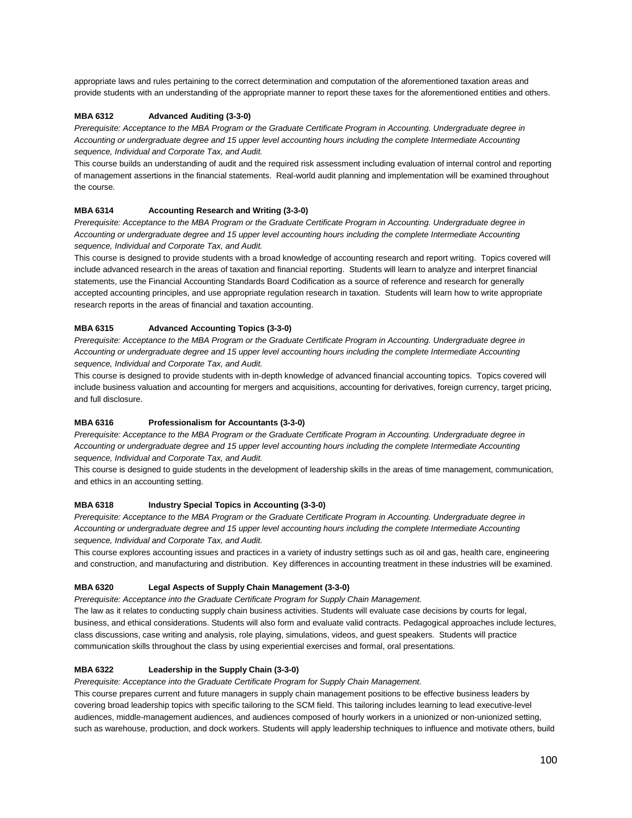appropriate laws and rules pertaining to the correct determination and computation of the aforementioned taxation areas and provide students with an understanding of the appropriate manner to report these taxes for the aforementioned entities and others.

#### **MBA 6312 Advanced Auditing (3-3-0)**

*Prerequisite: Acceptance to the MBA Program or the Graduate Certificate Program in Accounting. Undergraduate degree in Accounting or undergraduate degree and 15 upper level accounting hours including the complete Intermediate Accounting sequence, Individual and Corporate Tax, and Audit.* 

This course builds an understanding of audit and the required risk assessment including evaluation of internal control and reporting of management assertions in the financial statements. Real-world audit planning and implementation will be examined throughout the course.

#### **MBA 6314 Accounting Research and Writing (3-3-0)**

*Prerequisite: Acceptance to the MBA Program or the Graduate Certificate Program in Accounting. Undergraduate degree in Accounting or undergraduate degree and 15 upper level accounting hours including the complete Intermediate Accounting sequence, Individual and Corporate Tax, and Audit.* 

This course is designed to provide students with a broad knowledge of accounting research and report writing. Topics covered will include advanced research in the areas of taxation and financial reporting. Students will learn to analyze and interpret financial statements, use the Financial Accounting Standards Board Codification as a source of reference and research for generally accepted accounting principles, and use appropriate regulation research in taxation. Students will learn how to write appropriate research reports in the areas of financial and taxation accounting.

#### **MBA 6315 Advanced Accounting Topics (3-3-0)**

*Prerequisite: Acceptance to the MBA Program or the Graduate Certificate Program in Accounting. Undergraduate degree in Accounting or undergraduate degree and 15 upper level accounting hours including the complete Intermediate Accounting sequence, Individual and Corporate Tax, and Audit.* 

This course is designed to provide students with in-depth knowledge of advanced financial accounting topics. Topics covered will include business valuation and accounting for mergers and acquisitions, accounting for derivatives, foreign currency, target pricing, and full disclosure.

#### **MBA 6316 Professionalism for Accountants (3-3-0)**

*Prerequisite: Acceptance to the MBA Program or the Graduate Certificate Program in Accounting. Undergraduate degree in Accounting or undergraduate degree and 15 upper level accounting hours including the complete Intermediate Accounting sequence, Individual and Corporate Tax, and Audit.* 

This course is designed to guide students in the development of leadership skills in the areas of time management, communication, and ethics in an accounting setting.

#### **MBA 6318 Industry Special Topics in Accounting (3-3-0)**

*Prerequisite: Acceptance to the MBA Program or the Graduate Certificate Program in Accounting. Undergraduate degree in Accounting or undergraduate degree and 15 upper level accounting hours including the complete Intermediate Accounting sequence, Individual and Corporate Tax, and Audit.* 

This course explores accounting issues and practices in a variety of industry settings such as oil and gas, health care, engineering and construction, and manufacturing and distribution. Key differences in accounting treatment in these industries will be examined.

#### **MBA 6320 Legal Aspects of Supply Chain Management (3-3-0)**

*Prerequisite: Acceptance into the Graduate Certificate Program for Supply Chain Management.*

The law as it relates to conducting supply chain business activities. Students will evaluate case decisions by courts for legal, business, and ethical considerations. Students will also form and evaluate valid contracts. Pedagogical approaches include lectures, class discussions, case writing and analysis, role playing, simulations, videos, and guest speakers. Students will practice communication skills throughout the class by using experiential exercises and formal, oral presentations.

#### **MBA 6322 Leadership in the Supply Chain (3-3-0)**

*Prerequisite: Acceptance into the Graduate Certificate Program for Supply Chain Management.*

This course prepares current and future managers in supply chain management positions to be effective business leaders by covering broad leadership topics with specific tailoring to the SCM field. This tailoring includes learning to lead executive-level audiences, middle-management audiences, and audiences composed of hourly workers in a unionized or non-unionized setting, such as warehouse, production, and dock workers. Students will apply leadership techniques to influence and motivate others, build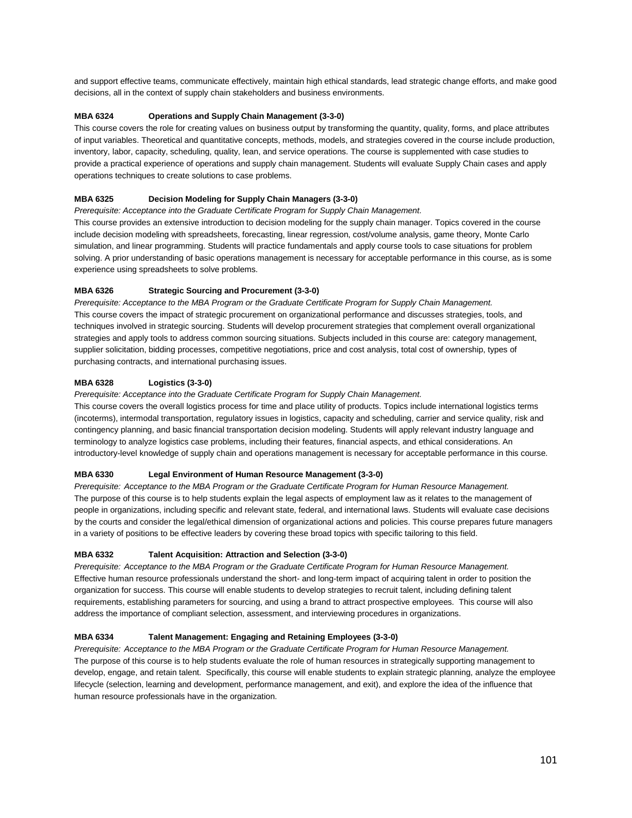and support effective teams, communicate effectively, maintain high ethical standards, lead strategic change efforts, and make good decisions, all in the context of supply chain stakeholders and business environments.

#### **MBA 6324 Operations and Supply Chain Management (3-3-0)**

This course covers the role for creating values on business output by transforming the quantity, quality, forms, and place attributes of input variables. Theoretical and quantitative concepts, methods, models, and strategies covered in the course include production, inventory, labor, capacity, scheduling, quality, lean, and service operations. The course is supplemented with case studies to provide a practical experience of operations and supply chain management. Students will evaluate Supply Chain cases and apply operations techniques to create solutions to case problems.

#### **MBA 6325 Decision Modeling for Supply Chain Managers (3-3-0)**

*Prerequisite: Acceptance into the Graduate Certificate Program for Supply Chain Management.*

This course provides an extensive introduction to decision modeling for the supply chain manager. Topics covered in the course include decision modeling with spreadsheets, forecasting, linear regression, cost/volume analysis, game theory, Monte Carlo simulation, and linear programming. Students will practice fundamentals and apply course tools to case situations for problem solving. A prior understanding of basic operations management is necessary for acceptable performance in this course, as is some experience using spreadsheets to solve problems.

#### **MBA 6326 Strategic Sourcing and Procurement (3-3-0)**

*Prerequisite: Acceptance to the MBA Program or the Graduate Certificate Program for Supply Chain Management.* This course covers the impact of strategic procurement on organizational performance and discusses strategies, tools, and techniques involved in strategic sourcing. Students will develop procurement strategies that complement overall organizational strategies and apply tools to address common sourcing situations. Subjects included in this course are: category management, supplier solicitation, bidding processes, competitive negotiations, price and cost analysis, total cost of ownership, types of purchasing contracts, and international purchasing issues.

#### **MBA 6328 Logistics (3-3-0)**

*Prerequisite: Acceptance into the Graduate Certificate Program for Supply Chain Management.*

This course covers the overall logistics process for time and place utility of products. Topics include international logistics terms (incoterms), intermodal transportation, regulatory issues in logistics, capacity and scheduling, carrier and service quality, risk and contingency planning, and basic financial transportation decision modeling. Students will apply relevant industry language and terminology to analyze logistics case problems, including their features, financial aspects, and ethical considerations. An introductory-level knowledge of supply chain and operations management is necessary for acceptable performance in this course.

#### **MBA 6330 Legal Environment of Human Resource Management (3-3-0)**

*Prerequisite: Acceptance to the MBA Program or the Graduate Certificate Program for Human Resource Management.* The purpose of this course is to help students explain the legal aspects of employment law as it relates to the management of people in organizations, including specific and relevant state, federal, and international laws. Students will evaluate case decisions by the courts and consider the legal/ethical dimension of organizational actions and policies. This course prepares future managers in a variety of positions to be effective leaders by covering these broad topics with specific tailoring to this field.

#### **MBA 6332 Talent Acquisition: Attraction and Selection (3-3-0)**

*Prerequisite: Acceptance to the MBA Program or the Graduate Certificate Program for Human Resource Management.* Effective human resource professionals understand the short- and long-term impact of acquiring talent in order to position the organization for success. This course will enable students to develop strategies to recruit talent, including defining talent requirements, establishing parameters for sourcing, and using a brand to attract prospective employees. This course will also address the importance of compliant selection, assessment, and interviewing procedures in organizations.

#### **MBA 6334 Talent Management: Engaging and Retaining Employees (3-3-0)**

*Prerequisite: Acceptance to the MBA Program or the Graduate Certificate Program for Human Resource Management.* The purpose of this course is to help students evaluate the role of human resources in strategically supporting management to develop, engage, and retain talent. Specifically, this course will enable students to explain strategic planning, analyze the employee lifecycle (selection, learning and development, performance management, and exit), and explore the idea of the influence that human resource professionals have in the organization.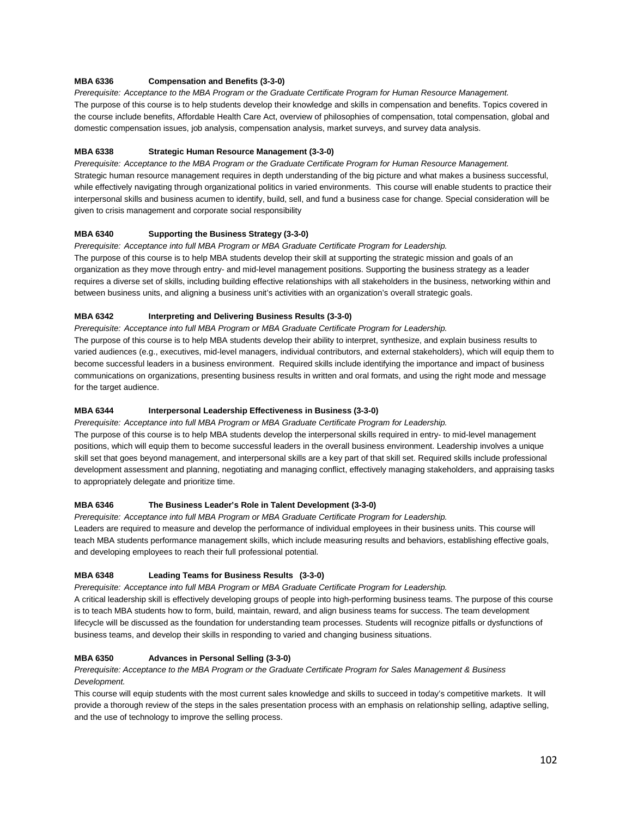#### **MBA 6336 Compensation and Benefits (3-3-0)**

*Prerequisite: Acceptance to the MBA Program or the Graduate Certificate Program for Human Resource Management.* The purpose of this course is to help students develop their knowledge and skills in compensation and benefits. Topics covered in the course include benefits, Affordable Health Care Act, overview of philosophies of compensation, total compensation, global and domestic compensation issues, job analysis, compensation analysis, market surveys, and survey data analysis.

#### **MBA 6338 Strategic Human Resource Management (3-3-0)**

*Prerequisite: Acceptance to the MBA Program or the Graduate Certificate Program for Human Resource Management.* Strategic human resource management requires in depth understanding of the big picture and what makes a business successful, while effectively navigating through organizational politics in varied environments. This course will enable students to practice their interpersonal skills and business acumen to identify, build, sell, and fund a business case for change. Special consideration will be given to crisis management and corporate social responsibility

#### **MBA 6340 Supporting the Business Strategy (3-3-0)**

*Prerequisite: Acceptance into full MBA Program or MBA Graduate Certificate Program for Leadership.*

The purpose of this course is to help MBA students develop their skill at supporting the strategic mission and goals of an organization as they move through entry- and mid-level management positions. Supporting the business strategy as a leader requires a diverse set of skills, including building effective relationships with all stakeholders in the business, networking within and between business units, and aligning a business unit's activities with an organization's overall strategic goals.

#### **MBA 6342 Interpreting and Delivering Business Results (3-3-0)**

*Prerequisite: Acceptance into full MBA Program or MBA Graduate Certificate Program for Leadership.*

The purpose of this course is to help MBA students develop their ability to interpret, synthesize, and explain business results to varied audiences (e.g., executives, mid-level managers, individual contributors, and external stakeholders), which will equip them to become successful leaders in a business environment. Required skills include identifying the importance and impact of business communications on organizations, presenting business results in written and oral formats, and using the right mode and message for the target audience.

#### **MBA 6344 Interpersonal Leadership Effectiveness in Business (3-3-0)**

*Prerequisite: Acceptance into full MBA Program or MBA Graduate Certificate Program for Leadership.*

The purpose of this course is to help MBA students develop the interpersonal skills required in entry- to mid-level management positions, which will equip them to become successful leaders in the overall business environment. Leadership involves a unique skill set that goes beyond management, and interpersonal skills are a key part of that skill set. Required skills include professional development assessment and planning, negotiating and managing conflict, effectively managing stakeholders, and appraising tasks to appropriately delegate and prioritize time.

#### **MBA 6346 The Business Leader's Role in Talent Development (3-3-0)**

*Prerequisite: Acceptance into full MBA Program or MBA Graduate Certificate Program for Leadership.* Leaders are required to measure and develop the performance of individual employees in their business units. This course will teach MBA students performance management skills, which include measuring results and behaviors, establishing effective goals, and developing employees to reach their full professional potential.

#### **MBA 6348 Leading Teams for Business Results (3-3-0)**

*Prerequisite: Acceptance into full MBA Program or MBA Graduate Certificate Program for Leadership.*

A critical leadership skill is effectively developing groups of people into high-performing business teams. The purpose of this course is to teach MBA students how to form, build, maintain, reward, and align business teams for success. The team development lifecycle will be discussed as the foundation for understanding team processes. Students will recognize pitfalls or dysfunctions of business teams, and develop their skills in responding to varied and changing business situations.

#### **MBA 6350 Advances in Personal Selling (3-3-0)**

#### *Prerequisite: Acceptance to the MBA Program or the Graduate Certificate Program for Sales Management & Business Development.*

This course will equip students with the most current sales knowledge and skills to succeed in today's competitive markets. It will provide a thorough review of the steps in the sales presentation process with an emphasis on relationship selling, adaptive selling, and the use of technology to improve the selling process.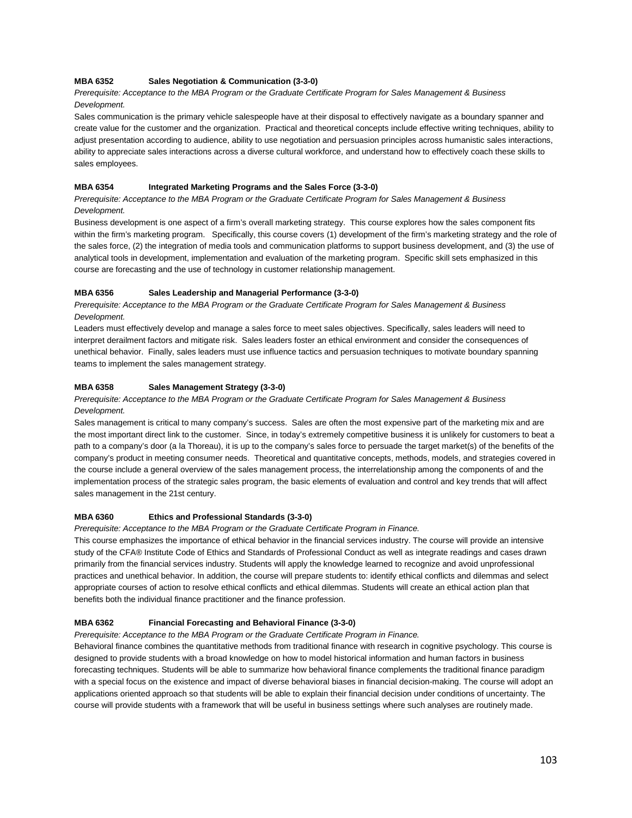#### **MBA 6352 Sales Negotiation & Communication (3-3-0)**

#### *Prerequisite: Acceptance to the MBA Program or the Graduate Certificate Program for Sales Management & Business Development.*

Sales communication is the primary vehicle salespeople have at their disposal to effectively navigate as a boundary spanner and create value for the customer and the organization. Practical and theoretical concepts include effective writing techniques, ability to adjust presentation according to audience, ability to use negotiation and persuasion principles across humanistic sales interactions, ability to appreciate sales interactions across a diverse cultural workforce, and understand how to effectively coach these skills to sales employees.

#### **MBA 6354 Integrated Marketing Programs and the Sales Force (3-3-0)**

*Prerequisite: Acceptance to the MBA Program or the Graduate Certificate Program for Sales Management & Business Development.*

Business development is one aspect of a firm's overall marketing strategy. This course explores how the sales component fits within the firm's marketing program. Specifically, this course covers (1) development of the firm's marketing strategy and the role of the sales force, (2) the integration of media tools and communication platforms to support business development, and (3) the use of analytical tools in development, implementation and evaluation of the marketing program. Specific skill sets emphasized in this course are forecasting and the use of technology in customer relationship management.

#### **MBA 6356 Sales Leadership and Managerial Performance (3-3-0)**

*Prerequisite: Acceptance to the MBA Program or the Graduate Certificate Program for Sales Management & Business Development.*

Leaders must effectively develop and manage a sales force to meet sales objectives. Specifically, sales leaders will need to interpret derailment factors and mitigate risk. Sales leaders foster an ethical environment and consider the consequences of unethical behavior. Finally, sales leaders must use influence tactics and persuasion techniques to motivate boundary spanning teams to implement the sales management strategy.

#### **MBA 6358 Sales Management Strategy (3-3-0)**

#### *Prerequisite: Acceptance to the MBA Program or the Graduate Certificate Program for Sales Management & Business Development.*

Sales management is critical to many company's success. Sales are often the most expensive part of the marketing mix and are the most important direct link to the customer. Since, in today's extremely competitive business it is unlikely for customers to beat a path to a company's door (a la Thoreau), it is up to the company's sales force to persuade the target market(s) of the benefits of the company's product in meeting consumer needs. Theoretical and quantitative concepts, methods, models, and strategies covered in the course include a general overview of the sales management process, the interrelationship among the components of and the implementation process of the strategic sales program, the basic elements of evaluation and control and key trends that will affect sales management in the 21st century.

#### **MBA 6360 Ethics and Professional Standards (3-3-0)**

*Prerequisite: Acceptance to the MBA Program or the Graduate Certificate Program in Finance.*

This course emphasizes the importance of ethical behavior in the financial services industry. The course will provide an intensive study of the CFA® Institute Code of Ethics and Standards of Professional Conduct as well as integrate readings and cases drawn primarily from the financial services industry. Students will apply the knowledge learned to recognize and avoid unprofessional practices and unethical behavior. In addition, the course will prepare students to: identify ethical conflicts and dilemmas and select appropriate courses of action to resolve ethical conflicts and ethical dilemmas. Students will create an ethical action plan that benefits both the individual finance practitioner and the finance profession.

#### **MBA 6362 Financial Forecasting and Behavioral Finance (3-3-0)**

*Prerequisite: Acceptance to the MBA Program or the Graduate Certificate Program in Finance.* 

Behavioral finance combines the quantitative methods from traditional finance with research in cognitive psychology. This course is designed to provide students with a broad knowledge on how to model historical information and human factors in business forecasting techniques. Students will be able to summarize how behavioral finance complements the traditional finance paradigm with a special focus on the existence and impact of diverse behavioral biases in financial decision-making. The course will adopt an applications oriented approach so that students will be able to explain their financial decision under conditions of uncertainty. The course will provide students with a framework that will be useful in business settings where such analyses are routinely made.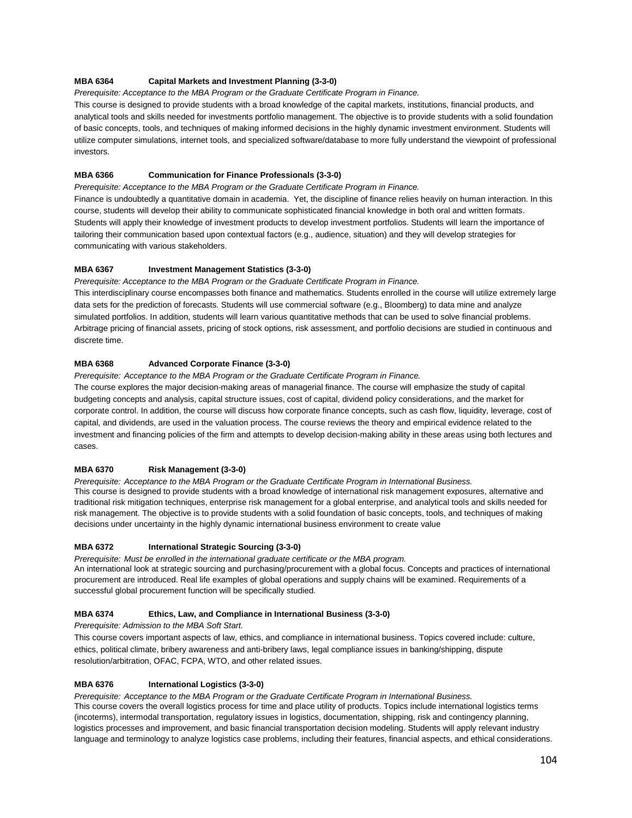#### **MBA 6364 Capital Markets and Investment Planning (3-3-0)**

*Prerequisite: Acceptance to the MBA Program or the Graduate Certificate Program in Finance.*

This course is designed to provide students with a broad knowledge of the capital markets, institutions, financial products, and analytical tools and skills needed for investments portfolio management. The objective is to provide students with a solid foundation of basic concepts, tools, and techniques of making informed decisions in the highly dynamic investment environment. Students will utilize computer simulations, internet tools, and specialized software/database to more fully understand the viewpoint of professional investors.

### **MBA 6366 Communication for Finance Professionals (3-3-0)**

*Prerequisite: Acceptance to the MBA Program or the Graduate Certificate Program in Finance.* 

Finance is undoubtedly a quantitative domain in academia. Yet, the discipline of finance relies heavily on human interaction. In this course, students will develop their ability to communicate sophisticated financial knowledge in both oral and written formats. Students will apply their knowledge of investment products to develop investment portfolios. Students will learn the importance of tailoring their communication based upon contextual factors (e.g., audience, situation) and they will develop strategies for communicating with various stakeholders.

## **MBA 6367 Investment Management Statistics (3-3-0)**

*Prerequisite: Acceptance to the MBA Program or the Graduate Certificate Program in Finance.*

This interdisciplinary course encompasses both finance and mathematics. Students enrolled in the course will utilize extremely large data sets for the prediction of forecasts. Students will use commercial software (e.g., Bloomberg) to data mine and analyze simulated portfolios. In addition, students will learn various quantitative methods that can be used to solve financial problems. Arbitrage pricing of financial assets, pricing of stock options, risk assessment, and portfolio decisions are studied in continuous and discrete time.

## **MBA 6368 Advanced Corporate Finance (3-3-0)**

*Prerequisite: Acceptance to the MBA Program or the Graduate Certificate Program in Finance.*

The course explores the major decision-making areas of managerial finance. The course will emphasize the study of capital budgeting concepts and analysis, capital structure issues, cost of capital, dividend policy considerations, and the market for corporate control. In addition, the course will discuss how corporate finance concepts, such as cash flow, liquidity, leverage, cost of capital, and dividends, are used in the valuation process. The course reviews the theory and empirical evidence related to the investment and financing policies of the firm and attempts to develop decision-making ability in these areas using both lectures and cases.

## **MBA 6370 Risk Management (3-3-0)**

*Prerequisite: Acceptance to the MBA Program or the Graduate Certificate Program in International Business.* This course is designed to provide students with a broad knowledge of international risk management exposures, alternative and traditional risk mitigation techniques, enterprise risk management for a global enterprise, and analytical tools and skills needed for risk management. The objective is to provide students with a solid foundation of basic concepts, tools, and techniques of making decisions under uncertainty in the highly dynamic international business environment to create value

### **MBA 6372 International Strategic Sourcing (3-3-0)**

*Prerequisite: Must be enrolled in the international graduate certificate or the MBA program.* An international look at strategic sourcing and purchasing/procurement with a global focus. Concepts and practices of international procurement are introduced. Real life examples of global operations and supply chains will be examined. Requirements of a successful global procurement function will be specifically studied.

## **MBA 6374 Ethics, Law, and Compliance in International Business (3-3-0)**

*Prerequisite: Admission to the MBA Soft Start.*

This course covers important aspects of law, ethics, and compliance in international business. Topics covered include: culture, ethics, political climate, bribery awareness and anti-bribery laws, legal compliance issues in banking/shipping, dispute resolution/arbitration, OFAC, FCPA, WTO, and other related issues.

## **MBA 6376 International Logistics (3-3-0)**

*Prerequisite: Acceptance to the MBA Program or the Graduate Certificate Program in International Business.* This course covers the overall logistics process for time and place utility of products. Topics include international logistics terms (incoterms), intermodal transportation, regulatory issues in logistics, documentation, shipping, risk and contingency planning, logistics processes and improvement, and basic financial transportation decision modeling. Students will apply relevant industry language and terminology to analyze logistics case problems, including their features, financial aspects, and ethical considerations.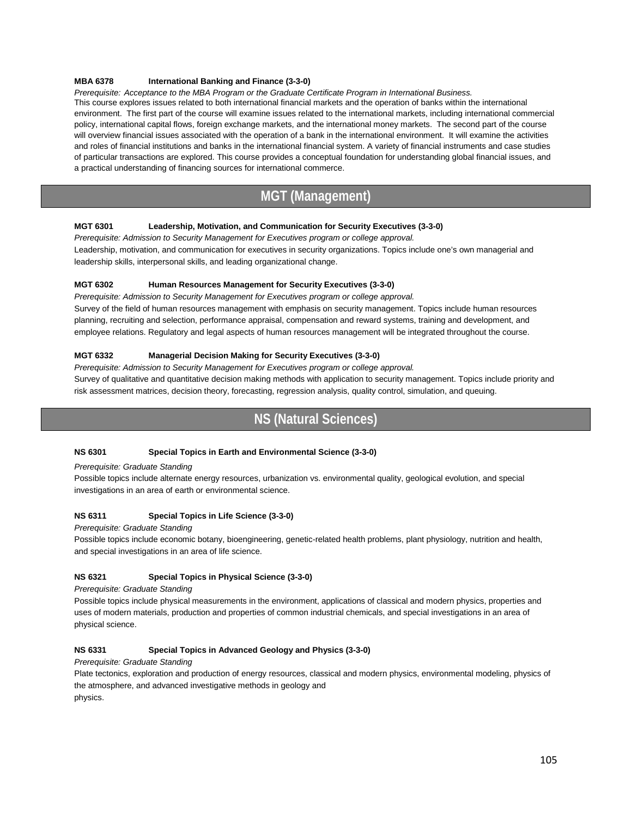#### **MBA 6378 International Banking and Finance (3-3-0)**

*Prerequisite: Acceptance to the MBA Program or the Graduate Certificate Program in International Business.* This course explores issues related to both international financial markets and the operation of banks within the international environment. The first part of the course will examine issues related to the international markets, including international commercial policy, international capital flows, foreign exchange markets, and the international money markets. The second part of the course will overview financial issues associated with the operation of a bank in the international environment. It will examine the activities and roles of financial institutions and banks in the international financial system. A variety of financial instruments and case studies of particular transactions are explored. This course provides a conceptual foundation for understanding global financial issues, and a practical understanding of financing sources for international commerce.

## **MGT (Management)**

#### **MGT 6301 Leadership, Motivation, and Communication for Security Executives (3-3-0)**

*Prerequisite: Admission to Security Management for Executives program or college approval.*  Leadership, motivation, and communication for executives in security organizations. Topics include one's own managerial and leadership skills, interpersonal skills, and leading organizational change.

#### **MGT 6302 Human Resources Management for Security Executives (3-3-0)**

*Prerequisite: Admission to Security Management for Executives program or college approval.*  Survey of the field of human resources management with emphasis on security management. Topics include human resources planning, recruiting and selection, performance appraisal, compensation and reward systems, training and development, and employee relations. Regulatory and legal aspects of human resources management will be integrated throughout the course.

#### **MGT 6332 Managerial Decision Making for Security Executives (3-3-0)**

*Prerequisite: Admission to Security Management for Executives program or college approval.* 

Survey of qualitative and quantitative decision making methods with application to security management. Topics include priority and risk assessment matrices, decision theory, forecasting, regression analysis, quality control, simulation, and queuing.

## **NS (Natural Sciences)**

#### **NS 6301 Special Topics in Earth and Environmental Science (3-3-0)**

#### *Prerequisite: Graduate Standing*

Possible topics include alternate energy resources, urbanization vs. environmental quality, geological evolution, and special investigations in an area of earth or environmental science.

#### **NS 6311 Special Topics in Life Science (3-3-0)**

*Prerequisite: Graduate Standing* 

Possible topics include economic botany, bioengineering, genetic-related health problems, plant physiology, nutrition and health, and special investigations in an area of life science.

#### **NS 6321 Special Topics in Physical Science (3-3-0)**

*Prerequisite: Graduate Standing* 

Possible topics include physical measurements in the environment, applications of classical and modern physics, properties and uses of modern materials, production and properties of common industrial chemicals, and special investigations in an area of physical science.

#### **NS 6331 Special Topics in Advanced Geology and Physics (3-3-0)**

*Prerequisite: Graduate Standing* 

Plate tectonics, exploration and production of energy resources, classical and modern physics, environmental modeling, physics of the atmosphere, and advanced investigative methods in geology and physics.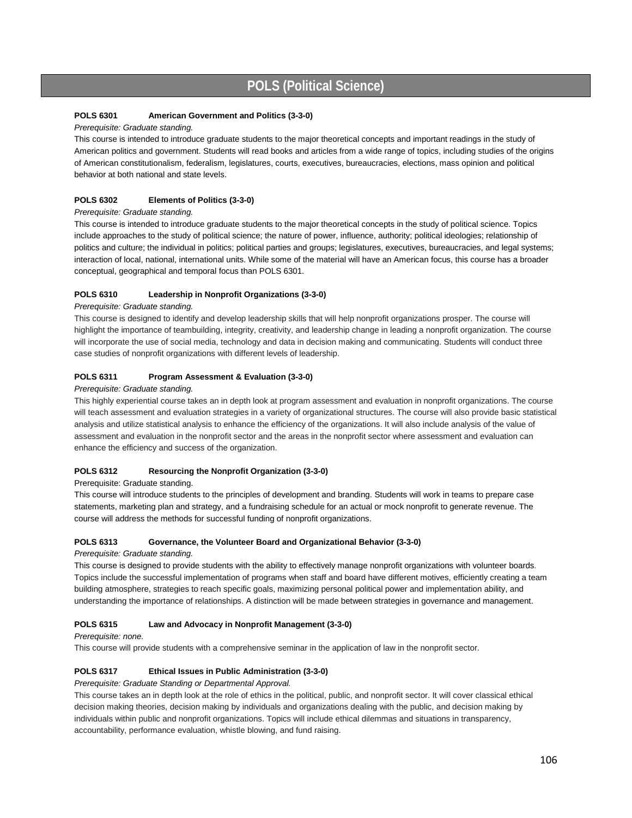## **POLS (Political Science)**

#### **POLS 6301 American Government and Politics (3-3-0)**

#### *Prerequisite: Graduate standing.*

This course is intended to introduce graduate students to the major theoretical concepts and important readings in the study of American politics and government. Students will read books and articles from a wide range of topics, including studies of the origins of American constitutionalism, federalism, legislatures, courts, executives, bureaucracies, elections, mass opinion and political behavior at both national and state levels.

#### **POLS 6302 Elements of Politics (3-3-0)**

#### *Prerequisite: Graduate standing.*

This course is intended to introduce graduate students to the major theoretical concepts in the study of political science. Topics include approaches to the study of political science; the nature of power, influence, authority; political ideologies; relationship of politics and culture; the individual in politics; political parties and groups; legislatures, executives, bureaucracies, and legal systems; interaction of local, national, international units. While some of the material will have an American focus, this course has a broader conceptual, geographical and temporal focus than POLS 6301.

#### **POLS 6310 Leadership in Nonprofit Organizations (3-3-0)**

#### *Prerequisite: Graduate standing.*

This course is designed to identify and develop leadership skills that will help nonprofit organizations prosper. The course will highlight the importance of teambuilding, integrity, creativity, and leadership change in leading a nonprofit organization. The course will incorporate the use of social media, technology and data in decision making and communicating. Students will conduct three case studies of nonprofit organizations with different levels of leadership.

#### **POLS 6311 Program Assessment & Evaluation (3-3-0)**

#### *Prerequisite: Graduate standing.*

This highly experiential course takes an in depth look at program assessment and evaluation in nonprofit organizations. The course will teach assessment and evaluation strategies in a variety of organizational structures. The course will also provide basic statistical analysis and utilize statistical analysis to enhance the efficiency of the organizations. It will also include analysis of the value of assessment and evaluation in the nonprofit sector and the areas in the nonprofit sector where assessment and evaluation can enhance the efficiency and success of the organization.

#### **POLS 6312 Resourcing the Nonprofit Organization (3-3-0)**

#### Prerequisite: Graduate standing.

This course will introduce students to the principles of development and branding. Students will work in teams to prepare case statements, marketing plan and strategy, and a fundraising schedule for an actual or mock nonprofit to generate revenue. The course will address the methods for successful funding of nonprofit organizations.

#### **POLS 6313 Governance, the Volunteer Board and Organizational Behavior (3-3-0)**

#### *Prerequisite: Graduate standing.*

This course is designed to provide students with the ability to effectively manage nonprofit organizations with volunteer boards. Topics include the successful implementation of programs when staff and board have different motives, efficiently creating a team building atmosphere, strategies to reach specific goals, maximizing personal political power and implementation ability, and understanding the importance of relationships. A distinction will be made between strategies in governance and management.

#### **POLS 6315 Law and Advocacy in Nonprofit Management (3-3-0)**

#### *Prerequisite: none.*

This course will provide students with a comprehensive seminar in the application of law in the nonprofit sector.

#### **POLS 6317 Ethical Issues in Public Administration (3-3-0)**

*Prerequisite: Graduate Standing or Departmental Approval.*

This course takes an in depth look at the role of ethics in the political, public, and nonprofit sector. It will cover classical ethical decision making theories, decision making by individuals and organizations dealing with the public, and decision making by individuals within public and nonprofit organizations. Topics will include ethical dilemmas and situations in transparency, accountability, performance evaluation, whistle blowing, and fund raising.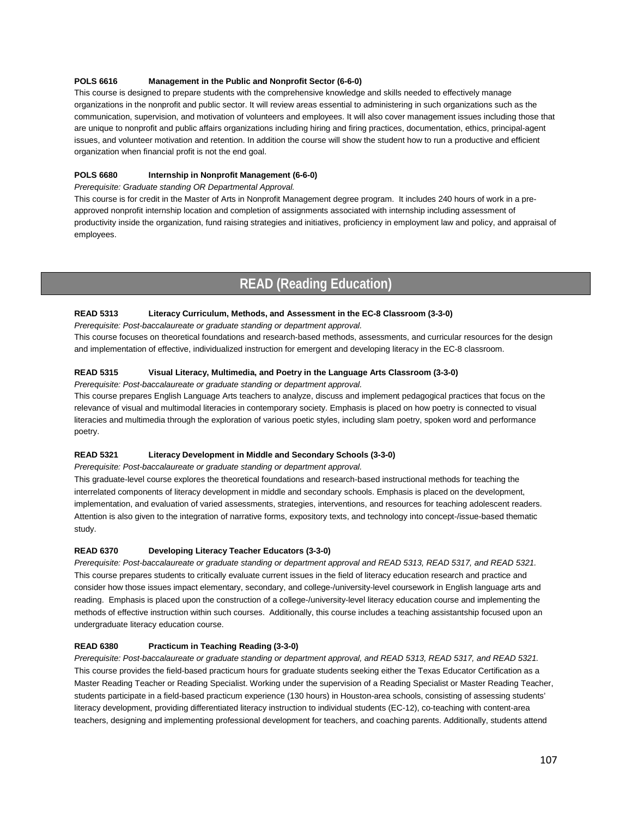#### **POLS 6616 Management in the Public and Nonprofit Sector (6-6-0)**

This course is designed to prepare students with the comprehensive knowledge and skills needed to effectively manage organizations in the nonprofit and public sector. It will review areas essential to administering in such organizations such as the communication, supervision, and motivation of volunteers and employees. It will also cover management issues including those that are unique to nonprofit and public affairs organizations including hiring and firing practices, documentation, ethics, principal-agent issues, and volunteer motivation and retention. In addition the course will show the student how to run a productive and efficient organization when financial profit is not the end goal.

#### **POLS 6680 Internship in Nonprofit Management (6-6-0)**

*Prerequisite: Graduate standing OR Departmental Approval.*

This course is for credit in the Master of Arts in Nonprofit Management degree program. It includes 240 hours of work in a preapproved nonprofit internship location and completion of assignments associated with internship including assessment of productivity inside the organization, fund raising strategies and initiatives, proficiency in employment law and policy, and appraisal of employees.

## **READ (Reading Education)**

#### **READ 5313 Literacy Curriculum, Methods, and Assessment in the EC-8 Classroom (3-3-0)**

*Prerequisite: Post-baccalaureate or graduate standing or department approval.*

This course focuses on theoretical foundations and research-based methods, assessments, and curricular resources for the design and implementation of effective, individualized instruction for emergent and developing literacy in the EC-8 classroom.

#### **READ 5315 Visual Literacy, Multimedia, and Poetry in the Language Arts Classroom (3-3-0)**

*Prerequisite: Post-baccalaureate or graduate standing or department approval.*

This course prepares English Language Arts teachers to analyze, discuss and implement pedagogical practices that focus on the relevance of visual and multimodal literacies in contemporary society. Emphasis is placed on how poetry is connected to visual literacies and multimedia through the exploration of various poetic styles, including slam poetry, spoken word and performance poetry.

#### **READ 5321 Literacy Development in Middle and Secondary Schools (3-3-0)**

*Prerequisite: Post-baccalaureate or graduate standing or department approval.*

This graduate-level course explores the theoretical foundations and research-based instructional methods for teaching the interrelated components of literacy development in middle and secondary schools. Emphasis is placed on the development, implementation, and evaluation of varied assessments, strategies, interventions, and resources for teaching adolescent readers. Attention is also given to the integration of narrative forms, expository texts, and technology into concept-/issue-based thematic study.

#### **READ 6370 Developing Literacy Teacher Educators (3-3-0)**

*Prerequisite: Post-baccalaureate or graduate standing or department approval and READ 5313, READ 5317, and READ 5321.* This course prepares students to critically evaluate current issues in the field of literacy education research and practice and consider how those issues impact elementary, secondary, and college-/university-level coursework in English language arts and reading. Emphasis is placed upon the construction of a college-/university-level literacy education course and implementing the methods of effective instruction within such courses. Additionally, this course includes a teaching assistantship focused upon an undergraduate literacy education course.

#### **READ 6380 Practicum in Teaching Reading (3-3-0)**

*Prerequisite: Post-baccalaureate or graduate standing or department approval, and READ 5313, READ 5317, and READ 5321.* This course provides the field-based practicum hours for graduate students seeking either the Texas Educator Certification as a Master Reading Teacher or Reading Specialist. Working under the supervision of a Reading Specialist or Master Reading Teacher, students participate in a field-based practicum experience (130 hours) in Houston-area schools, consisting of assessing students' literacy development, providing differentiated literacy instruction to individual students (EC-12), co-teaching with content-area teachers, designing and implementing professional development for teachers, and coaching parents. Additionally, students attend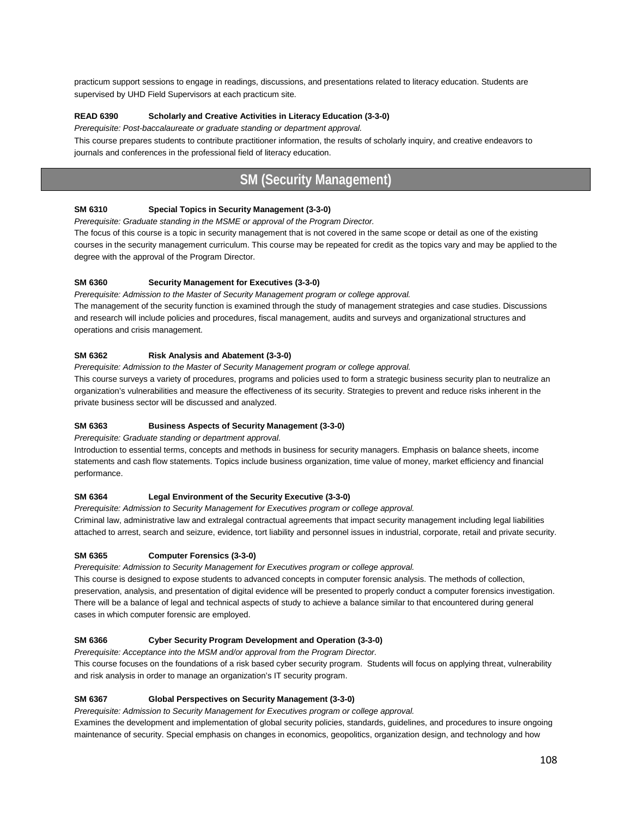practicum support sessions to engage in readings, discussions, and presentations related to literacy education. Students are supervised by UHD Field Supervisors at each practicum site.

#### **READ 6390 Scholarly and Creative Activities in Literacy Education (3-3-0)**

*Prerequisite: Post-baccalaureate or graduate standing or department approval.*

This course prepares students to contribute practitioner information, the results of scholarly inquiry, and creative endeavors to journals and conferences in the professional field of literacy education.

## **SM (Security Management)**

#### **SM 6310 Special Topics in Security Management (3-3-0)**

*Prerequisite: Graduate standing in the MSME or approval of the Program Director.* 

The focus of this course is a topic in security management that is not covered in the same scope or detail as one of the existing courses in the security management curriculum. This course may be repeated for credit as the topics vary and may be applied to the degree with the approval of the Program Director.

#### **SM 6360 Security Management for Executives (3-3-0)**

*Prerequisite: Admission to the Master of Security Management program or college approval.*  The management of the security function is examined through the study of management strategies and case studies. Discussions and research will include policies and procedures, fiscal management, audits and surveys and organizational structures and

#### **SM 6362 Risk Analysis and Abatement (3-3-0)**

operations and crisis management.

*Prerequisite: Admission to the Master of Security Management program or college approval.* 

This course surveys a variety of procedures, programs and policies used to form a strategic business security plan to neutralize an organization's vulnerabilities and measure the effectiveness of its security. Strategies to prevent and reduce risks inherent in the private business sector will be discussed and analyzed.

#### **SM 6363 Business Aspects of Security Management (3-3-0)**

*Prerequisite: Graduate standing or department approval.* 

Introduction to essential terms, concepts and methods in business for security managers. Emphasis on balance sheets, income statements and cash flow statements. Topics include business organization, time value of money, market efficiency and financial performance.

#### **SM 6364 Legal Environment of the Security Executive (3-3-0)**

*Prerequisite: Admission to Security Management for Executives program or college approval.* Criminal law, administrative law and extralegal contractual agreements that impact security management including legal liabilities attached to arrest, search and seizure, evidence, tort liability and personnel issues in industrial, corporate, retail and private security.

#### **SM 6365 Computer Forensics (3-3-0)**

*Prerequisite: Admission to Security Management for Executives program or college approval.*

This course is designed to expose students to advanced concepts in computer forensic analysis. The methods of collection, preservation, analysis, and presentation of digital evidence will be presented to properly conduct a computer forensics investigation. There will be a balance of legal and technical aspects of study to achieve a balance similar to that encountered during general cases in which computer forensic are employed.

#### **SM 6366 Cyber Security Program Development and Operation (3-3-0)**

*Prerequisite: Acceptance into the MSM and/or approval from the Program Director.*

This course focuses on the foundations of a risk based cyber security program. Students will focus on applying threat, vulnerability and risk analysis in order to manage an organization's IT security program.

#### **SM 6367 Global Perspectives on Security Management (3-3-0)**

*Prerequisite: Admission to Security Management for Executives program or college approval.*

Examines the development and implementation of global security policies, standards, guidelines, and procedures to insure ongoing maintenance of security. Special emphasis on changes in economics, geopolitics, organization design, and technology and how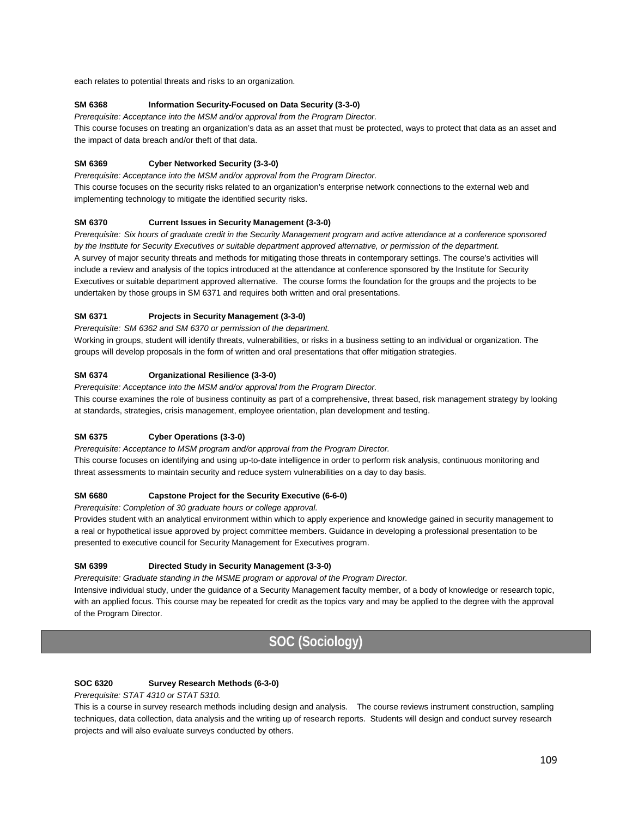each relates to potential threats and risks to an organization.

#### **SM 6368 Information Security-Focused on Data Security (3-3-0)**

*Prerequisite: Acceptance into the MSM and/or approval from the Program Director.*

This course focuses on treating an organization's data as an asset that must be protected, ways to protect that data as an asset and the impact of data breach and/or theft of that data.

#### **SM 6369 Cyber Networked Security (3-3-0)**

*Prerequisite: Acceptance into the MSM and/or approval from the Program Director.* This course focuses on the security risks related to an organization's enterprise network connections to the external web and implementing technology to mitigate the identified security risks.

#### **SM 6370 Current Issues in Security Management (3-3-0)**

*Prerequisite: Six hours of graduate credit in the Security Management program and active attendance at a conference sponsored by the Institute for Security Executives or suitable department approved alternative, or permission of the department.* A survey of major security threats and methods for mitigating those threats in contemporary settings. The course's activities will include a review and analysis of the topics introduced at the attendance at conference sponsored by the Institute for Security Executives or suitable department approved alternative. The course forms the foundation for the groups and the projects to be undertaken by those groups in SM 6371 and requires both written and oral presentations.

#### **SM 6371 Projects in Security Management (3-3-0)**

*Prerequisite: SM 6362 and SM 6370 or permission of the department.*

Working in groups, student will identify threats, vulnerabilities, or risks in a business setting to an individual or organization. The groups will develop proposals in the form of written and oral presentations that offer mitigation strategies.

#### **SM 6374 Organizational Resilience (3-3-0)**

*Prerequisite: Acceptance into the MSM and/or approval from the Program Director.*

This course examines the role of business continuity as part of a comprehensive, threat based, risk management strategy by looking at standards, strategies, crisis management, employee orientation, plan development and testing.

#### **SM 6375 Cyber Operations (3-3-0)**

*Prerequisite: Acceptance to MSM program and/or approval from the Program Director.* This course focuses on identifying and using up-to-date intelligence in order to perform risk analysis, continuous monitoring and threat assessments to maintain security and reduce system vulnerabilities on a day to day basis.

#### **SM 6680 Capstone Project for the Security Executive (6-6-0)**

*Prerequisite: Completion of 30 graduate hours or college approval.*

Provides student with an analytical environment within which to apply experience and knowledge gained in security management to a real or hypothetical issue approved by project committee members. Guidance in developing a professional presentation to be presented to executive council for Security Management for Executives program.

#### **SM 6399 Directed Study in Security Management (3-3-0)**

*Prerequisite: Graduate standing in the MSME program or approval of the Program Director.*

Intensive individual study, under the guidance of a Security Management faculty member, of a body of knowledge or research topic, with an applied focus. This course may be repeated for credit as the topics vary and may be applied to the degree with the approval of the Program Director.

# **SOC (Sociology)**

#### **SOC 6320 Survey Research Methods (6-3-0)**

*Prerequisite: STAT 4310 or STAT 5310.*

This is a course in survey research methods including design and analysis. The course reviews instrument construction, sampling techniques, data collection, data analysis and the writing up of research reports. Students will design and conduct survey research projects and will also evaluate surveys conducted by others.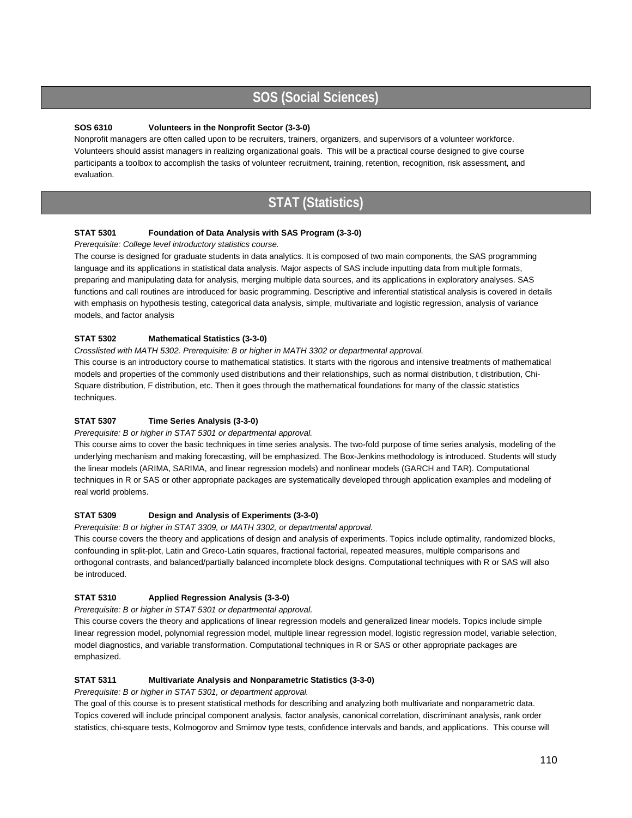# **SOS (Social Sciences)**

#### **SOS 6310 Volunteers in the Nonprofit Sector (3-3-0)**

Nonprofit managers are often called upon to be recruiters, trainers, organizers, and supervisors of a volunteer workforce. Volunteers should assist managers in realizing organizational goals. This will be a practical course designed to give course participants a toolbox to accomplish the tasks of volunteer recruitment, training, retention, recognition, risk assessment, and evaluation.

## **STAT (Statistics)**

#### **STAT 5301 Foundation of Data Analysis with SAS Program (3-3-0)**

#### *Prerequisite: College level introductory statistics course.*

The course is designed for graduate students in data analytics. It is composed of two main components, the SAS programming language and its applications in statistical data analysis. Major aspects of SAS include inputting data from multiple formats, preparing and manipulating data for analysis, merging multiple data sources, and its applications in exploratory analyses. SAS functions and call routines are introduced for basic programming. Descriptive and inferential statistical analysis is covered in details with emphasis on hypothesis testing, categorical data analysis, simple, multivariate and logistic regression, analysis of variance models, and factor analysis

#### **STAT 5302 Mathematical Statistics (3-3-0)**

#### *Crosslisted with MATH 5302. Prerequisite: B or higher in MATH 3302 or departmental approval.*

This course is an introductory course to mathematical statistics. It starts with the rigorous and intensive treatments of mathematical models and properties of the commonly used distributions and their relationships, such as normal distribution, t distribution, Chi-Square distribution, F distribution, etc. Then it goes through the mathematical foundations for many of the classic statistics techniques.

#### **STAT 5307 Time Series Analysis (3-3-0)**

#### *Prerequisite: B or higher in STAT 5301 or departmental approval.*

This course aims to cover the basic techniques in time series analysis. The two-fold purpose of time series analysis, modeling of the underlying mechanism and making forecasting, will be emphasized. The Box-Jenkins methodology is introduced. Students will study the linear models (ARIMA, SARIMA, and linear regression models) and nonlinear models (GARCH and TAR). Computational techniques in R or SAS or other appropriate packages are systematically developed through application examples and modeling of real world problems.

#### **STAT 5309 Design and Analysis of Experiments (3-3-0)**

*Prerequisite: B or higher in STAT 3309, or MATH 3302, or departmental approval.*

This course covers the theory and applications of design and analysis of experiments. Topics include optimality, randomized blocks, confounding in split-plot, Latin and Greco-Latin squares, fractional factorial, repeated measures, multiple comparisons and orthogonal contrasts, and balanced/partially balanced incomplete block designs. Computational techniques with R or SAS will also be introduced.

#### **STAT 5310 Applied Regression Analysis (3-3-0)**

#### *Prerequisite: B or higher in STAT 5301 or departmental approval.*

This course covers the theory and applications of linear regression models and generalized linear models. Topics include simple linear regression model, polynomial regression model, multiple linear regression model, logistic regression model, variable selection, model diagnostics, and variable transformation. Computational techniques in R or SAS or other appropriate packages are emphasized.

#### **STAT 5311 Multivariate Analysis and Nonparametric Statistics (3-3-0)**

*Prerequisite: B or higher in STAT 5301, or department approval.*

The goal of this course is to present statistical methods for describing and analyzing both multivariate and nonparametric data. Topics covered will include principal component analysis, factor analysis, canonical correlation, discriminant analysis, rank order statistics, chi-square tests, Kolmogorov and Smirnov type tests, confidence intervals and bands, and applications. This course will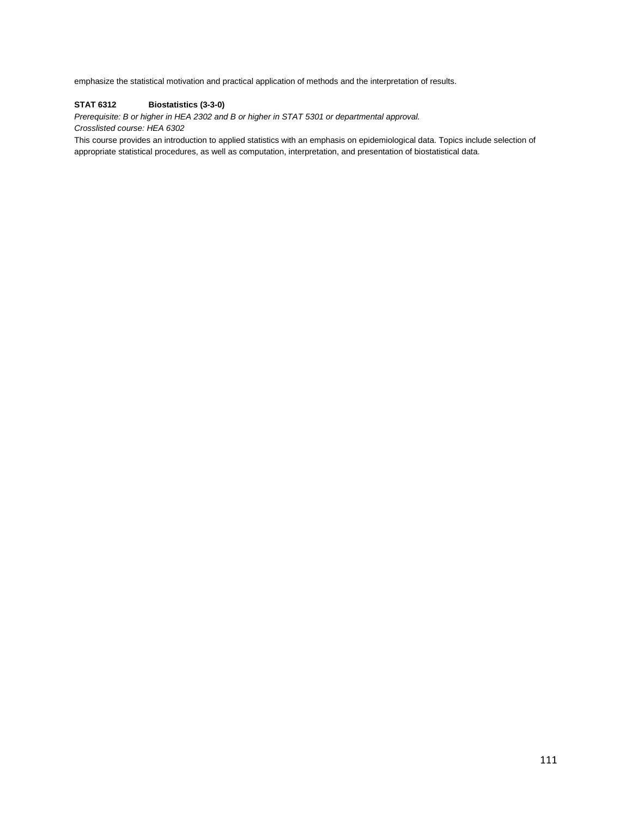emphasize the statistical motivation and practical application of methods and the interpretation of results.

#### **STAT 6312 Biostatistics (3-3-0)**

*Prerequisite: B or higher in HEA 2302 and B or higher in STAT 5301 or departmental approval. Crosslisted course: HEA 6302*

This course provides an introduction to applied statistics with an emphasis on epidemiological data. Topics include selection of appropriate statistical procedures, as well as computation, interpretation, and presentation of biostatistical data.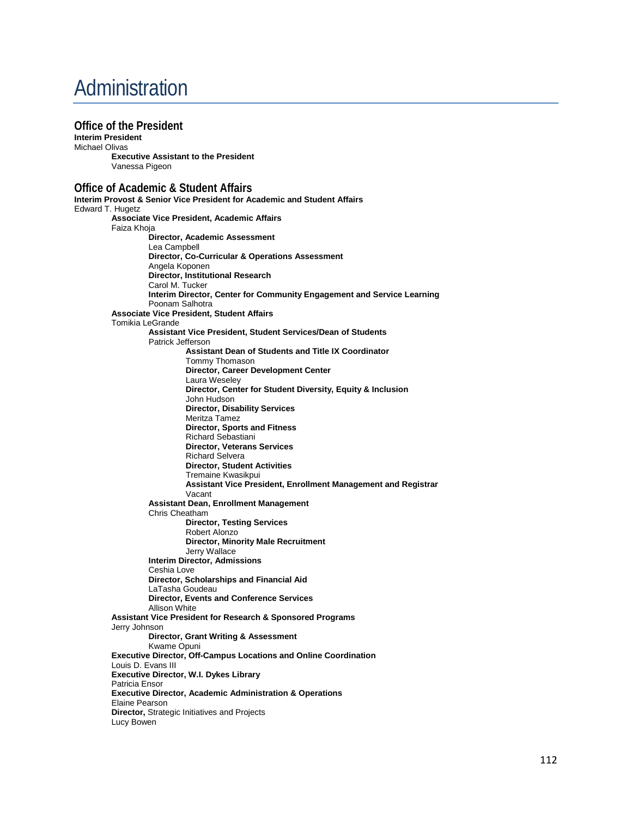# Administration

**Office of the President Interim President**  Michael Olivas **Executive Assistant to the President** Vanessa Pigeon **Office of Academic & Student Affairs Interim Provost & Senior Vice President for Academic and Student Affairs** Edward T. Hugetz **Associate Vice President, Academic Affairs** Faiza Khoja **Director, Academic Assessment** Lea Campbell **Director, Co-Curricular & Operations Assessment** Angela Koponen **Director, Institutional Research** Carol M. Tucker **Interim Director, Center for Community Engagement and Service Learning** Poonam Salhotra **Associate Vice President, Student Affairs** Tomikia LeGrande **Assistant Vice President, Student Services/Dean of Students** Patrick Jefferson  **Assistant Dean of Students and Title IX Coordinator** Tommy Thomason **Director, Career Development Center** Laura Weseley **Director, Center for Student Diversity, Equity & Inclusion** John Hudson **Director, Disability Services** Meritza Tamez **Director, Sports and Fitness** Richard Sebastiani **Director, Veterans Services** Richard Selvera **Director, Student Activities** Tremaine Kwasikpui **Assistant Vice President, Enrollment Management and Registrar** Vacant **Assistant Dean, Enrollment Management** Chris Cheatham **Director, Testing Services** Robert Alonzo **Director, Minority Male Recruitment** Jerry Wallace **Interim Director, Admissions** Ceshia Love **Director, Scholarships and Financial Aid** LaTasha Goudeau **Director, Events and Conference Services** Allison White **Assistant Vice President for Research & Sponsored Programs** Jerry Johnson **Director, Grant Writing & Assessment** Kwame Opuni **Executive Director, Off-Campus Locations and Online Coordination** Louis D. Evans III **Executive Director, W.I. Dykes Library**  Patricia Ensor **Executive Director, Academic Administration & Operations** Elaine Pearson **Director,** Strategic Initiatives and Projects Lucy Bowen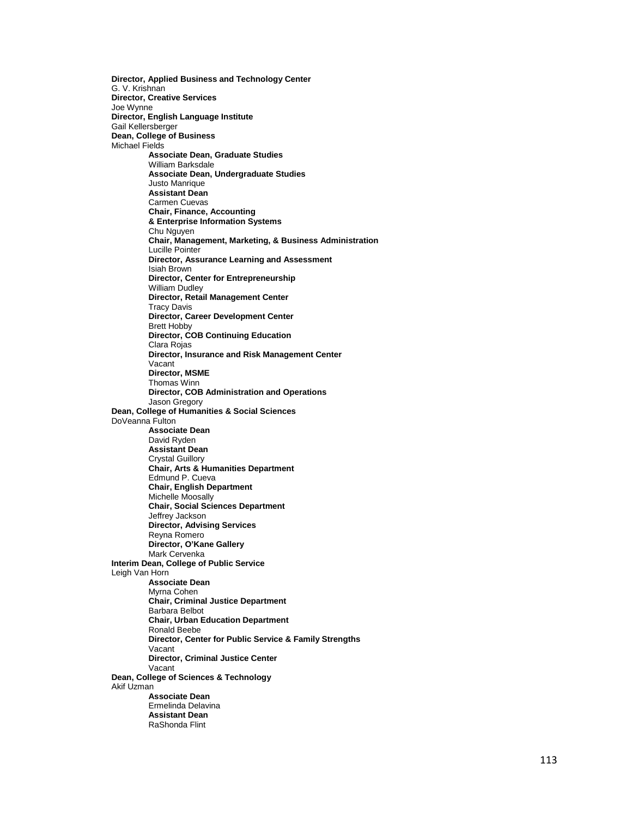**Director, Applied Business and Technology Center**  G. V. Krishnan **Director, Creative Services** Joe Wynne **Director, English Language Institute**  Gail Kellersberger **Dean, College of Business**  Michael Fields **Associate Dean, Graduate Studies** William Barksdale **Associate Dean, Undergraduate Studies** Justo Manrique **Assistant Dean** Carmen Cuevas **Chair, Finance, Accounting & Enterprise Information Systems** Chu Nguyen **Chair, Management, Marketing, & Business Administration**  Lucille Pointer **Director, Assurance Learning and Assessment** Isiah Brown **Director, Center for Entrepreneurship** William Dudley **Director, Retail Management Center** Tracy Davis **Director, Career Development Center** Brett Hobby **Director, COB Continuing Education** Clara Rojas **Director, Insurance and Risk Management Center** Vacant **Director, MSME** Thomas Winn **Director, COB Administration and Operations** Jason Gregory **Dean, College of Humanities & Social Sciences**  DoVeanna Fulton **Associate Dean** David Ryden **Assistant Dean** Crystal Guillory **Chair, Arts & Humanities Department**  Edmund P. Cueva **Chair, English Department**  Michelle Moosally **Chair, Social Sciences Department**  Jeffrey Jackson **Director, Advising Services** Reyna Romero **Director, O'Kane Gallery** Mark Cervenka **Interim Dean, College of Public Service**  Leigh Van Horn **Associate Dean**  Myrna Cohen **Chair, Criminal Justice Department**  Barbara Belbot **Chair, Urban Education Department**  Ronald Beebe **Director, C enter for Public Service & Family Strengths** Vacant **Director, Criminal Justice Center** Vacant **Dean, College of Sciences & Technology**  Akif Uzman **Associate Dean** Ermelinda Delavina **Assistant Dean** RaShonda Flint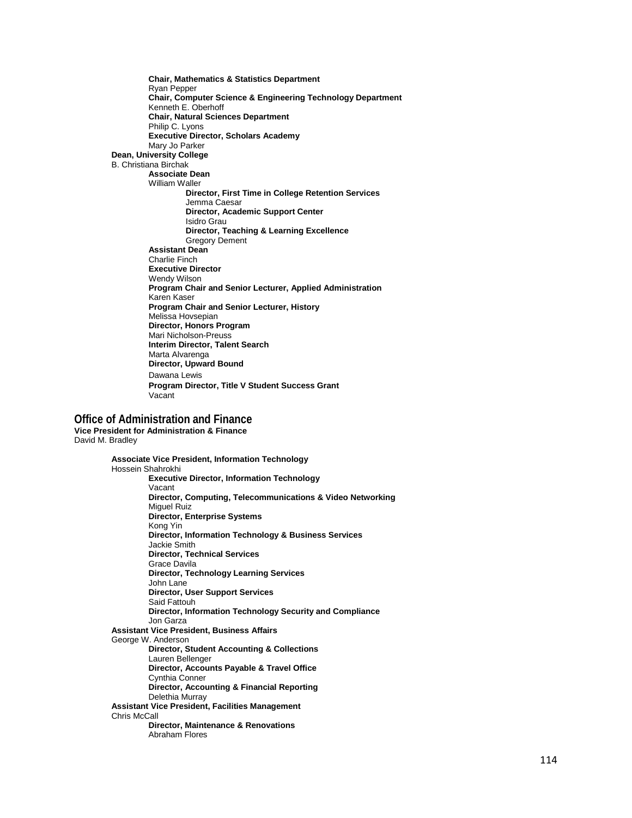**Chair, Mathematics & Statistics Department**  Ryan Pepper **Chair, Computer Science & Engineering Technology Department** Kenneth E. Oberhoff **Chair, Natural Sciences Department**  Philip C. Lyons **Executive Director, Scholars Academy** Mary Jo Parker **Dean, University College**  B. Christiana Birchak **Associate Dean** William Waller **Director, First Time in College Retention Services**  Jemma Caesar **Director, Academic Support Center**  Isidro Grau **Director, Teaching & Learning Excellence** Gregory Dement **Assistant Dean** Charlie Finch **Executive Director** Wendy Wilson **Program Chair and Senior Lecturer, Applied Administration** Karen Kaser **Program Chair and Senior Lecturer, History** Melissa Hov sepian **Director, Honors Program** Mari Nicholson -Preuss **Interim Director, Talent Search** Marta Alvarenga **Director, Upward Bound** Dawana Lewis **Program Director, Title V Student Success Grant** Vacant

#### **Office of Administration and Finance**

**Vice President for Administration & Finance** David M. Bradley

> **Associate Vice President, Information Technology** Hossein Shahrokhi **Executive Director, Information Technology** Vacant **Director, Computing, Telecommunications & Video Networking** Miguel Ruiz **Director, Enterprise Systems** Kong Yin **Director, Information Technology & Business Services** Jackie Smith **Director, Technical Services** Grace Davila **Director, Technology Learning Services** John Lane **Director, User Support Services** Said Fattouh **Director, Information Technology Security and Compliance** Jon Garza **Assistant Vice President, Business Affairs**  George W. Anderson **Director, Student Accounting & Collections** Lauren Bellenger **Director, Accounts Payable & Travel Office** Cynthia Conner **Director, Accounting & Financial Reporting** Delethia Murray **Assistant Vice President, Facilities Management**  Chris McCall **Director, Maintenance & Renovations** Abraham Flores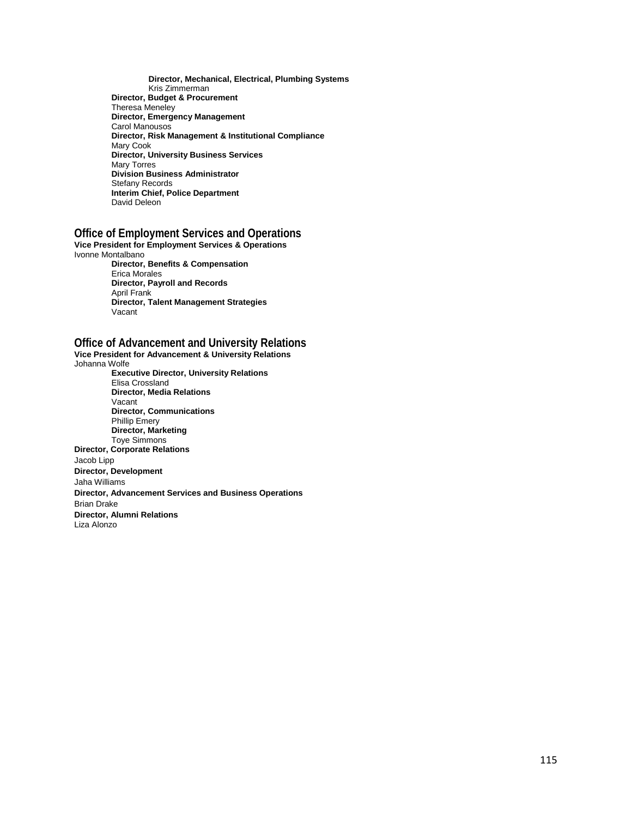**Director, Mechanical, Electrical, Plumbing Systems** Kris Zimmerman **Director, Budget & Procurement** Theresa Meneley **Director, Emergency Management** Carol Manousos **Director, Risk Management & Institutional Compliance** Mary Cook **Director, University Business Services** Mary Torres **Division Business Administrator** Stefany Records **Interim Chief, Police Department** David Deleon

### **Office of Employment Services and Operations**

**Vice President for Employment Services & Operations**  Ivonne Montalbano **Director, Benefits & Compensation** Erica Morales **Director, Payroll and Records** April Frank **Director, Talent Management Strategies**

Vacant

### **Office of Advancement and University Relations**

**Vice President for Advancement & University Relations** Johanna Wolfe **Executive Director, University Relations** Elisa Crossland **Director, Media Relations** Vacant **Director, Communications** Phillip Emery **Director, Marketing** Toye Simmons **Director, Corporate Relations** Jacob Lipp **Director, Development**  Jaha Williams **Director, Advancement Services and Business Operations** Brian Drake **Director, Alumni Relations** Liza Alonzo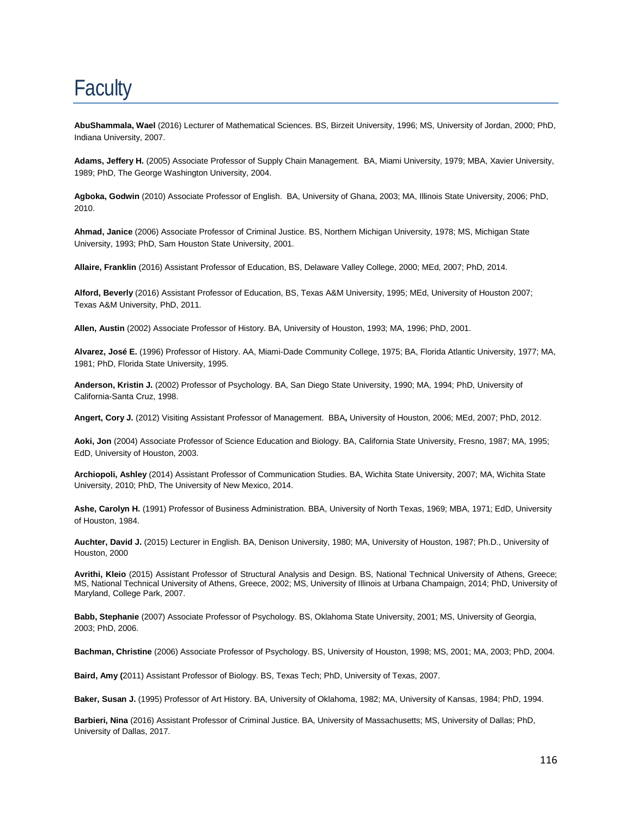# **Faculty**

**AbuShammala, Wael** (2016) Lecturer of Mathematical Sciences. BS, Birzeit University, 1996; MS, University of Jordan, 2000; PhD, Indiana University, 2007.

**Adams, Jeffery H.** (2005) Associate Professor of Supply Chain Management. BA, Miami University, 1979; MBA, Xavier University, 1989; PhD, The George Washington University, 2004.

**Agboka, Godwin** (2010) Associate Professor of English. BA, University of Ghana, 2003; MA, Illinois State University, 2006; PhD, 2010.

**Ahmad, Janice** (2006) Associate Professor of Criminal Justice. BS, Northern Michigan University, 1978; MS, Michigan State University, 1993; PhD, Sam Houston State University, 2001.

**Allaire, Franklin** (2016) Assistant Professor of Education, BS, Delaware Valley College, 2000; MEd, 2007; PhD, 2014.

**Alford, Beverly** (2016) Assistant Professor of Education, BS, Texas A&M University, 1995; MEd, University of Houston 2007; Texas A&M University, PhD, 2011.

**Allen, Austin** (2002) Associate Professor of History. BA, University of Houston, 1993; MA, 1996; PhD, 2001.

**Alvarez, José E.** (1996) Professor of History. AA, Miami-Dade Community College, 1975; BA, Florida Atlantic University, 1977; MA, 1981; PhD, Florida State University, 1995.

**Anderson, Kristin J.** (2002) Professor of Psychology. BA, San Diego State University, 1990; MA, 1994; PhD, University of California-Santa Cruz, 1998.

**Angert, Cory J.** (2012) Visiting Assistant Professor of Management. BBA**,** University of Houston, 2006; MEd, 2007; PhD, 2012.

**Aoki, Jon** (2004) Associate Professor of Science Education and Biology. BA, California State University, Fresno, 1987; MA, 1995; EdD, University of Houston, 2003.

**Archiopoli, Ashley** (2014) Assistant Professor of Communication Studies. BA, Wichita State University, 2007; MA, Wichita State University, 2010; PhD, The University of New Mexico, 2014.

**Ashe, Carolyn H.** (1991) Professor of Business Administration. BBA, University of North Texas, 1969; MBA, 1971; EdD, University of Houston, 1984.

**Auchter, David J.** (2015) Lecturer in English. BA, Denison University, 1980; MA, University of Houston, 1987; Ph.D., University of Houston, 2000

**Avrithi, Kleio** (2015) Assistant Professor of Structural Analysis and Design. BS, National Technical University of Athens, Greece; MS, National Technical University of Athens, Greece, 2002; MS, University of Illinois at Urbana Champaign, 2014; PhD, University of Maryland, College Park, 2007.

**Babb, Stephanie** (2007) Associate Professor of Psychology. BS, Oklahoma State University, 2001; MS, University of Georgia, 2003; PhD, 2006.

**Bachman, Christine** (2006) Associate Professor of Psychology. BS, University of Houston, 1998; MS, 2001; MA, 2003; PhD, 2004.

**Baird, Amy (**2011) Assistant Professor of Biology. BS, Texas Tech; PhD, University of Texas, 2007.

**Baker, Susan J.** (1995) Professor of Art History. BA, University of Oklahoma, 1982; MA, University of Kansas, 1984; PhD, 1994.

**Barbieri, Nina** (2016) Assistant Professor of Criminal Justice. BA, University of Massachusetts; MS, University of Dallas; PhD, University of Dallas, 2017.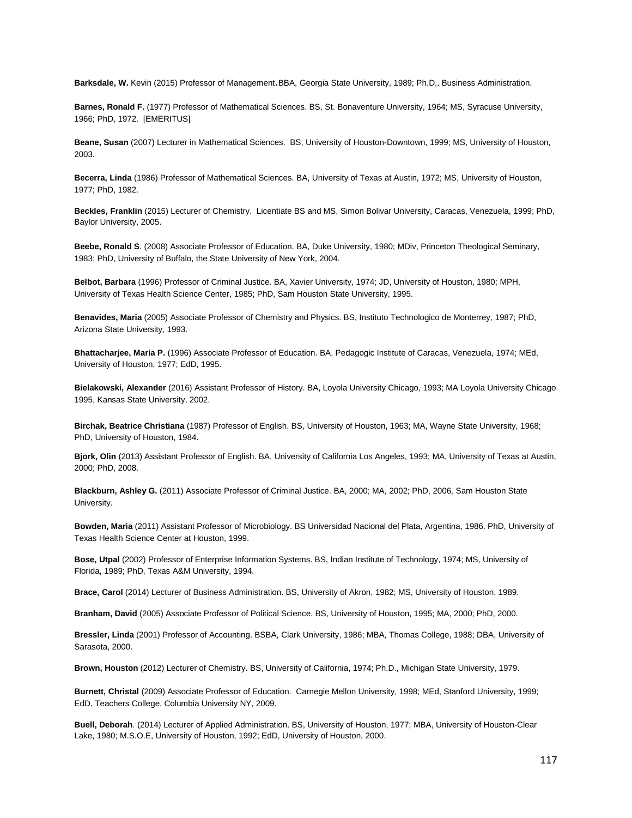**Barksdale, W.** Kevin (2015) Professor of Management.BBA, Georgia State University, 1989; Ph.D,. Business Administration.

**Barnes, Ronald F.** (1977) Professor of Mathematical Sciences. BS, St. Bonaventure University, 1964; MS, Syracuse University, 1966; PhD, 1972. [EMERITUS]

**Beane, Susan** (2007) Lecturer in Mathematical Sciences. BS, University of Houston-Downtown, 1999; MS, University of Houston, 2003.

**Becerra, Linda** (1986) Professor of Mathematical Sciences. BA, University of Texas at Austin, 1972; MS, University of Houston, 1977; PhD, 1982.

**Beckles, Franklin** (2015) Lecturer of Chemistry. Licentiate BS and MS, Simon Bolivar University, Caracas, Venezuela, 1999; PhD, Baylor University, 2005.

**Beebe, Ronald S**. (2008) Associate Professor of Education. BA, Duke University, 1980; MDiv, Princeton Theological Seminary, 1983; PhD, University of Buffalo, the State University of New York, 2004.

**Belbot, Barbara** (1996) Professor of Criminal Justice. BA, Xavier University, 1974; JD, University of Houston, 1980; MPH, University of Texas Health Science Center, 1985; PhD, Sam Houston State University, 1995.

**Benavides, Maria** (2005) Associate Professor of Chemistry and Physics. BS, Instituto Technologico de Monterrey, 1987; PhD, Arizona State University, 1993.

**Bhattacharjee, Maria P.** (1996) Associate Professor of Education. BA, Pedagogic Institute of Caracas, Venezuela, 1974; MEd, University of Houston, 1977; EdD, 1995.

**Bielakowski, Alexander** (2016) Assistant Professor of History. BA, Loyola University Chicago, 1993; MA Loyola University Chicago 1995, Kansas State University, 2002.

**Birchak, Beatrice Christiana** (1987) Professor of English. BS, University of Houston, 1963; MA, Wayne State University, 1968; PhD, University of Houston, 1984.

**Bjork, Olin** (2013) Assistant Professor of English. BA, University of California Los Angeles, 1993; MA, University of Texas at Austin, 2000; PhD, 2008.

**Blackburn, Ashley G.** (2011) Associate Professor of Criminal Justice. BA, 2000; MA, 2002; PhD, 2006, Sam Houston State University.

**Bowden, Maria** (2011) Assistant Professor of Microbiology. BS Universidad Nacional del Plata, Argentina, 1986. PhD, University of Texas Health Science Center at Houston, 1999.

**Bose, Utpal** (2002) Professor of Enterprise Information Systems. BS, Indian Institute of Technology, 1974; MS, University of Florida, 1989; PhD, Texas A&M University, 1994.

**Brace, Carol** (2014) Lecturer of Business Administration. BS, University of Akron, 1982; MS, University of Houston, 1989.

**Branham, David** (2005) Associate Professor of Political Science. BS, University of Houston, 1995; MA, 2000; PhD, 2000.

**Bressler, Linda** (2001) Professor of Accounting. BSBA, Clark University, 1986; MBA, Thomas College, 1988; DBA, University of Sarasota, 2000.

**Brown, Houston** (2012) Lecturer of Chemistry. BS, University of California, 1974; Ph.D., Michigan State University, 1979.

**Burnett, Christal** (2009) Associate Professor of Education. Carnegie Mellon University, 1998; MEd, Stanford University, 1999; EdD, Teachers College, Columbia University NY, 2009.

**Buell, Deborah**. (2014) Lecturer of Applied Administration. BS, University of Houston, 1977; MBA, University of Houston-Clear Lake, 1980; M.S.O.E, University of Houston, 1992; EdD, University of Houston, 2000.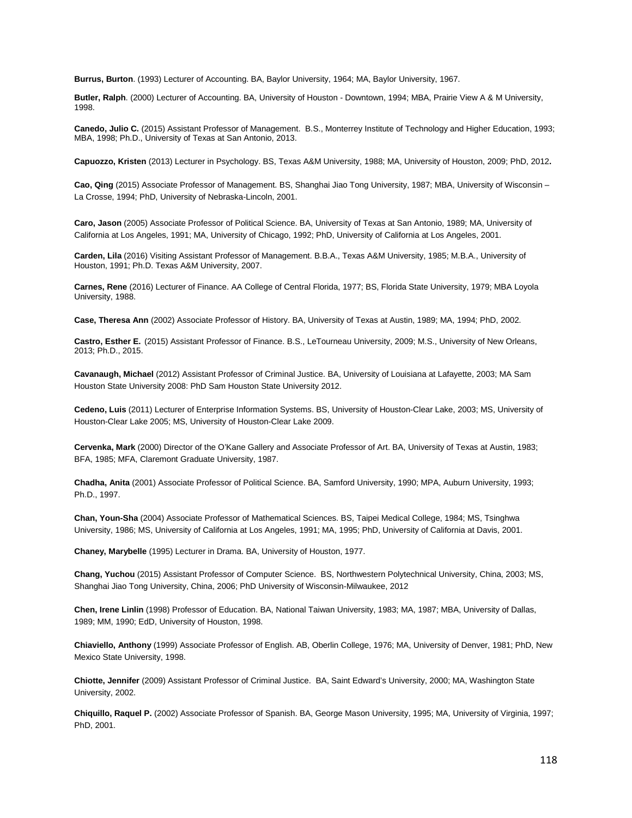**Burrus, Burton**. (1993) Lecturer of Accounting. BA, Baylor University, 1964; MA, Baylor University, 1967.

**Butler, Ralph**. (2000) Lecturer of Accounting. BA, University of Houston - Downtown, 1994; MBA, Prairie View A & M University, 1998.

**Canedo, Julio C.** (2015) Assistant Professor of Management. B.S., Monterrey Institute of Technology and Higher Education, 1993; MBA, 1998; Ph.D., University of Texas at San Antonio, 2013.

**Capuozzo, Kristen** (2013) Lecturer in Psychology. BS, Texas A&M University, 1988; MA, University of Houston, 2009; PhD, 2012**.**

**Cao, Qing** (2015) Associate Professor of Management. BS, Shanghai Jiao Tong University, 1987; MBA, University of Wisconsin – La Crosse, 1994; PhD, University of Nebraska-Lincoln, 2001.

**Caro, Jason** (2005) Associate Professor of Political Science. BA, University of Texas at San Antonio, 1989; MA, University of California at Los Angeles, 1991; MA, University of Chicago, 1992; PhD, University of California at Los Angeles, 2001.

**Carden, Lila** (2016) Visiting Assistant Professor of Management. B.B.A., Texas A&M University, 1985; M.B.A., University of Houston, 1991; Ph.D. Texas A&M University, 2007.

**Carnes, Rene** (2016) Lecturer of Finance. AA College of Central Florida, 1977; BS, Florida State University, 1979; MBA Loyola University, 1988.

**Case, Theresa Ann** (2002) Associate Professor of History. BA, University of Texas at Austin, 1989; MA, 1994; PhD, 2002.

**Castro, Esther E.** (2015) Assistant Professor of Finance. B.S., LeTourneau University, 2009; M.S., University of New Orleans, 2013; Ph.D., 2015.

**Cavanaugh, Michael** (2012) Assistant Professor of Criminal Justice. BA, University of Louisiana at Lafayette, 2003; MA Sam Houston State University 2008: PhD Sam Houston State University 2012.

**Cedeno, Luis** (2011) Lecturer of Enterprise Information Systems. BS, University of Houston-Clear Lake, 2003; MS, University of Houston-Clear Lake 2005; MS, University of Houston-Clear Lake 2009.

**Cervenka, Mark** (2000) Director of the O'Kane Gallery and Associate Professor of Art. BA, University of Texas at Austin, 1983; BFA, 1985; MFA, Claremont Graduate University, 1987.

**Chadha, Anita** (2001) Associate Professor of Political Science. BA, Samford University, 1990; MPA, Auburn University, 1993; Ph.D., 1997.

**Chan, Youn-Sha** (2004) Associate Professor of Mathematical Sciences. BS, Taipei Medical College, 1984; MS, Tsinghwa University, 1986; MS, University of California at Los Angeles, 1991; MA, 1995; PhD, University of California at Davis, 2001.

**Chaney, Marybelle** (1995) Lecturer in Drama. BA, University of Houston, 1977.

**Chang, Yuchou** (2015) Assistant Professor of Computer Science. BS, Northwestern Polytechnical University, China, 2003; MS, Shanghai Jiao Tong University, China, 2006; PhD University of Wisconsin-Milwaukee, 2012

**Chen, Irene Linlin** (1998) Professor of Education. BA, National Taiwan University, 1983; MA, 1987; MBA, University of Dallas, 1989; MM, 1990; EdD, University of Houston, 1998.

**Chiaviello, Anthony** (1999) Associate Professor of English. AB, Oberlin College, 1976; MA, University of Denver, 1981; PhD, New Mexico State University, 1998.

**Chiotte, Jennifer** (2009) Assistant Professor of Criminal Justice. BA, Saint Edward's University, 2000; MA, Washington State University, 2002.

**Chiquillo, Raquel P.** (2002) Associate Professor of Spanish. BA, George Mason University, 1995; MA, University of Virginia, 1997; PhD, 2001.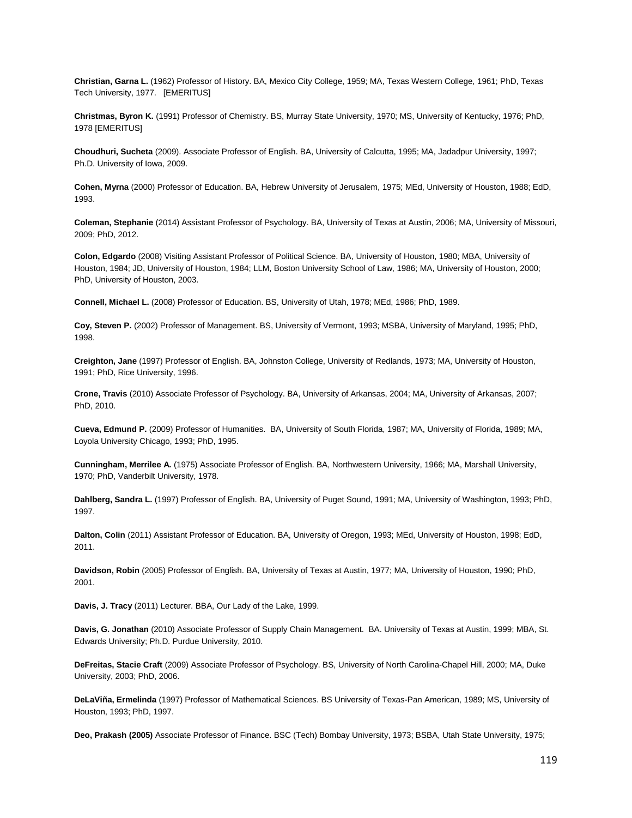**Christian, Garna L.** (1962) Professor of History. BA, Mexico City College, 1959; MA, Texas Western College, 1961; PhD, Texas Tech University, 1977. [EMERITUS]

**Christmas, Byron K.** (1991) Professor of Chemistry. BS, Murray State University, 1970; MS, University of Kentucky, 1976; PhD, 1978 [EMERITUS]

**Choudhuri, Sucheta** (2009). Associate Professor of English. BA, University of Calcutta, 1995; MA, Jadadpur University, 1997; Ph.D. University of Iowa, 2009.

**Cohen, Myrna** (2000) Professor of Education. BA, Hebrew University of Jerusalem, 1975; MEd, University of Houston, 1988; EdD, 1993.

**Coleman, Stephanie** (2014) Assistant Professor of Psychology. BA, University of Texas at Austin, 2006; MA, University of Missouri, 2009; PhD, 2012.

**Colon, Edgardo** (2008) Visiting Assistant Professor of Political Science. BA, University of Houston, 1980; MBA, University of Houston, 1984; JD, University of Houston, 1984; LLM, Boston University School of Law, 1986; MA, University of Houston, 2000; PhD, University of Houston, 2003.

**Connell, Michael L.** (2008) Professor of Education. BS, University of Utah, 1978; MEd, 1986; PhD, 1989.

**Coy, Steven P.** (2002) Professor of Management. BS, University of Vermont, 1993; MSBA, University of Maryland, 1995; PhD, 1998.

**Creighton, Jane** (1997) Professor of English. BA, Johnston College, University of Redlands, 1973; MA, University of Houston, 1991; PhD, Rice University, 1996.

**Crone, Travis** (2010) Associate Professor of Psychology. BA, University of Arkansas, 2004; MA, University of Arkansas, 2007; PhD, 2010.

**Cueva, Edmund P.** (2009) Professor of Humanities. BA, University of South Florida, 1987; MA, University of Florida, 1989; MA, Loyola University Chicago, 1993; PhD, 1995.

**Cunningham, Merrilee A.** (1975) Associate Professor of English. BA, Northwestern University, 1966; MA, Marshall University, 1970; PhD, Vanderbilt University, 1978.

**Dahlberg, Sandra L.** (1997) Professor of English. BA, University of Puget Sound, 1991; MA, University of Washington, 1993; PhD, 1997.

**Dalton, Colin** (2011) Assistant Professor of Education. BA, University of Oregon, 1993; MEd, University of Houston, 1998; EdD, 2011.

**Davidson, Robin** (2005) Professor of English. BA, University of Texas at Austin, 1977; MA, University of Houston, 1990; PhD, 2001.

**Davis, J. Tracy** (2011) Lecturer. BBA, Our Lady of the Lake, 1999.

**Davis, G. Jonathan** (2010) Associate Professor of Supply Chain Management. BA. University of Texas at Austin, 1999; MBA, St. Edwards University; Ph.D. Purdue University, 2010.

**DeFreitas, Stacie Craft** (2009) Associate Professor of Psychology. BS, University of North Carolina-Chapel Hill, 2000; MA, Duke University, 2003; PhD, 2006.

**DeLaViña, Ermelinda** (1997) Professor of Mathematical Sciences. BS University of Texas-Pan American, 1989; MS, University of Houston, 1993; PhD, 1997.

**Deo, Prakash (2005)** Associate Professor of Finance. BSC (Tech) Bombay University, 1973; BSBA, Utah State University, 1975;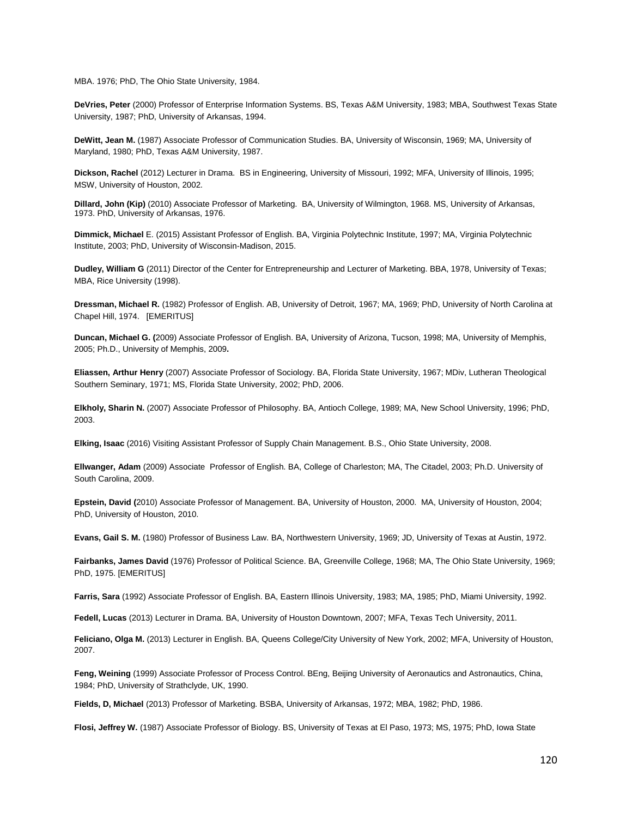MBA. 1976; PhD, The Ohio State University, 1984.

**DeVries, Peter** (2000) Professor of Enterprise Information Systems. BS, Texas A&M University, 1983; MBA, Southwest Texas State University, 1987; PhD, University of Arkansas, 1994.

**DeWitt, Jean M.** (1987) Associate Professor of Communication Studies. BA, University of Wisconsin, 1969; MA, University of Maryland, 1980; PhD, Texas A&M University, 1987.

**Dickson, Rachel** (2012) Lecturer in Drama. BS in Engineering, University of Missouri, 1992; MFA, University of Illinois, 1995; MSW, University of Houston, 2002.

**Dillard, John (Kip)** (2010) Associate Professor of Marketing. BA, University of Wilmington, 1968. MS, University of Arkansas, 1973. PhD, University of Arkansas, 1976.

**Dimmick, Michael** E. (2015) Assistant Professor of English. BA, Virginia Polytechnic Institute, 1997; MA, Virginia Polytechnic Institute, 2003; PhD, University of Wisconsin-Madison, 2015.

**Dudley, William G** (2011) Director of the Center for Entrepreneurship and Lecturer of Marketing. BBA, 1978, University of Texas; MBA, Rice University (1998).

**Dressman, Michael R.** (1982) Professor of English. AB, University of Detroit, 1967; MA, 1969; PhD, University of North Carolina at Chapel Hill, 1974. [EMERITUS]

**Duncan, Michael G. (**2009) Associate Professor of English. BA, University of Arizona, Tucson, 1998; MA, University of Memphis, 2005; Ph.D., University of Memphis, 2009**.**

**Eliassen, Arthur Henry** (2007) Associate Professor of Sociology. BA, Florida State University, 1967; MDiv, Lutheran Theological Southern Seminary, 1971; MS, Florida State University, 2002; PhD, 2006.

**Elkholy, Sharin N.** (2007) Associate Professor of Philosophy. BA, Antioch College, 1989; MA, New School University, 1996; PhD, 2003.

**Elking, Isaac** (2016) Visiting Assistant Professor of Supply Chain Management. B.S., Ohio State University, 2008.

**Ellwanger, Adam** (2009) Associate Professor of English. BA, College of Charleston; MA, The Citadel, 2003; Ph.D. University of South Carolina, 2009.

**Epstein, David (**2010) Associate Professor of Management. BA, University of Houston, 2000. MA, University of Houston, 2004; PhD, University of Houston, 2010.

**Evans, Gail S. M.** (1980) Professor of Business Law. BA, Northwestern University, 1969; JD, University of Texas at Austin, 1972.

**Fairbanks, James David** (1976) Professor of Political Science. BA, Greenville College, 1968; MA, The Ohio State University, 1969; PhD, 1975. [EMERITUS]

**Farris, Sara** (1992) Associate Professor of English. BA, Eastern Illinois University, 1983; MA, 1985; PhD, Miami University, 1992.

**Fedell, Lucas** (2013) Lecturer in Drama. BA, University of Houston Downtown, 2007; MFA, Texas Tech University, 2011.

**Feliciano, Olga M.** (2013) Lecturer in English. BA, Queens College/City University of New York, 2002; MFA, University of Houston, 2007.

**Feng, Weining** (1999) Associate Professor of Process Control. BEng, Beijing University of Aeronautics and Astronautics, China, 1984; PhD, University of Strathclyde, UK, 1990.

**Fields, D, Michael** (2013) Professor of Marketing. BSBA, University of Arkansas, 1972; MBA, 1982; PhD, 1986.

**Flosi, Jeffrey W.** (1987) Associate Professor of Biology. BS, University of Texas at El Paso, 1973; MS, 1975; PhD, Iowa State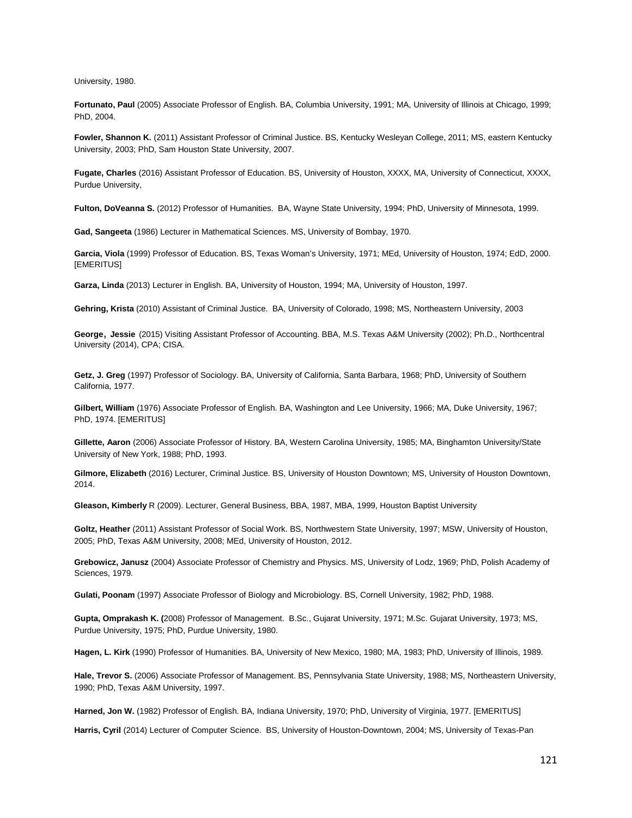University, 1980.

**Fortunato, Paul** (2005) Associate Professor of English. BA, Columbia University, 1991; MA, University of Illinois at Chicago, 1999; PhD, 2004.

**Fowler, Shannon K.** (2011) Assistant Professor of Criminal Justice. BS, Kentucky Wesleyan College, 2011; MS, eastern Kentucky University, 2003; PhD, Sam Houston State University, 2007.

**Fugate, Charles** (2016) Assistant Professor of Education. BS, University of Houston, XXXX, MA, University of Connecticut, XXXX, Purdue University,

**Fulton, DoVeanna S.** (2012) Professor of Humanities. BA, Wayne State University, 1994; PhD, University of Minnesota, 1999.

**Gad, Sangeeta** (1986) Lecturer in Mathematical Sciences. MS, University of Bombay, 1970.

**Garcia, Viola** (1999) Professor of Education. BS, Texas Woman's University, 1971; MEd, University of Houston, 1974; EdD, 2000. [EMERITUS]

**Garza, Linda** (2013) Lecturer in English. BA, University of Houston, 1994; MA, University of Houston, 1997.

**Gehring, Krista** (2010) Assistant of Criminal Justice. BA, University of Colorado, 1998; MS, Northeastern University, 2003

**George**, **Jessie** (2015) Visiting Assistant Professor of Accounting. BBA, M.S. Texas A&M University (2002); Ph.D., Northcentral University (2014), CPA; CISA.

**Getz, J. Greg** (1997) Professor of Sociology. BA, University of California, Santa Barbara, 1968; PhD, University of Southern California, 1977.

**Gilbert, William** (1976) Associate Professor of English. BA, Washington and Lee University, 1966; MA, Duke University, 1967; PhD, 1974. [EMERITUS]

**Gillette, Aaron** (2006) Associate Professor of History. BA, Western Carolina University, 1985; MA, Binghamton University/State University of New York, 1988; PhD, 1993.

**Gilmore, Elizabeth** (2016) Lecturer, Criminal Justice. BS, University of Houston Downtown; MS, University of Houston Downtown, 2014.

**Gleason, Kimberly** R (2009). Lecturer, General Business, BBA, 1987, MBA, 1999, Houston Baptist University

**Goltz, Heather** (2011) Assistant Professor of Social Work. BS, Northwestern State University, 1997; MSW, University of Houston, 2005; PhD, Texas A&M University, 2008; MEd, University of Houston, 2012.

**Grebowicz, Janusz** (2004) Associate Professor of Chemistry and Physics. MS, University of Lodz, 1969; PhD, Polish Academy of Sciences, 1979.

**Gulati, Poonam** (1997) Associate Professor of Biology and Microbiology. BS, Cornell University, 1982; PhD, 1988.

**Gupta, Omprakash K. (**2008) Professor of Management. B.Sc., Gujarat University, 1971; M.Sc. Gujarat University, 1973; MS, Purdue University, 1975; PhD, Purdue University, 1980.

**Hagen, L. Kirk** (1990) Professor of Humanities. BA, University of New Mexico, 1980; MA, 1983; PhD, University of Illinois, 1989.

**Hale, Trevor S.** (2006) Associate Professor of Management. BS, Pennsylvania State University, 1988; MS, Northeastern University, 1990; PhD, Texas A&M University, 1997.

**Harned, Jon W.** (1982) Professor of English. BA, Indiana University, 1970; PhD, University of Virginia, 1977. [EMERITUS]

**Harris, Cyril** (2014) Lecturer of Computer Science. BS, University of Houston-Downtown, 2004; MS, University of Texas-Pan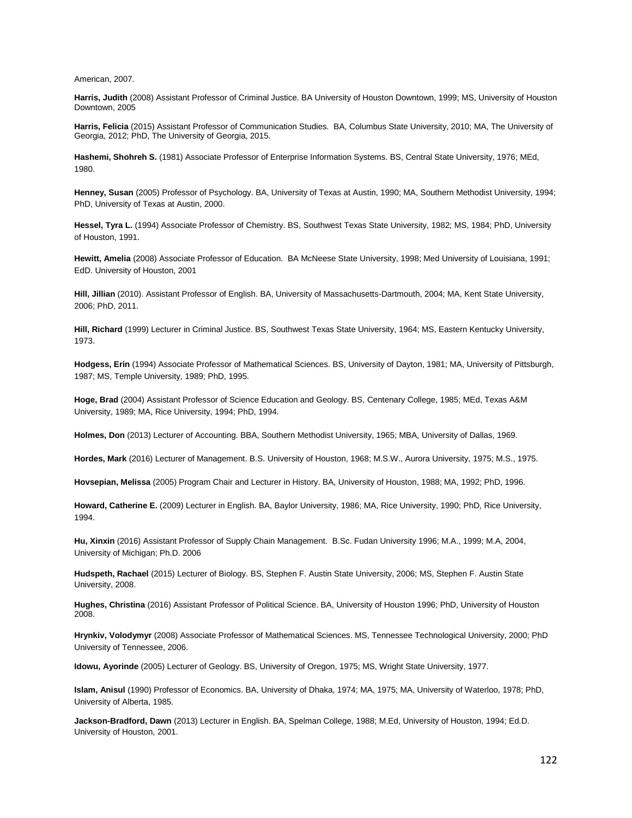American, 2007.

**Harris, Judith** (2008) Assistant Professor of Criminal Justice. BA University of Houston Downtown, 1999; MS, University of Houston Downtown, 2005

**Harris, Felicia** (2015) Assistant Professor of Communication Studies. BA, Columbus State University, 2010; MA, The University of Georgia, 2012; PhD, The University of Georgia, 2015.

**Hashemi, Shohreh S.** (1981) Associate Professor of Enterprise Information Systems. BS, Central State University, 1976; MEd, 1980.

**Henney, Susan** (2005) Professor of Psychology. BA, University of Texas at Austin, 1990; MA, Southern Methodist University, 1994; PhD, University of Texas at Austin, 2000.

**Hessel, Tyra L.** (1994) Associate Professor of Chemistry. BS, Southwest Texas State University, 1982; MS, 1984; PhD, University of Houston, 1991.

**Hewitt, Amelia** (2008) Associate Professor of Education. BA McNeese State University, 1998; Med University of Louisiana, 1991; EdD. University of Houston, 2001

**Hill, Jillian** (2010). Assistant Professor of English. BA, University of Massachusetts-Dartmouth, 2004; MA, Kent State University, 2006; PhD, 2011.

**Hill, Richard** (1999) Lecturer in Criminal Justice. BS, Southwest Texas State University, 1964; MS, Eastern Kentucky University, 1973.

**Hodgess, Erin** (1994) Associate Professor of Mathematical Sciences. BS, University of Dayton, 1981; MA, University of Pittsburgh, 1987; MS, Temple University, 1989; PhD, 1995.

**Hoge, Brad** (2004) Assistant Professor of Science Education and Geology. BS, Centenary College, 1985; MEd, Texas A&M University, 1989; MA, Rice University, 1994; PhD, 1994.

**Holmes, Don** (2013) Lecturer of Accounting. BBA, Southern Methodist University, 1965; MBA, University of Dallas, 1969.

**Hordes, Mark** (2016) Lecturer of Management. B.S. University of Houston, 1968; M.S.W., Aurora University, 1975; M.S., 1975.

**Hovsepian, Melissa** (2005) Program Chair and Lecturer in History. BA, University of Houston, 1988; MA, 1992; PhD, 1996.

**Howard, Catherine E.** (2009) Lecturer in English. BA, Baylor University, 1986; MA, Rice University, 1990; PhD, Rice University, 1994.

**Hu, Xinxin** (2016) Assistant Professor of Supply Chain Management. B.Sc. Fudan University 1996; M.A., 1999; M.A, 2004, University of Michigan; Ph.D. 2006

**Hudspeth, Rachael** (2015) Lecturer of Biology. BS, Stephen F. Austin State University, 2006; MS, Stephen F. Austin State University, 2008.

**Hughes, Christina** (2016) Assistant Professor of Political Science. BA, University of Houston 1996; PhD, University of Houston 2008.

**Hrynkiv, Volodymyr** (2008) Associate Professor of Mathematical Sciences. MS, Tennessee Technological University, 2000; PhD University of Tennessee, 2006.

**Idowu, Ayorinde** (2005) Lecturer of Geology. BS, University of Oregon, 1975; MS, Wright State University, 1977.

**Islam, Anisul** (1990) Professor of Economics. BA, University of Dhaka, 1974; MA, 1975; MA, University of Waterloo, 1978; PhD, University of Alberta, 1985.

**Jackson-Bradford, Dawn** (2013) Lecturer in English. BA, Spelman College, 1988; M.Ed, University of Houston, 1994; Ed.D. University of Houston, 2001.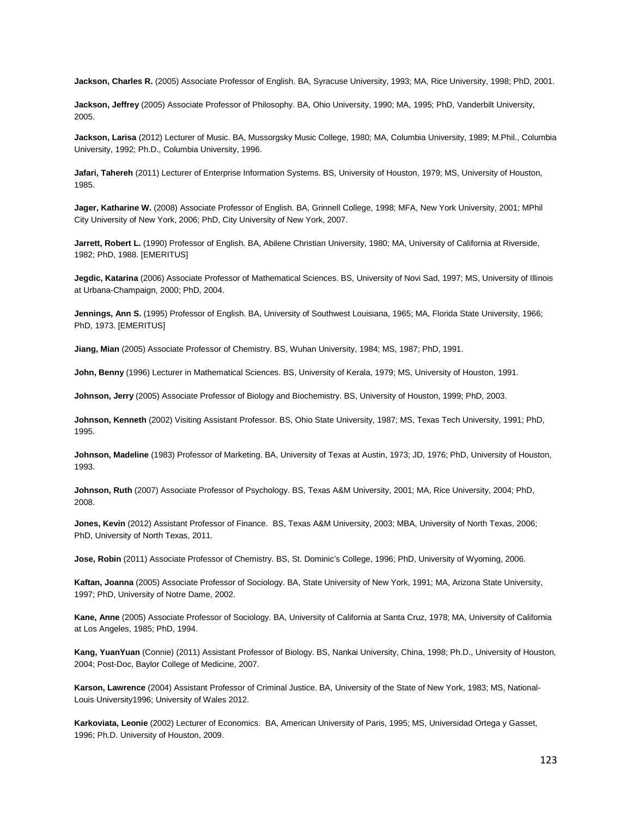**Jackson, Charles R.** (2005) Associate Professor of English. BA, Syracuse University, 1993; MA, Rice University, 1998; PhD, 2001.

**Jackson, Jeffrey** (2005) Associate Professor of Philosophy. BA, Ohio University, 1990; MA, 1995; PhD, Vanderbilt University, 2005.

**Jackson, Larisa** (2012) Lecturer of Music. BA, Mussorgsky Music College, 1980; MA, Columbia University, 1989; M.Phil., Columbia University, 1992; Ph.D., Columbia University, 1996.

**Jafari, Tahereh** (2011) Lecturer of Enterprise Information Systems. BS, University of Houston, 1979; MS, University of Houston, 1985.

**Jager, Katharine W.** (2008) Associate Professor of English. BA, Grinnell College, 1998; MFA, New York University, 2001; MPhil City University of New York, 2006; PhD, City University of New York, 2007.

Jarrett, Robert L. (1990) Professor of English. BA, Abilene Christian University, 1980; MA, University of California at Riverside, 1982; PhD, 1988. [EMERITUS]

**Jegdic, Katarina** (2006) Associate Professor of Mathematical Sciences. BS, University of Novi Sad, 1997; MS, University of Illinois at Urbana-Champaign, 2000; PhD, 2004.

**Jennings, Ann S.** (1995) Professor of English. BA, University of Southwest Louisiana, 1965; MA, Florida State University, 1966; PhD, 1973. [EMERITUS]

**Jiang, Mian** (2005) Associate Professor of Chemistry. BS, Wuhan University, 1984; MS, 1987; PhD, 1991.

**John, Benny** (1996) Lecturer in Mathematical Sciences. BS, University of Kerala, 1979; MS, University of Houston, 1991.

**Johnson, Jerry** (2005) Associate Professor of Biology and Biochemistry. BS, University of Houston, 1999; PhD, 2003.

**Johnson, Kenneth** (2002) Visiting Assistant Professor. BS, Ohio State University, 1987; MS, Texas Tech University, 1991; PhD, 1995.

**Johnson, Madeline** (1983) Professor of Marketing. BA, University of Texas at Austin, 1973; JD, 1976; PhD, University of Houston, 1993.

**Johnson, Ruth** (2007) Associate Professor of Psychology. BS, Texas A&M University, 2001; MA, Rice University, 2004; PhD, 2008.

**Jones, Kevin** (2012) Assistant Professor of Finance. BS, Texas A&M University, 2003; MBA, University of North Texas, 2006; PhD, University of North Texas, 2011.

**Jose, Robin** (2011) Associate Professor of Chemistry. BS, St. Dominic's College, 1996; PhD, University of Wyoming, 2006.

**Kaftan, Joanna** (2005) Associate Professor of Sociology. BA, State University of New York, 1991; MA, Arizona State University, 1997; PhD, University of Notre Dame, 2002.

**Kane, Anne** (2005) Associate Professor of Sociology. BA, University of California at Santa Cruz, 1978; MA, University of California at Los Angeles, 1985; PhD, 1994.

**Kang, YuanYuan** (Connie) (2011) Assistant Professor of Biology. BS, Nankai University, China, 1998; Ph.D., University of Houston, 2004; Post-Doc, Baylor College of Medicine, 2007.

**Karson, Lawrence** (2004) Assistant Professor of Criminal Justice. BA, University of the State of New York, 1983; MS, National-Louis University1996; University of Wales 2012.

**Karkoviata, Leonie** (2002) Lecturer of Economics. BA, American University of Paris, 1995; MS, Universidad Ortega y Gasset, 1996; Ph.D. University of Houston, 2009.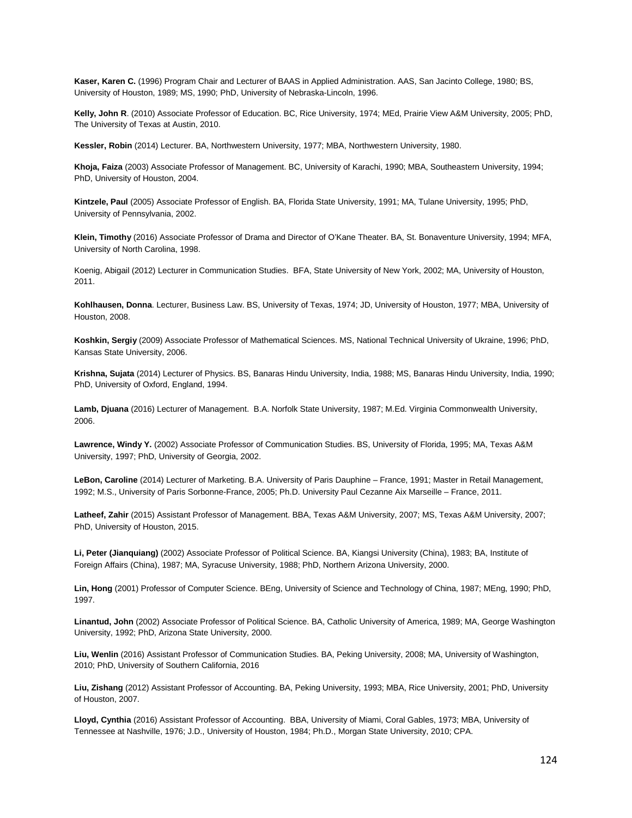**Kaser, Karen C.** (1996) Program Chair and Lecturer of BAAS in Applied Administration. AAS, San Jacinto College, 1980; BS, University of Houston, 1989; MS, 1990; PhD, University of Nebraska-Lincoln, 1996.

**Kelly, John R**. (2010) Associate Professor of Education. BC, Rice University, 1974; MEd, Prairie View A&M University, 2005; PhD, The University of Texas at Austin, 2010.

**Kessler, Robin** (2014) Lecturer. BA, Northwestern University, 1977; MBA, Northwestern University, 1980.

**Khoja, Faiza** (2003) Associate Professor of Management. BC, University of Karachi, 1990; MBA, Southeastern University, 1994; PhD, University of Houston, 2004.

**Kintzele, Paul** (2005) Associate Professor of English. BA, Florida State University, 1991; MA, Tulane University, 1995; PhD, University of Pennsylvania, 2002.

**Klein, Timothy** (2016) Associate Professor of Drama and Director of O'Kane Theater. BA, St. Bonaventure University, 1994; MFA, University of North Carolina, 1998.

Koenig, Abigail (2012) Lecturer in Communication Studies. BFA, State University of New York, 2002; MA, University of Houston, 2011.

**Kohlhausen, Donna**. Lecturer, Business Law. BS, University of Texas, 1974; JD, University of Houston, 1977; MBA, University of Houston, 2008.

**Koshkin, Sergiy** (2009) Associate Professor of Mathematical Sciences. MS, National Technical University of Ukraine, 1996; PhD, Kansas State University, 2006.

**Krishna, Sujata** (2014) Lecturer of Physics. BS, Banaras Hindu University, India, 1988; MS, Banaras Hindu University, India, 1990; PhD, University of Oxford, England, 1994.

**Lamb, Djuana** (2016) Lecturer of Management. B.A. Norfolk State University, 1987; M.Ed. Virginia Commonwealth University, 2006.

**Lawrence, Windy Y.** (2002) Associate Professor of Communication Studies. BS, University of Florida, 1995; MA, Texas A&M University, 1997; PhD, University of Georgia, 2002.

**LeBon, Caroline** (2014) Lecturer of Marketing. B.A. University of Paris Dauphine – France, 1991; Master in Retail Management, 1992; M.S., University of Paris Sorbonne-France, 2005; Ph.D. University Paul Cezanne Aix Marseille – France, 2011.

**Latheef, Zahir** (2015) Assistant Professor of Management. BBA, Texas A&M University, 2007; MS, Texas A&M University, 2007; PhD, University of Houston, 2015.

**Li, Peter (Jianquiang)** (2002) Associate Professor of Political Science. BA, Kiangsi University (China), 1983; BA, Institute of Foreign Affairs (China), 1987; MA, Syracuse University, 1988; PhD, Northern Arizona University, 2000.

**Lin, Hong** (2001) Professor of Computer Science. BEng, University of Science and Technology of China, 1987; MEng, 1990; PhD, 1997.

**Linantud, John** (2002) Associate Professor of Political Science. BA, Catholic University of America, 1989; MA, George Washington University, 1992; PhD, Arizona State University, 2000.

**Liu, Wenlin** (2016) Assistant Professor of Communication Studies. BA, Peking University, 2008; MA, University of Washington, 2010; PhD, University of Southern California, 2016

**Liu, Zishang** (2012) Assistant Professor of Accounting. BA, Peking University, 1993; MBA, Rice University, 2001; PhD, University of Houston, 2007.

**Lloyd, Cynthia** (2016) Assistant Professor of Accounting. BBA, University of Miami, Coral Gables, 1973; MBA, University of Tennessee at Nashville, 1976; J.D., University of Houston, 1984; Ph.D., Morgan State University, 2010; CPA.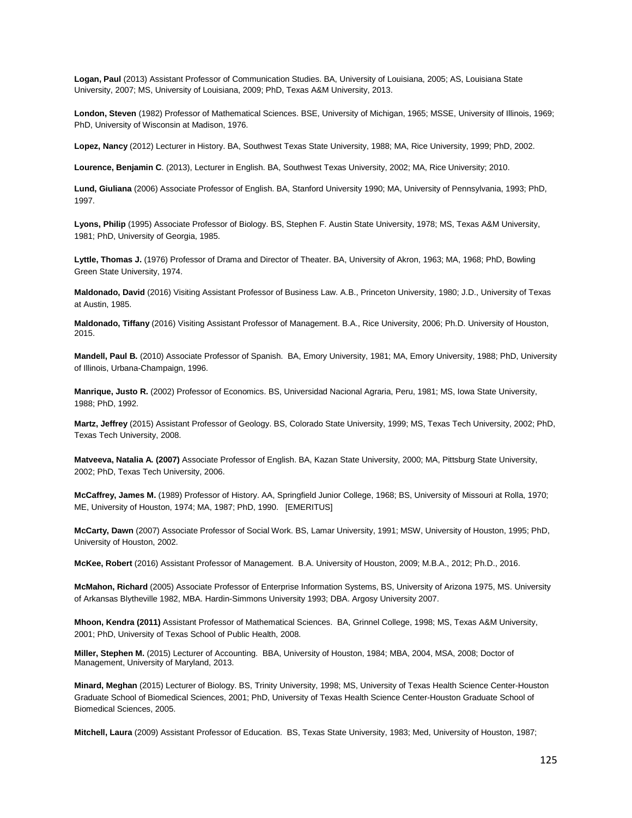**Logan, Paul** (2013) Assistant Professor of Communication Studies. BA, University of Louisiana, 2005; AS, Louisiana State University, 2007; MS, University of Louisiana, 2009; PhD, Texas A&M University, 2013.

**London, Steven** (1982) Professor of Mathematical Sciences. BSE, University of Michigan, 1965; MSSE, University of Illinois, 1969; PhD, University of Wisconsin at Madison, 1976.

**Lopez, Nancy** (2012) Lecturer in History. BA, Southwest Texas State University, 1988; MA, Rice University, 1999; PhD, 2002.

**Lourence, Benjamin C**. (2013), Lecturer in English. BA, Southwest Texas University, 2002; MA, Rice University; 2010.

**Lund, Giuliana** (2006) Associate Professor of English. BA, Stanford University 1990; MA, University of Pennsylvania, 1993; PhD, 1997.

**Lyons, Philip** (1995) Associate Professor of Biology. BS, Stephen F. Austin State University, 1978; MS, Texas A&M University, 1981; PhD, University of Georgia, 1985.

**Lyttle, Thomas J.** (1976) Professor of Drama and Director of Theater. BA, University of Akron, 1963; MA, 1968; PhD, Bowling Green State University, 1974.

**Maldonado, David** (2016) Visiting Assistant Professor of Business Law. A.B., Princeton University, 1980; J.D., University of Texas at Austin, 1985.

**Maldonado, Tiffany** (2016) Visiting Assistant Professor of Management. B.A., Rice University, 2006; Ph.D. University of Houston, 2015.

**Mandell, Paul B.** (2010) Associate Professor of Spanish. BA, Emory University, 1981; MA, Emory University, 1988; PhD, University of Illinois, Urbana-Champaign, 1996.

**Manrique, Justo R.** (2002) Professor of Economics. BS, Universidad Nacional Agraria, Peru, 1981; MS, Iowa State University, 1988; PhD, 1992.

**Martz, Jeffrey** (2015) Assistant Professor of Geology. BS, Colorado State University, 1999; MS, Texas Tech University, 2002; PhD, Texas Tech University, 2008.

**Matveeva, Natalia A. (2007)** Associate Professor of English. BA, Kazan State University, 2000; MA, Pittsburg State University, 2002; PhD, Texas Tech University, 2006.

**McCaffrey, James M.** (1989) Professor of History. AA, Springfield Junior College, 1968; BS, University of Missouri at Rolla, 1970; ME, University of Houston, 1974; MA, 1987; PhD, 1990. [EMERITUS]

**McCarty, Dawn** (2007) Associate Professor of Social Work. BS, Lamar University, 1991; MSW, University of Houston, 1995; PhD, University of Houston, 2002.

**McKee, Robert** (2016) Assistant Professor of Management. B.A. University of Houston, 2009; M.B.A., 2012; Ph.D., 2016.

**McMahon, Richard** (2005) Associate Professor of Enterprise Information Systems, BS, University of Arizona 1975, MS. University of Arkansas Blytheville 1982, MBA. Hardin-Simmons University 1993; DBA. Argosy University 2007.

**Mhoon, Kendra (2011)** Assistant Professor of Mathematical Sciences. BA, Grinnel College, 1998; MS, Texas A&M University, 2001; PhD, University of Texas School of Public Health, 2008.

**Miller, Stephen M.** (2015) Lecturer of Accounting. BBA, University of Houston, 1984; MBA, 2004, MSA, 2008; Doctor of Management, University of Maryland, 2013.

**Minard, Meghan** (2015) Lecturer of Biology. BS, Trinity University, 1998; MS, University of Texas Health Science Center-Houston Graduate School of Biomedical Sciences, 2001; PhD, University of Texas Health Science Center-Houston Graduate School of Biomedical Sciences, 2005.

**Mitchell, Laura** (2009) Assistant Professor of Education. BS, Texas State University, 1983; Med, University of Houston, 1987;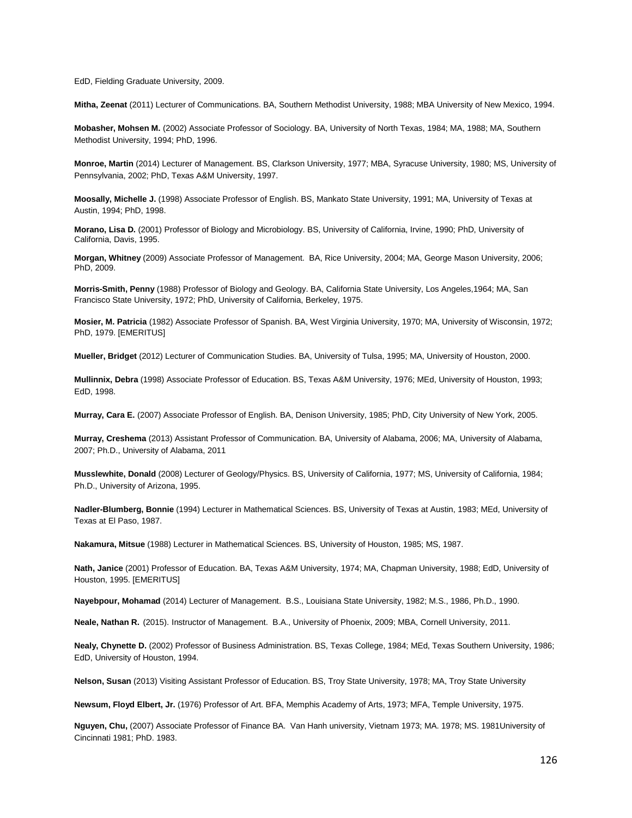EdD, Fielding Graduate University, 2009.

**Mitha, Zeenat** (2011) Lecturer of Communications. BA, Southern Methodist University, 1988; MBA University of New Mexico, 1994.

**Mobasher, Mohsen M.** (2002) Associate Professor of Sociology. BA, University of North Texas, 1984; MA, 1988; MA, Southern Methodist University, 1994; PhD, 1996.

**Monroe, Martin** (2014) Lecturer of Management. BS, Clarkson University, 1977; MBA, Syracuse University, 1980; MS, University of Pennsylvania, 2002; PhD, Texas A&M University, 1997.

**Moosally, Michelle J.** (1998) Associate Professor of English. BS, Mankato State University, 1991; MA, University of Texas at Austin, 1994; PhD, 1998.

**Morano, Lisa D.** (2001) Professor of Biology and Microbiology. BS, University of California, Irvine, 1990; PhD, University of California, Davis, 1995.

**Morgan, Whitney** (2009) Associate Professor of Management. BA, Rice University, 2004; MA, George Mason University, 2006; PhD, 2009.

**Morris-Smith, Penny** (1988) Professor of Biology and Geology. BA, California State University, Los Angeles,1964; MA, San Francisco State University, 1972; PhD, University of California, Berkeley, 1975.

**Mosier, M. Patricia** (1982) Associate Professor of Spanish. BA, West Virginia University, 1970; MA, University of Wisconsin, 1972; PhD, 1979. [EMERITUS]

**Mueller, Bridget** (2012) Lecturer of Communication Studies. BA, University of Tulsa, 1995; MA, University of Houston, 2000.

**Mullinnix, Debra** (1998) Associate Professor of Education. BS, Texas A&M University, 1976; MEd, University of Houston, 1993; EdD, 1998.

**Murray, Cara E.** (2007) Associate Professor of English. BA, Denison University, 1985; PhD, City University of New York, 2005.

**Murray, Creshema** (2013) Assistant Professor of Communication. BA, University of Alabama, 2006; MA, University of Alabama, 2007; Ph.D., University of Alabama, 2011

**Musslewhite, Donald** (2008) Lecturer of Geology/Physics. BS, University of California, 1977; MS, University of California, 1984; Ph.D., University of Arizona, 1995.

**Nadler-Blumberg, Bonnie** (1994) Lecturer in Mathematical Sciences. BS, University of Texas at Austin, 1983; MEd, University of Texas at El Paso, 1987.

**Nakamura, Mitsue** (1988) Lecturer in Mathematical Sciences. BS, University of Houston, 1985; MS, 1987.

**Nath, Janice** (2001) Professor of Education. BA, Texas A&M University, 1974; MA, Chapman University, 1988; EdD, University of Houston, 1995. [EMERITUS]

**Nayebpour, Mohamad** (2014) Lecturer of Management. B.S., Louisiana State University, 1982; M.S., 1986, Ph.D., 1990.

**Neale, Nathan R.** (2015). Instructor of Management. B.A., University of Phoenix, 2009; MBA, Cornell University, 2011.

**Nealy, Chynette D.** (2002) Professor of Business Administration. BS, Texas College, 1984; MEd, Texas Southern University, 1986; EdD, University of Houston, 1994.

**Nelson, Susan** (2013) Visiting Assistant Professor of Education. BS, Troy State University, 1978; MA, Troy State University

**Newsum, Floyd Elbert, Jr.** (1976) Professor of Art. BFA, Memphis Academy of Arts, 1973; MFA, Temple University, 1975.

**Nguyen, Chu,** (2007) Associate Professor of Finance BA. Van Hanh university, Vietnam 1973; MA. 1978; MS. 1981University of Cincinnati 1981; PhD. 1983.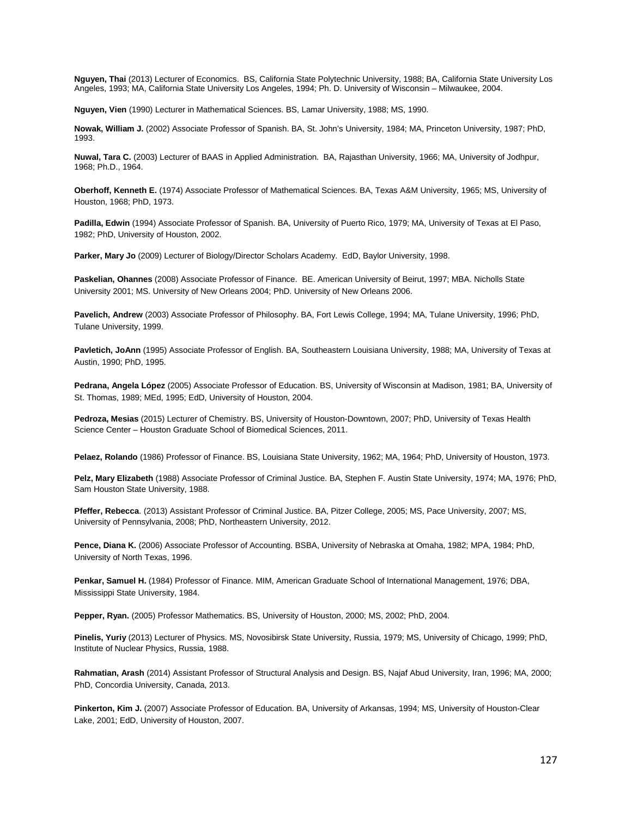**Nguyen, Thai** (2013) Lecturer of Economics. BS, California State Polytechnic University, 1988; BA, California State University Los Angeles, 1993; MA, California State University Los Angeles, 1994; Ph. D. University of Wisconsin – Milwaukee, 2004.

**Nguyen, Vien** (1990) Lecturer in Mathematical Sciences. BS, Lamar University, 1988; MS, 1990.

**Nowak, William J.** (2002) Associate Professor of Spanish. BA, St. John's University, 1984; MA, Princeton University, 1987; PhD, 1993.

**Nuwal, Tara C.** (2003) Lecturer of BAAS in Applied Administration. BA, Rajasthan University, 1966; MA, University of Jodhpur, 1968; Ph.D., 1964.

**Oberhoff, Kenneth E.** (1974) Associate Professor of Mathematical Sciences. BA, Texas A&M University, 1965; MS, University of Houston, 1968; PhD, 1973.

**Padilla, Edwin** (1994) Associate Professor of Spanish. BA, University of Puerto Rico, 1979; MA, University of Texas at El Paso, 1982; PhD, University of Houston, 2002.

**Parker, Mary Jo** (2009) Lecturer of Biology/Director Scholars Academy. EdD, Baylor University, 1998.

**Paskelian, Ohannes** (2008) Associate Professor of Finance. BE. American University of Beirut, 1997; MBA. Nicholls State University 2001; MS. University of New Orleans 2004; PhD. University of New Orleans 2006.

**Pavelich, Andrew** (2003) Associate Professor of Philosophy. BA, Fort Lewis College, 1994; MA, Tulane University, 1996; PhD, Tulane University, 1999.

**Pavletich, JoAnn** (1995) Associate Professor of English. BA, Southeastern Louisiana University, 1988; MA, University of Texas at Austin, 1990; PhD, 1995.

**Pedrana, Angela López** (2005) Associate Professor of Education. BS, University of Wisconsin at Madison, 1981; BA, University of St. Thomas, 1989; MEd, 1995; EdD, University of Houston, 2004.

**Pedroza, Mesias** (2015) Lecturer of Chemistry. BS, University of Houston-Downtown, 2007; PhD, University of Texas Health Science Center – Houston Graduate School of Biomedical Sciences, 2011.

**Pelaez, Rolando** (1986) Professor of Finance. BS, Louisiana State University, 1962; MA, 1964; PhD, University of Houston, 1973.

**Pelz, Mary Elizabeth** (1988) Associate Professor of Criminal Justice. BA, Stephen F. Austin State University, 1974; MA, 1976; PhD, Sam Houston State University, 1988.

**Pfeffer, Rebecca**. (2013) Assistant Professor of Criminal Justice. BA, Pitzer College, 2005; MS, Pace University, 2007; MS, University of Pennsylvania, 2008; PhD, Northeastern University, 2012.

**Pence, Diana K.** (2006) Associate Professor of Accounting. BSBA, University of Nebraska at Omaha, 1982; MPA, 1984; PhD, University of North Texas, 1996.

**Penkar, Samuel H.** (1984) Professor of Finance. MIM, American Graduate School of International Management, 1976; DBA, Mississippi State University, 1984.

**Pepper, Ryan.** (2005) Professor Mathematics. BS, University of Houston, 2000; MS, 2002; PhD, 2004.

**Pinelis, Yuriy** (2013) Lecturer of Physics. MS, Novosibirsk State University, Russia, 1979; MS, University of Chicago, 1999; PhD, Institute of Nuclear Physics, Russia, 1988.

**Rahmatian, Arash** (2014) Assistant Professor of Structural Analysis and Design. BS, Najaf Abud University, Iran, 1996; MA, 2000; PhD, Concordia University, Canada, 2013.

**Pinkerton, Kim J.** (2007) Associate Professor of Education. BA, University of Arkansas, 1994; MS, University of Houston-Clear Lake, 2001; EdD, University of Houston, 2007.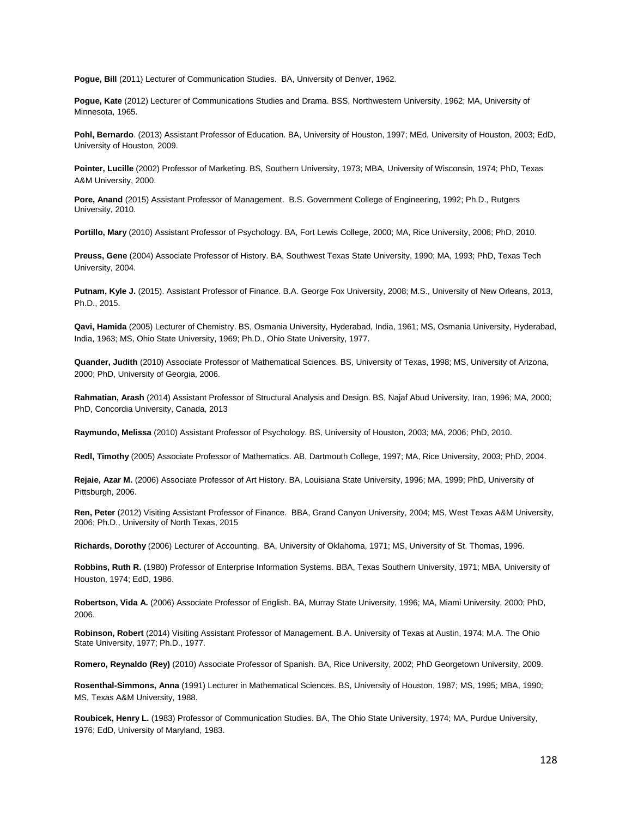**Pogue, Bill** (2011) Lecturer of Communication Studies. BA, University of Denver, 1962.

**Pogue, Kate** (2012) Lecturer of Communications Studies and Drama. BSS, Northwestern University, 1962; MA, University of Minnesota, 1965.

**Pohl, Bernardo**. (2013) Assistant Professor of Education. BA, University of Houston, 1997; MEd, University of Houston, 2003; EdD, University of Houston, 2009.

**Pointer, Lucille** (2002) Professor of Marketing. BS, Southern University, 1973; MBA, University of Wisconsin, 1974; PhD, Texas A&M University, 2000.

**Pore, Anand** (2015) Assistant Professor of Management. B.S. Government College of Engineering, 1992; Ph.D., Rutgers University, 2010.

**Portillo, Mary** (2010) Assistant Professor of Psychology. BA, Fort Lewis College, 2000; MA, Rice University, 2006; PhD, 2010.

**Preuss, Gene** (2004) Associate Professor of History. BA, Southwest Texas State University, 1990; MA, 1993; PhD, Texas Tech University, 2004.

**Putnam, Kyle J.** (2015). Assistant Professor of Finance. B.A. George Fox University, 2008; M.S., University of New Orleans, 2013, Ph.D., 2015.

**Qavi, Hamida** (2005) Lecturer of Chemistry. BS, Osmania University, Hyderabad, India, 1961; MS, Osmania University, Hyderabad, India, 1963; MS, Ohio State University, 1969; Ph.D., Ohio State University, 1977.

**Quander, Judith** (2010) Associate Professor of Mathematical Sciences. BS, University of Texas, 1998; MS, University of Arizona, 2000; PhD, University of Georgia, 2006.

**Rahmatian, Arash** (2014) Assistant Professor of Structural Analysis and Design. BS, Najaf Abud University, Iran, 1996; MA, 2000; PhD, Concordia University, Canada, 2013

**Raymundo, Melissa** (2010) Assistant Professor of Psychology. BS, University of Houston, 2003; MA, 2006; PhD, 2010.

**Redl, Timothy** (2005) Associate Professor of Mathematics. AB, Dartmouth College, 1997; MA, Rice University, 2003; PhD, 2004.

**Rejaie, Azar M.** (2006) Associate Professor of Art History. BA, Louisiana State University, 1996; MA, 1999; PhD, University of Pittsburgh, 2006.

**Ren, Peter** (2012) Visiting Assistant Professor of Finance. BBA, Grand Canyon University, 2004; MS, West Texas A&M University, 2006; Ph.D., University of North Texas, 2015

**Richards, Dorothy** (2006) Lecturer of Accounting. BA, University of Oklahoma, 1971; MS, University of St. Thomas, 1996.

**Robbins, Ruth R.** (1980) Professor of Enterprise Information Systems. BBA, Texas Southern University, 1971; MBA, University of Houston, 1974; EdD, 1986.

**Robertson, Vida A.** (2006) Associate Professor of English. BA, Murray State University, 1996; MA, Miami University, 2000; PhD, 2006.

**Robinson, Robert** (2014) Visiting Assistant Professor of Management. B.A. University of Texas at Austin, 1974; M.A. The Ohio State University, 1977; Ph.D., 1977.

**Romero, Reynaldo (Rey)** (2010) Associate Professor of Spanish. BA, Rice University, 2002; PhD Georgetown University, 2009.

**Rosenthal-Simmons, Anna** (1991) Lecturer in Mathematical Sciences. BS, University of Houston, 1987; MS, 1995; MBA, 1990; MS, Texas A&M University, 1988.

**Roubicek, Henry L.** (1983) Professor of Communication Studies. BA, The Ohio State University, 1974; MA, Purdue University, 1976; EdD, University of Maryland, 1983.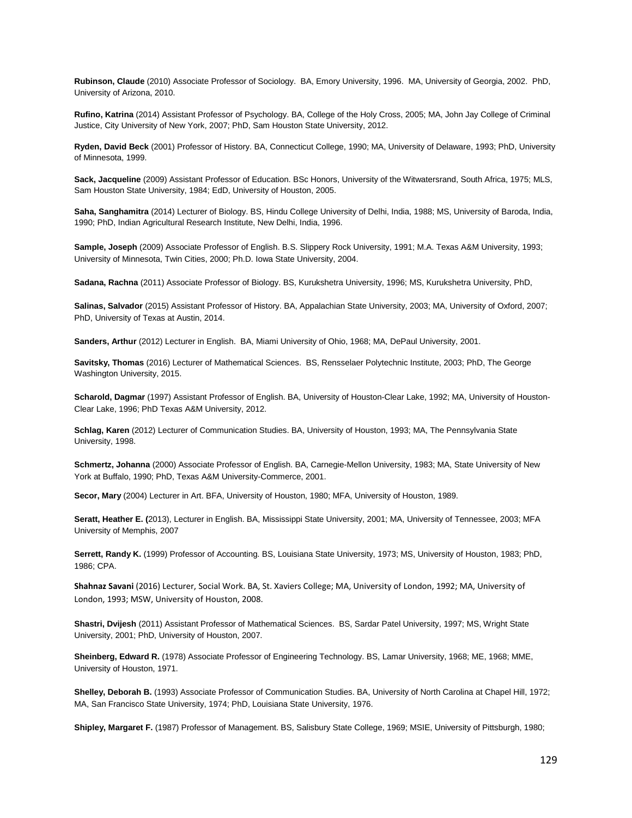**Rubinson, Claude** (2010) Associate Professor of Sociology. BA, Emory University, 1996. MA, University of Georgia, 2002. PhD, University of Arizona, 2010.

**Rufino, Katrina** (2014) Assistant Professor of Psychology. BA, College of the Holy Cross, 2005; MA, John Jay College of Criminal Justice, City University of New York, 2007; PhD, Sam Houston State University, 2012.

**Ryden, David Beck** (2001) Professor of History. BA, Connecticut College, 1990; MA, University of Delaware, 1993; PhD, University of Minnesota, 1999.

**Sack, Jacqueline** (2009) Assistant Professor of Education. BSc Honors, University of the Witwatersrand, South Africa, 1975; MLS, Sam Houston State University, 1984; EdD, University of Houston, 2005.

**Saha, Sanghamitra** (2014) Lecturer of Biology. BS, Hindu College University of Delhi, India, 1988; MS, University of Baroda, India, 1990; PhD, Indian Agricultural Research Institute, New Delhi, India, 1996.

**Sample, Joseph** (2009) Associate Professor of English. B.S. Slippery Rock University, 1991; M.A. Texas A&M University, 1993; University of Minnesota, Twin Cities, 2000; Ph.D. Iowa State University, 2004.

**Sadana, Rachna** (2011) Associate Professor of Biology. BS, Kurukshetra University, 1996; MS, Kurukshetra University, PhD,

**Salinas, Salvador** (2015) Assistant Professor of History. BA, Appalachian State University, 2003; MA, University of Oxford, 2007; PhD, University of Texas at Austin, 2014.

**Sanders, Arthur** (2012) Lecturer in English. BA, Miami University of Ohio, 1968; MA, DePaul University, 2001.

**Savitsky, Thomas** (2016) Lecturer of Mathematical Sciences. BS, Rensselaer Polytechnic Institute, 2003; PhD, The George Washington University, 2015.

**Scharold, Dagmar** (1997) Assistant Professor of English. BA, University of Houston-Clear Lake, 1992; MA, University of Houston-Clear Lake, 1996; PhD Texas A&M University, 2012.

**Schlag, Karen** (2012) Lecturer of Communication Studies. BA, University of Houston, 1993; MA, The Pennsylvania State University, 1998.

**Schmertz, Johanna** (2000) Associate Professor of English. BA, Carnegie-Mellon University, 1983; MA, State University of New York at Buffalo, 1990; PhD, Texas A&M University-Commerce, 2001.

**Secor, Mary** (2004) Lecturer in Art. BFA, University of Houston, 1980; MFA, University of Houston, 1989.

**Seratt, Heather E. (**2013), Lecturer in English. BA, Mississippi State University, 2001; MA, University of Tennessee, 2003; MFA University of Memphis, 2007

**Serrett, Randy K.** (1999) Professor of Accounting. BS, Louisiana State University, 1973; MS, University of Houston, 1983; PhD, 1986; CPA.

**Shahnaz Savani** (2016) Lecturer, Social Work. BA, St. Xaviers College; MA, University of London, 1992; MA, University of London, 1993; MSW, University of Houston, 2008.

**Shastri, Dvijesh** (2011) Assistant Professor of Mathematical Sciences. BS, Sardar Patel University, 1997; MS, Wright State University, 2001; PhD, University of Houston, 2007.

**Sheinberg, Edward R.** (1978) Associate Professor of Engineering Technology. BS, Lamar University, 1968; ME, 1968; MME, University of Houston, 1971.

**Shelley, Deborah B.** (1993) Associate Professor of Communication Studies. BA, University of North Carolina at Chapel Hill, 1972; MA, San Francisco State University, 1974; PhD, Louisiana State University, 1976.

**Shipley, Margaret F.** (1987) Professor of Management. BS, Salisbury State College, 1969; MSIE, University of Pittsburgh, 1980;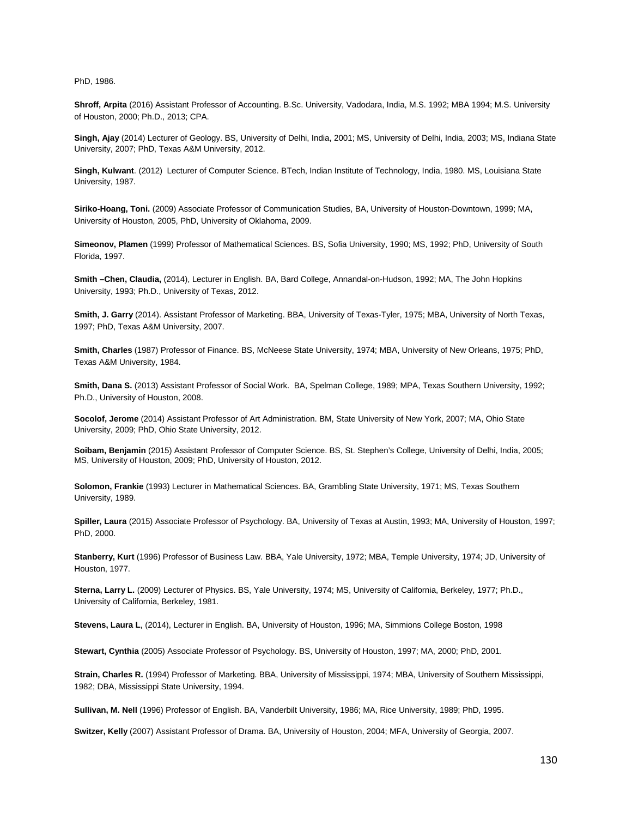PhD, 1986.

**Shroff, Arpita** (2016) Assistant Professor of Accounting. B.Sc. University, Vadodara, India, M.S. 1992; MBA 1994; M.S. University of Houston, 2000; Ph.D., 2013; CPA.

**Singh, Ajay** (2014) Lecturer of Geology. BS, University of Delhi, India, 2001; MS, University of Delhi, India, 2003; MS, Indiana State University, 2007; PhD, Texas A&M University, 2012.

**Singh, Kulwant**. (2012) Lecturer of Computer Science. BTech, Indian Institute of Technology, India, 1980. MS, Louisiana State University, 1987.

**Siriko-Hoang, Toni.** (2009) Associate Professor of Communication Studies, BA, University of Houston-Downtown, 1999; MA, University of Houston, 2005, PhD, University of Oklahoma, 2009.

**Simeonov, Plamen** (1999) Professor of Mathematical Sciences. BS, Sofia University, 1990; MS, 1992; PhD, University of South Florida, 1997.

**Smith –Chen, Claudia,** (2014), Lecturer in English. BA, Bard College, Annandal-on-Hudson, 1992; MA, The John Hopkins University, 1993; Ph.D., University of Texas, 2012.

**Smith, J. Garry** (2014). Assistant Professor of Marketing. BBA, University of Texas-Tyler, 1975; MBA, University of North Texas, 1997; PhD, Texas A&M University, 2007.

**Smith, Charles** (1987) Professor of Finance. BS, McNeese State University, 1974; MBA, University of New Orleans, 1975; PhD, Texas A&M University, 1984.

**Smith, Dana S.** (2013) Assistant Professor of Social Work. BA, Spelman College, 1989; MPA, Texas Southern University, 1992; Ph.D., University of Houston, 2008.

**Socolof, Jerome** (2014) Assistant Professor of Art Administration. BM, State University of New York, 2007; MA, Ohio State University, 2009; PhD, Ohio State University, 2012.

**Soibam, Benjamin** (2015) Assistant Professor of Computer Science. BS, St. Stephen's College, University of Delhi, India, 2005; MS, University of Houston, 2009; PhD, University of Houston, 2012.

**Solomon, Frankie** (1993) Lecturer in Mathematical Sciences. BA, Grambling State University, 1971; MS, Texas Southern University, 1989.

**Spiller, Laura** (2015) Associate Professor of Psychology. BA, University of Texas at Austin, 1993; MA, University of Houston, 1997; PhD, 2000.

**Stanberry, Kurt** (1996) Professor of Business Law. BBA, Yale University, 1972; MBA, Temple University, 1974; JD, University of Houston, 1977.

**Sterna, Larry L.** (2009) Lecturer of Physics. BS, Yale University, 1974; MS, University of California, Berkeley, 1977; Ph.D., University of California, Berkeley, 1981.

**Stevens, Laura L**, (2014), Lecturer in English. BA, University of Houston, 1996; MA, Simmions College Boston, 1998

**Stewart, Cynthia** (2005) Associate Professor of Psychology. BS, University of Houston, 1997; MA, 2000; PhD, 2001.

**Strain, Charles R.** (1994) Professor of Marketing. BBA, University of Mississippi, 1974; MBA, University of Southern Mississippi, 1982; DBA, Mississippi State University, 1994.

**Sullivan, M. Nell** (1996) Professor of English. BA, Vanderbilt University, 1986; MA, Rice University, 1989; PhD, 1995.

**Switzer, Kelly** (2007) Assistant Professor of Drama. BA, University of Houston, 2004; MFA, University of Georgia, 2007.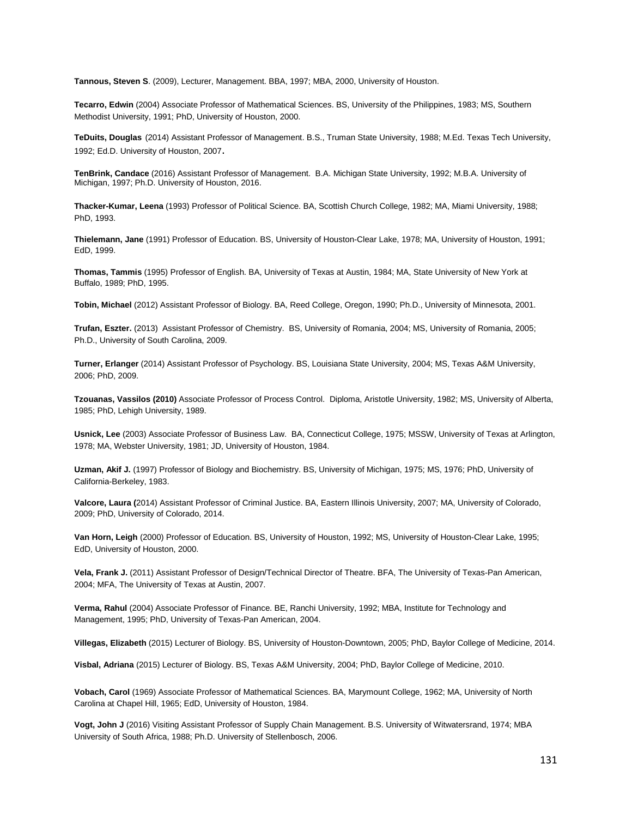**Tannous, Steven S**. (2009), Lecturer, Management. BBA, 1997; MBA, 2000, University of Houston.

**Tecarro, Edwin** (2004) Associate Professor of Mathematical Sciences. BS, University of the Philippines, 1983; MS, Southern Methodist University, 1991; PhD, University of Houston, 2000.

**TeDuits, Douglas** (2014) Assistant Professor of Management. B.S., Truman State University, 1988; M.Ed. Texas Tech University, 1992; Ed.D. University of Houston, 2007.

**TenBrink, Candace** (2016) Assistant Professor of Management. B.A. Michigan State University, 1992; M.B.A. University of Michigan, 1997; Ph.D. University of Houston, 2016.

**Thacker-Kumar, Leena** (1993) Professor of Political Science. BA, Scottish Church College, 1982; MA, Miami University, 1988; PhD, 1993.

**Thielemann, Jane** (1991) Professor of Education. BS, University of Houston-Clear Lake, 1978; MA, University of Houston, 1991; EdD, 1999.

**Thomas, Tammis** (1995) Professor of English. BA, University of Texas at Austin, 1984; MA, State University of New York at Buffalo, 1989; PhD, 1995.

**Tobin, Michael** (2012) Assistant Professor of Biology. BA, Reed College, Oregon, 1990; Ph.D., University of Minnesota, 2001.

**Trufan, Eszter.** (2013) Assistant Professor of Chemistry. BS, University of Romania, 2004; MS, University of Romania, 2005; Ph.D., University of South Carolina, 2009.

**Turner, Erlanger** (2014) Assistant Professor of Psychology. BS, Louisiana State University, 2004; MS, Texas A&M University, 2006; PhD, 2009.

**Tzouanas, Vassilos (2010)** Associate Professor of Process Control. Diploma, Aristotle University, 1982; MS, University of Alberta, 1985; PhD, Lehigh University, 1989.

**Usnick, Lee** (2003) Associate Professor of Business Law. BA, Connecticut College, 1975; MSSW, University of Texas at Arlington, 1978; MA, Webster University, 1981; JD, University of Houston, 1984.

**Uzman, Akif J.** (1997) Professor of Biology and Biochemistry. BS, University of Michigan, 1975; MS, 1976; PhD, University of California-Berkeley, 1983.

**Valcore, Laura (**2014) Assistant Professor of Criminal Justice. BA, Eastern Illinois University, 2007; MA, University of Colorado, 2009; PhD, University of Colorado, 2014.

**Van Horn, Leigh** (2000) Professor of Education. BS, University of Houston, 1992; MS, University of Houston-Clear Lake, 1995; EdD, University of Houston, 2000.

**Vela, Frank J.** (2011) Assistant Professor of Design/Technical Director of Theatre. BFA, The University of Texas-Pan American, 2004; MFA, The University of Texas at Austin, 2007.

**Verma, Rahul** (2004) Associate Professor of Finance. BE, Ranchi University, 1992; MBA, Institute for Technology and Management, 1995; PhD, University of Texas-Pan American, 2004.

**Villegas, Elizabeth** (2015) Lecturer of Biology. BS, University of Houston-Downtown, 2005; PhD, Baylor College of Medicine, 2014.

**Visbal, Adriana** (2015) Lecturer of Biology. BS, Texas A&M University, 2004; PhD, Baylor College of Medicine, 2010.

**Vobach, Carol** (1969) Associate Professor of Mathematical Sciences. BA, Marymount College, 1962; MA, University of North Carolina at Chapel Hill, 1965; EdD, University of Houston, 1984.

**Vogt, John J** (2016) Visiting Assistant Professor of Supply Chain Management. B.S. University of Witwatersrand, 1974; MBA University of South Africa, 1988; Ph.D. University of Stellenbosch, 2006.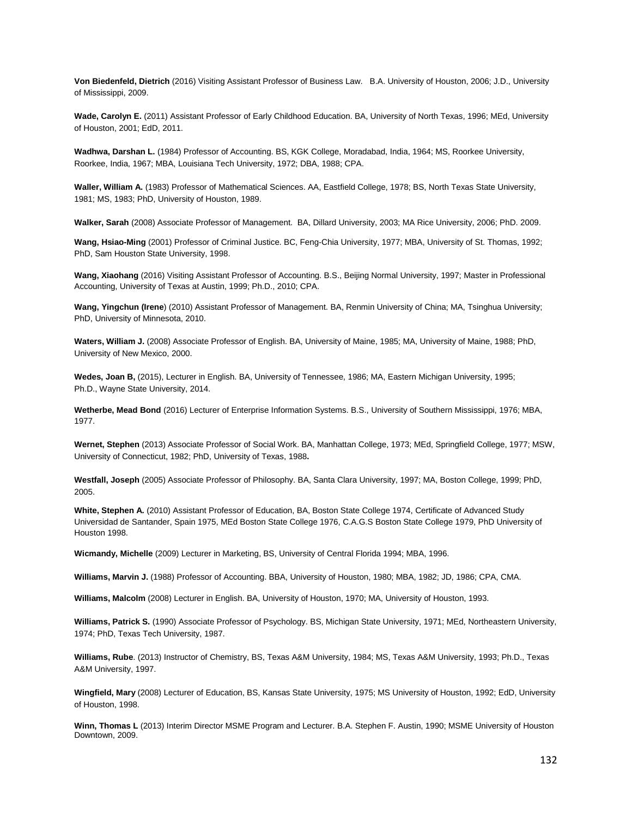**Von Biedenfeld, Dietrich** (2016) Visiting Assistant Professor of Business Law. B.A. University of Houston, 2006; J.D., University of Mississippi, 2009.

**Wade, Carolyn E.** (2011) Assistant Professor of Early Childhood Education. BA, University of North Texas, 1996; MEd, University of Houston, 2001; EdD, 2011.

**Wadhwa, Darshan L.** (1984) Professor of Accounting. BS, KGK College, Moradabad, India, 1964; MS, Roorkee University, Roorkee, India, 1967; MBA, Louisiana Tech University, 1972; DBA, 1988; CPA.

**Waller, William A.** (1983) Professor of Mathematical Sciences. AA, Eastfield College, 1978; BS, North Texas State University, 1981; MS, 1983; PhD, University of Houston, 1989.

**Walker, Sarah** (2008) Associate Professor of Management. BA, Dillard University, 2003; MA Rice University, 2006; PhD. 2009.

**Wang, Hsiao-Ming** (2001) Professor of Criminal Justice. BC, Feng-Chia University, 1977; MBA, University of St. Thomas, 1992; PhD, Sam Houston State University, 1998.

**Wang, Xiaohang** (2016) Visiting Assistant Professor of Accounting. B.S., Beijing Normal University, 1997; Master in Professional Accounting, University of Texas at Austin, 1999; Ph.D., 2010; CPA.

**Wang, Yingchun (Irene**) (2010) Assistant Professor of Management. BA, Renmin University of China; MA, Tsinghua University; PhD, University of Minnesota, 2010.

**Waters, William J.** (2008) Associate Professor of English. BA, University of Maine, 1985; MA, University of Maine, 1988; PhD, University of New Mexico, 2000.

**Wedes, Joan B,** (2015), Lecturer in English. BA, University of Tennessee, 1986; MA, Eastern Michigan University, 1995; Ph.D., Wayne State University, 2014.

**Wetherbe, Mead Bond** (2016) Lecturer of Enterprise Information Systems. B.S., University of Southern Mississippi, 1976; MBA, 1977.

**Wernet, Stephen** (2013) Associate Professor of Social Work. BA, Manhattan College, 1973; MEd, Springfield College, 1977; MSW, University of Connecticut, 1982; PhD, University of Texas, 1988**.**

**Westfall, Joseph** (2005) Associate Professor of Philosophy. BA, Santa Clara University, 1997; MA, Boston College, 1999; PhD, 2005.

**White, Stephen A.** (2010) Assistant Professor of Education, BA, Boston State College 1974, Certificate of Advanced Study Universidad de Santander, Spain 1975, MEd Boston State College 1976, C.A.G.S Boston State College 1979, PhD University of Houston 1998.

**Wicmandy, Michelle** (2009) Lecturer in Marketing, BS, University of Central Florida 1994; MBA, 1996.

**Williams, Marvin J.** (1988) Professor of Accounting. BBA, University of Houston, 1980; MBA, 1982; JD, 1986; CPA, CMA.

**Williams, Malcolm** (2008) Lecturer in English. BA, University of Houston, 1970; MA, University of Houston, 1993.

**Williams, Patrick S.** (1990) Associate Professor of Psychology. BS, Michigan State University, 1971; MEd, Northeastern University, 1974; PhD, Texas Tech University, 1987.

**Williams, Rube**. (2013) Instructor of Chemistry, BS, Texas A&M University, 1984; MS, Texas A&M University, 1993; Ph.D., Texas A&M University, 1997.

**Wingfield, Mary** (2008) Lecturer of Education, BS, Kansas State University, 1975; MS University of Houston, 1992; EdD, University of Houston, 1998.

**Winn, Thomas L** (2013) Interim Director MSME Program and Lecturer. B.A. Stephen F. Austin, 1990; MSME University of Houston Downtown, 2009.